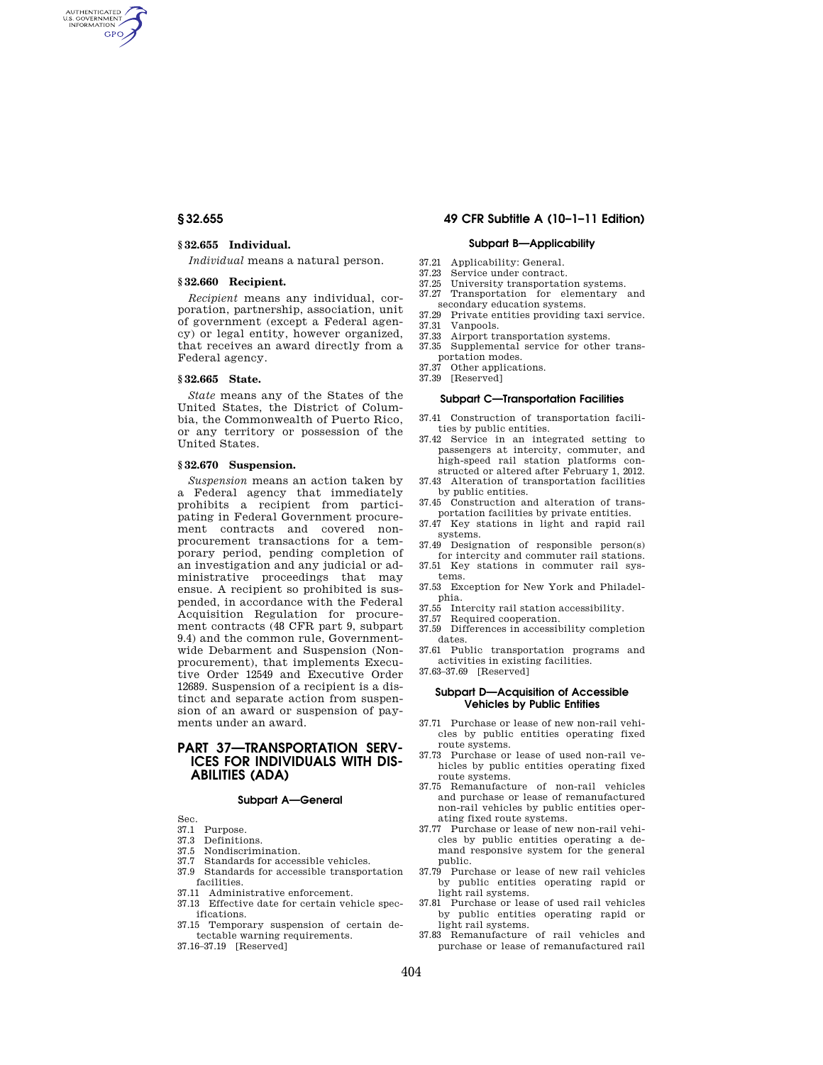AUTHENTICATED<br>U.S. GOVERNMENT<br>INFORMATION **GPO** 

# **§ 32.655 Individual.**

*Individual* means a natural person.

# **§ 32.660 Recipient.**

*Recipient* means any individual, corporation, partnership, association, unit of government (except a Federal agency) or legal entity, however organized, that receives an award directly from a Federal agency.

## **§ 32.665 State.**

*State* means any of the States of the United States, the District of Columbia, the Commonwealth of Puerto Rico, or any territory or possession of the United States.

## **§ 32.670 Suspension.**

*Suspension* means an action taken by a Federal agency that immediately prohibits a recipient from participating in Federal Government procurement contracts and covered nonprocurement transactions for a temporary period, pending completion of an investigation and any judicial or administrative proceedings that may ensue. A recipient so prohibited is suspended, in accordance with the Federal Acquisition Regulation for procurement contracts (48 CFR part 9, subpart 9.4) and the common rule, Governmentwide Debarment and Suspension (Nonprocurement), that implements Executive Order 12549 and Executive Order 12689. Suspension of a recipient is a distinct and separate action from suspension of an award or suspension of payments under an award.

# **PART 37—TRANSPORTATION SERV-ICES FOR INDIVIDUALS WITH DIS-ABILITIES (ADA)**

# **Subpart A—General**

Sec.

- 37.1 Purpose. 37.3 Definitions.
- 37.5 Nondiscrimination.
- 37.7 Standards for accessible vehicles.
- 37.9 Standards for accessible transportation facilities.
- 
- 37.11 Administrative enforcement. 37.13 Effective date for certain vehicle spec-
- ifications. 37.15 Temporary suspension of certain de-
- tectable warning requirements. 37.16–37.19 [Reserved]

# **§ 32.655 49 CFR Subtitle A (10–1–11 Edition)**

#### **Subpart B—Applicability**

- 37.21 Applicability: General.
- 37.23 Service under contract.
- 37.25 University transportation systems. 37.27 Transportation for elementary and secondary education systems.
- 37.29 Private entities providing taxi service.
- 37.31 Vanpools.
- 37.33 Airport transportation systems.
- 37.35 Supplemental service for other transportation modes.<br>37.37 Other applicates
- Other applications.
- 37.39 [Reserved]

#### **Subpart C—Transportation Facilities**

- 37.41 Construction of transportation facilities by public entities.
- 37.42 Service in an integrated setting to passengers at intercity, commuter, and high-speed rail station platforms constructed or altered after February 1, 2012.
- 37.43 Alteration of transportation facilities by public entities.
- 37.45 Construction and alteration of transportation facilities by private entities.
- 37.47 Key stations in light and rapid rail systems.
- 37.49 Designation of responsible person(s) for intercity and commuter rail stations.
- 37.51 Key stations in commuter rail systems.
- 37.53 Exception for New York and Philadelphia. 37.55 Intercity rail station accessibility.
- 
- 37.57 Required cooperation.
- 37.59 Differences in accessibility completion dates.
- 37.61 Public transportation programs and activities in existing facilities.

37.63–37.69 [Reserved]

## **Subpart D—Acquisition of Accessible Vehicles by Public Entities**

- 37.71 Purchase or lease of new non-rail vehicles by public entities operating fixed route systems.
- 37.73 Purchase or lease of used non-rail vehicles by public entities operating fixed route systems.
- 37.75 Remanufacture of non-rail vehicles and purchase or lease of remanufactured non-rail vehicles by public entities operating fixed route systems.
- 37.77 Purchase or lease of new non-rail vehicles by public entities operating a demand responsive system for the general public. 37.79 Purchase or lease of new rail vehicles
- by public entities operating rapid or light rail systems.
- 37.81 Purchase or lease of used rail vehicles by public entities operating rapid or light rail systems.
- 37.83 Remanufacture of rail vehicles and purchase or lease of remanufactured rail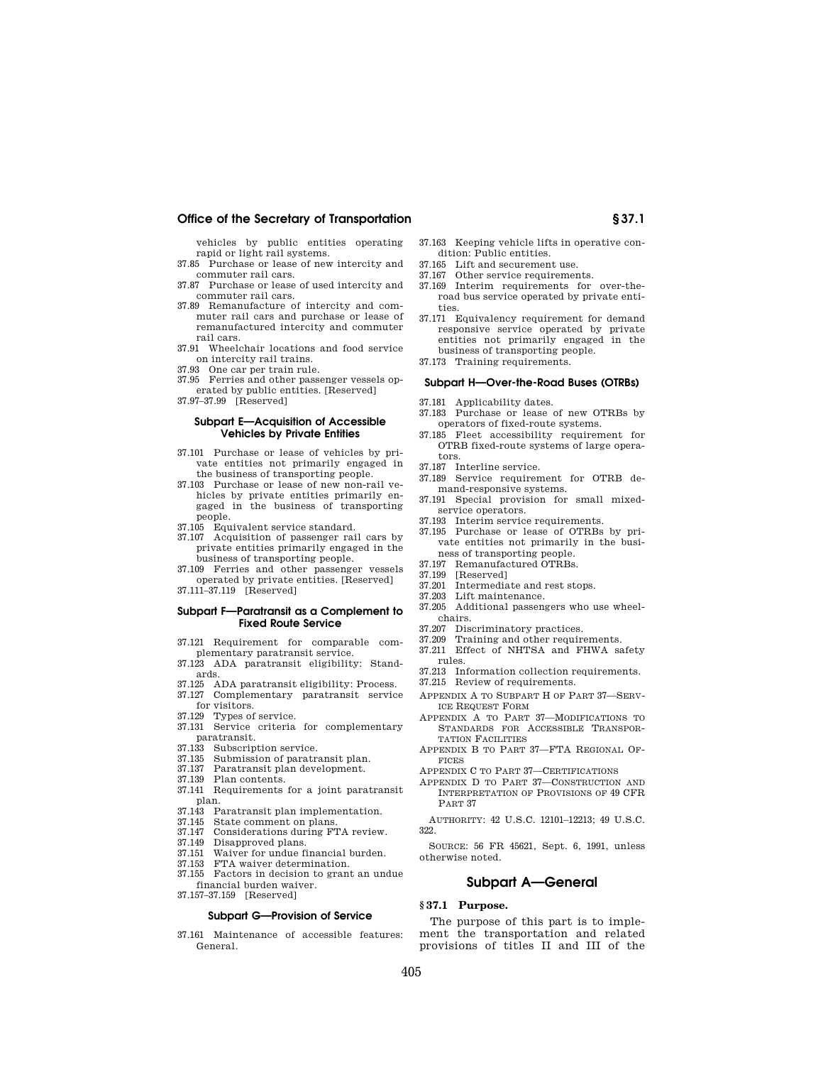vehicles by public entities operating rapid or light rail systems.

- 37.85 Purchase or lease of new intercity and commuter rail cars.
- 37.87 Purchase or lease of used intercity and commuter rail cars.
- 37.89 Remanufacture of intercity and commuter rail cars and purchase or lease of remanufactured intercity and commuter rail cars.
- 37.91 Wheelchair locations and food service on intercity rail trains.
- 37.93 One car per train rule.
- 37.95 Ferries and other passenger vessels operated by public entities. [Reserved] 37.97–37.99 [Reserved]

# **Subpart E—Acquisition of Accessible Vehicles by Private Entities**

- 37.101 Purchase or lease of vehicles by private entities not primarily engaged in the business of transporting people.
- 37.103 Purchase or lease of new non-rail vehicles by private entities primarily engaged in the business of transporting people.
- 
- 37.105 Equivalent service standard. 37.107 Acquisition of passenger rail cars by private entities primarily engaged in the business of transporting people.
- 37.109 Ferries and other passenger vessels operated by private entities. [Reserved] 37.111–37.119 [Reserved]
- 

# **Subpart F—Paratransit as a Complement to Fixed Route Service**

- 37.121 Requirement for comparable complementary paratransit service.
- 37.123 ADA paratransit eligibility: Standards.
- 37.125 ADA paratransit eligibility: Process. 37.127 Complementary paratransit service for visitors.
- 37.129 Types of service.
- 37.131 Service criteria for complementary paratransit.
- 37.133 Subscription service.
- 37.135 Submission of paratransit plan.
- 37.137 Paratransit plan development.
- 37.139 Plan contents.
- 37.141 Requirements for a joint paratransit plan.
- 37.143 Paratransit plan implementation.
- 37.145 State comment on plans.
- 37.147 Considerations during FTA review. 37.149 Disapproved plans.
- 37.151 Waiver for undue financial burden.
- 37.153 FTA waiver determination.
- 37.155 Factors in decision to grant an undue financial burden waiver.
- 37.157–37.159 [Reserved]

# **Subpart G—Provision of Service**

37.161 Maintenance of accessible features: General.

- 37.163 Keeping vehicle lifts in operative condition: Public entities.
- 37.165 Lift and securement use.
- 37.167 Other service requirements.
- 37.169 Interim requirements for over-theroad bus service operated by private entities.
- 37.171 Equivalency requirement for demand responsive service operated by private entities not primarily engaged in the business of transporting people.
- 37.173 Training requirements.

## **Subpart H—Over-the-Road Buses (OTRBs)**

- 37.181 Applicability dates.
- 37.183 Purchase or lease of new OTRBs by operators of fixed-route systems.
- 37.185 Fleet accessibility requirement for OTRB fixed-route systems of large opera-
- tors. 37.187 Interline service.
- 37.189 Service requirement for OTRB demand-responsive systems.
- 37.191 Special provision for small mixedservice operators.
- 37.193 Interim service requirements.
- 37.195 Purchase or lease of OTRBs by private entities not primarily in the business of transporting people.
- 37.197 Remanufactured OTRBs.
- [Reserved]
- 37.201 Intermediate and rest stops.
- 37.203 Lift maintenance.
- 37.205 Additional passengers who use wheelchairs.
- 37.207 Discriminatory practices.<br>37.209 Training and other requir
- Training and other requirements.
- 37.211 Effect of NHTSA and FHWA safety rules.
- 37.213 Information collection requirements.
- 37.215 Review of requirements.
- APPENDIX A TO SUBPART H OF PART 37—SERV-ICE REQUEST FORM
- APPENDIX A TO PART 37—MODIFICATIONS TO STANDARDS FOR ACCESSIBLE TRANSPOR-TATION FACILITIES
- APPENDIX B TO PART 37—FTA REGIONAL OF-FICES
- APPENDIX C TO PART 37—CERTIFICATIONS
- APPENDIX D TO PART 37—CONSTRUCTION AND INTERPRETATION OF PROVISIONS OF 49 CFR PART 37

AUTHORITY: 42 U.S.C. 12101–12213; 49 U.S.C. 322.

SOURCE: 56 FR 45621, Sept. 6, 1991, unless otherwise noted.

# **Subpart A—General**

# **§ 37.1 Purpose.**

The purpose of this part is to implement the transportation and related provisions of titles II and III of the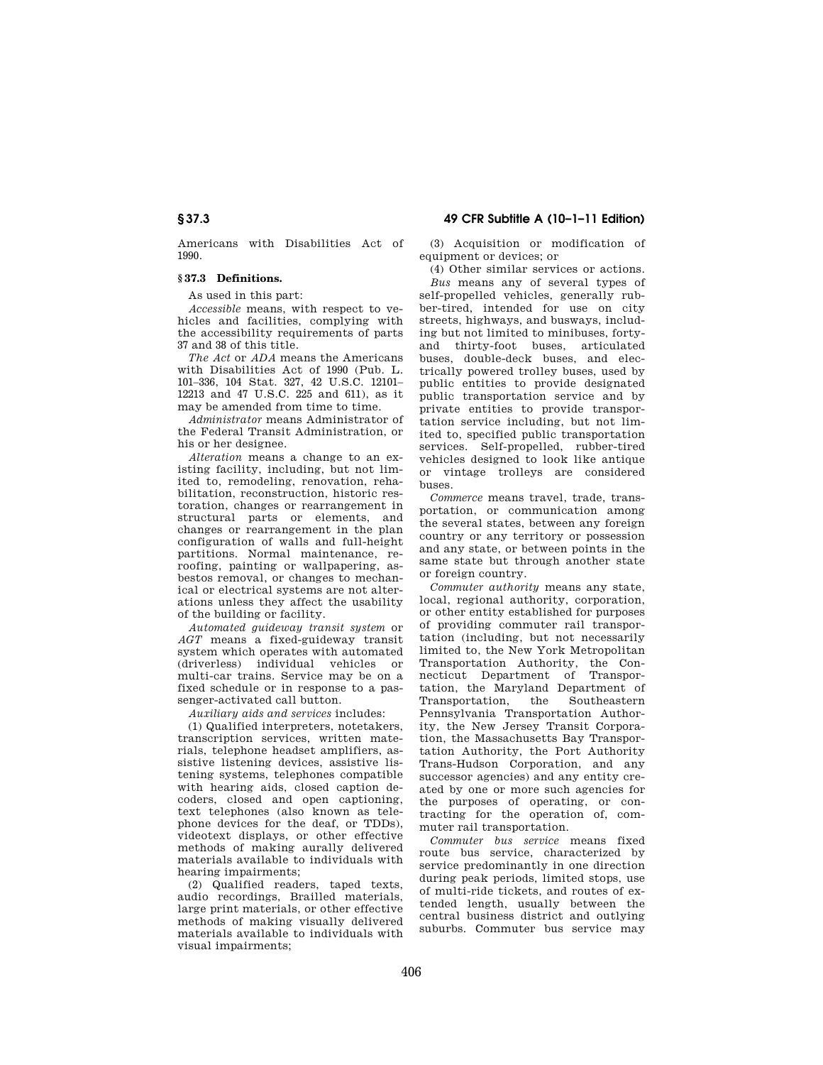Americans with Disabilities Act of 1990.

# **§ 37.3 Definitions.**

As used in this part:

*Accessible* means, with respect to vehicles and facilities, complying with the accessibility requirements of parts 37 and 38 of this title.

*The Act* or *ADA* means the Americans with Disabilities Act of 1990 (Pub. L. 101–336, 104 Stat. 327, 42 U.S.C. 12101– 12213 and 47 U.S.C. 225 and 611), as it may be amended from time to time.

*Administrator* means Administrator of the Federal Transit Administration, or his or her designee.

*Alteration* means a change to an existing facility, including, but not limited to, remodeling, renovation, rehabilitation, reconstruction, historic restoration, changes or rearrangement in structural parts or elements, and changes or rearrangement in the plan configuration of walls and full-height partitions. Normal maintenance, reroofing, painting or wallpapering, asbestos removal, or changes to mechanical or electrical systems are not alterations unless they affect the usability of the building or facility.

*Automated guideway transit system* or *AGT* means a fixed-guideway transit system which operates with automated (driverless) individual vehicles or multi-car trains. Service may be on a fixed schedule or in response to a passenger-activated call button.

*Auxiliary aids and services* includes:

(1) Qualified interpreters, notetakers, transcription services, written materials, telephone headset amplifiers, assistive listening devices, assistive listening systems, telephones compatible with hearing aids, closed caption decoders, closed and open captioning, text telephones (also known as telephone devices for the deaf, or TDDs), videotext displays, or other effective methods of making aurally delivered materials available to individuals with hearing impairments;

(2) Qualified readers, taped texts, audio recordings, Brailled materials, large print materials, or other effective methods of making visually delivered materials available to individuals with visual impairments;

**§ 37.3 49 CFR Subtitle A (10–1–11 Edition)** 

(3) Acquisition or modification of equipment or devices; or

(4) Other similar services or actions. *Bus* means any of several types of self-propelled vehicles, generally rubber-tired, intended for use on city streets, highways, and busways, including but not limited to minibuses, fortyand thirty-foot buses, articulated buses, double-deck buses, and electrically powered trolley buses, used by public entities to provide designated public transportation service and by private entities to provide transportation service including, but not limited to, specified public transportation services. Self-propelled, rubber-tired vehicles designed to look like antique or vintage trolleys are considered buses.

*Commerce* means travel, trade, transportation, or communication among the several states, between any foreign country or any territory or possession and any state, or between points in the same state but through another state or foreign country.

*Commuter authority* means any state, local, regional authority, corporation, or other entity established for purposes of providing commuter rail transportation (including, but not necessarily limited to, the New York Metropolitan Transportation Authority, the Connecticut Department of Transportation, the Maryland Department of Transportation, the Southeastern Pennsylvania Transportation Authority, the New Jersey Transit Corporation, the Massachusetts Bay Transportation Authority, the Port Authority Trans-Hudson Corporation, and any successor agencies) and any entity created by one or more such agencies for the purposes of operating, or contracting for the operation of, commuter rail transportation.

*Commuter bus service* means fixed route bus service, characterized by service predominantly in one direction during peak periods, limited stops, use of multi-ride tickets, and routes of extended length, usually between the central business district and outlying suburbs. Commuter bus service may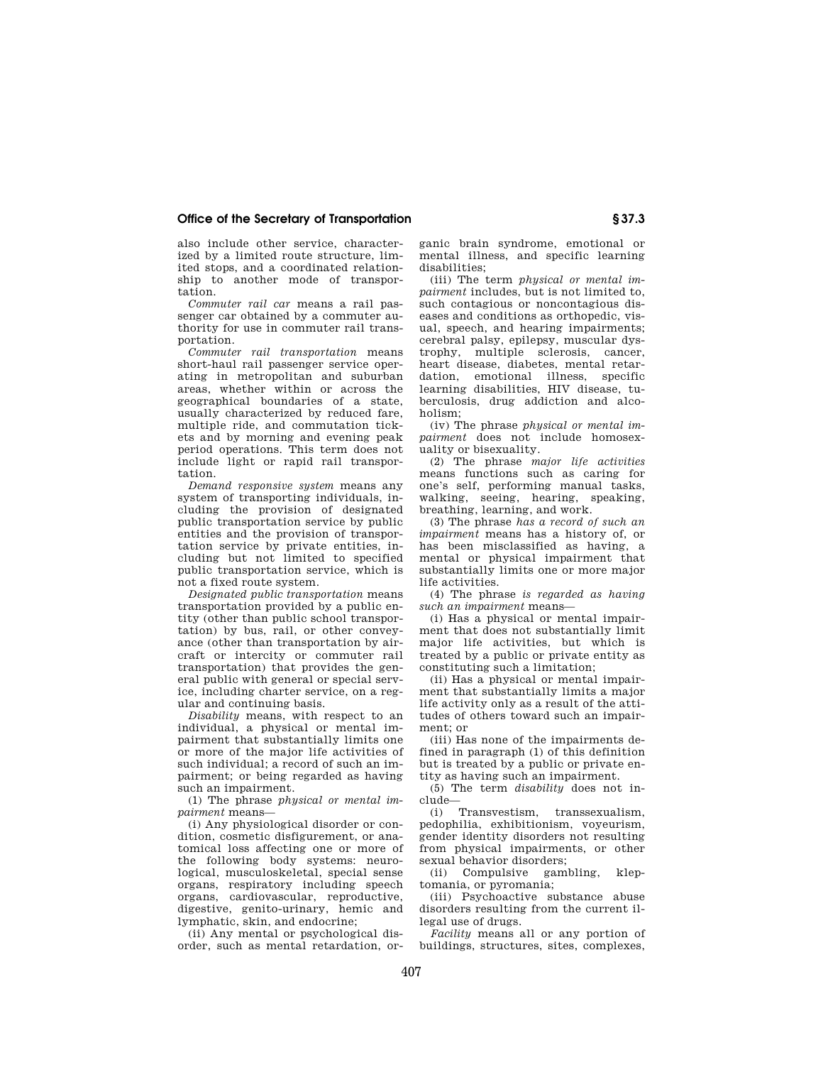also include other service, characterized by a limited route structure, limited stops, and a coordinated relationship to another mode of transportation.

*Commuter rail car* means a rail passenger car obtained by a commuter authority for use in commuter rail transportation.

*Commuter rail transportation* means short-haul rail passenger service operating in metropolitan and suburban areas, whether within or across the geographical boundaries of a state, usually characterized by reduced fare, multiple ride, and commutation tickets and by morning and evening peak period operations. This term does not include light or rapid rail transportation.

*Demand responsive system* means any system of transporting individuals, including the provision of designated public transportation service by public entities and the provision of transportation service by private entities, including but not limited to specified public transportation service, which is not a fixed route system.

*Designated public transportation* means transportation provided by a public entity (other than public school transportation) by bus, rail, or other conveyance (other than transportation by aircraft or intercity or commuter rail transportation) that provides the general public with general or special service, including charter service, on a regular and continuing basis.

*Disability* means, with respect to an individual, a physical or mental impairment that substantially limits one or more of the major life activities of such individual; a record of such an impairment; or being regarded as having such an impairment.

(1) The phrase *physical or mental impairment* means—

(i) Any physiological disorder or condition, cosmetic disfigurement, or anatomical loss affecting one or more of the following body systems: neurological, musculoskeletal, special sense organs, respiratory including speech organs, cardiovascular, reproductive, digestive, genito-urinary, hemic and lymphatic, skin, and endocrine;

(ii) Any mental or psychological disorder, such as mental retardation, organic brain syndrome, emotional or mental illness, and specific learning disabilities;

(iii) The term *physical or mental impairment* includes, but is not limited to, such contagious or noncontagious diseases and conditions as orthopedic, visual, speech, and hearing impairments; cerebral palsy, epilepsy, muscular dystrophy, multiple sclerosis, cancer, heart disease, diabetes, mental retardation, emotional illness, specific learning disabilities, HIV disease, tuberculosis, drug addiction and alcoholism;

(iv) The phrase *physical or mental impairment* does not include homosexuality or bisexuality.

(2) The phrase *major life activities*  means functions such as caring for one's self, performing manual tasks, walking, seeing, hearing, speaking, breathing, learning, and work.

(3) The phrase *has a record of such an impairment* means has a history of, or has been misclassified as having, a mental or physical impairment that substantially limits one or more major life activities.

(4) The phrase *is regarded as having such an impairment* means—

(i) Has a physical or mental impairment that does not substantially limit major life activities, but which is treated by a public or private entity as constituting such a limitation;

(ii) Has a physical or mental impairment that substantially limits a major life activity only as a result of the attitudes of others toward such an impairment; or

(iii) Has none of the impairments defined in paragraph (1) of this definition but is treated by a public or private entity as having such an impairment.

(5) The term *disability* does not include—

(i) Transvestism, transsexualism, pedophilia, exhibitionism, voyeurism, gender identity disorders not resulting from physical impairments, or other sexual behavior disorders;<br>(ii) Compulsive gambling,

(ii) Compulsive gambling, kleptomania, or pyromania;

(iii) Psychoactive substance abuse disorders resulting from the current illegal use of drugs.

*Facility* means all or any portion of buildings, structures, sites, complexes,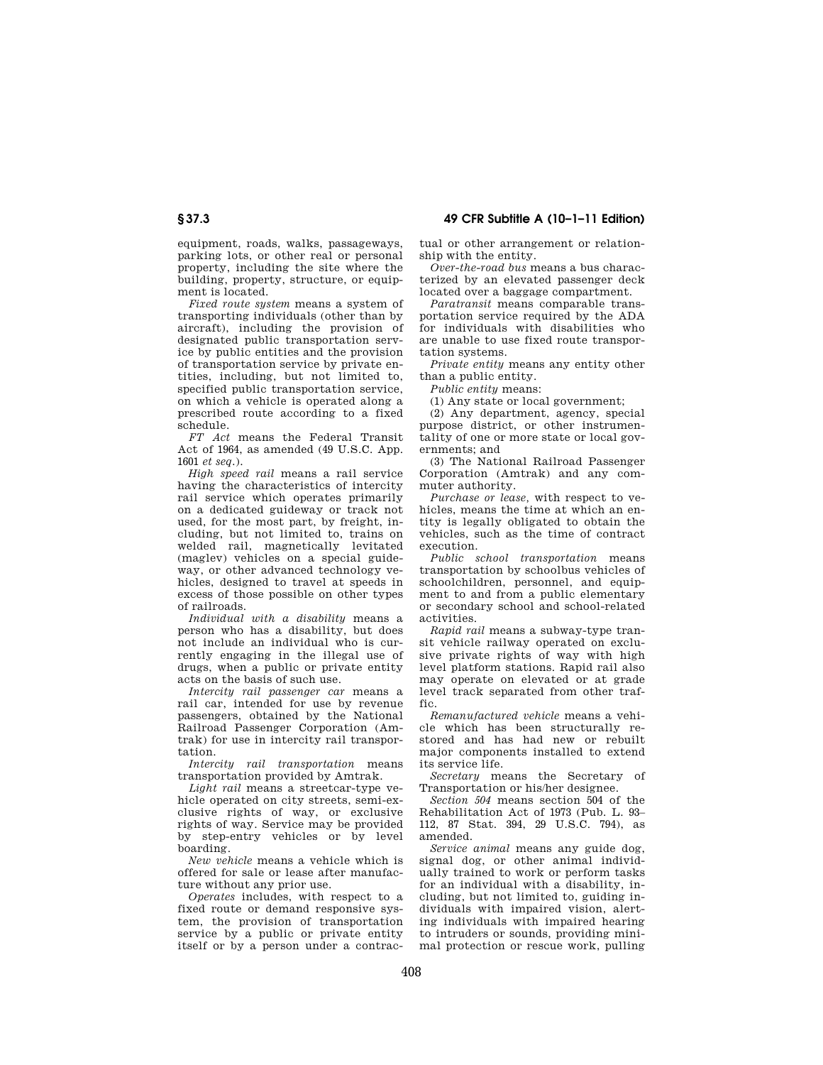equipment, roads, walks, passageways,

parking lots, or other real or personal property, including the site where the building, property, structure, or equipment is located.

*Fixed route system* means a system of transporting individuals (other than by aircraft), including the provision of designated public transportation service by public entities and the provision of transportation service by private entities, including, but not limited to, specified public transportation service, on which a vehicle is operated along a prescribed route according to a fixed schedule.

*FT Act* means the Federal Transit Act of 1964, as amended (49 U.S.C. App. 1601 *et seq.*).

*High speed rail* means a rail service having the characteristics of intercity rail service which operates primarily on a dedicated guideway or track not used, for the most part, by freight, including, but not limited to, trains on welded rail, magnetically levitated (maglev) vehicles on a special guideway, or other advanced technology vehicles, designed to travel at speeds in excess of those possible on other types of railroads.

*Individual with a disability* means a person who has a disability, but does not include an individual who is currently engaging in the illegal use of drugs, when a public or private entity acts on the basis of such use.

*Intercity rail passenger car* means a rail car, intended for use by revenue passengers, obtained by the National Railroad Passenger Corporation (Amtrak) for use in intercity rail transportation.

*Intercity rail transportation* means transportation provided by Amtrak.

*Light rail* means a streetcar-type vehicle operated on city streets, semi-exclusive rights of way, or exclusive rights of way. Service may be provided by step-entry vehicles or by level boarding.

*New vehicle* means a vehicle which is offered for sale or lease after manufacture without any prior use.

*Operates* includes, with respect to a fixed route or demand responsive system, the provision of transportation service by a public or private entity itself or by a person under a contractual or other arrangement or relationship with the entity.

*Over-the-road bus* means a bus characterized by an elevated passenger deck located over a baggage compartment.

*Paratransit* means comparable transportation service required by the ADA for individuals with disabilities who are unable to use fixed route transportation systems.

*Private entity* means any entity other than a public entity.

*Public entity* means:

(1) Any state or local government;

(2) Any department, agency, special purpose district, or other instrumentality of one or more state or local governments; and

(3) The National Railroad Passenger Corporation (Amtrak) and any commuter authority.

*Purchase or lease,* with respect to vehicles, means the time at which an entity is legally obligated to obtain the vehicles, such as the time of contract execution.

*Public school transportation* means transportation by schoolbus vehicles of schoolchildren, personnel, and equipment to and from a public elementary or secondary school and school-related activities.

*Rapid rail* means a subway-type transit vehicle railway operated on exclusive private rights of way with high level platform stations. Rapid rail also may operate on elevated or at grade level track separated from other traffic.

*Remanufactured vehicle* means a vehicle which has been structurally restored and has had new or rebuilt major components installed to extend its service life.

*Secretary* means the Secretary of Transportation or his/her designee.

*Section 504* means section 504 of the Rehabilitation Act of 1973 (Pub. L. 93– 112, 87 Stat. 394, 29 U.S.C. 794), as amended.

*Service animal* means any guide dog, signal dog, or other animal individually trained to work or perform tasks for an individual with a disability, including, but not limited to, guiding individuals with impaired vision, alerting individuals with impaired hearing to intruders or sounds, providing minimal protection or rescue work, pulling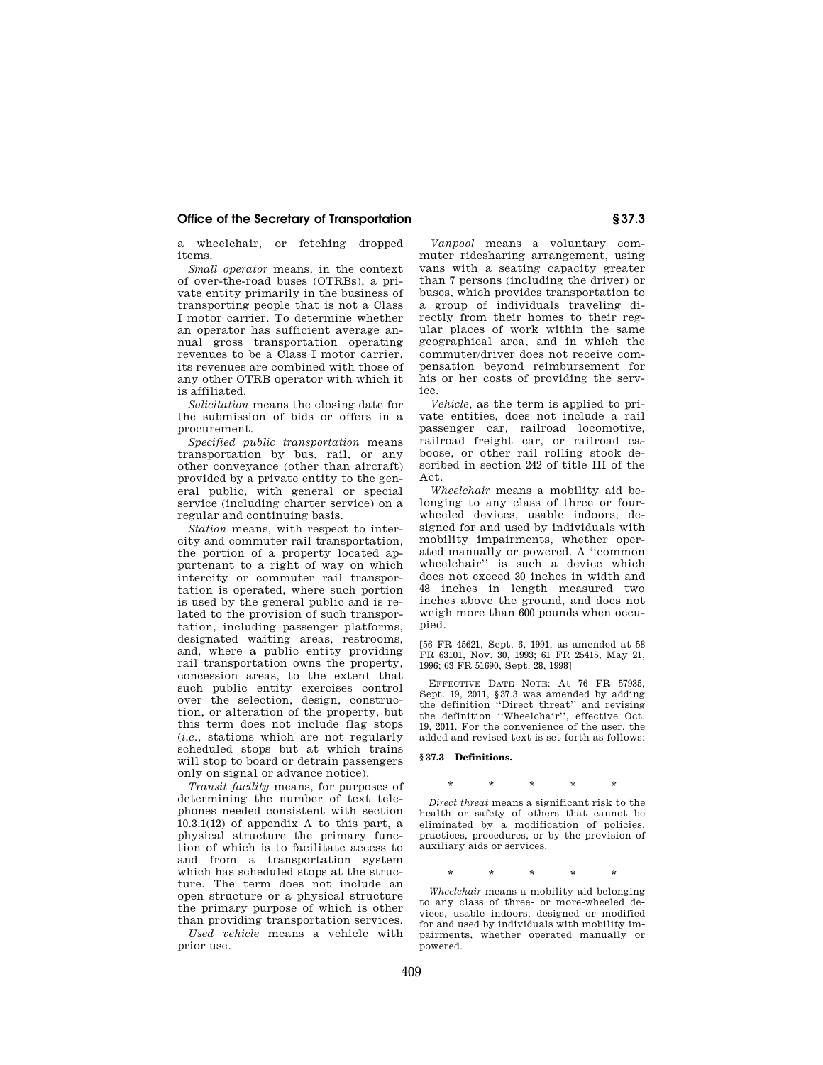a wheelchair, or fetching dropped items.

*Small operator* means, in the context of over-the-road buses (OTRBs), a private entity primarily in the business of transporting people that is not a Class I motor carrier. To determine whether an operator has sufficient average annual gross transportation operating revenues to be a Class I motor carrier, its revenues are combined with those of any other OTRB operator with which it is affiliated.

*Solicitation* means the closing date for the submission of bids or offers in a procurement.

*Specified public transportation* means transportation by bus, rail, or any other conveyance (other than aircraft) provided by a private entity to the general public, with general or special service (including charter service) on a regular and continuing basis.

*Station* means, with respect to intercity and commuter rail transportation, the portion of a property located appurtenant to a right of way on which intercity or commuter rail transportation is operated, where such portion is used by the general public and is related to the provision of such transportation, including passenger platforms, designated waiting areas, restrooms, and, where a public entity providing rail transportation owns the property, concession areas, to the extent that such public entity exercises control over the selection, design, construction, or alteration of the property, but this term does not include flag stops (*i.e.*, stations which are not regularly scheduled stops but at which trains will stop to board or detrain passengers only on signal or advance notice).

*Transit facility* means, for purposes of determining the number of text telephones needed consistent with section 10.3.1(12) of appendix A to this part, a physical structure the primary function of which is to facilitate access to and from a transportation system which has scheduled stops at the structure. The term does not include an open structure or a physical structure the primary purpose of which is other than providing transportation services.

*Used vehicle* means a vehicle with prior use.

*Vanpool* means a voluntary commuter ridesharing arrangement, using vans with a seating capacity greater than 7 persons (including the driver) or buses, which provides transportation to a group of individuals traveling directly from their homes to their regular places of work within the same geographical area, and in which the commuter/driver does not receive compensation beyond reimbursement for his or her costs of providing the service.

*Vehicle,* as the term is applied to private entities, does not include a rail passenger car, railroad locomotive, railroad freight car, or railroad caboose, or other rail rolling stock described in section 242 of title III of the Act.

*Wheelchair* means a mobility aid belonging to any class of three or fourwheeled devices, usable indoors, designed for and used by individuals with mobility impairments, whether operated manually or powered. A ''common wheelchair'' is such a device which does not exceed 30 inches in width and 48 inches in length measured two inches above the ground, and does not weigh more than 600 pounds when occupied.

[56 FR 45621, Sept. 6, 1991, as amended at 58 FR 63101, Nov. 30, 1993; 61 FR 25415, May 21, 1996; 63 FR 51690, Sept. 28, 1998]

EFFECTIVE DATE NOTE: At 76 FR 57935. Sept. 19, 2011, §37.3 was amended by adding the definition ''Direct threat'' and revising the definition ''Wheelchair'', effective Oct. 19, 2011. For the convenience of the user, the added and revised text is set forth as follows:

## **§ 37.3 Definitions.**

\* \* \* \* \*

*Direct threat* means a significant risk to the health or safety of others that cannot be eliminated by a modification of policies, practices, procedures, or by the provision of auxiliary aids or services.

\* \* \* \* \*

*Wheelchair* means a mobility aid belonging to any class of three- or more-wheeled devices, usable indoors, designed or modified for and used by individuals with mobility impairments, whether operated manually or powered.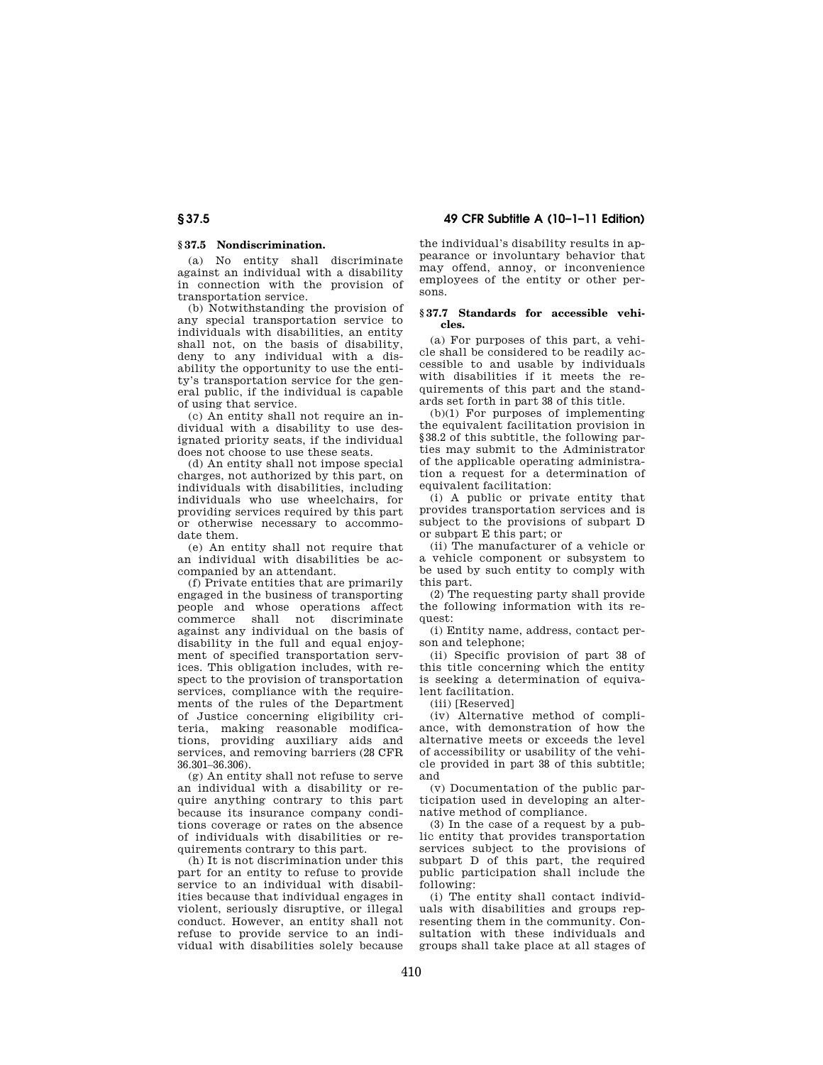# **§ 37.5 49 CFR Subtitle A (10–1–11 Edition)**

# **§ 37.5 Nondiscrimination.**

(a) No entity shall discriminate against an individual with a disability in connection with the provision of transportation service.

(b) Notwithstanding the provision of any special transportation service to individuals with disabilities, an entity shall not, on the basis of disability, deny to any individual with a disability the opportunity to use the entity's transportation service for the general public, if the individual is capable of using that service.

(c) An entity shall not require an individual with a disability to use designated priority seats, if the individual does not choose to use these seats.

(d) An entity shall not impose special charges, not authorized by this part, on individuals with disabilities, including individuals who use wheelchairs, for providing services required by this part or otherwise necessary to accommodate them.

(e) An entity shall not require that an individual with disabilities be accompanied by an attendant.

(f) Private entities that are primarily engaged in the business of transporting people and whose operations affect commerce shall not discriminate against any individual on the basis of disability in the full and equal enjoyment of specified transportation services. This obligation includes, with respect to the provision of transportation services, compliance with the requirements of the rules of the Department of Justice concerning eligibility criteria, making reasonable modifications, providing auxiliary aids and services, and removing barriers (28 CFR 36.301–36.306).

(g) An entity shall not refuse to serve an individual with a disability or require anything contrary to this part because its insurance company conditions coverage or rates on the absence of individuals with disabilities or requirements contrary to this part.

(h) It is not discrimination under this part for an entity to refuse to provide service to an individual with disabilities because that individual engages in violent, seriously disruptive, or illegal conduct. However, an entity shall not refuse to provide service to an individual with disabilities solely because

the individual's disability results in appearance or involuntary behavior that may offend, annoy, or inconvenience employees of the entity or other persons.

## **§ 37.7 Standards for accessible vehicles.**

(a) For purposes of this part, a vehicle shall be considered to be readily accessible to and usable by individuals with disabilities if it meets the requirements of this part and the standards set forth in part 38 of this title.

(b)(1) For purposes of implementing the equivalent facilitation provision in §38.2 of this subtitle, the following parties may submit to the Administrator of the applicable operating administration a request for a determination of equivalent facilitation:

(i) A public or private entity that provides transportation services and is subject to the provisions of subpart D or subpart E this part; or

(ii) The manufacturer of a vehicle or a vehicle component or subsystem to be used by such entity to comply with this part.

(2) The requesting party shall provide the following information with its request:

(i) Entity name, address, contact person and telephone;

(ii) Specific provision of part 38 of this title concerning which the entity is seeking a determination of equivalent facilitation.

(iii) [Reserved]

(iv) Alternative method of compliance, with demonstration of how the alternative meets or exceeds the level of accessibility or usability of the vehicle provided in part 38 of this subtitle; and

(v) Documentation of the public participation used in developing an alternative method of compliance.

(3) In the case of a request by a public entity that provides transportation services subject to the provisions of subpart D of this part, the required public participation shall include the following:

(i) The entity shall contact individuals with disabilities and groups representing them in the community. Consultation with these individuals and groups shall take place at all stages of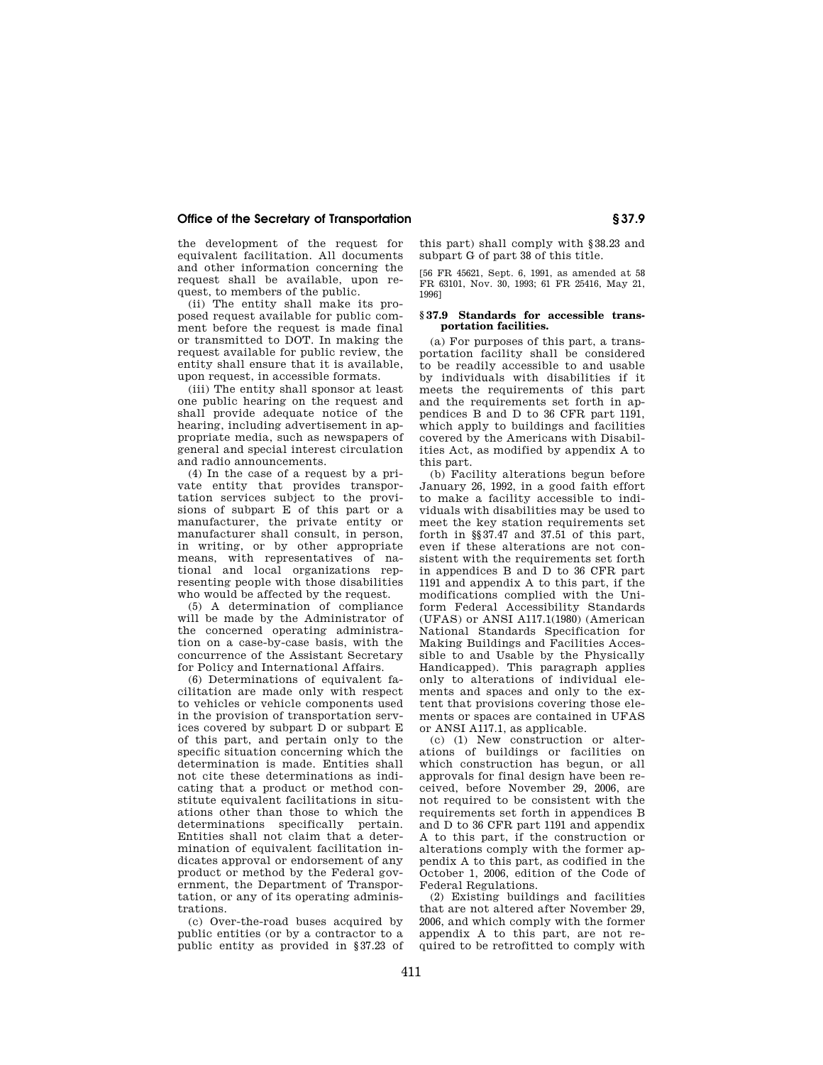the development of the request for equivalent facilitation. All documents and other information concerning the request shall be available, upon request, to members of the public.

(ii) The entity shall make its proposed request available for public comment before the request is made final or transmitted to DOT. In making the request available for public review, the entity shall ensure that it is available, upon request, in accessible formats.

(iii) The entity shall sponsor at least one public hearing on the request and shall provide adequate notice of the hearing, including advertisement in appropriate media, such as newspapers of general and special interest circulation and radio announcements.

(4) In the case of a request by a private entity that provides transportation services subject to the provisions of subpart E of this part or a manufacturer, the private entity or manufacturer shall consult, in person, in writing, or by other appropriate means, with representatives of national and local organizations representing people with those disabilities who would be affected by the request.

(5) A determination of compliance will be made by the Administrator of the concerned operating administration on a case-by-case basis, with the concurrence of the Assistant Secretary for Policy and International Affairs.

(6) Determinations of equivalent facilitation are made only with respect to vehicles or vehicle components used in the provision of transportation services covered by subpart D or subpart E of this part, and pertain only to the specific situation concerning which the determination is made. Entities shall not cite these determinations as indicating that a product or method constitute equivalent facilitations in situations other than those to which the determinations specifically pertain. Entities shall not claim that a determination of equivalent facilitation indicates approval or endorsement of any product or method by the Federal government, the Department of Transportation, or any of its operating administrations.

(c) Over-the-road buses acquired by public entities (or by a contractor to a public entity as provided in §37.23 of this part) shall comply with §38.23 and subpart G of part 38 of this title.

[56 FR 45621, Sept. 6, 1991, as amended at 58 FR 63101, Nov. 30, 1993; 61 FR 25416, May 21, 1996]

#### **§ 37.9 Standards for accessible transportation facilities.**

(a) For purposes of this part, a transportation facility shall be considered to be readily accessible to and usable by individuals with disabilities if it meets the requirements of this part and the requirements set forth in appendices B and D to 36 CFR part 1191, which apply to buildings and facilities covered by the Americans with Disabilities Act, as modified by appendix A to this part.

(b) Facility alterations begun before January 26, 1992, in a good faith effort to make a facility accessible to individuals with disabilities may be used to meet the key station requirements set forth in §§37.47 and 37.51 of this part, even if these alterations are not consistent with the requirements set forth in appendices B and D to 36 CFR part 1191 and appendix A to this part, if the modifications complied with the Uniform Federal Accessibility Standards (UFAS) or ANSI A117.1(1980) (American National Standards Specification for Making Buildings and Facilities Accessible to and Usable by the Physically Handicapped). This paragraph applies only to alterations of individual elements and spaces and only to the extent that provisions covering those elements or spaces are contained in UFAS or ANSI A117.1, as applicable.

(c) (1) New construction or alterations of buildings or facilities on which construction has begun, or all approvals for final design have been received, before November 29, 2006, are not required to be consistent with the requirements set forth in appendices B and D to 36 CFR part 1191 and appendix A to this part, if the construction or alterations comply with the former appendix A to this part, as codified in the October 1, 2006, edition of the Code of Federal Regulations.

(2) Existing buildings and facilities that are not altered after November 29, 2006, and which comply with the former appendix A to this part, are not required to be retrofitted to comply with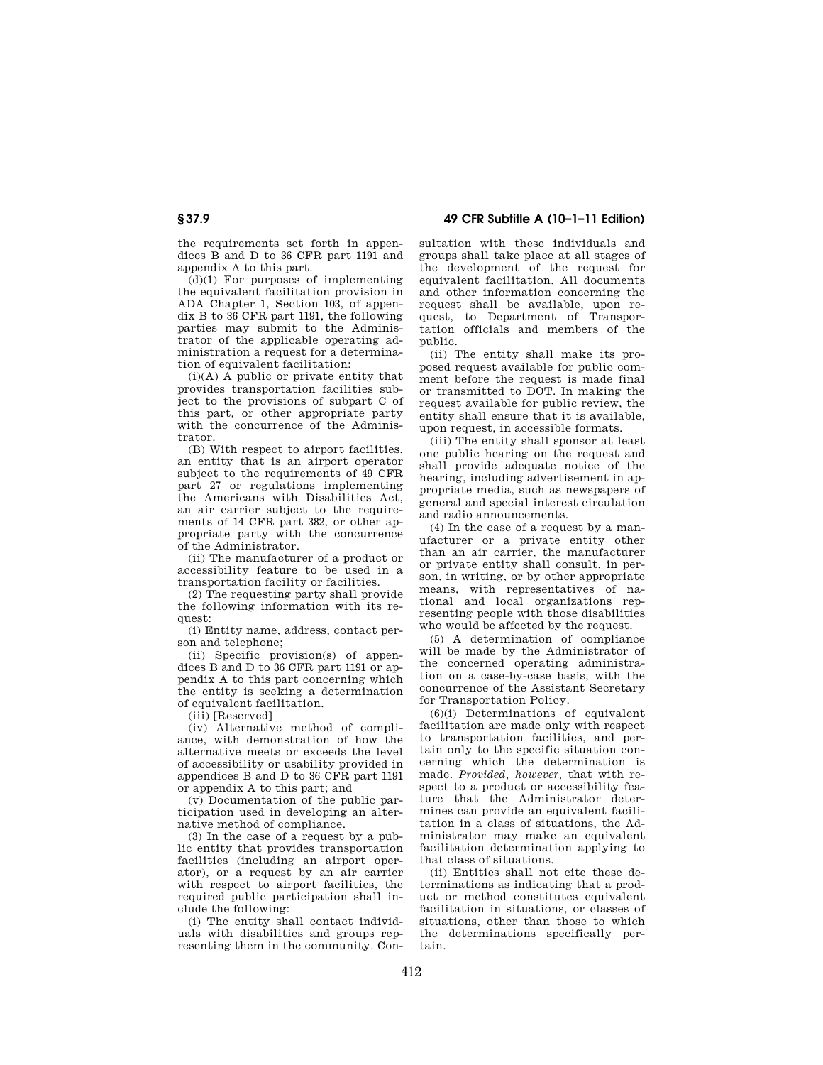the requirements set forth in appendices B and D to 36 CFR part 1191 and appendix A to this part.

 $(d)(1)$  For purposes of implementing the equivalent facilitation provision in ADA Chapter 1, Section 103, of appendix B to 36 CFR part 1191, the following parties may submit to the Administrator of the applicable operating administration a request for a determination of equivalent facilitation:

 $(i)(A)$  A public or private entity that provides transportation facilities subject to the provisions of subpart C of this part, or other appropriate party with the concurrence of the Administrator.

(B) With respect to airport facilities, an entity that is an airport operator subject to the requirements of 49 CFR part 27 or regulations implementing the Americans with Disabilities Act, an air carrier subject to the requirements of 14 CFR part 382, or other appropriate party with the concurrence of the Administrator.

(ii) The manufacturer of a product or accessibility feature to be used in a transportation facility or facilities.

(2) The requesting party shall provide the following information with its request:

(i) Entity name, address, contact person and telephone;

(ii) Specific provision(s) of appendices B and D to 36 CFR part 1191 or appendix A to this part concerning which the entity is seeking a determination of equivalent facilitation.

(iii) [Reserved]

(iv) Alternative method of compliance, with demonstration of how the alternative meets or exceeds the level of accessibility or usability provided in appendices B and D to 36 CFR part 1191 or appendix A to this part; and

(v) Documentation of the public participation used in developing an alternative method of compliance.

(3) In the case of a request by a public entity that provides transportation facilities (including an airport operator), or a request by an air carrier with respect to airport facilities, the required public participation shall include the following:

(i) The entity shall contact individuals with disabilities and groups representing them in the community. Con-

**§ 37.9 49 CFR Subtitle A (10–1–11 Edition)** 

sultation with these individuals and groups shall take place at all stages of the development of the request for equivalent facilitation. All documents and other information concerning the request shall be available, upon request, to Department of Transportation officials and members of the public.

(ii) The entity shall make its proposed request available for public comment before the request is made final or transmitted to DOT. In making the request available for public review, the entity shall ensure that it is available, upon request, in accessible formats.

(iii) The entity shall sponsor at least one public hearing on the request and shall provide adequate notice of the hearing, including advertisement in appropriate media, such as newspapers of general and special interest circulation and radio announcements.

(4) In the case of a request by a manufacturer or a private entity other than an air carrier, the manufacturer or private entity shall consult, in person, in writing, or by other appropriate means, with representatives of national and local organizations representing people with those disabilities who would be affected by the request.

(5) A determination of compliance will be made by the Administrator of the concerned operating administration on a case-by-case basis, with the concurrence of the Assistant Secretary for Transportation Policy.

(6)(i) Determinations of equivalent facilitation are made only with respect to transportation facilities, and pertain only to the specific situation concerning which the determination is made. *Provided, however,* that with respect to a product or accessibility feature that the Administrator determines can provide an equivalent facilitation in a class of situations, the Administrator may make an equivalent facilitation determination applying to that class of situations.

(ii) Entities shall not cite these determinations as indicating that a product or method constitutes equivalent facilitation in situations, or classes of situations, other than those to which the determinations specifically pertain.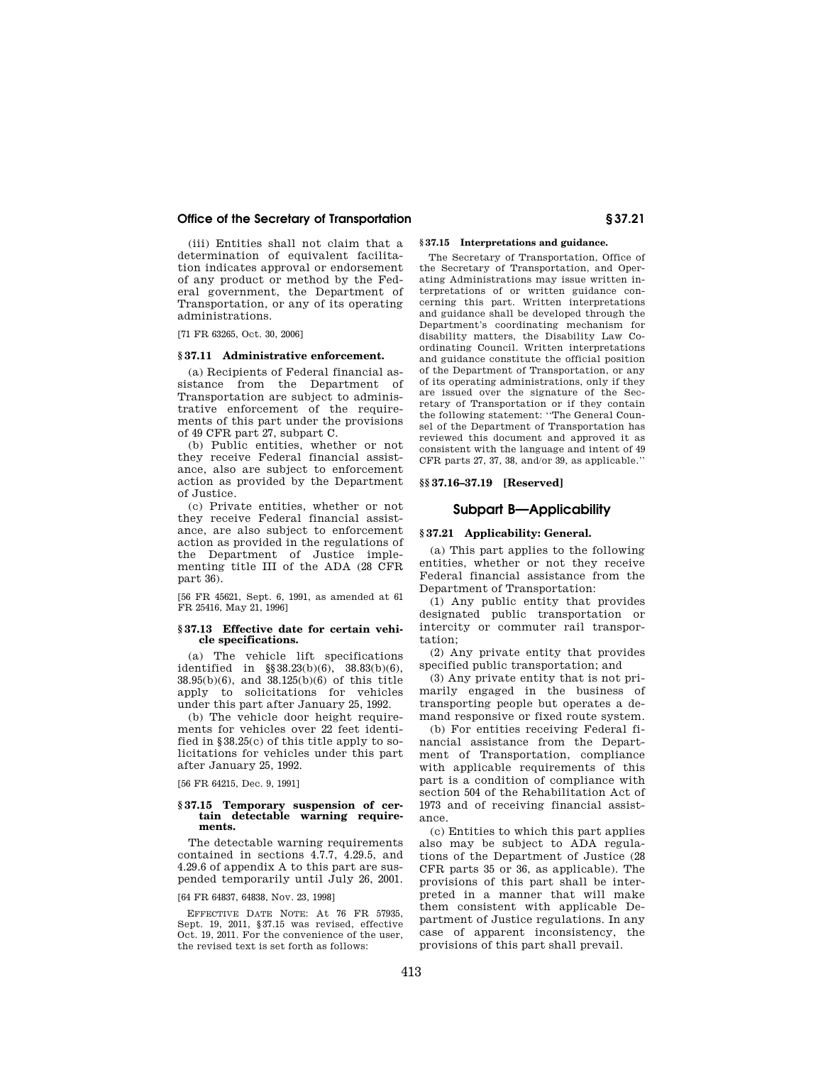(iii) Entities shall not claim that a determination of equivalent facilitation indicates approval or endorsement of any product or method by the Federal government, the Department of Transportation, or any of its operating administrations.

[71 FR 63265, Oct. 30, 2006]

#### **§ 37.11 Administrative enforcement.**

(a) Recipients of Federal financial assistance from the Department of Transportation are subject to administrative enforcement of the requirements of this part under the provisions of 49 CFR part 27, subpart C.

(b) Public entities, whether or not they receive Federal financial assistance, also are subject to enforcement action as provided by the Department of Justice.

(c) Private entities, whether or not they receive Federal financial assistance, are also subject to enforcement action as provided in the regulations of the Department of Justice implementing title III of the ADA (28 CFR part 36).

[56 FR 45621, Sept. 6, 1991, as amended at 61 FR 25416, May 21, 1996]

# **§ 37.13 Effective date for certain vehicle specifications.**

(a) The vehicle lift specifications  $idenified$  in  $\S 38.23(b)(6)$ ,  $38.83(b)(6)$ , 38.95(b)(6), and 38.125(b)(6) of this title apply to solicitations for vehicles under this part after January 25, 1992.

(b) The vehicle door height requirements for vehicles over 22 feet identified in §38.25(c) of this title apply to solicitations for vehicles under this part after January 25, 1992.

[56 FR 64215, Dec. 9, 1991]

#### **§ 37.15 Temporary suspension of certain detectable warning requirements.**

The detectable warning requirements contained in sections 4.7.7, 4.29.5, and 4.29.6 of appendix A to this part are suspended temporarily until July 26, 2001.

## [64 FR 64837, 64838, Nov. 23, 1998]

EFFECTIVE DATE NOTE: At 76 FR 57935, Sept. 19, 2011, §37.15 was revised, effective Oct. 19, 2011. For the convenience of the user, the revised text is set forth as follows:

# **§ 37.15 Interpretations and guidance.**

The Secretary of Transportation, Office of the Secretary of Transportation, and Operating Administrations may issue written interpretations of or written guidance concerning this part. Written interpretations and guidance shall be developed through the Department's coordinating mechanism for disability matters, the Disability Law Coordinating Council. Written interpretations and guidance constitute the official position of the Department of Transportation, or any of its operating administrations, only if they are issued over the signature of the Secretary of Transportation or if they contain the following statement: ''The General Counsel of the Department of Transportation has reviewed this document and approved it as consistent with the language and intent of 49 CFR parts 27, 37, 38, and/or 39, as applicable.''

# **§§ 37.16–37.19 [Reserved]**

# **Subpart B—Applicability**

# **§ 37.21 Applicability: General.**

(a) This part applies to the following entities, whether or not they receive Federal financial assistance from the Department of Transportation:

(1) Any public entity that provides designated public transportation or intercity or commuter rail transportation;

(2) Any private entity that provides specified public transportation; and

(3) Any private entity that is not primarily engaged in the business of transporting people but operates a demand responsive or fixed route system.

(b) For entities receiving Federal financial assistance from the Department of Transportation, compliance with applicable requirements of this part is a condition of compliance with section 504 of the Rehabilitation Act of 1973 and of receiving financial assistance.

(c) Entities to which this part applies also may be subject to ADA regulations of the Department of Justice (28 CFR parts 35 or 36, as applicable). The provisions of this part shall be interpreted in a manner that will make them consistent with applicable Department of Justice regulations. In any case of apparent inconsistency, the provisions of this part shall prevail.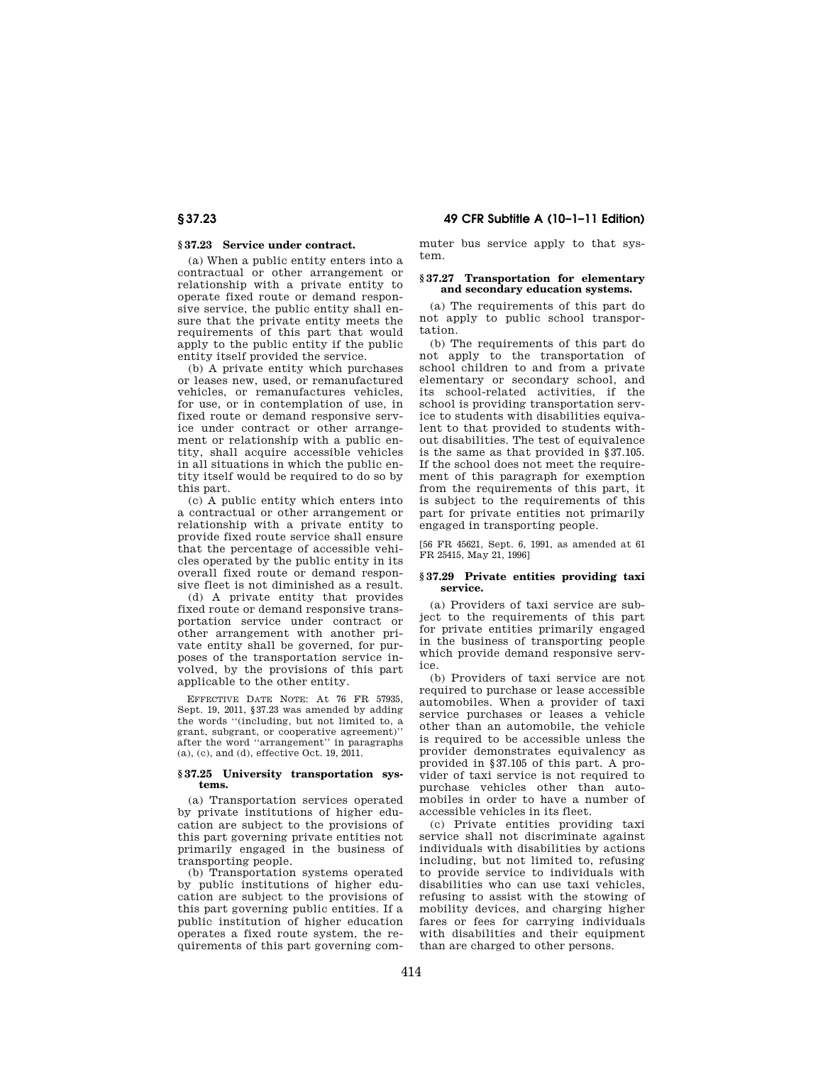# **§ 37.23 Service under contract.**

(a) When a public entity enters into a contractual or other arrangement or relationship with a private entity to operate fixed route or demand responsive service, the public entity shall ensure that the private entity meets the requirements of this part that would apply to the public entity if the public entity itself provided the service.

(b) A private entity which purchases or leases new, used, or remanufactured vehicles, or remanufactures vehicles, for use, or in contemplation of use, in fixed route or demand responsive service under contract or other arrangement or relationship with a public entity, shall acquire accessible vehicles in all situations in which the public entity itself would be required to do so by this part.

(c) A public entity which enters into a contractual or other arrangement or relationship with a private entity to provide fixed route service shall ensure that the percentage of accessible vehicles operated by the public entity in its overall fixed route or demand responsive fleet is not diminished as a result.

(d) A private entity that provides fixed route or demand responsive transportation service under contract or other arrangement with another private entity shall be governed, for purposes of the transportation service involved, by the provisions of this part applicable to the other entity.

EFFECTIVE DATE NOTE: At 76 FR 57935, Sept. 19, 2011, §37.23 was amended by adding the words ''(including, but not limited to, a grant, subgrant, or cooperative agreement)'' after the word ''arrangement'' in paragraphs (a), (c), and (d), effective Oct. 19, 2011.

## **§ 37.25 University transportation systems.**

(a) Transportation services operated by private institutions of higher education are subject to the provisions of this part governing private entities not primarily engaged in the business of transporting people.

(b) Transportation systems operated by public institutions of higher education are subject to the provisions of this part governing public entities. If a public institution of higher education operates a fixed route system, the requirements of this part governing commuter bus service apply to that system.

## **§ 37.27 Transportation for elementary and secondary education systems.**

(a) The requirements of this part do not apply to public school transportation.

(b) The requirements of this part do not apply to the transportation of school children to and from a private elementary or secondary school, and its school-related activities, if the school is providing transportation service to students with disabilities equivalent to that provided to students without disabilities. The test of equivalence is the same as that provided in §37.105. If the school does not meet the requirement of this paragraph for exemption from the requirements of this part, it is subject to the requirements of this part for private entities not primarily engaged in transporting people.

[56 FR 45621, Sept. 6, 1991, as amended at 61 FR 25415, May 21, 1996]

## **§ 37.29 Private entities providing taxi service.**

(a) Providers of taxi service are subject to the requirements of this part for private entities primarily engaged in the business of transporting people which provide demand responsive service.

(b) Providers of taxi service are not required to purchase or lease accessible automobiles. When a provider of taxi service purchases or leases a vehicle other than an automobile, the vehicle is required to be accessible unless the provider demonstrates equivalency as provided in §37.105 of this part. A provider of taxi service is not required to purchase vehicles other than automobiles in order to have a number of accessible vehicles in its fleet.

(c) Private entities providing taxi service shall not discriminate against individuals with disabilities by actions including, but not limited to, refusing to provide service to individuals with disabilities who can use taxi vehicles, refusing to assist with the stowing of mobility devices, and charging higher fares or fees for carrying individuals with disabilities and their equipment than are charged to other persons.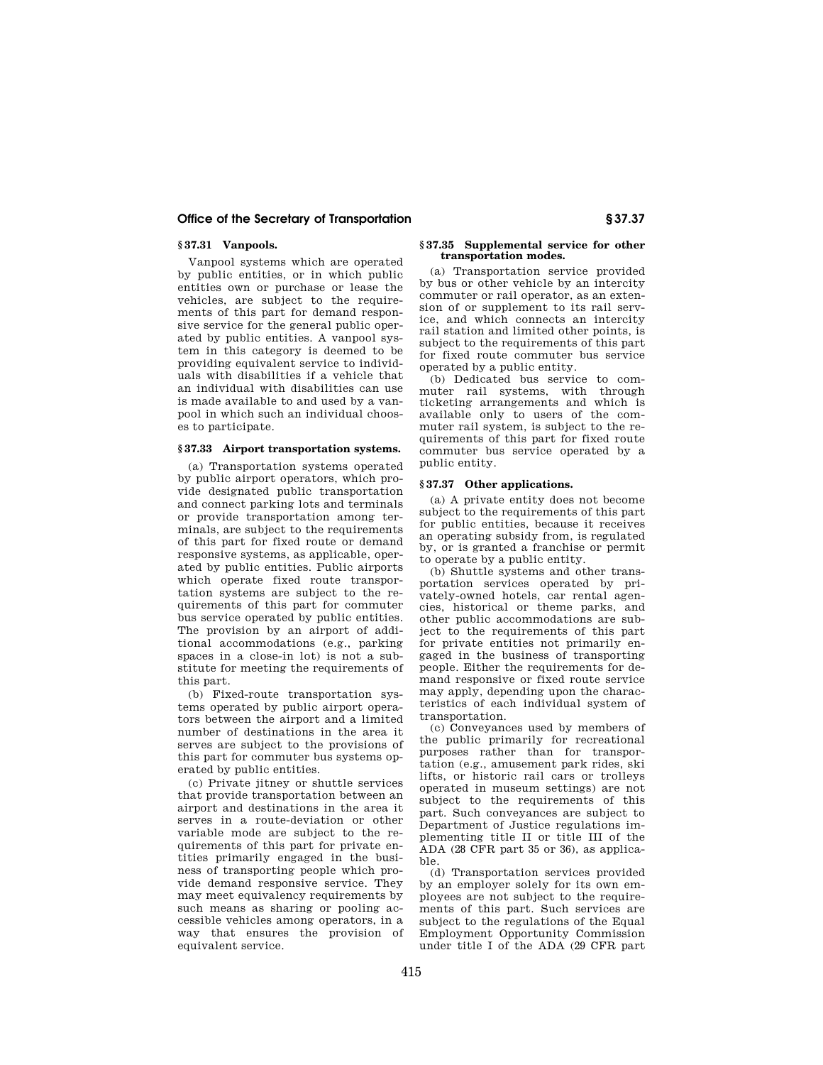# **§ 37.31 Vanpools.**

Vanpool systems which are operated by public entities, or in which public entities own or purchase or lease the vehicles, are subject to the requirements of this part for demand responsive service for the general public operated by public entities. A vanpool system in this category is deemed to be providing equivalent service to individuals with disabilities if a vehicle that an individual with disabilities can use is made available to and used by a vanpool in which such an individual chooses to participate.

# **§ 37.33 Airport transportation systems.**

(a) Transportation systems operated by public airport operators, which provide designated public transportation and connect parking lots and terminals or provide transportation among terminals, are subject to the requirements of this part for fixed route or demand responsive systems, as applicable, operated by public entities. Public airports which operate fixed route transportation systems are subject to the requirements of this part for commuter bus service operated by public entities. The provision by an airport of additional accommodations (e.g., parking spaces in a close-in lot) is not a substitute for meeting the requirements of this part.

(b) Fixed-route transportation systems operated by public airport operators between the airport and a limited number of destinations in the area it serves are subject to the provisions of this part for commuter bus systems operated by public entities.

(c) Private jitney or shuttle services that provide transportation between an airport and destinations in the area it serves in a route-deviation or other variable mode are subject to the requirements of this part for private entities primarily engaged in the business of transporting people which provide demand responsive service. They may meet equivalency requirements by such means as sharing or pooling accessible vehicles among operators, in a way that ensures the provision of equivalent service.

#### **§ 37.35 Supplemental service for other transportation modes.**

(a) Transportation service provided by bus or other vehicle by an intercity commuter or rail operator, as an extension of or supplement to its rail service, and which connects an intercity rail station and limited other points, is subject to the requirements of this part for fixed route commuter bus service operated by a public entity.

(b) Dedicated bus service to commuter rail systems, with through ticketing arrangements and which is available only to users of the commuter rail system, is subject to the requirements of this part for fixed route commuter bus service operated by a public entity.

#### **§ 37.37 Other applications.**

(a) A private entity does not become subject to the requirements of this part for public entities, because it receives an operating subsidy from, is regulated by, or is granted a franchise or permit to operate by a public entity.

(b) Shuttle systems and other transportation services operated by privately-owned hotels, car rental agencies, historical or theme parks, and other public accommodations are subject to the requirements of this part for private entities not primarily engaged in the business of transporting people. Either the requirements for demand responsive or fixed route service may apply, depending upon the characteristics of each individual system of transportation.

(c) Conveyances used by members of the public primarily for recreational purposes rather than for transportation (e.g., amusement park rides, ski lifts, or historic rail cars or trolleys operated in museum settings) are not subject to the requirements of this part. Such conveyances are subject to Department of Justice regulations implementing title II or title III of the ADA (28 CFR part 35 or 36), as applicable.

(d) Transportation services provided by an employer solely for its own employees are not subject to the requirements of this part. Such services are subject to the regulations of the Equal Employment Opportunity Commission under title I of the ADA (29 CFR part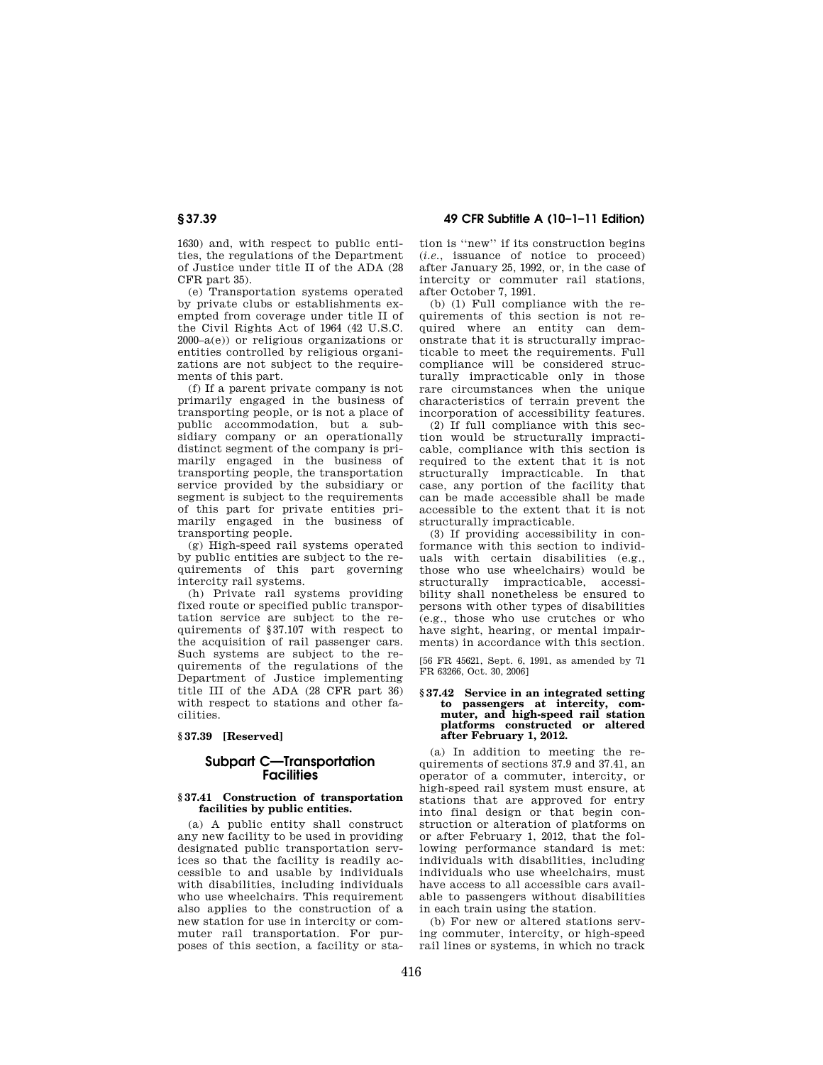1630) and, with respect to public entities, the regulations of the Department of Justice under title II of the ADA (28 CFR part 35).

(e) Transportation systems operated by private clubs or establishments exempted from coverage under title II of the Civil Rights Act of 1964 (42 U.S.C. 2000–a(e)) or religious organizations or entities controlled by religious organizations are not subject to the requirements of this part.

(f) If a parent private company is not primarily engaged in the business of transporting people, or is not a place of public accommodation, but a subsidiary company or an operationally distinct segment of the company is primarily engaged in the business of transporting people, the transportation service provided by the subsidiary or segment is subject to the requirements of this part for private entities primarily engaged in the business of transporting people.

(g) High-speed rail systems operated by public entities are subject to the requirements of this part governing intercity rail systems.

(h) Private rail systems providing fixed route or specified public transportation service are subject to the requirements of §37.107 with respect to the acquisition of rail passenger cars. Such systems are subject to the requirements of the regulations of the Department of Justice implementing title III of the ADA (28 CFR part 36) with respect to stations and other facilities.

# **§ 37.39 [Reserved]**

# **Subpart C—Transportation Facilities**

## **§ 37.41 Construction of transportation facilities by public entities.**

(a) A public entity shall construct any new facility to be used in providing designated public transportation services so that the facility is readily accessible to and usable by individuals with disabilities, including individuals who use wheelchairs. This requirement also applies to the construction of a new station for use in intercity or commuter rail transportation. For purposes of this section, a facility or sta-

**§ 37.39 49 CFR Subtitle A (10–1–11 Edition)** 

tion is ''new'' if its construction begins (*i.e.*, issuance of notice to proceed) after January 25, 1992, or, in the case of intercity or commuter rail stations, after October 7, 1991.

(b) (1) Full compliance with the requirements of this section is not required where an entity can demonstrate that it is structurally impracticable to meet the requirements. Full compliance will be considered structurally impracticable only in those rare circumstances when the unique characteristics of terrain prevent the incorporation of accessibility features.

(2) If full compliance with this section would be structurally impracticable, compliance with this section is required to the extent that it is not structurally impracticable. In that case, any portion of the facility that can be made accessible shall be made accessible to the extent that it is not structurally impracticable.

(3) If providing accessibility in conformance with this section to individuals with certain disabilities (e.g., those who use wheelchairs) would be structurally impracticable, accessibility shall nonetheless be ensured to persons with other types of disabilities (e.g., those who use crutches or who have sight, hearing, or mental impairments) in accordance with this section.

[56 FR 45621, Sept. 6, 1991, as amended by 71 FR 63266, Oct. 30, 2006]

#### **§ 37.42 Service in an integrated setting to passengers at intercity, commuter, and high-speed rail station platforms constructed or altered after February 1, 2012.**

(a) In addition to meeting the requirements of sections 37.9 and 37.41, an operator of a commuter, intercity, or high-speed rail system must ensure, at stations that are approved for entry into final design or that begin construction or alteration of platforms on or after February 1, 2012, that the following performance standard is met: individuals with disabilities, including individuals who use wheelchairs, must have access to all accessible cars available to passengers without disabilities in each train using the station.

(b) For new or altered stations serving commuter, intercity, or high-speed rail lines or systems, in which no track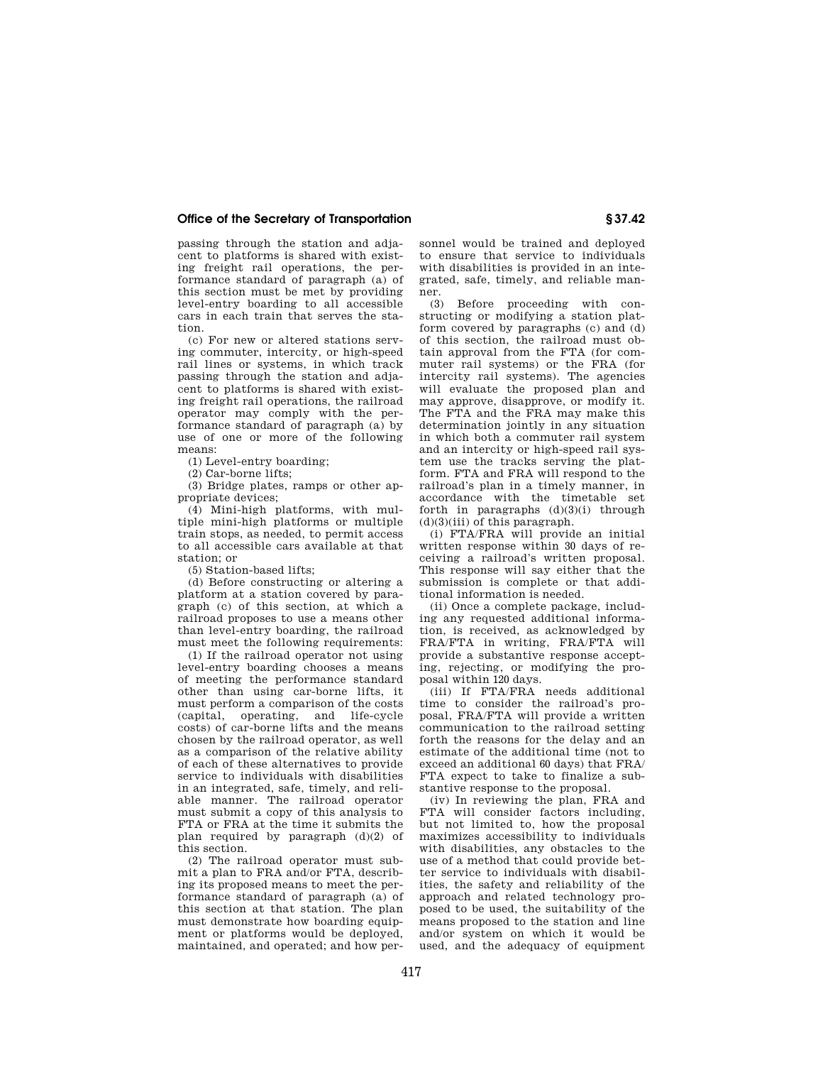passing through the station and adjacent to platforms is shared with existing freight rail operations, the performance standard of paragraph (a) of this section must be met by providing level-entry boarding to all accessible cars in each train that serves the station.

(c) For new or altered stations serving commuter, intercity, or high-speed rail lines or systems, in which track passing through the station and adjacent to platforms is shared with existing freight rail operations, the railroad operator may comply with the performance standard of paragraph (a) by use of one or more of the following means:

(1) Level-entry boarding;

(2) Car-borne lifts;

(3) Bridge plates, ramps or other appropriate devices;

(4) Mini-high platforms, with multiple mini-high platforms or multiple train stops, as needed, to permit access to all accessible cars available at that station; or

(5) Station-based lifts;

(d) Before constructing or altering a platform at a station covered by paragraph (c) of this section, at which a railroad proposes to use a means other than level-entry boarding, the railroad must meet the following requirements:

(1) If the railroad operator not using level-entry boarding chooses a means of meeting the performance standard other than using car-borne lifts, it must perform a comparison of the costs (capital, operating, and life-cycle costs) of car-borne lifts and the means chosen by the railroad operator, as well as a comparison of the relative ability of each of these alternatives to provide service to individuals with disabilities in an integrated, safe, timely, and reliable manner. The railroad operator must submit a copy of this analysis to FTA or FRA at the time it submits the plan required by paragraph (d)(2) of this section.

(2) The railroad operator must submit a plan to FRA and/or FTA, describing its proposed means to meet the performance standard of paragraph (a) of this section at that station. The plan must demonstrate how boarding equipment or platforms would be deployed, maintained, and operated; and how personnel would be trained and deployed to ensure that service to individuals with disabilities is provided in an integrated, safe, timely, and reliable manner.

(3) Before proceeding with constructing or modifying a station platform covered by paragraphs (c) and (d) of this section, the railroad must obtain approval from the FTA (for commuter rail systems) or the FRA (for intercity rail systems). The agencies will evaluate the proposed plan and may approve, disapprove, or modify it. The FTA and the FRA may make this determination jointly in any situation in which both a commuter rail system and an intercity or high-speed rail system use the tracks serving the platform. FTA and FRA will respond to the railroad's plan in a timely manner, in accordance with the timetable set forth in paragraphs  $(d)(3)(i)$  through (d)(3)(iii) of this paragraph.

(i) FTA/FRA will provide an initial written response within 30 days of receiving a railroad's written proposal. This response will say either that the submission is complete or that additional information is needed.

(ii) Once a complete package, including any requested additional information, is received, as acknowledged by FRA/FTA in writing, FRA/FTA will provide a substantive response accepting, rejecting, or modifying the proposal within 120 days.

(iii) If FTA/FRA needs additional time to consider the railroad's proposal, FRA/FTA will provide a written communication to the railroad setting forth the reasons for the delay and an estimate of the additional time (not to exceed an additional 60 days) that FRA/ FTA expect to take to finalize a substantive response to the proposal.

(iv) In reviewing the plan, FRA and FTA will consider factors including, but not limited to, how the proposal maximizes accessibility to individuals with disabilities, any obstacles to the use of a method that could provide better service to individuals with disabilities, the safety and reliability of the approach and related technology proposed to be used, the suitability of the means proposed to the station and line and/or system on which it would be used, and the adequacy of equipment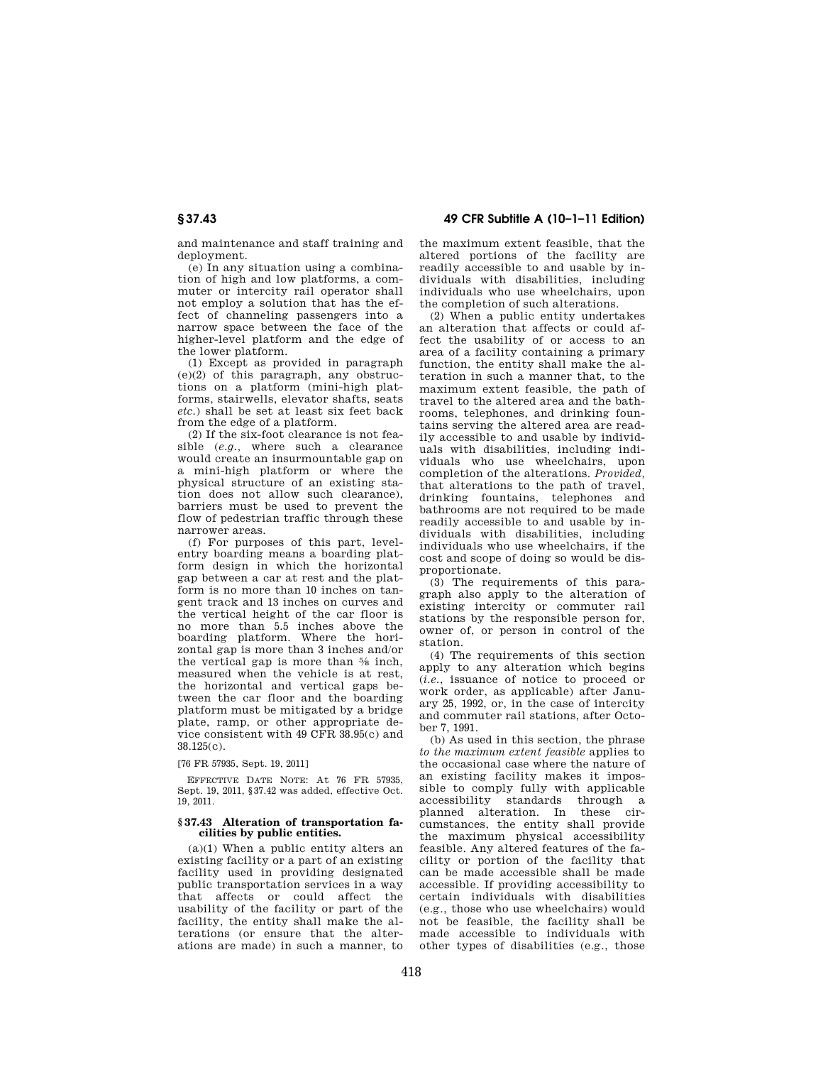and maintenance and staff training and deployment.

(e) In any situation using a combination of high and low platforms, a commuter or intercity rail operator shall not employ a solution that has the effect of channeling passengers into a narrow space between the face of the higher-level platform and the edge of the lower platform.

(1) Except as provided in paragraph (e)(2) of this paragraph, any obstructions on a platform (mini-high platforms, stairwells, elevator shafts, seats *etc.*) shall be set at least six feet back from the edge of a platform.

(2) If the six-foot clearance is not feasible (*e.g.,* where such a clearance would create an insurmountable gap on a mini-high platform or where the physical structure of an existing station does not allow such clearance), barriers must be used to prevent the flow of pedestrian traffic through these narrower areas.

(f) For purposes of this part, levelentry boarding means a boarding platform design in which the horizontal gap between a car at rest and the platform is no more than 10 inches on tangent track and 13 inches on curves and the vertical height of the car floor is no more than 5.5 inches above the boarding platform. Where the horizontal gap is more than 3 inches and/or the vertical gap is more than 5⁄8 inch, measured when the vehicle is at rest, the horizontal and vertical gaps between the car floor and the boarding platform must be mitigated by a bridge plate, ramp, or other appropriate device consistent with 49 CFR 38.95(c) and 38.125(c).

[76 FR 57935, Sept. 19, 2011]

EFFECTIVE DATE NOTE: At 76 FR 57935, Sept. 19, 2011, §37.42 was added, effective Oct. 19, 2011.

## **§ 37.43 Alteration of transportation facilities by public entities.**

(a)(1) When a public entity alters an existing facility or a part of an existing facility used in providing designated public transportation services in a way that affects or could affect the usability of the facility or part of the facility, the entity shall make the alterations (or ensure that the alterations are made) in such a manner, to the maximum extent feasible, that the altered portions of the facility are readily accessible to and usable by individuals with disabilities, including individuals who use wheelchairs, upon the completion of such alterations.

(2) When a public entity undertakes an alteration that affects or could affect the usability of or access to an area of a facility containing a primary function, the entity shall make the alteration in such a manner that, to the maximum extent feasible, the path of travel to the altered area and the bathrooms, telephones, and drinking fountains serving the altered area are readily accessible to and usable by individuals with disabilities, including individuals who use wheelchairs, upon completion of the alterations. *Provided,*  that alterations to the path of travel, drinking fountains, telephones and bathrooms are not required to be made readily accessible to and usable by individuals with disabilities, including individuals who use wheelchairs, if the cost and scope of doing so would be disproportionate.

(3) The requirements of this paragraph also apply to the alteration of existing intercity or commuter rail stations by the responsible person for, owner of, or person in control of the station.

(4) The requirements of this section apply to any alteration which begins (*i.e.*, issuance of notice to proceed or work order, as applicable) after January 25, 1992, or, in the case of intercity and commuter rail stations, after October 7, 1991.

(b) As used in this section, the phrase *to the maximum extent feasible* applies to the occasional case where the nature of an existing facility makes it impossible to comply fully with applicable accessibility standards through a planned alteration. In these circumstances, the entity shall provide the maximum physical accessibility feasible. Any altered features of the facility or portion of the facility that can be made accessible shall be made accessible. If providing accessibility to certain individuals with disabilities (e.g., those who use wheelchairs) would not be feasible, the facility shall be made accessible to individuals with other types of disabilities (e.g., those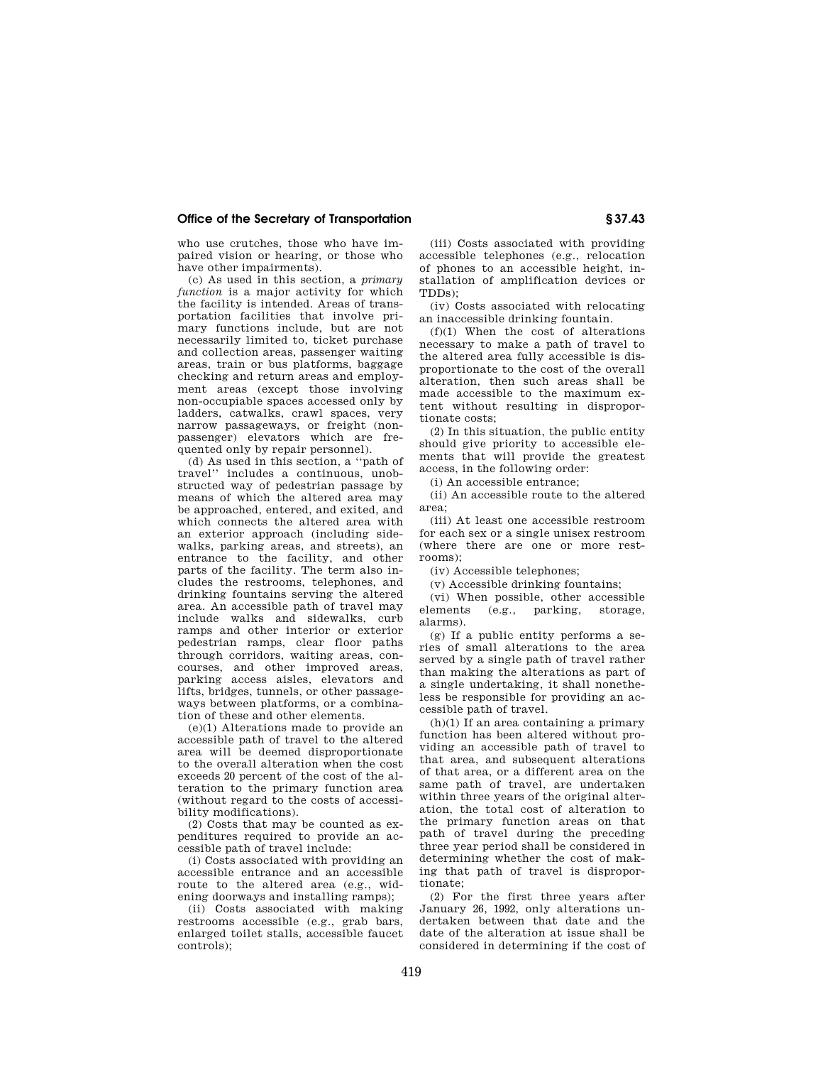who use crutches, those who have impaired vision or hearing, or those who have other impairments).

(c) As used in this section, a *primary function* is a major activity for which the facility is intended. Areas of transportation facilities that involve primary functions include, but are not necessarily limited to, ticket purchase and collection areas, passenger waiting areas, train or bus platforms, baggage checking and return areas and employment areas (except those involving non-occupiable spaces accessed only by ladders, catwalks, crawl spaces, very narrow passageways, or freight (nonpassenger) elevators which are frequented only by repair personnel).

(d) As used in this section, a ''path of travel'' includes a continuous, unobstructed way of pedestrian passage by means of which the altered area may be approached, entered, and exited, and which connects the altered area with an exterior approach (including sidewalks, parking areas, and streets), an entrance to the facility, and other parts of the facility. The term also includes the restrooms, telephones, and drinking fountains serving the altered area. An accessible path of travel may include walks and sidewalks, curb ramps and other interior or exterior pedestrian ramps, clear floor paths through corridors, waiting areas, concourses, and other improved areas, parking access aisles, elevators and lifts, bridges, tunnels, or other passageways between platforms, or a combination of these and other elements.

(e)(1) Alterations made to provide an accessible path of travel to the altered area will be deemed disproportionate to the overall alteration when the cost exceeds 20 percent of the cost of the alteration to the primary function area (without regard to the costs of accessibility modifications).

(2) Costs that may be counted as expenditures required to provide an accessible path of travel include:

(i) Costs associated with providing an accessible entrance and an accessible route to the altered area (e.g., widening doorways and installing ramps);

(ii) Costs associated with making restrooms accessible (e.g., grab bars, enlarged toilet stalls, accessible faucet controls);

(iii) Costs associated with providing accessible telephones (e.g., relocation of phones to an accessible height, installation of amplification devices or TDDs);

(iv) Costs associated with relocating an inaccessible drinking fountain.

(f)(1) When the cost of alterations necessary to make a path of travel to the altered area fully accessible is disproportionate to the cost of the overall alteration, then such areas shall be made accessible to the maximum extent without resulting in disproportionate costs;

(2) In this situation, the public entity should give priority to accessible elements that will provide the greatest access, in the following order:

(i) An accessible entrance;

(ii) An accessible route to the altered area;

(iii) At least one accessible restroom for each sex or a single unisex restroom (where there are one or more restrooms);

(iv) Accessible telephones;

(v) Accessible drinking fountains;

(vi) When possible, other accessible elements (e.g., parking, storage, alarms).

(g) If a public entity performs a series of small alterations to the area served by a single path of travel rather than making the alterations as part of a single undertaking, it shall nonetheless be responsible for providing an accessible path of travel.

(h)(1) If an area containing a primary function has been altered without providing an accessible path of travel to that area, and subsequent alterations of that area, or a different area on the same path of travel, are undertaken within three years of the original alteration, the total cost of alteration to the primary function areas on that path of travel during the preceding three year period shall be considered in determining whether the cost of making that path of travel is disproportionate;

(2) For the first three years after January 26, 1992, only alterations undertaken between that date and the date of the alteration at issue shall be considered in determining if the cost of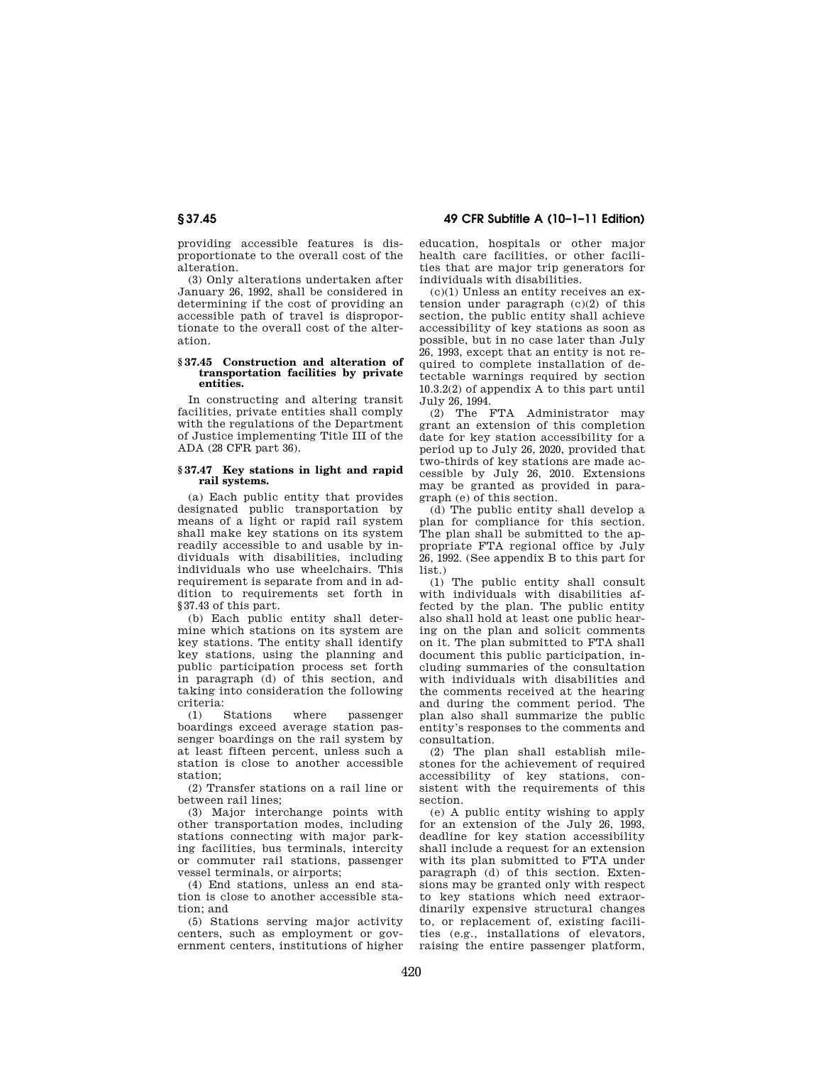providing accessible features is disproportionate to the overall cost of the alteration.

(3) Only alterations undertaken after January 26, 1992, shall be considered in determining if the cost of providing an accessible path of travel is disproportionate to the overall cost of the alteration.

#### **§ 37.45 Construction and alteration of transportation facilities by private entities.**

In constructing and altering transit facilities, private entities shall comply with the regulations of the Department of Justice implementing Title III of the ADA (28 CFR part 36).

## **§ 37.47 Key stations in light and rapid rail systems.**

(a) Each public entity that provides designated public transportation by means of a light or rapid rail system shall make key stations on its system readily accessible to and usable by individuals with disabilities, including individuals who use wheelchairs. This requirement is separate from and in addition to requirements set forth in §37.43 of this part.

(b) Each public entity shall determine which stations on its system are key stations. The entity shall identify key stations, using the planning and public participation process set forth in paragraph (d) of this section, and taking into consideration the following criteria:

(1) Stations where passenger boardings exceed average station passenger boardings on the rail system by at least fifteen percent, unless such a station is close to another accessible station;

(2) Transfer stations on a rail line or between rail lines;

(3) Major interchange points with other transportation modes, including stations connecting with major parking facilities, bus terminals, intercity or commuter rail stations, passenger vessel terminals, or airports;

(4) End stations, unless an end station is close to another accessible station; and

(5) Stations serving major activity centers, such as employment or government centers, institutions of higher

**§ 37.45 49 CFR Subtitle A (10–1–11 Edition)** 

education, hospitals or other major health care facilities, or other facilities that are major trip generators for individuals with disabilities.

(c)(1) Unless an entity receives an extension under paragraph (c)(2) of this section, the public entity shall achieve accessibility of key stations as soon as possible, but in no case later than July 26, 1993, except that an entity is not required to complete installation of detectable warnings required by section 10.3.2(2) of appendix A to this part until July 26, 1994.

(2) The FTA Administrator may grant an extension of this completion date for key station accessibility for a period up to July 26, 2020, provided that two-thirds of key stations are made accessible by July 26, 2010. Extensions may be granted as provided in paragraph (e) of this section.

(d) The public entity shall develop a plan for compliance for this section. The plan shall be submitted to the appropriate FTA regional office by July 26, 1992. (See appendix B to this part for list.)

(1) The public entity shall consult with individuals with disabilities affected by the plan. The public entity also shall hold at least one public hearing on the plan and solicit comments on it. The plan submitted to FTA shall document this public participation, including summaries of the consultation with individuals with disabilities and the comments received at the hearing and during the comment period. The plan also shall summarize the public entity's responses to the comments and consultation.

(2) The plan shall establish milestones for the achievement of required accessibility of key stations, consistent with the requirements of this section.

(e) A public entity wishing to apply for an extension of the July 26, 1993, deadline for key station accessibility shall include a request for an extension with its plan submitted to FTA under paragraph (d) of this section. Extensions may be granted only with respect to key stations which need extraordinarily expensive structural changes to, or replacement of, existing facilities (e.g., installations of elevators, raising the entire passenger platform,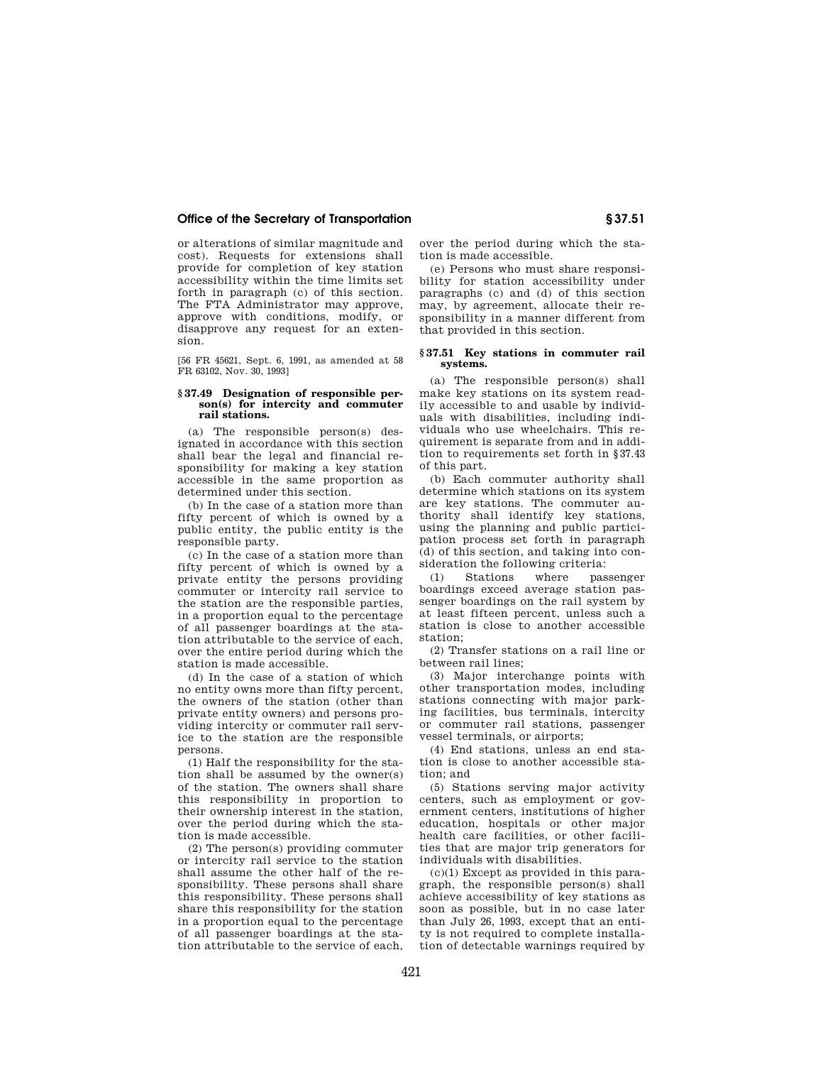or alterations of similar magnitude and cost). Requests for extensions shall provide for completion of key station accessibility within the time limits set forth in paragraph (c) of this section. The FTA Administrator may approve, approve with conditions, modify, or disapprove any request for an extension.

[56 FR 45621, Sept. 6, 1991, as amended at 58 FR 63102, Nov. 30, 1993]

#### **§ 37.49 Designation of responsible person(s) for intercity and commuter rail stations.**

(a) The responsible person(s) designated in accordance with this section shall bear the legal and financial responsibility for making a key station accessible in the same proportion as determined under this section.

(b) In the case of a station more than fifty percent of which is owned by a public entity, the public entity is the responsible party.

(c) In the case of a station more than fifty percent of which is owned by a private entity the persons providing commuter or intercity rail service to the station are the responsible parties, in a proportion equal to the percentage of all passenger boardings at the station attributable to the service of each, over the entire period during which the station is made accessible.

(d) In the case of a station of which no entity owns more than fifty percent, the owners of the station (other than private entity owners) and persons providing intercity or commuter rail service to the station are the responsible persons.

(1) Half the responsibility for the station shall be assumed by the owner(s) of the station. The owners shall share this responsibility in proportion to their ownership interest in the station, over the period during which the station is made accessible.

(2) The person(s) providing commuter or intercity rail service to the station shall assume the other half of the responsibility. These persons shall share this responsibility. These persons shall share this responsibility for the station in a proportion equal to the percentage of all passenger boardings at the station attributable to the service of each,

over the period during which the station is made accessible.

(e) Persons who must share responsibility for station accessibility under paragraphs (c) and (d) of this section may, by agreement, allocate their responsibility in a manner different from that provided in this section.

## **§ 37.51 Key stations in commuter rail systems.**

(a) The responsible person(s) shall make key stations on its system readily accessible to and usable by individuals with disabilities, including individuals who use wheelchairs. This requirement is separate from and in addition to requirements set forth in §37.43 of this part.

(b) Each commuter authority shall determine which stations on its system are key stations. The commuter authority shall identify key stations, using the planning and public participation process set forth in paragraph (d) of this section, and taking into consideration the following criteria:

(1) Stations where passenger boardings exceed average station passenger boardings on the rail system by at least fifteen percent, unless such a station is close to another accessible station;

(2) Transfer stations on a rail line or between rail lines;

(3) Major interchange points with other transportation modes, including stations connecting with major parking facilities, bus terminals, intercity or commuter rail stations, passenger vessel terminals, or airports;

(4) End stations, unless an end station is close to another accessible station; and

(5) Stations serving major activity centers, such as employment or government centers, institutions of higher education, hospitals or other major health care facilities, or other facilities that are major trip generators for individuals with disabilities.

(c)(1) Except as provided in this paragraph, the responsible person(s) shall achieve accessibility of key stations as soon as possible, but in no case later than July 26, 1993, except that an entity is not required to complete installation of detectable warnings required by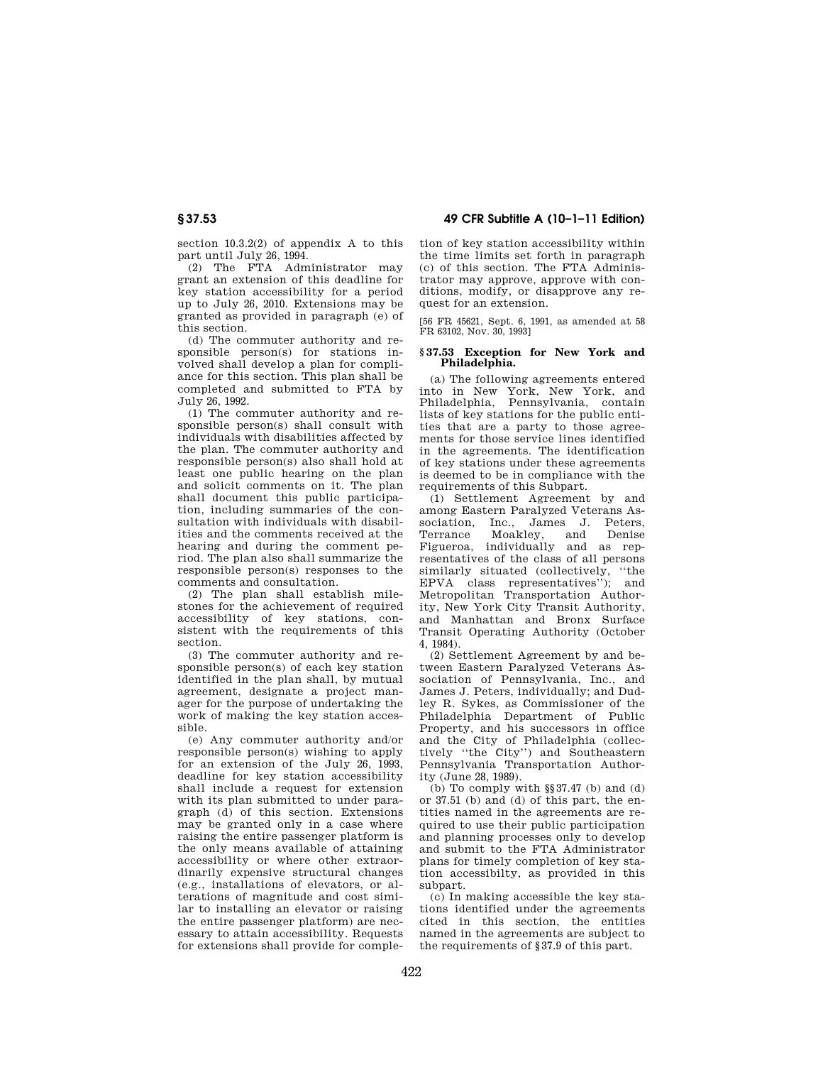section 10.3.2(2) of appendix A to this part until July 26, 1994.

(2) The FTA Administrator may grant an extension of this deadline for key station accessibility for a period up to July 26, 2010. Extensions may be granted as provided in paragraph (e) of this section.

(d) The commuter authority and responsible person(s) for stations involved shall develop a plan for compliance for this section. This plan shall be completed and submitted to FTA by July 26, 1992.

(1) The commuter authority and responsible person(s) shall consult with individuals with disabilities affected by the plan. The commuter authority and responsible person(s) also shall hold at least one public hearing on the plan and solicit comments on it. The plan shall document this public participation, including summaries of the consultation with individuals with disabilities and the comments received at the hearing and during the comment period. The plan also shall summarize the responsible person(s) responses to the comments and consultation.

(2) The plan shall establish milestones for the achievement of required accessibility of key stations, consistent with the requirements of this section.

(3) The commuter authority and responsible person(s) of each key station identified in the plan shall, by mutual agreement, designate a project manager for the purpose of undertaking the work of making the key station accessible.

(e) Any commuter authority and/or responsible person(s) wishing to apply for an extension of the July 26, 1993, deadline for key station accessibility shall include a request for extension with its plan submitted to under paragraph (d) of this section. Extensions may be granted only in a case where raising the entire passenger platform is the only means available of attaining accessibility or where other extraordinarily expensive structural changes (e.g., installations of elevators, or alterations of magnitude and cost similar to installing an elevator or raising the entire passenger platform) are necessary to attain accessibility. Requests for extensions shall provide for comple-

**§ 37.53 49 CFR Subtitle A (10–1–11 Edition)** 

tion of key station accessibility within the time limits set forth in paragraph (c) of this section. The FTA Administrator may approve, approve with conditions, modify, or disapprove any request for an extension.

[56 FR 45621, Sept. 6, 1991, as amended at 58 FR 63102, Nov. 30, 1993]

## **§ 37.53 Exception for New York and Philadelphia.**

(a) The following agreements entered into in New York, New York, and Philadelphia, Pennsylvania, contain lists of key stations for the public entities that are a party to those agreements for those service lines identified in the agreements. The identification of key stations under these agreements is deemed to be in compliance with the requirements of this Subpart.

(1) Settlement Agreement by and among Eastern Paralyzed Veterans Association, Inc., James J. Peters, Terrance Moakley, and Denise individually and as representatives of the class of all persons similarly situated (collectively, ''the EPVA class representatives''); and Metropolitan Transportation Authority, New York City Transit Authority, and Manhattan and Bronx Surface Transit Operating Authority (October 4, 1984).

(2) Settlement Agreement by and between Eastern Paralyzed Veterans Association of Pennsylvania, Inc., and James J. Peters, individually; and Dudley R. Sykes, as Commissioner of the Philadelphia Department of Public Property, and his successors in office and the City of Philadelphia (collectively ''the City'') and Southeastern Pennsylvania Transportation Authority (June 28, 1989).

(b) To comply with  $\S$ 37.47 (b) and (d) or 37.51 (b) and (d) of this part, the entities named in the agreements are required to use their public participation and planning processes only to develop and submit to the FTA Administrator plans for timely completion of key station accessibilty, as provided in this subpart.

(c) In making accessible the key stations identified under the agreements cited in this section, the entities named in the agreements are subject to the requirements of §37.9 of this part.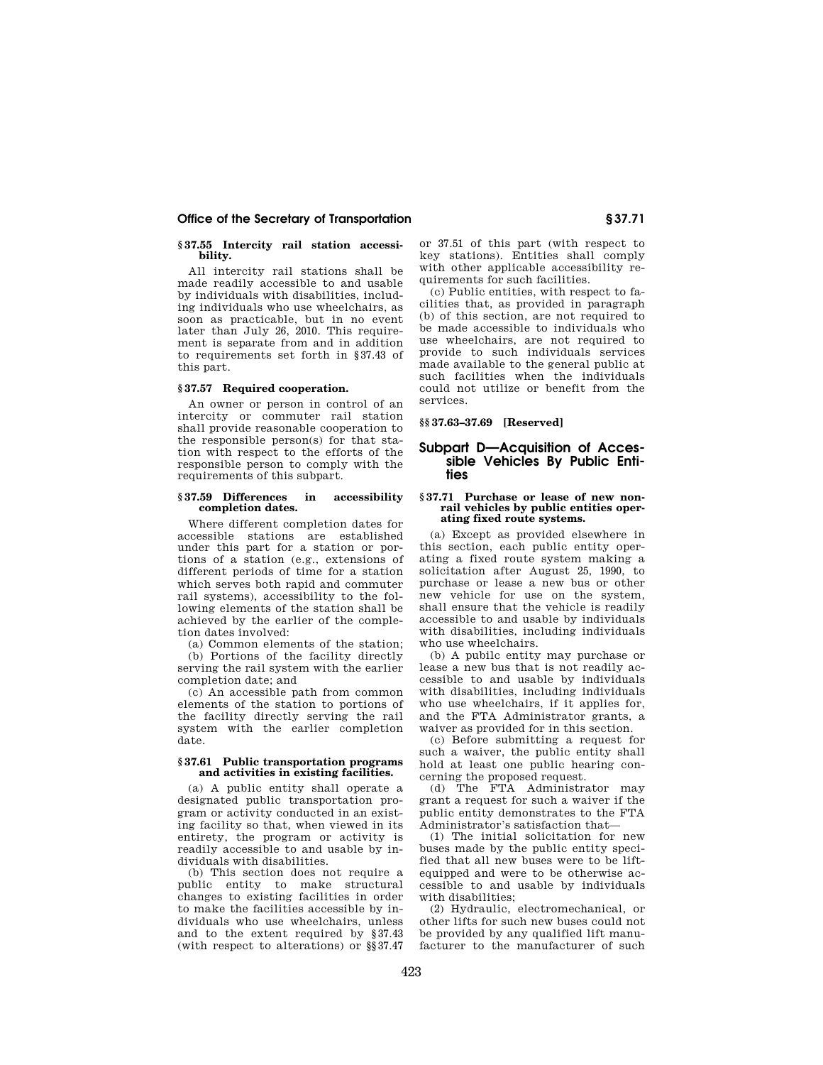## **§ 37.55 Intercity rail station accessibility.**

All intercity rail stations shall be made readily accessible to and usable by individuals with disabilities, including individuals who use wheelchairs, as soon as practicable, but in no event later than July 26, 2010. This requirement is separate from and in addition to requirements set forth in §37.43 of this part.

#### **§ 37.57 Required cooperation.**

An owner or person in control of an intercity or commuter rail station shall provide reasonable cooperation to the responsible person(s) for that station with respect to the efforts of the responsible person to comply with the requirements of this subpart.

#### **§ 37.59 Differences in accessibility completion dates.**

Where different completion dates for accessible stations are established under this part for a station or portions of a station (e.g., extensions of different periods of time for a station which serves both rapid and commuter rail systems), accessibility to the following elements of the station shall be achieved by the earlier of the completion dates involved:

(a) Common elements of the station; (b) Portions of the facility directly serving the rail system with the earlier completion date; and

(c) An accessible path from common elements of the station to portions of the facility directly serving the rail system with the earlier completion date.

## **§ 37.61 Public transportation programs and activities in existing facilities.**

(a) A public entity shall operate a designated public transportation program or activity conducted in an existing facility so that, when viewed in its entirety, the program or activity is readily accessible to and usable by individuals with disabilities.

(b) This section does not require a public entity to make structural changes to existing facilities in order to make the facilities accessible by individuals who use wheelchairs, unless and to the extent required by §37.43 (with respect to alterations) or §§37.47 or 37.51 of this part (with respect to key stations). Entities shall comply with other applicable accessibility requirements for such facilities.

(c) Public entities, with respect to facilities that, as provided in paragraph (b) of this section, are not required to be made accessible to individuals who use wheelchairs, are not required to provide to such individuals services made available to the general public at such facilities when the individuals could not utilize or benefit from the services.

# **§§ 37.63–37.69 [Reserved]**

# **Subpart D—Acquisition of Accessible Vehicles By Public Entities**

#### **§ 37.71 Purchase or lease of new nonrail vehicles by public entities operating fixed route systems.**

(a) Except as provided elsewhere in this section, each public entity operating a fixed route system making a solicitation after August 25, 1990, to purchase or lease a new bus or other new vehicle for use on the system, shall ensure that the vehicle is readily accessible to and usable by individuals with disabilities, including individuals who use wheelchairs.

(b) A pubilc entity may purchase or lease a new bus that is not readily accessible to and usable by individuals with disabilities, including individuals who use wheelchairs, if it applies for, and the FTA Administrator grants, a waiver as provided for in this section.

(c) Before submitting a request for such a waiver, the public entity shall hold at least one public hearing concerning the proposed request.

(d) The FTA Administrator may grant a request for such a waiver if the public entity demonstrates to the FTA Administrator's satisfaction that—

(1) The initial solicitation for new buses made by the public entity specified that all new buses were to be liftequipped and were to be otherwise accessible to and usable by individuals with disabilities;

(2) Hydraulic, electromechanical, or other lifts for such new buses could not be provided by any qualified lift manufacturer to the manufacturer of such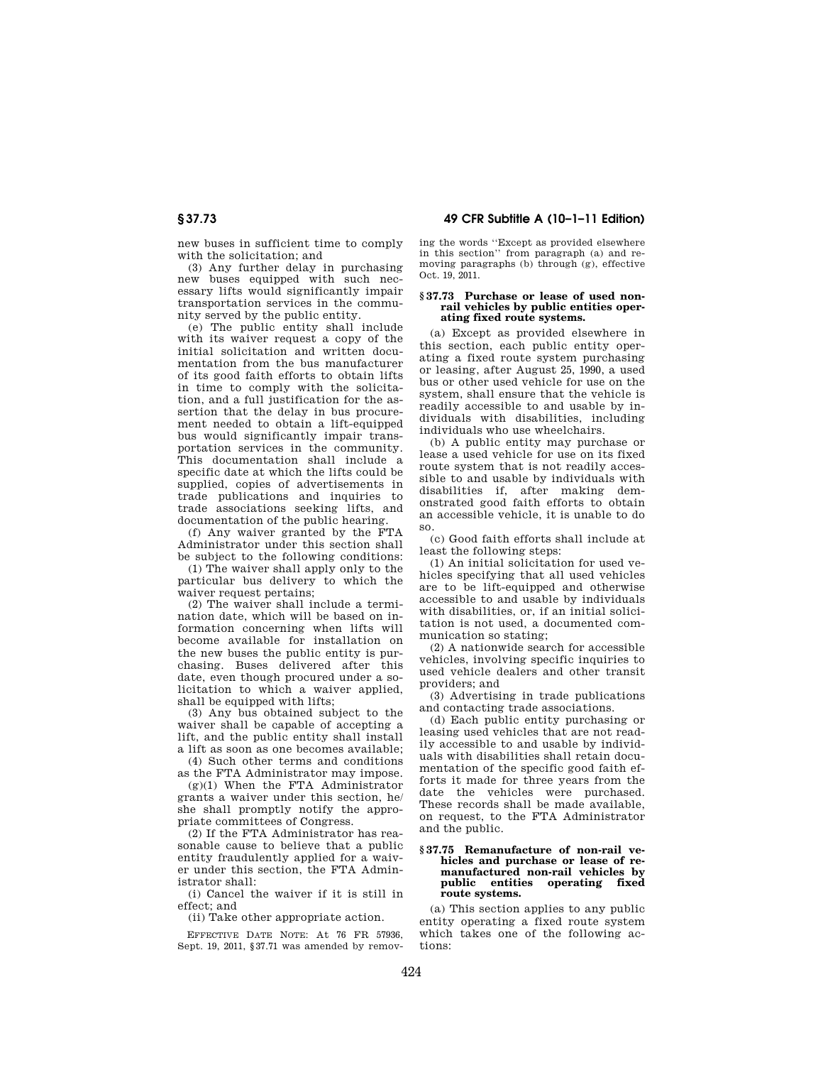new buses in sufficient time to comply with the solicitation; and

(3) Any further delay in purchasing new buses equipped with such necessary lifts would significantly impair transportation services in the community served by the public entity.

(e) The public entity shall include with its waiver request a copy of the initial solicitation and written documentation from the bus manufacturer of its good faith efforts to obtain lifts in time to comply with the solicitation, and a full justification for the assertion that the delay in bus procurement needed to obtain a lift-equipped bus would significantly impair transportation services in the community. This documentation shall include a specific date at which the lifts could be supplied, copies of advertisements in trade publications and inquiries to trade associations seeking lifts, and documentation of the public hearing.

(f) Any waiver granted by the FTA Administrator under this section shall be subject to the following conditions:

(1) The waiver shall apply only to the particular bus delivery to which the waiver request pertains;

(2) The waiver shall include a termination date, which will be based on information concerning when lifts will become available for installation on the new buses the public entity is purchasing. Buses delivered after this date, even though procured under a solicitation to which a waiver applied, shall be equipped with lifts;

(3) Any bus obtained subject to the waiver shall be capable of accepting a lift, and the public entity shall install a lift as soon as one becomes available;

(4) Such other terms and conditions as the FTA Administrator may impose.

 $(g)(1)$  When the FTA Administrator grants a waiver under this section, he/ she shall promptly notify the appropriate committees of Congress.

(2) If the FTA Administrator has reasonable cause to believe that a public entity fraudulently applied for a waiver under this section, the FTA Administrator shall:

(i) Cancel the waiver if it is still in effect; and

(ii) Take other appropriate action.

EFFECTIVE DATE NOTE: At 76 FR 57936, Sept. 19, 2011, §37.71 was amended by remov-

**§ 37.73 49 CFR Subtitle A (10–1–11 Edition)** 

ing the words ''Except as provided elsewhere in this section'' from paragraph (a) and removing paragraphs (b) through (g), effective Oct. 19, 2011.

## **§ 37.73 Purchase or lease of used nonrail vehicles by public entities operating fixed route systems.**

(a) Except as provided elsewhere in this section, each public entity operating a fixed route system purchasing or leasing, after August 25, 1990, a used bus or other used vehicle for use on the system, shall ensure that the vehicle is readily accessible to and usable by individuals with disabilities, including individuals who use wheelchairs.

(b) A public entity may purchase or lease a used vehicle for use on its fixed route system that is not readily accessible to and usable by individuals with disabilities if, after making demonstrated good faith efforts to obtain an accessible vehicle, it is unable to do so.

(c) Good faith efforts shall include at least the following steps:

(1) An initial solicitation for used vehicles specifying that all used vehicles are to be lift-equipped and otherwise accessible to and usable by individuals with disabilities, or, if an initial solicitation is not used, a documented communication so stating;

(2) A nationwide search for accessible vehicles, involving specific inquiries to used vehicle dealers and other transit providers; and

(3) Advertising in trade publications and contacting trade associations.

(d) Each public entity purchasing or leasing used vehicles that are not readily accessible to and usable by individuals with disabilities shall retain documentation of the specific good faith efforts it made for three years from the date the vehicles were purchased. These records shall be made available, on request, to the FTA Administrator and the public.

#### **§ 37.75 Remanufacture of non-rail vehicles and purchase or lease of remanufactured non-rail vehicles by public entities operating fixed route systems.**

(a) This section applies to any public entity operating a fixed route system which takes one of the following actions: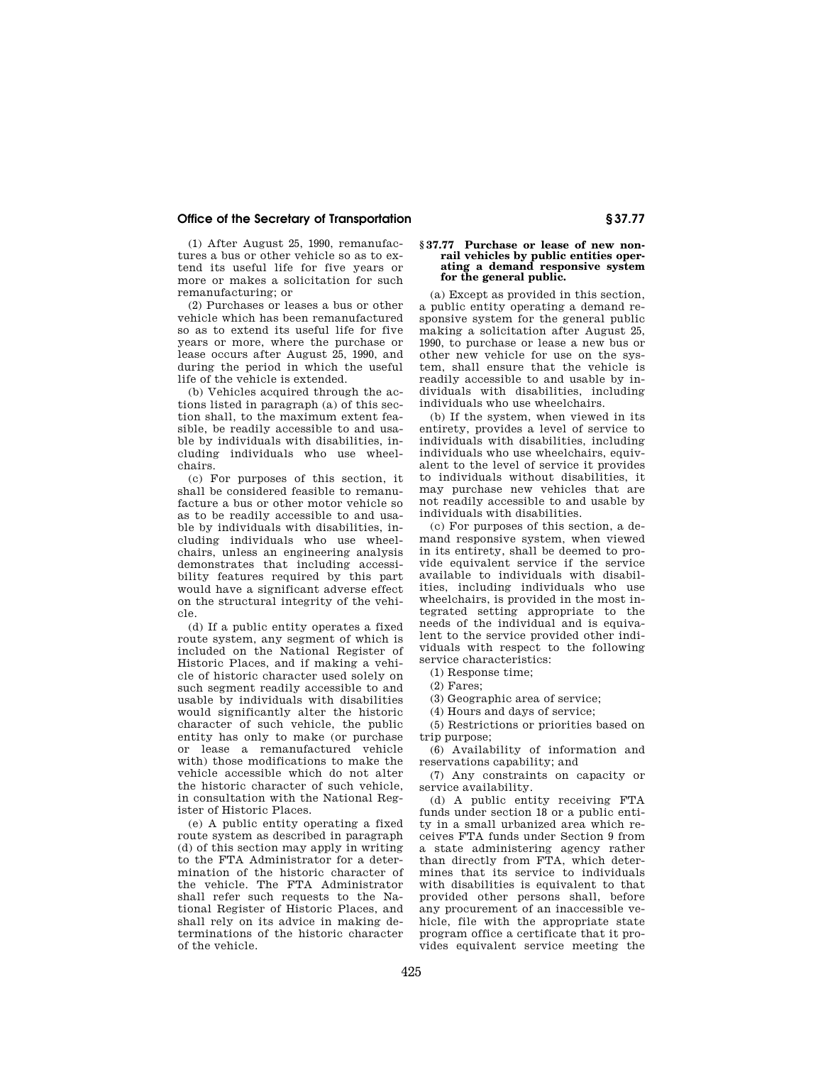(1) After August 25, 1990, remanufactures a bus or other vehicle so as to extend its useful life for five years or more or makes a solicitation for such remanufacturing; or

(2) Purchases or leases a bus or other vehicle which has been remanufactured so as to extend its useful life for five years or more, where the purchase or lease occurs after August 25, 1990, and during the period in which the useful life of the vehicle is extended.

(b) Vehicles acquired through the actions listed in paragraph (a) of this section shall, to the maximum extent feasible, be readily accessible to and usable by individuals with disabilities, including individuals who use wheelchairs.

(c) For purposes of this section, it shall be considered feasible to remanufacture a bus or other motor vehicle so as to be readily accessible to and usable by individuals with disabilities, including individuals who use wheelchairs, unless an engineering analysis demonstrates that including accessibility features required by this part would have a significant adverse effect on the structural integrity of the vehicle.

(d) If a public entity operates a fixed route system, any segment of which is included on the National Register of Historic Places, and if making a vehicle of historic character used solely on such segment readily accessible to and usable by individuals with disabilities would significantly alter the historic character of such vehicle, the public entity has only to make (or purchase or lease a remanufactured vehicle with) those modifications to make the vehicle accessible which do not alter the historic character of such vehicle, in consultation with the National Register of Historic Places.

(e) A public entity operating a fixed route system as described in paragraph (d) of this section may apply in writing to the FTA Administrator for a determination of the historic character of the vehicle. The FTA Administrator shall refer such requests to the National Register of Historic Places, and shall rely on its advice in making determinations of the historic character of the vehicle.

#### **§ 37.77 Purchase or lease of new nonrail vehicles by public entities operating a demand responsive system for the general public.**

(a) Except as provided in this section, a public entity operating a demand responsive system for the general public making a solicitation after August 25, 1990, to purchase or lease a new bus or other new vehicle for use on the system, shall ensure that the vehicle is readily accessible to and usable by individuals with disabilities, including individuals who use wheelchairs.

(b) If the system, when viewed in its entirety, provides a level of service to individuals with disabilities, including individuals who use wheelchairs, equivalent to the level of service it provides to individuals without disabilities, it may purchase new vehicles that are not readily accessible to and usable by individuals with disabilities.

(c) For purposes of this section, a demand responsive system, when viewed in its entirety, shall be deemed to provide equivalent service if the service available to individuals with disabilities, including individuals who use wheelchairs, is provided in the most integrated setting appropriate to the needs of the individual and is equivalent to the service provided other individuals with respect to the following service characteristics:

(1) Response time;

(2) Fares;

(3) Geographic area of service;

(4) Hours and days of service;

(5) Restrictions or priorities based on trip purpose;

(6) Availability of information and reservations capability; and

(7) Any constraints on capacity or service availability.

(d) A public entity receiving FTA funds under section 18 or a public entity in a small urbanized area which receives FTA funds under Section 9 from a state administering agency rather than directly from FTA, which determines that its service to individuals with disabilities is equivalent to that provided other persons shall, before any procurement of an inaccessible vehicle, file with the appropriate state program office a certificate that it provides equivalent service meeting the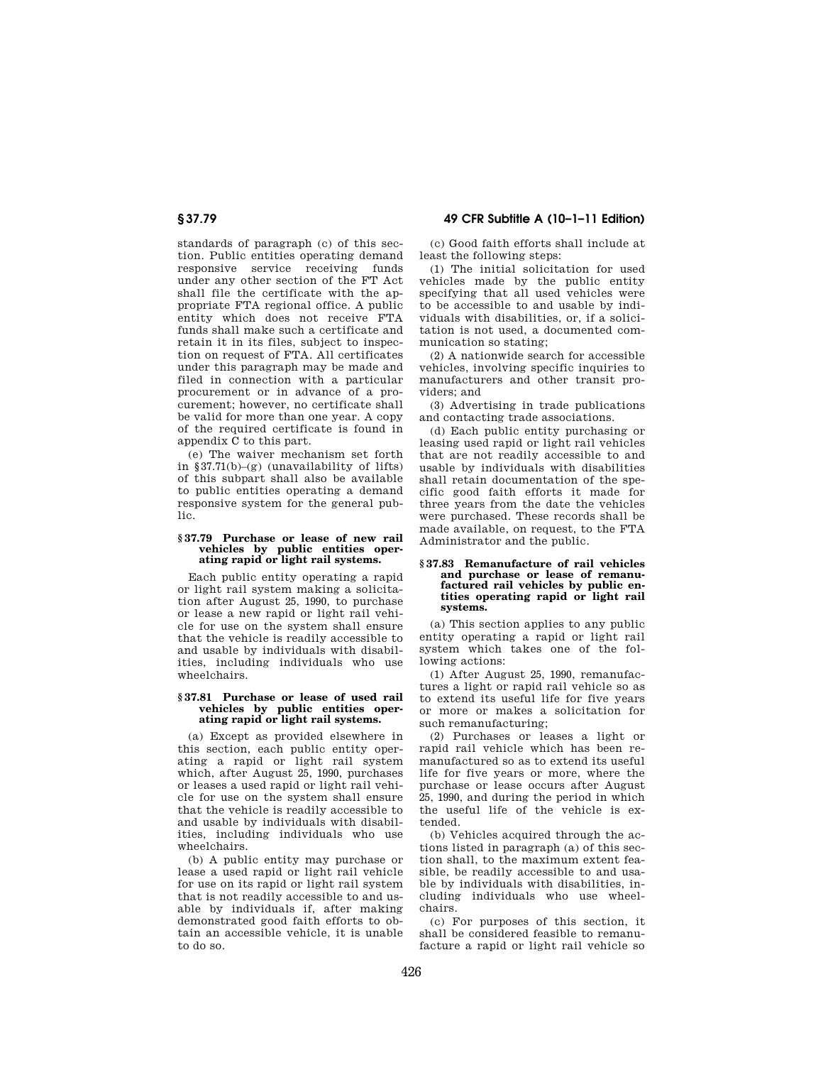standards of paragraph (c) of this section. Public entities operating demand responsive service receiving funds under any other section of the FT Act shall file the certificate with the appropriate FTA regional office. A public entity which does not receive FTA funds shall make such a certificate and retain it in its files, subject to inspection on request of FTA. All certificates under this paragraph may be made and filed in connection with a particular procurement or in advance of a procurement; however, no certificate shall be valid for more than one year. A copy of the required certificate is found in appendix C to this part.

(e) The waiver mechanism set forth in §37.71(b)–(g) (unavailability of lifts) of this subpart shall also be available to public entities operating a demand responsive system for the general public.

### **§ 37.79 Purchase or lease of new rail vehicles by public entities operating rapid or light rail systems.**

Each public entity operating a rapid or light rail system making a solicitation after August 25, 1990, to purchase or lease a new rapid or light rail vehicle for use on the system shall ensure that the vehicle is readily accessible to and usable by individuals with disabilities, including individuals who use wheelchairs.

#### **§ 37.81 Purchase or lease of used rail vehicles by public entities operating rapid or light rail systems.**

(a) Except as provided elsewhere in this section, each public entity operating a rapid or light rail system which, after August 25, 1990, purchases or leases a used rapid or light rail vehicle for use on the system shall ensure that the vehicle is readily accessible to and usable by individuals with disabilities, including individuals who use wheelchairs.

(b) A public entity may purchase or lease a used rapid or light rail vehicle for use on its rapid or light rail system that is not readily accessible to and usable by individuals if, after making demonstrated good faith efforts to obtain an accessible vehicle, it is unable to do so.

(c) Good faith efforts shall include at least the following steps:

(1) The initial solicitation for used vehicles made by the public entity specifying that all used vehicles were to be accessible to and usable by individuals with disabilities, or, if a solicitation is not used, a documented communication so stating;

(2) A nationwide search for accessible vehicles, involving specific inquiries to manufacturers and other transit providers; and

(3) Advertising in trade publications and contacting trade associations.

(d) Each public entity purchasing or leasing used rapid or light rail vehicles that are not readily accessible to and usable by individuals with disabilities shall retain documentation of the specific good faith efforts it made for three years from the date the vehicles were purchased. These records shall be made available, on request, to the FTA Administrator and the public.

# **§ 37.83 Remanufacture of rail vehicles and purchase or lease of remanufactured rail vehicles by public entities operating rapid or light rail systems.**

(a) This section applies to any public entity operating a rapid or light rail system which takes one of the following actions:

(1) After August 25, 1990, remanufactures a light or rapid rail vehicle so as to extend its useful life for five years or more or makes a solicitation for such remanufacturing;

(2) Purchases or leases a light or rapid rail vehicle which has been remanufactured so as to extend its useful life for five years or more, where the purchase or lease occurs after August 25, 1990, and during the period in which the useful life of the vehicle is extended.

(b) Vehicles acquired through the actions listed in paragraph (a) of this section shall, to the maximum extent feasible, be readily accessible to and usable by individuals with disabilities, including individuals who use wheelchairs.

(c) For purposes of this section, it shall be considered feasible to remanufacture a rapid or light rail vehicle so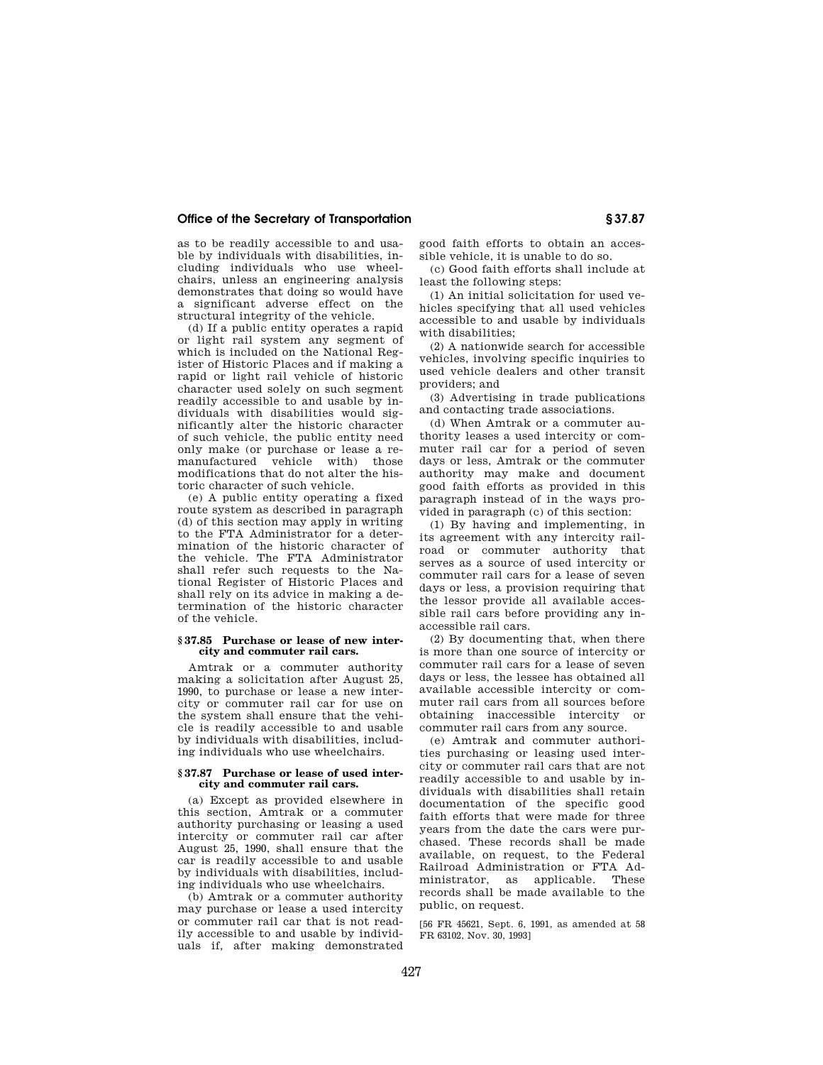as to be readily accessible to and usable by individuals with disabilities, including individuals who use wheelchairs, unless an engineering analysis demonstrates that doing so would have a significant adverse effect on the structural integrity of the vehicle.

(d) If a public entity operates a rapid or light rail system any segment of which is included on the National Register of Historic Places and if making a rapid or light rail vehicle of historic character used solely on such segment readily accessible to and usable by individuals with disabilities would significantly alter the historic character of such vehicle, the public entity need only make (or purchase or lease a re-<br>manufactured vehicle with) those manufactured vehicle with) those modifications that do not alter the historic character of such vehicle.

(e) A public entity operating a fixed route system as described in paragraph (d) of this section may apply in writing to the FTA Administrator for a determination of the historic character of the vehicle. The FTA Administrator shall refer such requests to the National Register of Historic Places and shall rely on its advice in making a determination of the historic character of the vehicle.

### **§ 37.85 Purchase or lease of new intercity and commuter rail cars.**

Amtrak or a commuter authority making a solicitation after August 25, 1990, to purchase or lease a new intercity or commuter rail car for use on the system shall ensure that the vehicle is readily accessible to and usable by individuals with disabilities, including individuals who use wheelchairs.

#### **§ 37.87 Purchase or lease of used intercity and commuter rail cars.**

(a) Except as provided elsewhere in this section, Amtrak or a commuter authority purchasing or leasing a used intercity or commuter rail car after August 25, 1990, shall ensure that the car is readily accessible to and usable by individuals with disabilities, including individuals who use wheelchairs.

(b) Amtrak or a commuter authority may purchase or lease a used intercity or commuter rail car that is not readily accessible to and usable by individuals if, after making demonstrated good faith efforts to obtain an accessible vehicle, it is unable to do so.

(c) Good faith efforts shall include at least the following steps:

(1) An initial solicitation for used vehicles specifying that all used vehicles accessible to and usable by individuals with disabilities;

(2) A nationwide search for accessible vehicles, involving specific inquiries to used vehicle dealers and other transit providers; and

(3) Advertising in trade publications and contacting trade associations.

(d) When Amtrak or a commuter authority leases a used intercity or commuter rail car for a period of seven days or less, Amtrak or the commuter authority may make and document good faith efforts as provided in this paragraph instead of in the ways provided in paragraph (c) of this section:

(1) By having and implementing, in its agreement with any intercity railroad or commuter authority that serves as a source of used intercity or commuter rail cars for a lease of seven days or less, a provision requiring that the lessor provide all available accessible rail cars before providing any inaccessible rail cars.

(2) By documenting that, when there is more than one source of intercity or commuter rail cars for a lease of seven days or less, the lessee has obtained all available accessible intercity or commuter rail cars from all sources before obtaining inaccessible intercity or commuter rail cars from any source.

(e) Amtrak and commuter authorities purchasing or leasing used intercity or commuter rail cars that are not readily accessible to and usable by individuals with disabilities shall retain documentation of the specific good faith efforts that were made for three years from the date the cars were purchased. These records shall be made available, on request, to the Federal Railroad Administration or FTA Administrator, as applicable. These records shall be made available to the public, on request.

[56 FR 45621, Sept. 6, 1991, as amended at 58 FR 63102, Nov. 30, 1993]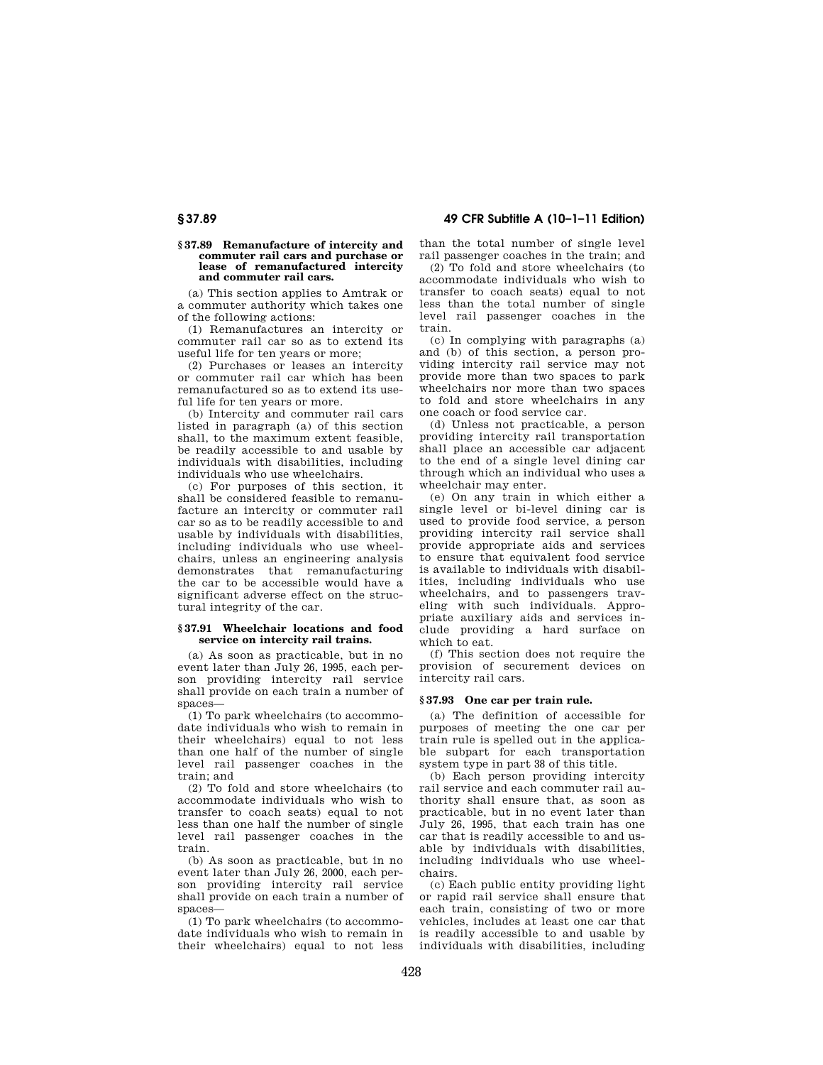## **§ 37.89 Remanufacture of intercity and commuter rail cars and purchase or lease of remanufactured intercity and commuter rail cars.**

(a) This section applies to Amtrak or a commuter authority which takes one of the following actions:

(1) Remanufactures an intercity or commuter rail car so as to extend its useful life for ten years or more;

(2) Purchases or leases an intercity or commuter rail car which has been remanufactured so as to extend its useful life for ten years or more.

(b) Intercity and commuter rail cars listed in paragraph (a) of this section shall, to the maximum extent feasible, be readily accessible to and usable by individuals with disabilities, including individuals who use wheelchairs.

(c) For purposes of this section, it shall be considered feasible to remanufacture an intercity or commuter rail car so as to be readily accessible to and usable by individuals with disabilities, including individuals who use wheelchairs, unless an engineering analysis demonstrates that remanufacturing the car to be accessible would have a significant adverse effect on the structural integrity of the car.

# **§ 37.91 Wheelchair locations and food service on intercity rail trains.**

(a) As soon as practicable, but in no event later than July 26, 1995, each person providing intercity rail service shall provide on each train a number of spaces—

(1) To park wheelchairs (to accommodate individuals who wish to remain in their wheelchairs) equal to not less than one half of the number of single level rail passenger coaches in the train; and

(2) To fold and store wheelchairs (to accommodate individuals who wish to transfer to coach seats) equal to not less than one half the number of single level rail passenger coaches in the train.

(b) As soon as practicable, but in no event later than July 26, 2000, each person providing intercity rail service shall provide on each train a number of spaces—

(1) To park wheelchairs (to accommodate individuals who wish to remain in their wheelchairs) equal to not less

**§ 37.89 49 CFR Subtitle A (10–1–11 Edition)** 

than the total number of single level rail passenger coaches in the train; and

(2) To fold and store wheelchairs (to accommodate individuals who wish to transfer to coach seats) equal to not less than the total number of single level rail passenger coaches in the train.

(c) In complying with paragraphs (a) and (b) of this section, a person providing intercity rail service may not provide more than two spaces to park wheelchairs nor more than two spaces to fold and store wheelchairs in any one coach or food service car.

(d) Unless not practicable, a person providing intercity rail transportation shall place an accessible car adjacent to the end of a single level dining car through which an individual who uses a wheelchair may enter.

(e) On any train in which either a single level or bi-level dining car is used to provide food service, a person providing intercity rail service shall provide appropriate aids and services to ensure that equivalent food service is available to individuals with disabilities, including individuals who use wheelchairs, and to passengers traveling with such individuals. Appropriate auxiliary aids and services include providing a hard surface on which to eat.

(f) This section does not require the provision of securement devices on intercity rail cars.

# **§ 37.93 One car per train rule.**

(a) The definition of accessible for purposes of meeting the one car per train rule is spelled out in the applicable subpart for each transportation system type in part 38 of this title.

(b) Each person providing intercity rail service and each commuter rail authority shall ensure that, as soon as practicable, but in no event later than July 26, 1995, that each train has one car that is readily accessible to and usable by individuals with disabilities, including individuals who use wheelchairs.

(c) Each public entity providing light or rapid rail service shall ensure that each train, consisting of two or more vehicles, includes at least one car that is readily accessible to and usable by individuals with disabilities, including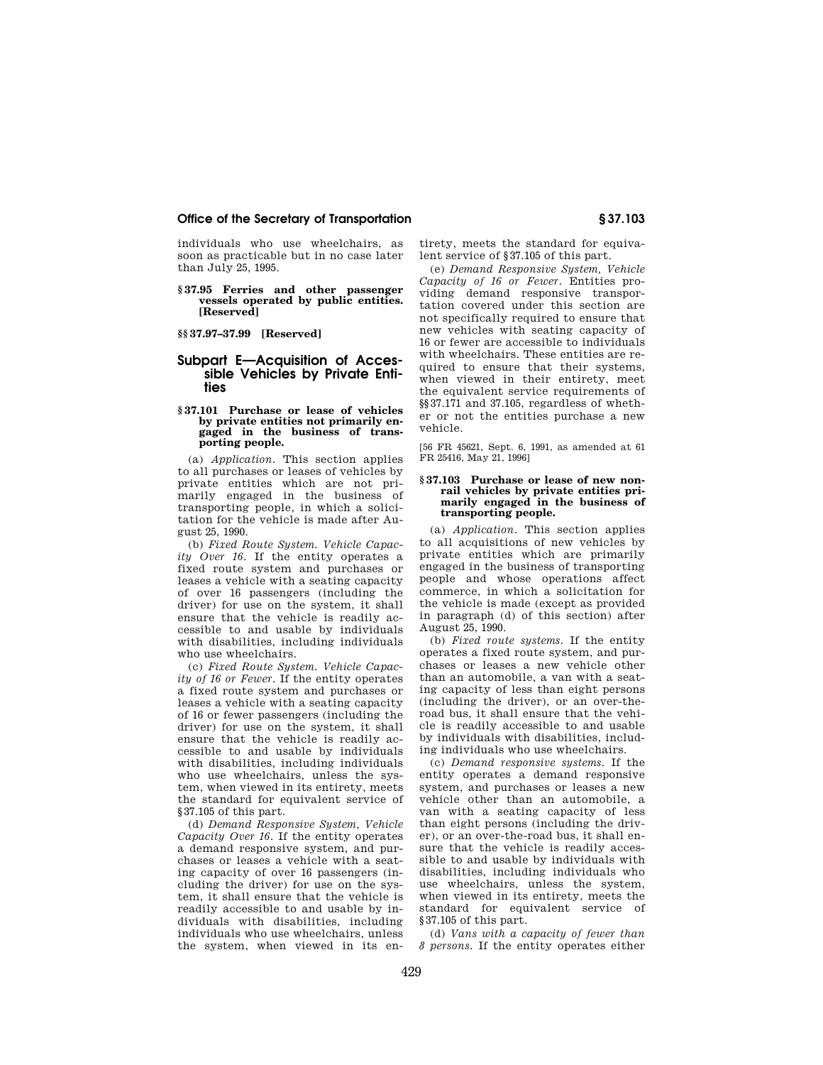individuals who use wheelchairs, as soon as practicable but in no case later than July 25, 1995.

#### **§ 37.95 Ferries and other passenger vessels operated by public entities. [Reserved]**

**§§ 37.97–37.99 [Reserved]** 

# **Subpart E—Acquisition of Accessible Vehicles by Private Entities**

### **§ 37.101 Purchase or lease of vehicles by private entities not primarily engaged in the business of transporting people.**

(a) *Application.* This section applies to all purchases or leases of vehicles by private entities which are not primarily engaged in the business of transporting people, in which a solicitation for the vehicle is made after August 25, 1990.

(b) *Fixed Route System. Vehicle Capacity Over 16.* If the entity operates a fixed route system and purchases or leases a vehicle with a seating capacity of over 16 passengers (including the driver) for use on the system, it shall ensure that the vehicle is readily accessible to and usable by individuals with disabilities, including individuals who use wheelchairs.

(c) *Fixed Route System. Vehicle Capacity of 16 or Fewer.* If the entity operates a fixed route system and purchases or leases a vehicle with a seating capacity of 16 or fewer passengers (including the driver) for use on the system, it shall ensure that the vehicle is readily accessible to and usable by individuals with disabilities, including individuals who use wheelchairs, unless the system, when viewed in its entirety, meets the standard for equivalent service of §37.105 of this part.

(d) *Demand Responsive System, Vehicle Capacity Over 16.* If the entity operates a demand responsive system, and purchases or leases a vehicle with a seating capacity of over 16 passengers (including the driver) for use on the system, it shall ensure that the vehicle is readily accessible to and usable by individuals with disabilities, including individuals who use wheelchairs, unless the system, when viewed in its entirety, meets the standard for equivalent service of §37.105 of this part.

(e) *Demand Responsive System, Vehicle Capacity of 16 or Fewer.* Entities providing demand responsive transportation covered under this section are not specifically required to ensure that new vehicles with seating capacity of 16 or fewer are accessible to individuals with wheelchairs. These entities are required to ensure that their systems, when viewed in their entirety, meet the equivalent service requirements of §§37.171 and 37.105, regardless of whether or not the entities purchase a new vehicle.

[56 FR 45621, Sept. 6, 1991, as amended at 61 FR 25416, May 21, 1996]

### **§ 37.103 Purchase or lease of new nonrail vehicles by private entities primarily engaged in the business of transporting people.**

(a) *Application.* This section applies to all acquisitions of new vehicles by private entities which are primarily engaged in the business of transporting people and whose operations affect commerce, in which a solicitation for the vehicle is made (except as provided in paragraph (d) of this section) after August 25, 1990.

(b) *Fixed route systems.* If the entity operates a fixed route system, and purchases or leases a new vehicle other than an automobile, a van with a seating capacity of less than eight persons (including the driver), or an over-theroad bus, it shall ensure that the vehicle is readily accessible to and usable by individuals with disabilities, including individuals who use wheelchairs.

(c) *Demand responsive systems.* If the entity operates a demand responsive system, and purchases or leases a new vehicle other than an automobile, a van with a seating capacity of less than eight persons (including the driver), or an over-the-road bus, it shall ensure that the vehicle is readily accessible to and usable by individuals with disabilities, including individuals who use wheelchairs, unless the system, when viewed in its entirety, meets the standard for equivalent service of §37.105 of this part.

(d) *Vans with a capacity of fewer than 8 persons.* If the entity operates either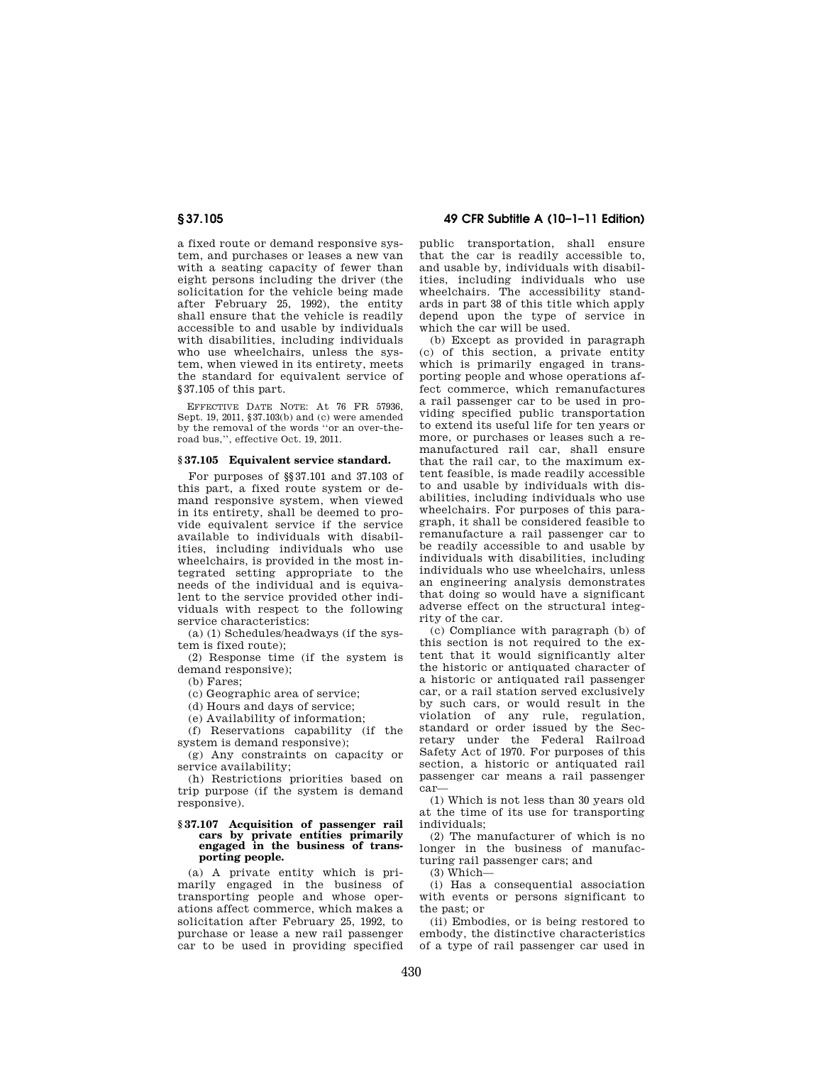a fixed route or demand responsive system, and purchases or leases a new van with a seating capacity of fewer than eight persons including the driver (the solicitation for the vehicle being made after February 25, 1992), the entity shall ensure that the vehicle is readily accessible to and usable by individuals with disabilities, including individuals who use wheelchairs, unless the system, when viewed in its entirety, meets the standard for equivalent service of §37.105 of this part.

EFFECTIVE DATE NOTE: At 76 FR 57936, Sept. 19, 2011, §37.103(b) and (c) were amended by the removal of the words ''or an over-theroad bus,'', effective Oct. 19, 2011.

#### **§ 37.105 Equivalent service standard.**

For purposes of §§37.101 and 37.103 of this part, a fixed route system or demand responsive system, when viewed in its entirety, shall be deemed to provide equivalent service if the service available to individuals with disabilities, including individuals who use wheelchairs, is provided in the most integrated setting appropriate to the needs of the individual and is equivalent to the service provided other individuals with respect to the following service characteristics:

(a) (1) Schedules/headways (if the system is fixed route);

(2) Response time (if the system is demand responsive);

(b) Fares;

(c) Geographic area of service;

(d) Hours and days of service;

(e) Availability of information;

(f) Reservations capability (if the system is demand responsive);

(g) Any constraints on capacity or service availability;

(h) Restrictions priorities based on trip purpose (if the system is demand responsive).

#### **§ 37.107 Acquisition of passenger rail cars by private entities primarily engaged in the business of transporting people.**

(a) A private entity which is primarily engaged in the business of transporting people and whose operations affect commerce, which makes a solicitation after February 25, 1992, to purchase or lease a new rail passenger car to be used in providing specified

# **§ 37.105 49 CFR Subtitle A (10–1–11 Edition)**

public transportation, shall ensure that the car is readily accessible to, and usable by, individuals with disabilities, including individuals who use wheelchairs. The accessibility standards in part 38 of this title which apply depend upon the type of service in which the car will be used.

(b) Except as provided in paragraph (c) of this section, a private entity which is primarily engaged in transporting people and whose operations affect commerce, which remanufactures a rail passenger car to be used in providing specified public transportation to extend its useful life for ten years or more, or purchases or leases such a remanufactured rail car, shall ensure that the rail car, to the maximum extent feasible, is made readily accessible to and usable by individuals with disabilities, including individuals who use wheelchairs. For purposes of this paragraph, it shall be considered feasible to remanufacture a rail passenger car to be readily accessible to and usable by individuals with disabilities, including individuals who use wheelchairs, unless an engineering analysis demonstrates that doing so would have a significant adverse effect on the structural integrity of the car.

(c) Compliance with paragraph (b) of this section is not required to the extent that it would significantly alter the historic or antiquated character of a historic or antiquated rail passenger car, or a rail station served exclusively by such cars, or would result in the violation of any rule, regulation, standard or order issued by the Secretary under the Federal Railroad Safety Act of 1970. For purposes of this section, a historic or antiquated rail passenger car means a rail passenger car—

(1) Which is not less than 30 years old at the time of its use for transporting individuals;

(2) The manufacturer of which is no longer in the business of manufacturing rail passenger cars; and

 $(3)$  Which-

(i) Has a consequential association with events or persons significant to the past; or

(ii) Embodies, or is being restored to embody, the distinctive characteristics of a type of rail passenger car used in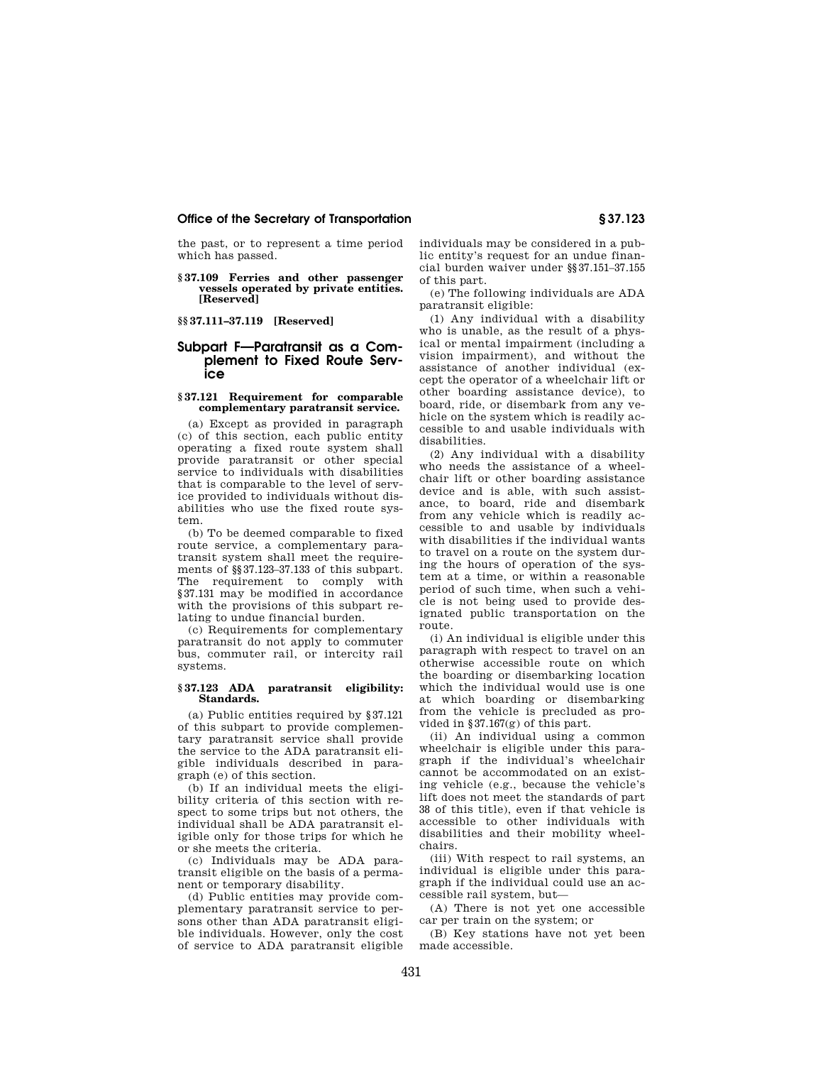the past, or to represent a time period which has passed.

**§ 37.109 Ferries and other passenger vessels operated by private entities. [Reserved]** 

**§§ 37.111–37.119 [Reserved]** 

# **Subpart F—Paratransit as a Complement to Fixed Route Service**

# **§ 37.121 Requirement for comparable complementary paratransit service.**

(a) Except as provided in paragraph (c) of this section, each public entity operating a fixed route system shall provide paratransit or other special service to individuals with disabilities that is comparable to the level of service provided to individuals without disabilities who use the fixed route system.

(b) To be deemed comparable to fixed route service, a complementary paratransit system shall meet the requirements of §§37.123–37.133 of this subpart. The requirement to comply with §37.131 may be modified in accordance with the provisions of this subpart relating to undue financial burden.

(c) Requirements for complementary paratransit do not apply to commuter bus, commuter rail, or intercity rail systems.

## **§ 37.123 ADA paratransit eligibility: Standards.**

(a) Public entities required by §37.121 of this subpart to provide complementary paratransit service shall provide the service to the ADA paratransit eligible individuals described in paragraph (e) of this section.

(b) If an individual meets the eligibility criteria of this section with respect to some trips but not others, the individual shall be ADA paratransit eligible only for those trips for which he or she meets the criteria.

(c) Individuals may be ADA paratransit eligible on the basis of a permanent or temporary disability.

(d) Public entities may provide complementary paratransit service to persons other than ADA paratransit eligible individuals. However, only the cost of service to ADA paratransit eligible individuals may be considered in a public entity's request for an undue financial burden waiver under §§37.151–37.155 of this part.

(e) The following individuals are ADA paratransit eligible:

(1) Any individual with a disability who is unable, as the result of a physical or mental impairment (including a vision impairment), and without the assistance of another individual (except the operator of a wheelchair lift or other boarding assistance device), to board, ride, or disembark from any vehicle on the system which is readily accessible to and usable individuals with disabilities.

(2) Any individual with a disability who needs the assistance of a wheelchair lift or other boarding assistance device and is able, with such assistance, to board, ride and disembark from any vehicle which is readily accessible to and usable by individuals with disabilities if the individual wants to travel on a route on the system during the hours of operation of the system at a time, or within a reasonable period of such time, when such a vehicle is not being used to provide designated public transportation on the route.

(i) An individual is eligible under this paragraph with respect to travel on an otherwise accessible route on which the boarding or disembarking location which the individual would use is one at which boarding or disembarking from the vehicle is precluded as provided in §37.167(g) of this part.

(ii) An individual using a common wheelchair is eligible under this paragraph if the individual's wheelchair cannot be accommodated on an existing vehicle (e.g., because the vehicle's lift does not meet the standards of part 38 of this title), even if that vehicle is accessible to other individuals with disabilities and their mobility wheelchairs.

(iii) With respect to rail systems, an individual is eligible under this paragraph if the individual could use an accessible rail system, but—

(A) There is not yet one accessible car per train on the system; or

(B) Key stations have not yet been made accessible.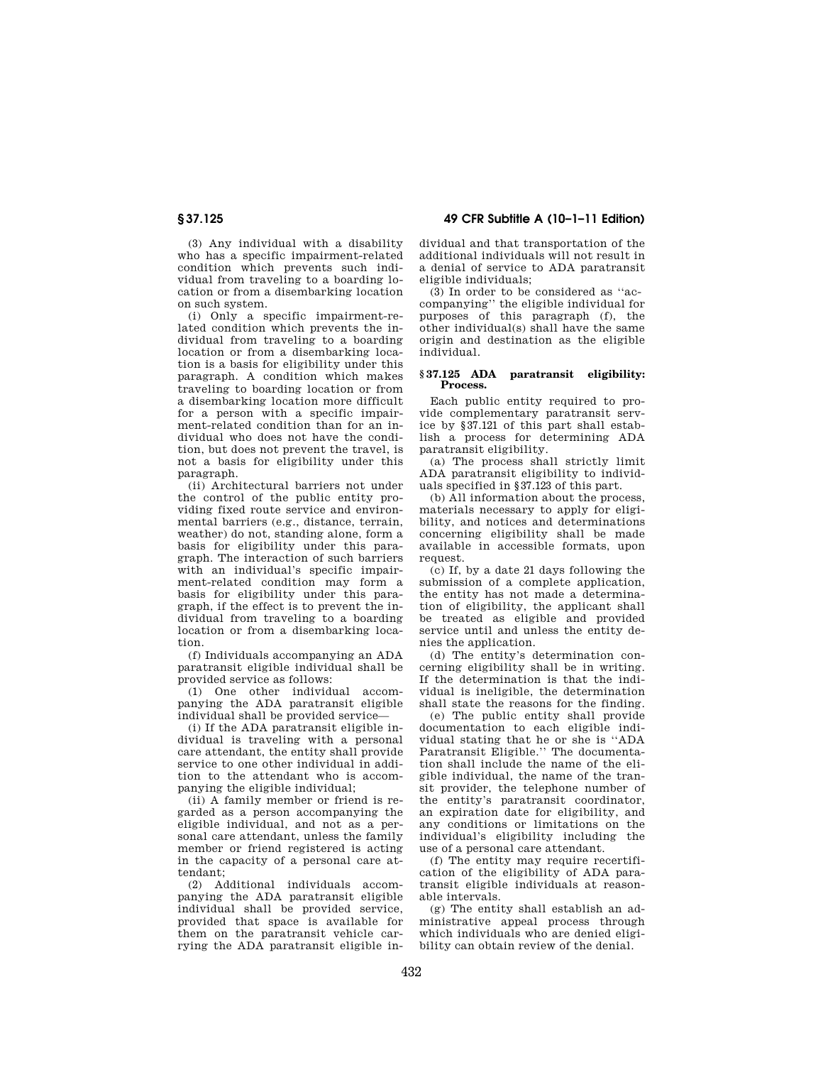(3) Any individual with a disability who has a specific impairment-related condition which prevents such individual from traveling to a boarding location or from a disembarking location on such system.

(i) Only a specific impairment-related condition which prevents the individual from traveling to a boarding location or from a disembarking location is a basis for eligibility under this paragraph. A condition which makes traveling to boarding location or from a disembarking location more difficult for a person with a specific impairment-related condition than for an individual who does not have the condition, but does not prevent the travel, is not a basis for eligibility under this paragraph.

(ii) Architectural barriers not under the control of the public entity providing fixed route service and environmental barriers (e.g., distance, terrain, weather) do not, standing alone, form a basis for eligibility under this paragraph. The interaction of such barriers with an individual's specific impairment-related condition may form a basis for eligibility under this paragraph, if the effect is to prevent the individual from traveling to a boarding location or from a disembarking location.

(f) Individuals accompanying an ADA paratransit eligible individual shall be provided service as follows:

(1) One other individual accompanying the ADA paratransit eligible individual shall be provided service—

(i) If the ADA paratransit eligible individual is traveling with a personal care attendant, the entity shall provide service to one other individual in addition to the attendant who is accompanying the eligible individual;

(ii) A family member or friend is regarded as a person accompanying the eligible individual, and not as a personal care attendant, unless the family member or friend registered is acting in the capacity of a personal care attendant;

(2) Additional individuals accompanying the ADA paratransit eligible individual shall be provided service, provided that space is available for them on the paratransit vehicle carrying the ADA paratransit eligible in-

**§ 37.125 49 CFR Subtitle A (10–1–11 Edition)** 

dividual and that transportation of the additional individuals will not result in a denial of service to ADA paratransit eligible individuals;

(3) In order to be considered as ''accompanying'' the eligible individual for purposes of this paragraph (f), the other individual(s) shall have the same origin and destination as the eligible individual.

# **§ 37.125 ADA paratransit eligibility: Process.**

Each public entity required to provide complementary paratransit service by §37.121 of this part shall establish a process for determining ADA paratransit eligibility.

(a) The process shall strictly limit ADA paratransit eligibility to individuals specified in §37.123 of this part.

(b) All information about the process, materials necessary to apply for eligibility, and notices and determinations concerning eligibility shall be made available in accessible formats, upon request.

(c) If, by a date 21 days following the submission of a complete application, the entity has not made a determination of eligibility, the applicant shall be treated as eligible and provided service until and unless the entity denies the application.

(d) The entity's determination concerning eligibility shall be in writing. If the determination is that the individual is ineligible, the determination shall state the reasons for the finding.

(e) The public entity shall provide documentation to each eligible individual stating that he or she is ''ADA Paratransit Eligible.'' The documentation shall include the name of the eligible individual, the name of the transit provider, the telephone number of the entity's paratransit coordinator, an expiration date for eligibility, and any conditions or limitations on the individual's eligibility including the use of a personal care attendant.

(f) The entity may require recertification of the eligibility of ADA paratransit eligible individuals at reasonable intervals.

(g) The entity shall establish an administrative appeal process through which individuals who are denied eligibility can obtain review of the denial.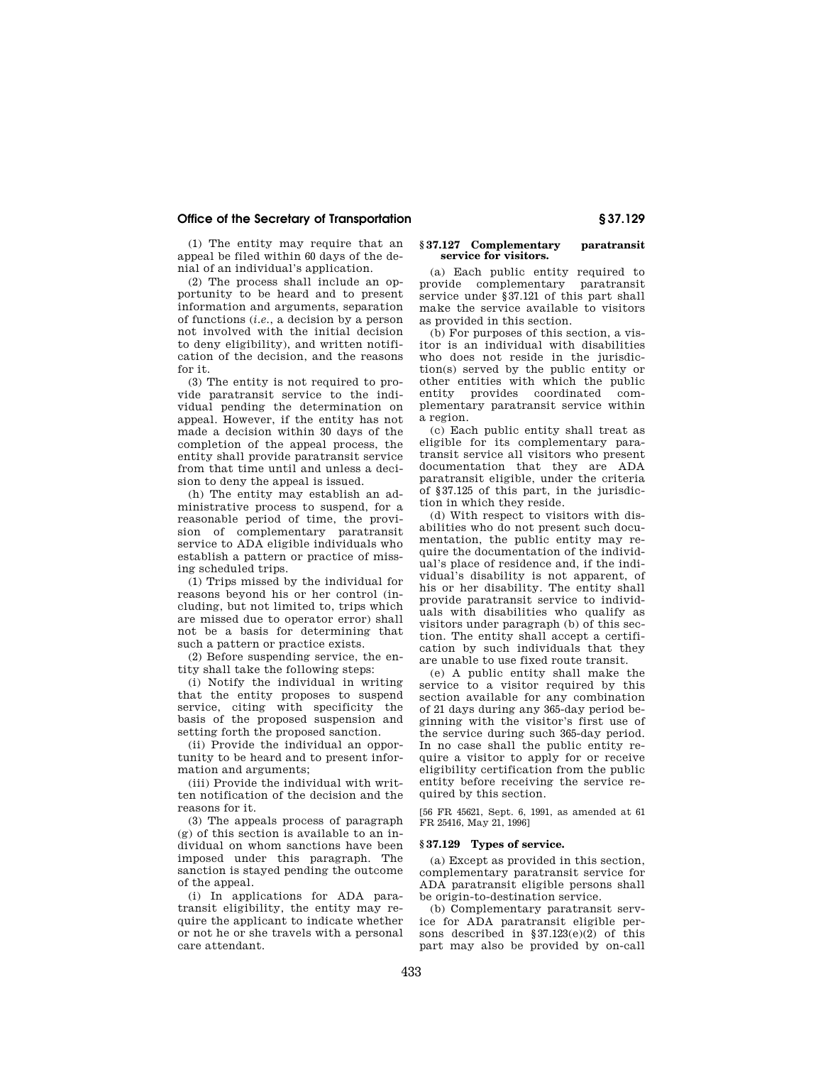(1) The entity may require that an appeal be filed within 60 days of the denial of an individual's application.

(2) The process shall include an opportunity to be heard and to present information and arguments, separation of functions (*i.e.*, a decision by a person not involved with the initial decision to deny eligibility), and written notification of the decision, and the reasons for it.

(3) The entity is not required to provide paratransit service to the individual pending the determination on appeal. However, if the entity has not made a decision within 30 days of the completion of the appeal process, the entity shall provide paratransit service from that time until and unless a decision to deny the appeal is issued.

(h) The entity may establish an administrative process to suspend, for a reasonable period of time, the provision of complementary paratransit service to ADA eligible individuals who establish a pattern or practice of missing scheduled trips.

(1) Trips missed by the individual for reasons beyond his or her control (including, but not limited to, trips which are missed due to operator error) shall not be a basis for determining that such a pattern or practice exists.

(2) Before suspending service, the entity shall take the following steps:

(i) Notify the individual in writing that the entity proposes to suspend service, citing with specificity the basis of the proposed suspension and setting forth the proposed sanction.

(ii) Provide the individual an opportunity to be heard and to present information and arguments;

(iii) Provide the individual with written notification of the decision and the reasons for it.

(3) The appeals process of paragraph (g) of this section is available to an individual on whom sanctions have been imposed under this paragraph. The sanction is stayed pending the outcome of the appeal.

(i) In applications for ADA paratransit eligibility, the entity may require the applicant to indicate whether or not he or she travels with a personal care attendant.

## **§ 37.127 Complementary paratransit service for visitors.**

(a) Each public entity required to provide complementary paratransit service under §37.121 of this part shall make the service available to visitors as provided in this section.

(b) For purposes of this section, a visitor is an individual with disabilities who does not reside in the jurisdiction(s) served by the public entity or other entities with which the public entity provides coordinated complementary paratransit service within a region.

(c) Each public entity shall treat as eligible for its complementary paratransit service all visitors who present documentation that they are ADA paratransit eligible, under the criteria of §37.125 of this part, in the jurisdiction in which they reside.

(d) With respect to visitors with disabilities who do not present such documentation, the public entity may require the documentation of the individual's place of residence and, if the individual's disability is not apparent, of his or her disability. The entity shall provide paratransit service to individuals with disabilities who qualify as visitors under paragraph (b) of this section. The entity shall accept a certification by such individuals that they are unable to use fixed route transit.

(e) A public entity shall make the service to a visitor required by this section available for any combination of 21 days during any 365-day period beginning with the visitor's first use of the service during such 365-day period. In no case shall the public entity require a visitor to apply for or receive eligibility certification from the public entity before receiving the service required by this section.

[56 FR 45621, Sept. 6, 1991, as amended at 61 FR 25416, May 21, 1996]

# **§ 37.129 Types of service.**

(a) Except as provided in this section, complementary paratransit service for ADA paratransit eligible persons shall be origin-to-destination service.

(b) Complementary paratransit service for ADA paratransit eligible persons described in §37.123(e)(2) of this part may also be provided by on-call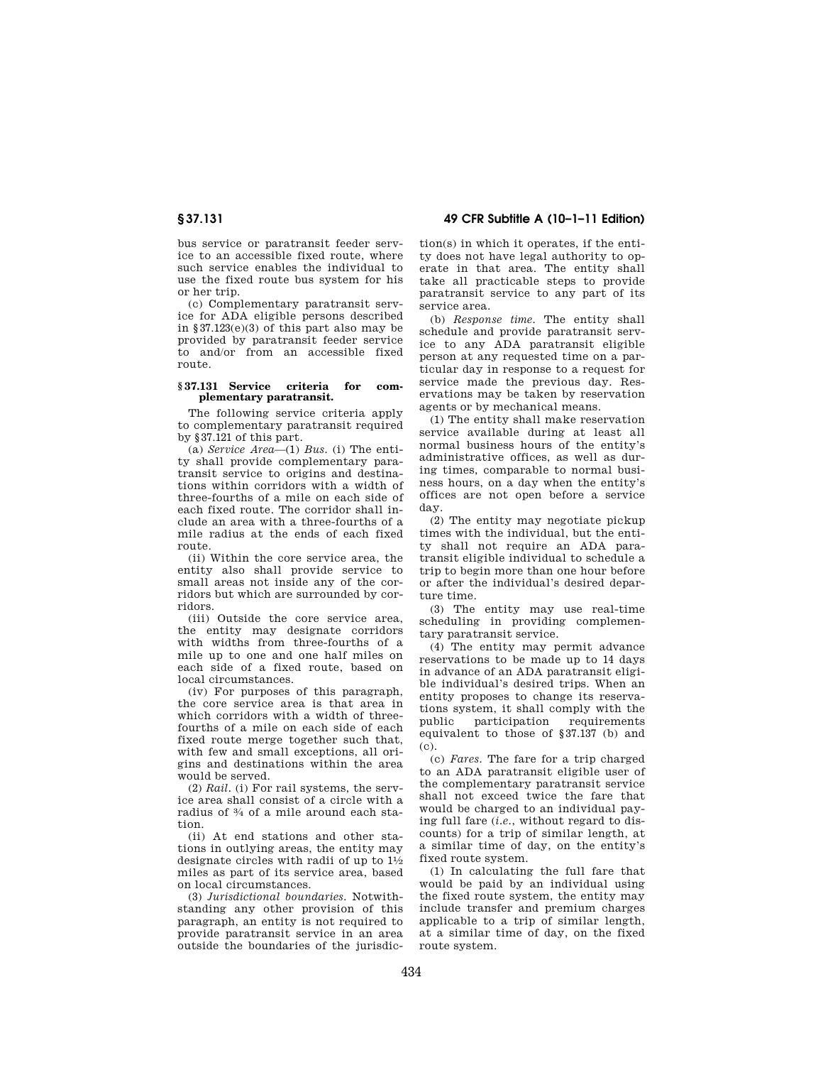bus service or paratransit feeder service to an accessible fixed route, where such service enables the individual to use the fixed route bus system for his or her trip.

(c) Complementary paratransit service for ADA eligible persons described in §37.123(e)(3) of this part also may be provided by paratransit feeder service to and/or from an accessible fixed route.

# **§ 37.131 Service criteria for complementary paratransit.**

The following service criteria apply to complementary paratransit required by §37.121 of this part.

(a) *Service Area*—(1) *Bus.* (i) The entity shall provide complementary paratransit service to origins and destinations within corridors with a width of three-fourths of a mile on each side of each fixed route. The corridor shall include an area with a three-fourths of a mile radius at the ends of each fixed route.

(ii) Within the core service area, the entity also shall provide service to small areas not inside any of the corridors but which are surrounded by corridors.

(iii) Outside the core service area, the entity may designate corridors with widths from three-fourths of a mile up to one and one half miles on each side of a fixed route, based on local circumstances.

(iv) For purposes of this paragraph, the core service area is that area in which corridors with a width of threefourths of a mile on each side of each fixed route merge together such that, with few and small exceptions, all origins and destinations within the area would be served.

(2) *Rail.* (i) For rail systems, the service area shall consist of a circle with a radius of 3⁄4 of a mile around each station.

(ii) At end stations and other stations in outlying areas, the entity may designate circles with radii of up to  $1\frac{1}{2}$ miles as part of its service area, based on local circumstances.

(3) *Jurisdictional boundaries.* Notwithstanding any other provision of this paragraph, an entity is not required to provide paratransit service in an area outside the boundaries of the jurisdic-

**§ 37.131 49 CFR Subtitle A (10–1–11 Edition)** 

tion(s) in which it operates, if the entity does not have legal authority to operate in that area. The entity shall take all practicable steps to provide paratransit service to any part of its service area.

(b) *Response time.* The entity shall schedule and provide paratransit service to any ADA paratransit eligible person at any requested time on a particular day in response to a request for service made the previous day. Reservations may be taken by reservation agents or by mechanical means.

(1) The entity shall make reservation service available during at least all normal business hours of the entity's administrative offices, as well as during times, comparable to normal business hours, on a day when the entity's offices are not open before a service day.

(2) The entity may negotiate pickup times with the individual, but the entity shall not require an ADA paratransit eligible individual to schedule a trip to begin more than one hour before or after the individual's desired departure time.

(3) The entity may use real-time scheduling in providing complementary paratransit service.

(4) The entity may permit advance reservations to be made up to 14 days in advance of an ADA paratransit eligible individual's desired trips. When an entity proposes to change its reservations system, it shall comply with the public participation requirements equivalent to those of §37.137 (b) and (c).

(c) *Fares.* The fare for a trip charged to an ADA paratransit eligible user of the complementary paratransit service shall not exceed twice the fare that would be charged to an individual paying full fare (*i.e.*, without regard to discounts) for a trip of similar length, at a similar time of day, on the entity's fixed route system.

(1) In calculating the full fare that would be paid by an individual using the fixed route system, the entity may include transfer and premium charges applicable to a trip of similar length, at a similar time of day, on the fixed route system.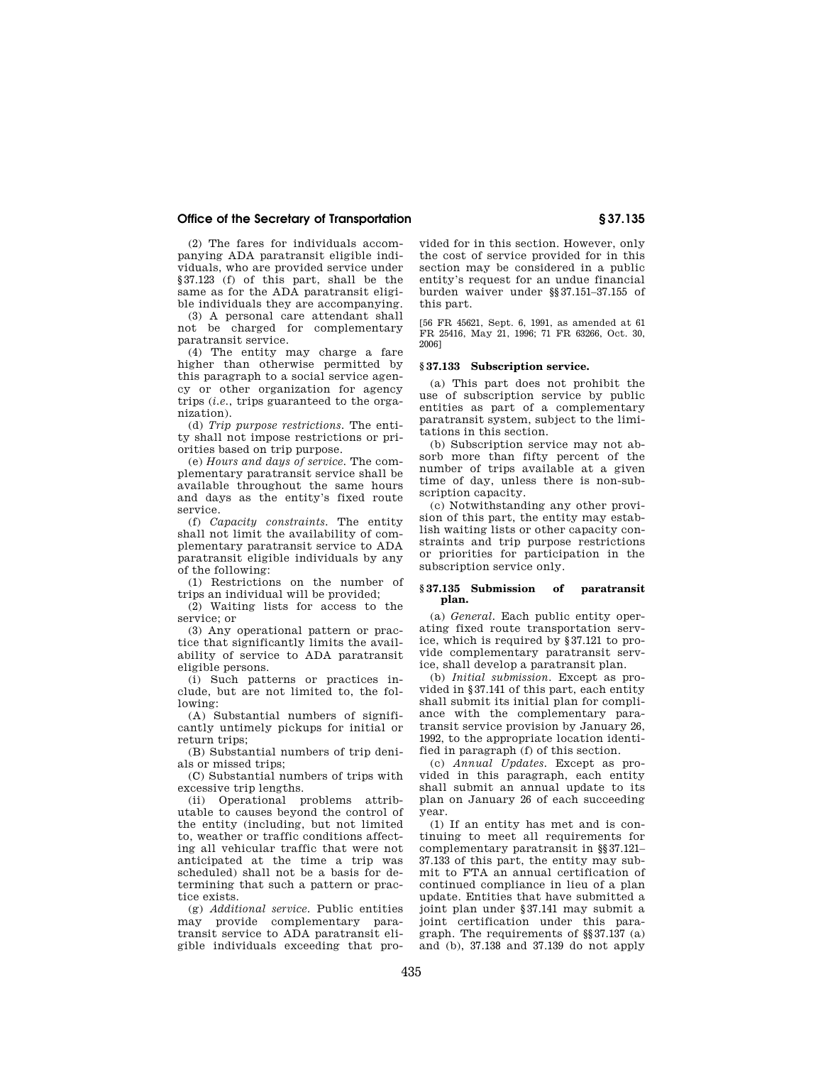(2) The fares for individuals accompanying ADA paratransit eligible individuals, who are provided service under §37.123 (f) of this part, shall be the same as for the ADA paratransit eligible individuals they are accompanying.

(3) A personal care attendant shall not be charged for complementary paratransit service.

(4) The entity may charge a fare higher than otherwise permitted by this paragraph to a social service agency or other organization for agency trips (*i.e.*, trips guaranteed to the organization).

(d) *Trip purpose restrictions.* The entity shall not impose restrictions or priorities based on trip purpose.

(e) *Hours and days of service.* The complementary paratransit service shall be available throughout the same hours and days as the entity's fixed route service.

(f) *Capacity constraints.* The entity shall not limit the availability of complementary paratransit service to ADA paratransit eligible individuals by any of the following:

(1) Restrictions on the number of trips an individual will be provided;

(2) Waiting lists for access to the service; or

(3) Any operational pattern or practice that significantly limits the availability of service to ADA paratransit eligible persons.

(i) Such patterns or practices include, but are not limited to, the following:

(A) Substantial numbers of significantly untimely pickups for initial or return trips;

(B) Substantial numbers of trip denials or missed trips;

(C) Substantial numbers of trips with excessive trip lengths.

(ii) Operational problems attributable to causes beyond the control of the entity (including, but not limited to, weather or traffic conditions affecting all vehicular traffic that were not anticipated at the time a trip was scheduled) shall not be a basis for determining that such a pattern or practice exists.

(g) *Additional service.* Public entities may provide complementary paratransit service to ADA paratransit eligible individuals exceeding that pro-

vided for in this section. However, only the cost of service provided for in this section may be considered in a public entity's request for an undue financial burden waiver under §§37.151–37.155 of this part.

[56 FR 45621, Sept. 6, 1991, as amended at 61 FR 25416, May 21, 1996; 71 FR 63266, Oct. 30, 2006]

## **§ 37.133 Subscription service.**

(a) This part does not prohibit the use of subscription service by public entities as part of a complementary paratransit system, subject to the limitations in this section.

(b) Subscription service may not absorb more than fifty percent of the number of trips available at a given time of day, unless there is non-subscription capacity.

(c) Notwithstanding any other provision of this part, the entity may establish waiting lists or other capacity constraints and trip purpose restrictions or priorities for participation in the subscription service only.

## **§ 37.135 Submission of paratransit plan.**

(a) *General.* Each public entity operating fixed route transportation service, which is required by §37.121 to provide complementary paratransit service, shall develop a paratransit plan.

(b) *Initial submission.* Except as provided in §37.141 of this part, each entity shall submit its initial plan for compliance with the complementary paratransit service provision by January 26, 1992, to the appropriate location identified in paragraph (f) of this section.

(c) *Annual Updates.* Except as provided in this paragraph, each entity shall submit an annual update to its plan on January 26 of each succeeding year.

(1) If an entity has met and is continuing to meet all requirements for complementary paratransit in §§37.121– 37.133 of this part, the entity may submit to FTA an annual certification of continued compliance in lieu of a plan update. Entities that have submitted a joint plan under §37.141 may submit a joint certification under this paragraph. The requirements of §§37.137 (a) and (b),  $37.138$  and  $37.139$  do not apply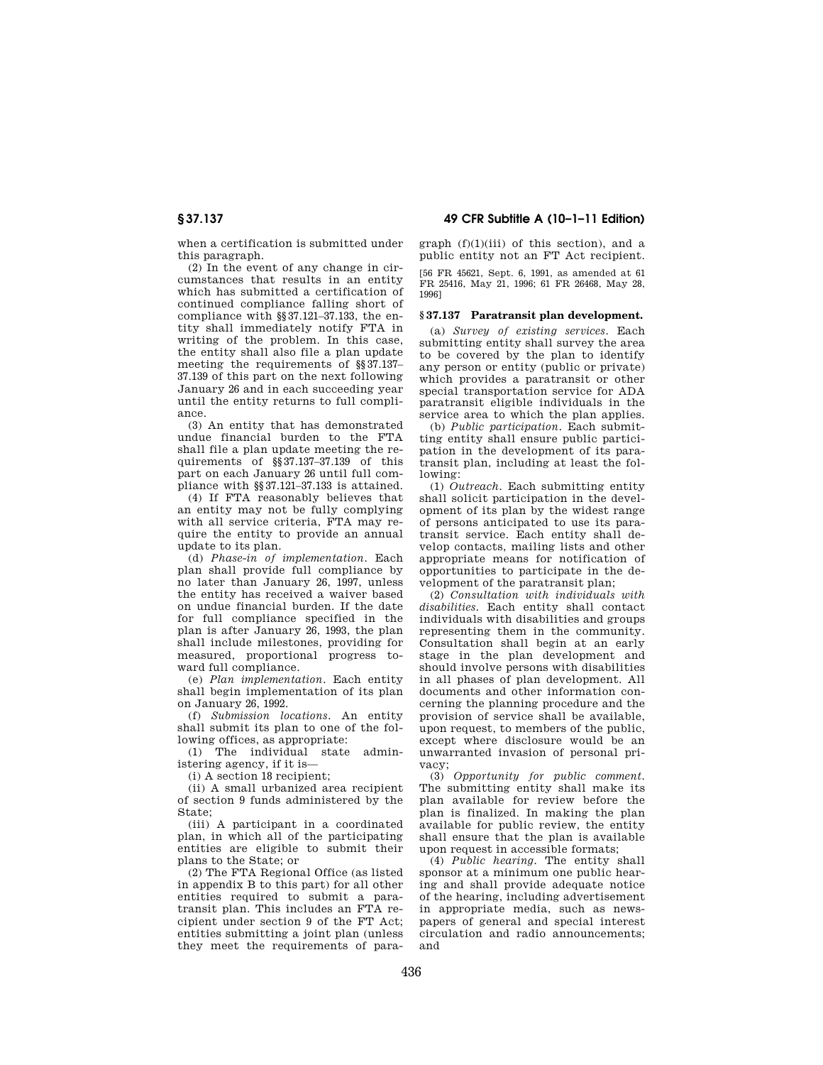when a certification is submitted under this paragraph.

(2) In the event of any change in circumstances that results in an entity which has submitted a certification of continued compliance falling short of compliance with §§37.121–37.133, the entity shall immediately notify FTA in writing of the problem. In this case, the entity shall also file a plan update meeting the requirements of §§37.137– 37.139 of this part on the next following January 26 and in each succeeding year until the entity returns to full compliance.

(3) An entity that has demonstrated undue financial burden to the FTA shall file a plan update meeting the requirements of §§37.137–37.139 of this part on each January 26 until full compliance with §§37.121–37.133 is attained.

(4) If FTA reasonably believes that an entity may not be fully complying with all service criteria, FTA may require the entity to provide an annual update to its plan.

(d) *Phase-in of implementation.* Each plan shall provide full compliance by no later than January 26, 1997, unless the entity has received a waiver based on undue financial burden. If the date for full compliance specified in the plan is after January 26, 1993, the plan shall include milestones, providing for measured, proportional progress toward full compliance.

(e) *Plan implementation.* Each entity shall begin implementation of its plan on January 26, 1992.

(f) *Submission locations.* An entity shall submit its plan to one of the following offices, as appropriate:

(1) The individual state administering agency, if it is—

(i) A section 18 recipient;

(ii) A small urbanized area recipient of section 9 funds administered by the State:

(iii) A participant in a coordinated plan, in which all of the participating entities are eligible to submit their plans to the State; or

(2) The FTA Regional Office (as listed in appendix B to this part) for all other entities required to submit a paratransit plan. This includes an FTA recipient under section 9 of the FT Act; entities submitting a joint plan (unless they meet the requirements of para-

**§ 37.137 49 CFR Subtitle A (10–1–11 Edition)** 

graph  $(f)(1)(iii)$  of this section), and a public entity not an FT Act recipient.

[56 FR 45621, Sept. 6, 1991, as amended at 61 FR 25416, May 21, 1996; 61 FR 26468, May 28, 1996]

## **§ 37.137 Paratransit plan development.**

(a) *Survey of existing services.* Each submitting entity shall survey the area to be covered by the plan to identify any person or entity (public or private) which provides a paratransit or other special transportation service for ADA paratransit eligible individuals in the service area to which the plan applies.

(b) *Public participation.* Each submitting entity shall ensure public participation in the development of its paratransit plan, including at least the following:

(1) *Outreach.* Each submitting entity shall solicit participation in the development of its plan by the widest range of persons anticipated to use its paratransit service. Each entity shall develop contacts, mailing lists and other appropriate means for notification of opportunities to participate in the development of the paratransit plan;

(2) *Consultation with individuals with disabilities.* Each entity shall contact individuals with disabilities and groups representing them in the community. Consultation shall begin at an early stage in the plan development and should involve persons with disabilities in all phases of plan development. All documents and other information concerning the planning procedure and the provision of service shall be available, upon request, to members of the public, except where disclosure would be an unwarranted invasion of personal privacy;

(3) *Opportunity for public comment.*  The submitting entity shall make its plan available for review before the plan is finalized. In making the plan available for public review, the entity shall ensure that the plan is available upon request in accessible formats;

(4) *Public hearing.* The entity shall sponsor at a minimum one public hearing and shall provide adequate notice of the hearing, including advertisement in appropriate media, such as newspapers of general and special interest circulation and radio announcements; and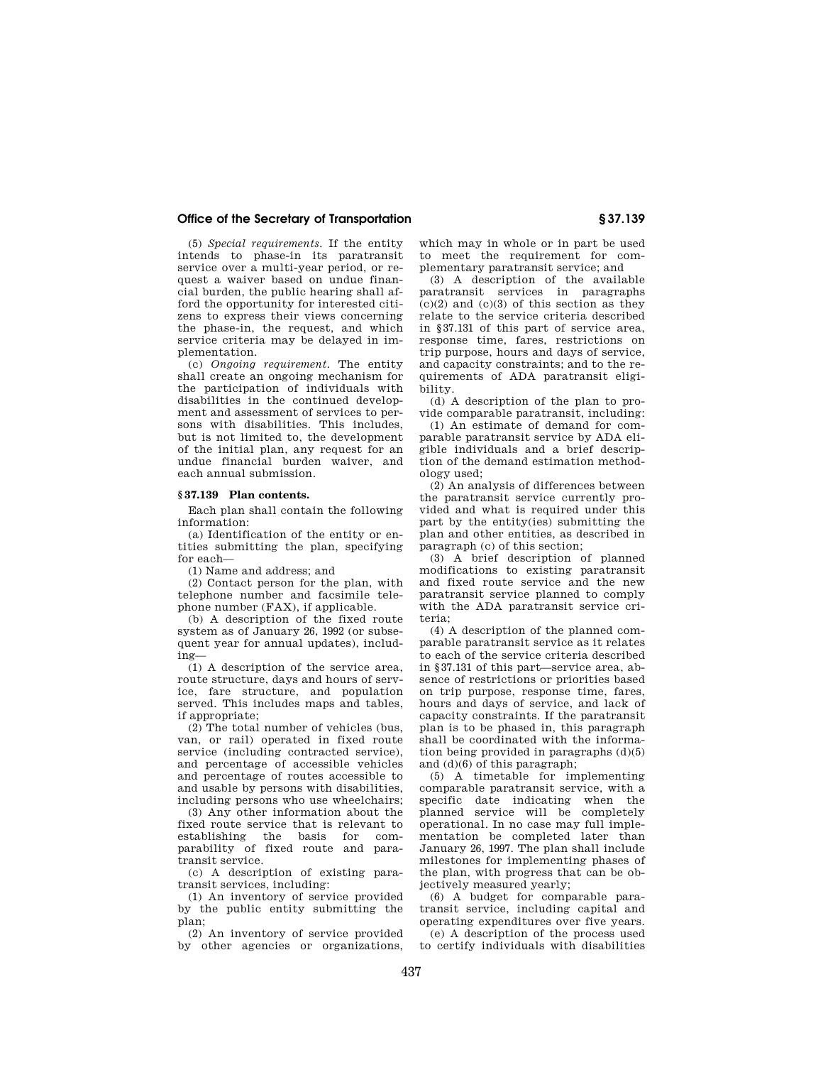(5) *Special requirements.* If the entity intends to phase-in its paratransit service over a multi-year period, or request a waiver based on undue financial burden, the public hearing shall afford the opportunity for interested citizens to express their views concerning the phase-in, the request, and which service criteria may be delayed in implementation.

(c) *Ongoing requirement.* The entity shall create an ongoing mechanism for the participation of individuals with disabilities in the continued development and assessment of services to persons with disabilities. This includes, but is not limited to, the development of the initial plan, any request for an undue financial burden waiver, and each annual submission.

# **§ 37.139 Plan contents.**

Each plan shall contain the following information:

(a) Identification of the entity or entities submitting the plan, specifying for each—

(1) Name and address; and

(2) Contact person for the plan, with telephone number and facsimile telephone number (FAX), if applicable.

(b) A description of the fixed route system as of January 26, 1992 (or subsequent year for annual updates), including—

(1) A description of the service area, route structure, days and hours of service, fare structure, and population served. This includes maps and tables, if appropriate;

(2) The total number of vehicles (bus, van, or rail) operated in fixed route service (including contracted service), and percentage of accessible vehicles and percentage of routes accessible to and usable by persons with disabilities, including persons who use wheelchairs;

(3) Any other information about the fixed route service that is relevant to establishing the basis for comparability of fixed route and paratransit service.

(c) A description of existing paratransit services, including:

(1) An inventory of service provided by the public entity submitting the plan;

(2) An inventory of service provided by other agencies or organizations,

which may in whole or in part be used to meet the requirement for complementary paratransit service; and

(3) A description of the available paratransit services in paragraphs  $(c)(2)$  and  $(c)(3)$  of this section as they relate to the service criteria described in §37.131 of this part of service area, response time, fares, restrictions on trip purpose, hours and days of service, and capacity constraints; and to the requirements of ADA paratransit eligibility.

(d) A description of the plan to provide comparable paratransit, including:

(1) An estimate of demand for comparable paratransit service by ADA eligible individuals and a brief description of the demand estimation methodology used;

(2) An analysis of differences between the paratransit service currently provided and what is required under this part by the entity(ies) submitting the plan and other entities, as described in paragraph (c) of this section;

(3) A brief description of planned modifications to existing paratransit and fixed route service and the new paratransit service planned to comply with the ADA paratransit service criteria;

(4) A description of the planned comparable paratransit service as it relates to each of the service criteria described in §37.131 of this part—service area, absence of restrictions or priorities based on trip purpose, response time, fares, hours and days of service, and lack of capacity constraints. If the paratransit plan is to be phased in, this paragraph shall be coordinated with the information being provided in paragraphs  $(d)(5)$ and (d)(6) of this paragraph;

(5) A timetable for implementing comparable paratransit service, with a specific date indicating when the planned service will be completely operational. In no case may full implementation be completed later than January 26, 1997. The plan shall include milestones for implementing phases of the plan, with progress that can be objectively measured yearly;

(6) A budget for comparable paratransit service, including capital and operating expenditures over five years.

(e) A description of the process used to certify individuals with disabilities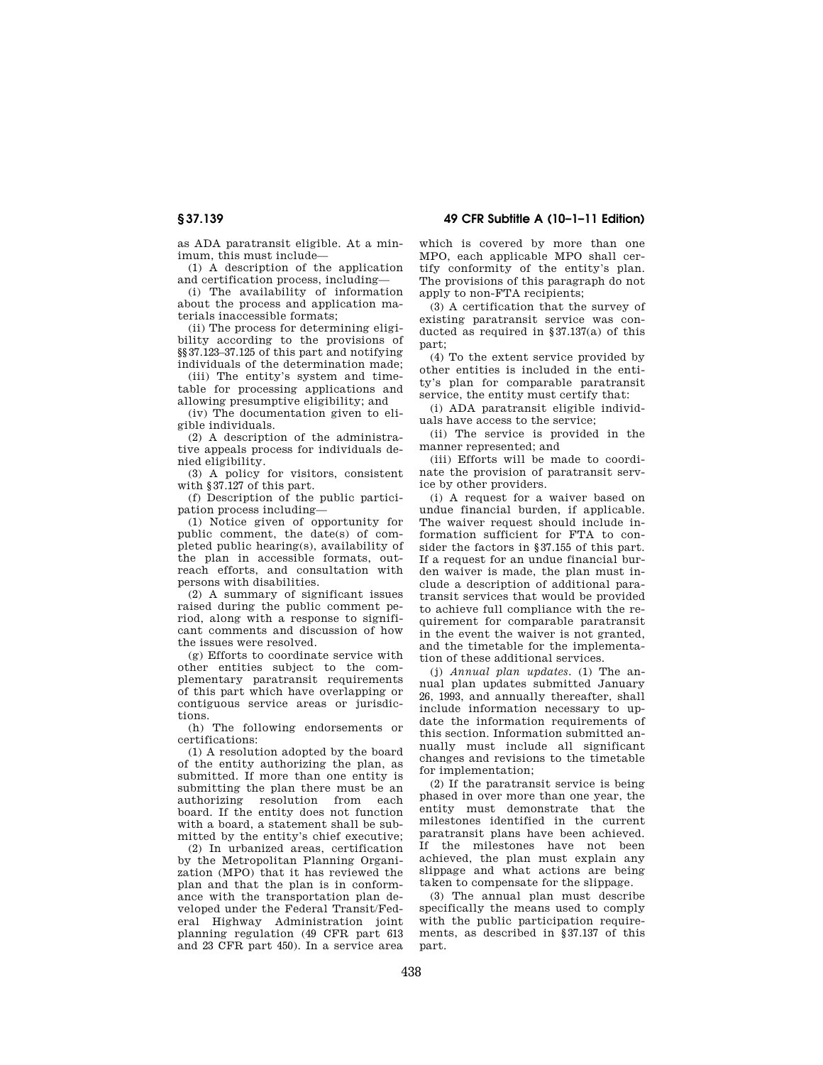as ADA paratransit eligible. At a minimum, this must include—

(1) A description of the application and certification process, including—

(i) The availability of information about the process and application materials inaccessible formats;

(ii) The process for determining eligibility according to the provisions of §§37.123–37.125 of this part and notifying individuals of the determination made;

(iii) The entity's system and timetable for processing applications and allowing presumptive eligibility; and

(iv) The documentation given to eligible individuals.

(2) A description of the administrative appeals process for individuals denied eligibility.

(3) A policy for visitors, consistent with §37.127 of this part.

(f) Description of the public participation process including—

(1) Notice given of opportunity for public comment, the date(s) of completed public hearing(s), availability of the plan in accessible formats, outreach efforts, and consultation with persons with disabilities.

(2) A summary of significant issues raised during the public comment period, along with a response to significant comments and discussion of how the issues were resolved.

(g) Efforts to coordinate service with other entities subject to the complementary paratransit requirements of this part which have overlapping or contiguous service areas or jurisdictions.

(h) The following endorsements or certifications:

(1) A resolution adopted by the board of the entity authorizing the plan, as submitted. If more than one entity is submitting the plan there must be an authorizing resolution from each board. If the entity does not function with a board, a statement shall be submitted by the entity's chief executive;

(2) In urbanized areas, certification by the Metropolitan Planning Organization (MPO) that it has reviewed the plan and that the plan is in conformance with the transportation plan developed under the Federal Transit/Federal Highway Administration joint planning regulation (49 CFR part 613 and 23 CFR part 450). In a service area

which is covered by more than one MPO, each applicable MPO shall certify conformity of the entity's plan. The provisions of this paragraph do not apply to non-FTA recipients;

(3) A certification that the survey of existing paratransit service was conducted as required in §37.137(a) of this part;

(4) To the extent service provided by other entities is included in the entity's plan for comparable paratransit service, the entity must certify that:

(i) ADA paratransit eligible individuals have access to the service;

(ii) The service is provided in the manner represented; and

(iii) Efforts will be made to coordinate the provision of paratransit service by other providers.

(i) A request for a waiver based on undue financial burden, if applicable. The waiver request should include information sufficient for FTA to consider the factors in §37.155 of this part. If a request for an undue financial burden waiver is made, the plan must include a description of additional paratransit services that would be provided to achieve full compliance with the requirement for comparable paratransit in the event the waiver is not granted, and the timetable for the implementation of these additional services.

(j) *Annual plan updates.* (1) The annual plan updates submitted January 26, 1993, and annually thereafter, shall include information necessary to update the information requirements of this section. Information submitted annually must include all significant changes and revisions to the timetable for implementation;

(2) If the paratransit service is being phased in over more than one year, the entity must demonstrate that the milestones identified in the current paratransit plans have been achieved. If the milestones have not been achieved, the plan must explain any slippage and what actions are being taken to compensate for the slippage.

(3) The annual plan must describe specifically the means used to comply with the public participation requirements, as described in §37.137 of this part.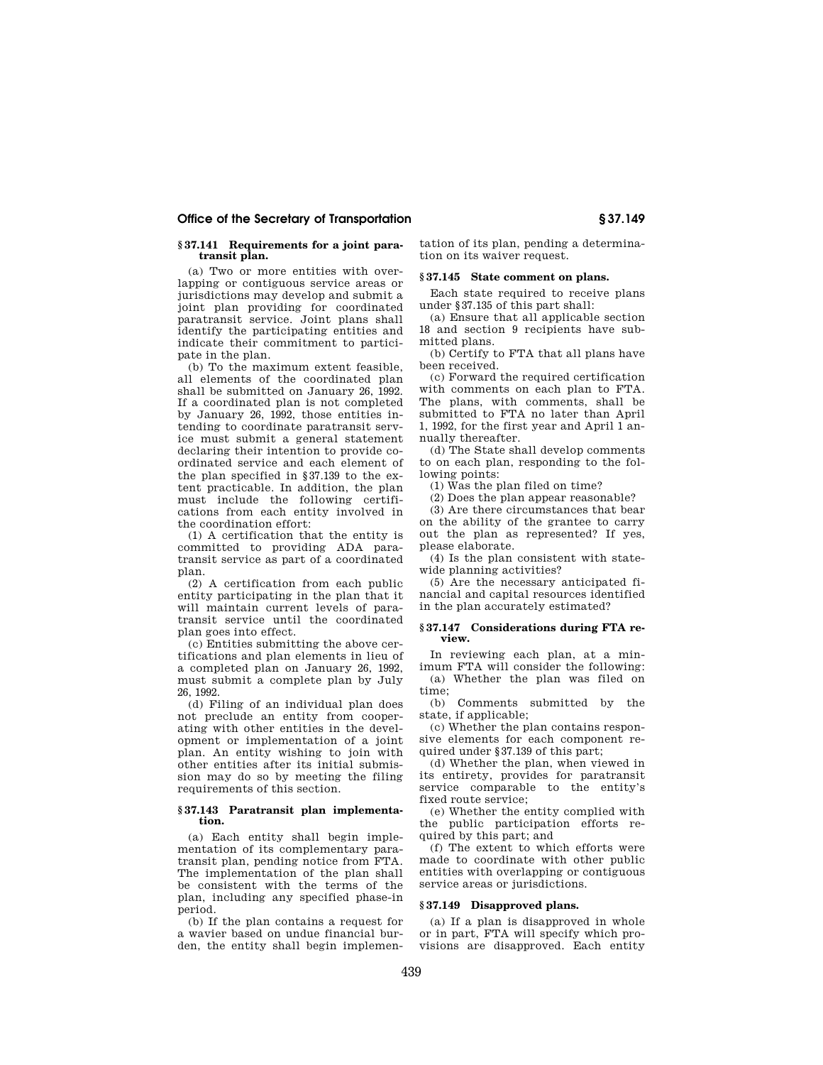## **§ 37.141 Requirements for a joint paratransit plan.**

(a) Two or more entities with overlapping or contiguous service areas or jurisdictions may develop and submit a joint plan providing for coordinated paratransit service. Joint plans shall identify the participating entities and indicate their commitment to participate in the plan.

(b) To the maximum extent feasible, all elements of the coordinated plan shall be submitted on January 26, 1992. If a coordinated plan is not completed by January 26, 1992, those entities intending to coordinate paratransit service must submit a general statement declaring their intention to provide coordinated service and each element of the plan specified in §37.139 to the extent practicable. In addition, the plan must include the following certifications from each entity involved in the coordination effort:

(1) A certification that the entity is committed to providing ADA paratransit service as part of a coordinated plan.

(2) A certification from each public entity participating in the plan that it will maintain current levels of paratransit service until the coordinated plan goes into effect.

(c) Entities submitting the above certifications and plan elements in lieu of a completed plan on January 26, 1992, must submit a complete plan by July 26, 1992.

(d) Filing of an individual plan does not preclude an entity from cooperating with other entities in the development or implementation of a joint plan. An entity wishing to join with other entities after its initial submission may do so by meeting the filing requirements of this section.

#### **§ 37.143 Paratransit plan implementation.**

(a) Each entity shall begin implementation of its complementary paratransit plan, pending notice from FTA. The implementation of the plan shall be consistent with the terms of the plan, including any specified phase-in period.

(b) If the plan contains a request for a wavier based on undue financial burden, the entity shall begin implementation of its plan, pending a determination on its waiver request.

#### **§ 37.145 State comment on plans.**

Each state required to receive plans under §37.135 of this part shall:

(a) Ensure that all applicable section 18 and section 9 recipients have submitted plans.

(b) Certify to FTA that all plans have been received.

(c) Forward the required certification with comments on each plan to FTA. The plans, with comments, shall be submitted to FTA no later than April 1, 1992, for the first year and April 1 annually thereafter.

(d) The State shall develop comments to on each plan, responding to the following points:

(1) Was the plan filed on time?

(2) Does the plan appear reasonable?

(3) Are there circumstances that bear on the ability of the grantee to carry out the plan as represented? If yes, please elaborate.

(4) Is the plan consistent with statewide planning activities?

(5) Are the necessary anticipated financial and capital resources identified in the plan accurately estimated?

#### **§ 37.147 Considerations during FTA review.**

In reviewing each plan, at a minimum FTA will consider the following: (a) Whether the plan was filed on

time;<br>(b) Comments submitted by the state, if applicable;

(c) Whether the plan contains responsive elements for each component required under §37.139 of this part;

(d) Whether the plan, when viewed in its entirety, provides for paratransit service comparable to the entity's fixed route service;

(e) Whether the entity complied with the public participation efforts required by this part; and

(f) The extent to which efforts were made to coordinate with other public entities with overlapping or contiguous service areas or jurisdictions.

# **§ 37.149 Disapproved plans.**

(a) If a plan is disapproved in whole or in part, FTA will specify which provisions are disapproved. Each entity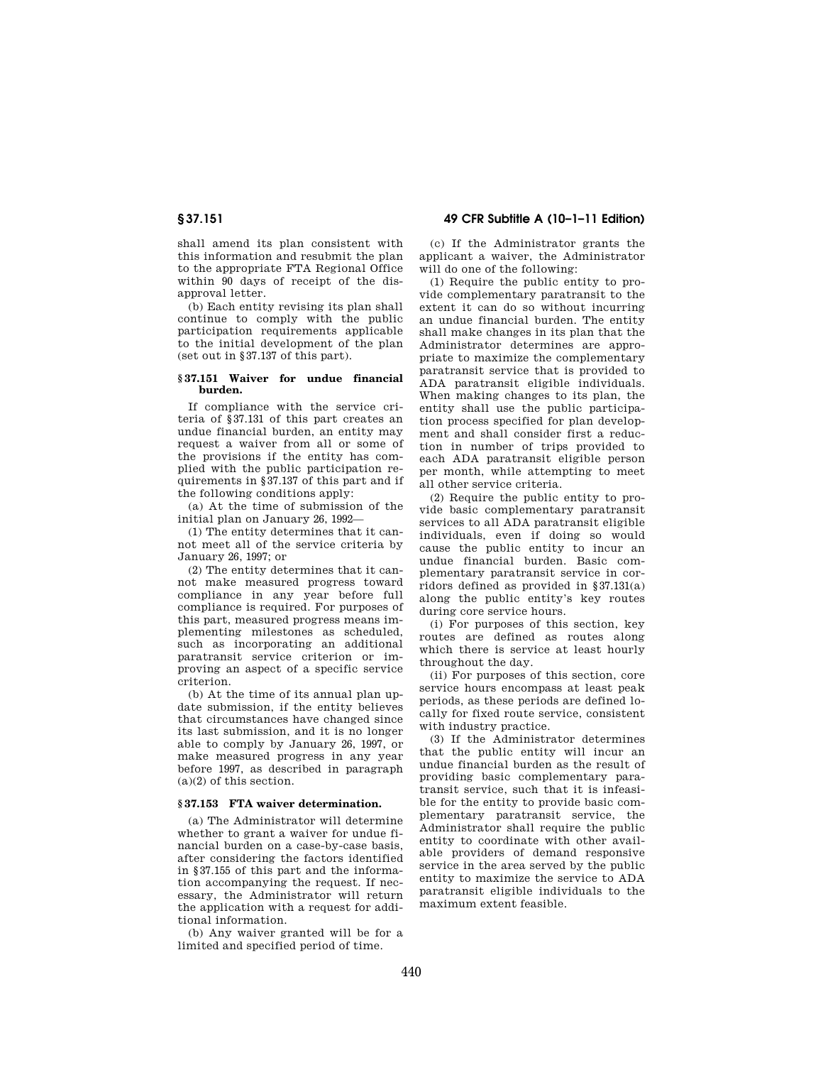shall amend its plan consistent with this information and resubmit the plan to the appropriate FTA Regional Office within 90 days of receipt of the disapproval letter.

(b) Each entity revising its plan shall continue to comply with the public participation requirements applicable to the initial development of the plan (set out in §37.137 of this part).

## **§ 37.151 Waiver for undue financial burden.**

If compliance with the service criteria of §37.131 of this part creates an undue financial burden, an entity may request a waiver from all or some of the provisions if the entity has complied with the public participation requirements in §37.137 of this part and if the following conditions apply:

(a) At the time of submission of the initial plan on January 26, 1992—

(1) The entity determines that it cannot meet all of the service criteria by January 26, 1997; or

(2) The entity determines that it cannot make measured progress toward compliance in any year before full compliance is required. For purposes of this part, measured progress means implementing milestones as scheduled, such as incorporating an additional paratransit service criterion or improving an aspect of a specific service criterion.

(b) At the time of its annual plan update submission, if the entity believes that circumstances have changed since its last submission, and it is no longer able to comply by January 26, 1997, or make measured progress in any year before 1997, as described in paragraph (a)(2) of this section.

# **§ 37.153 FTA waiver determination.**

(a) The Administrator will determine whether to grant a waiver for undue financial burden on a case-by-case basis, after considering the factors identified in §37.155 of this part and the information accompanying the request. If necessary, the Administrator will return the application with a request for additional information.

(b) Any waiver granted will be for a limited and specified period of time.

**§ 37.151 49 CFR Subtitle A (10–1–11 Edition)** 

(c) If the Administrator grants the applicant a waiver, the Administrator will do one of the following:

(1) Require the public entity to provide complementary paratransit to the extent it can do so without incurring an undue financial burden. The entity shall make changes in its plan that the Administrator determines are appropriate to maximize the complementary paratransit service that is provided to ADA paratransit eligible individuals. When making changes to its plan, the entity shall use the public participation process specified for plan development and shall consider first a reduction in number of trips provided to each ADA paratransit eligible person per month, while attempting to meet all other service criteria.

(2) Require the public entity to provide basic complementary paratransit services to all ADA paratransit eligible individuals, even if doing so would cause the public entity to incur an undue financial burden. Basic complementary paratransit service in corridors defined as provided in §37.131(a) along the public entity's key routes during core service hours.

(i) For purposes of this section, key routes are defined as routes along which there is service at least hourly throughout the day.

(ii) For purposes of this section, core service hours encompass at least peak periods, as these periods are defined locally for fixed route service, consistent with industry practice.

(3) If the Administrator determines that the public entity will incur an undue financial burden as the result of providing basic complementary paratransit service, such that it is infeasible for the entity to provide basic complementary paratransit service, the Administrator shall require the public entity to coordinate with other available providers of demand responsive service in the area served by the public entity to maximize the service to ADA paratransit eligible individuals to the maximum extent feasible.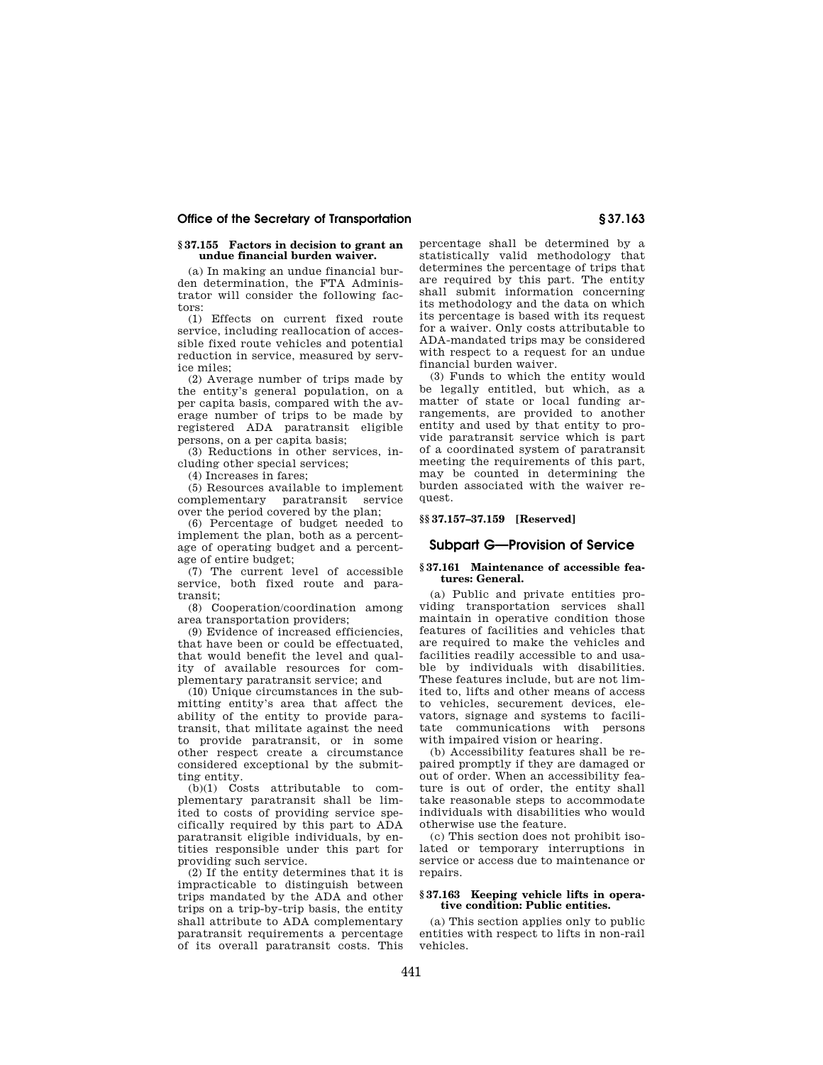# **Office of the Secretary of Transportation § 37.163**

# **§ 37.155 Factors in decision to grant an undue financial burden waiver.**

(a) In making an undue financial burden determination, the FTA Administrator will consider the following factors:

(1) Effects on current fixed route service, including reallocation of accessible fixed route vehicles and potential reduction in service, measured by service miles;

(2) Average number of trips made by the entity's general population, on a per capita basis, compared with the average number of trips to be made by registered ADA paratransit eligible persons, on a per capita basis;

(3) Reductions in other services, including other special services;

(4) Increases in fares;

(5) Resources available to implement complementary paratransit service over the period covered by the plan;

(6) Percentage of budget needed to implement the plan, both as a percentage of operating budget and a percentage of entire budget;

(7) The current level of accessible service, both fixed route and paratransit;

(8) Cooperation/coordination among area transportation providers;

(9) Evidence of increased efficiencies, that have been or could be effectuated, that would benefit the level and quality of available resources for complementary paratransit service; and

(10) Unique circumstances in the submitting entity's area that affect the ability of the entity to provide paratransit, that militate against the need to provide paratransit, or in some other respect create a circumstance considered exceptional by the submitting entity.

(b)(1) Costs attributable to complementary paratransit shall be limited to costs of providing service specifically required by this part to ADA paratransit eligible individuals, by entities responsible under this part for providing such service.

(2) If the entity determines that it is impracticable to distinguish between trips mandated by the ADA and other trips on a trip-by-trip basis, the entity shall attribute to ADA complementary paratransit requirements a percentage of its overall paratransit costs. This

percentage shall be determined by a statistically valid methodology that determines the percentage of trips that are required by this part. The entity shall submit information concerning its methodology and the data on which its percentage is based with its request for a waiver. Only costs attributable to ADA-mandated trips may be considered with respect to a request for an undue financial burden waiver.

(3) Funds to which the entity would be legally entitled, but which, as a matter of state or local funding arrangements, are provided to another entity and used by that entity to provide paratransit service which is part of a coordinated system of paratransit meeting the requirements of this part, may be counted in determining the burden associated with the waiver request.

# **§§ 37.157–37.159 [Reserved]**

# **Subpart G—Provision of Service**

## **§ 37.161 Maintenance of accessible features: General.**

(a) Public and private entities providing transportation services shall maintain in operative condition those features of facilities and vehicles that are required to make the vehicles and facilities readily accessible to and usable by individuals with disabilities. These features include, but are not limited to, lifts and other means of access to vehicles, securement devices, elevators, signage and systems to facilitate communications with persons with impaired vision or hearing.

(b) Accessibility features shall be repaired promptly if they are damaged or out of order. When an accessibility feature is out of order, the entity shall take reasonable steps to accommodate individuals with disabilities who would otherwise use the feature.

(c) This section does not prohibit isolated or temporary interruptions in service or access due to maintenance or repairs.

## **§ 37.163 Keeping vehicle lifts in operative condition: Public entities.**

(a) This section applies only to public entities with respect to lifts in non-rail vehicles.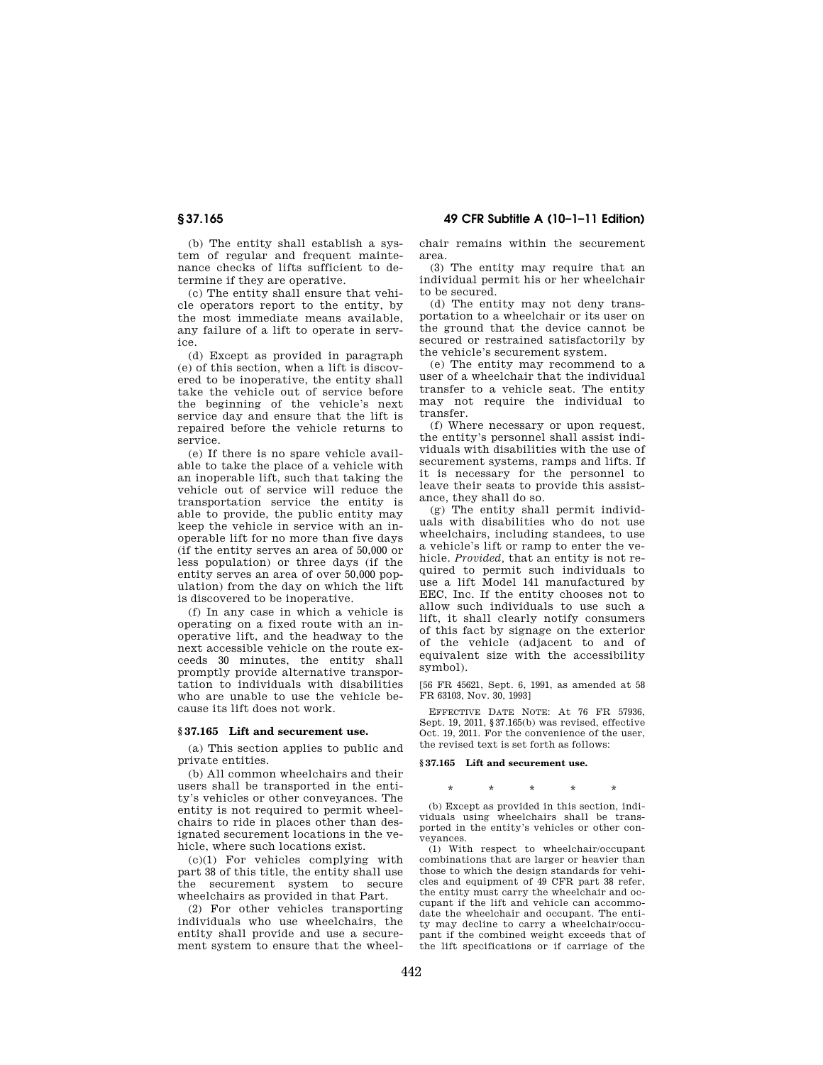(b) The entity shall establish a system of regular and frequent maintenance checks of lifts sufficient to determine if they are operative.

(c) The entity shall ensure that vehicle operators report to the entity, by the most immediate means available, any failure of a lift to operate in service.

(d) Except as provided in paragraph (e) of this section, when a lift is discovered to be inoperative, the entity shall take the vehicle out of service before the beginning of the vehicle's next service day and ensure that the lift is repaired before the vehicle returns to service.

(e) If there is no spare vehicle available to take the place of a vehicle with an inoperable lift, such that taking the vehicle out of service will reduce the transportation service the entity is able to provide, the public entity may keep the vehicle in service with an inoperable lift for no more than five days (if the entity serves an area of 50,000 or less population) or three days (if the entity serves an area of over 50,000 population) from the day on which the lift is discovered to be inoperative.

(f) In any case in which a vehicle is operating on a fixed route with an inoperative lift, and the headway to the next accessible vehicle on the route exceeds 30 minutes, the entity shall promptly provide alternative transportation to individuals with disabilities who are unable to use the vehicle because its lift does not work.

## **§ 37.165 Lift and securement use.**

(a) This section applies to public and private entities.

(b) All common wheelchairs and their users shall be transported in the entity's vehicles or other conveyances. The entity is not required to permit wheelchairs to ride in places other than designated securement locations in the vehicle, where such locations exist.

(c)(1) For vehicles complying with part 38 of this title, the entity shall use the securement system to secure wheelchairs as provided in that Part.

(2) For other vehicles transporting individuals who use wheelchairs, the entity shall provide and use a securement system to ensure that the wheelchair remains within the securement area.

(3) The entity may require that an individual permit his or her wheelchair to be secured.

(d) The entity may not deny transportation to a wheelchair or its user on the ground that the device cannot be secured or restrained satisfactorily by the vehicle's securement system.

(e) The entity may recommend to a user of a wheelchair that the individual transfer to a vehicle seat. The entity may not require the individual to transfer.

(f) Where necessary or upon request, the entity's personnel shall assist individuals with disabilities with the use of securement systems, ramps and lifts. If it is necessary for the personnel to leave their seats to provide this assistance, they shall do so.

(g) The entity shall permit individuals with disabilities who do not use wheelchairs, including standees, to use a vehicle's lift or ramp to enter the vehicle. *Provided,* that an entity is not required to permit such individuals to use a lift Model 141 manufactured by EEC, Inc. If the entity chooses not to allow such individuals to use such a lift, it shall clearly notify consumers of this fact by signage on the exterior of the vehicle (adjacent to and of equivalent size with the accessibility symbol).

[56 FR 45621, Sept. 6, 1991, as amended at 58 FR 63103, Nov. 30, 1993]

EFFECTIVE DATE NOTE: At 76 FR 57936 Sept. 19, 2011, §37.165(b) was revised, effective Oct. 19, 2011. For the convenience of the user, the revised text is set forth as follows:

# **§ 37.165 Lift and securement use.**

(b) Except as provided in this section, individuals using wheelchairs shall be transported in the entity's vehicles or other conveyances.

\* \* \* \* \*

(1) With respect to wheelchair/occupant combinations that are larger or heavier than those to which the design standards for vehicles and equipment of 49 CFR part 38 refer, the entity must carry the wheelchair and occupant if the lift and vehicle can accommodate the wheelchair and occupant. The entity may decline to carry a wheelchair/occupant if the combined weight exceeds that of the lift specifications or if carriage of the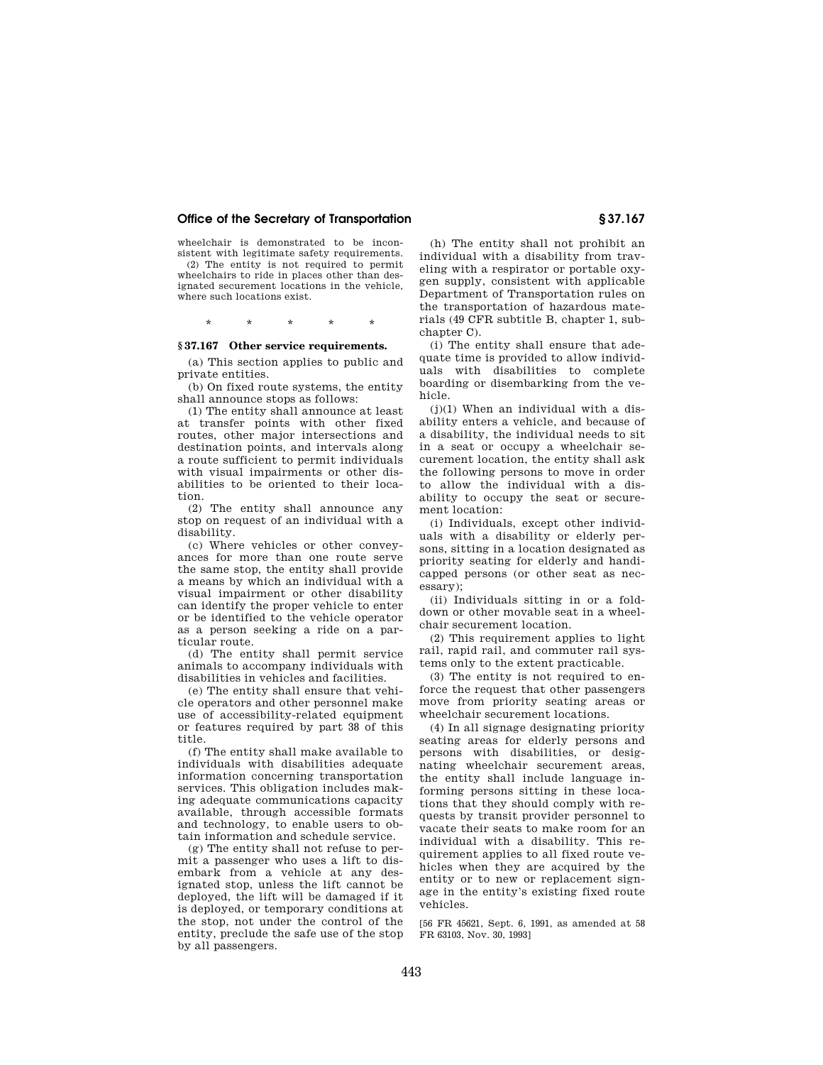# **Office of the Secretary of Transportation § 37.167**

wheelchair is demonstrated to be inconsistent with legitimate safety requirements. (2) The entity is not required to permit wheelchairs to ride in places other than designated securement locations in the vehicle,

where such locations exist.

\* \* \* \* \*

# **§ 37.167 Other service requirements.**

(a) This section applies to public and private entities.

(b) On fixed route systems, the entity shall announce stops as follows:

(1) The entity shall announce at least at transfer points with other fixed routes, other major intersections and destination points, and intervals along a route sufficient to permit individuals with visual impairments or other disabilities to be oriented to their location.

(2) The entity shall announce any stop on request of an individual with a disability.

(c) Where vehicles or other conveyances for more than one route serve the same stop, the entity shall provide a means by which an individual with a visual impairment or other disability can identify the proper vehicle to enter or be identified to the vehicle operator as a person seeking a ride on a particular route.

(d) The entity shall permit service animals to accompany individuals with disabilities in vehicles and facilities.

(e) The entity shall ensure that vehicle operators and other personnel make use of accessibility-related equipment or features required by part 38 of this title.

(f) The entity shall make available to individuals with disabilities adequate information concerning transportation services. This obligation includes making adequate communications capacity available, through accessible formats and technology, to enable users to obtain information and schedule service.

(g) The entity shall not refuse to permit a passenger who uses a lift to disembark from a vehicle at any designated stop, unless the lift cannot be deployed, the lift will be damaged if it is deployed, or temporary conditions at the stop, not under the control of the entity, preclude the safe use of the stop by all passengers.

(h) The entity shall not prohibit an individual with a disability from traveling with a respirator or portable oxygen supply, consistent with applicable Department of Transportation rules on the transportation of hazardous materials (49 CFR subtitle B, chapter 1, subchapter C).

(i) The entity shall ensure that adequate time is provided to allow individuals with disabilities to complete boarding or disembarking from the vehicle.

(j)(1) When an individual with a disability enters a vehicle, and because of a disability, the individual needs to sit in a seat or occupy a wheelchair securement location, the entity shall ask the following persons to move in order to allow the individual with a disability to occupy the seat or securement location:

(i) Individuals, except other individuals with a disability or elderly persons, sitting in a location designated as priority seating for elderly and handicapped persons (or other seat as necessary);

(ii) Individuals sitting in or a folddown or other movable seat in a wheelchair securement location.

(2) This requirement applies to light rail, rapid rail, and commuter rail systems only to the extent practicable.

(3) The entity is not required to enforce the request that other passengers move from priority seating areas or wheelchair securement locations.

(4) In all signage designating priority seating areas for elderly persons and persons with disabilities, or designating wheelchair securement areas, the entity shall include language informing persons sitting in these locations that they should comply with requests by transit provider personnel to vacate their seats to make room for an individual with a disability. This requirement applies to all fixed route vehicles when they are acquired by the entity or to new or replacement signage in the entity's existing fixed route vehicles.

[56 FR 45621, Sept. 6, 1991, as amended at 58 FR 63103, Nov. 30, 1993]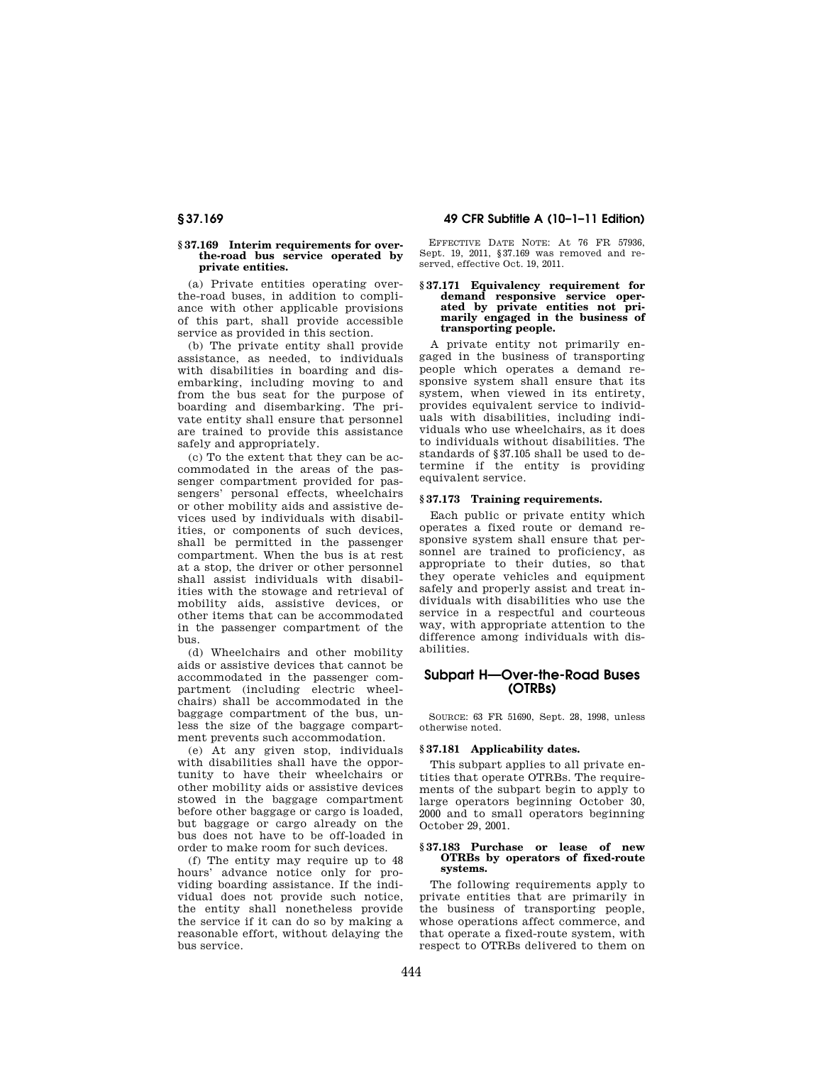## **§ 37.169 Interim requirements for overthe-road bus service operated by private entities.**

(a) Private entities operating overthe-road buses, in addition to compliance with other applicable provisions of this part, shall provide accessible service as provided in this section.

(b) The private entity shall provide assistance, as needed, to individuals with disabilities in boarding and disembarking, including moving to and from the bus seat for the purpose of boarding and disembarking. The private entity shall ensure that personnel are trained to provide this assistance safely and appropriately.

(c) To the extent that they can be accommodated in the areas of the passenger compartment provided for passengers' personal effects, wheelchairs or other mobility aids and assistive devices used by individuals with disabilities, or components of such devices, shall be permitted in the passenger compartment. When the bus is at rest at a stop, the driver or other personnel shall assist individuals with disabilities with the stowage and retrieval of mobility aids, assistive devices, or other items that can be accommodated in the passenger compartment of the bus.

(d) Wheelchairs and other mobility aids or assistive devices that cannot be accommodated in the passenger compartment (including electric wheelchairs) shall be accommodated in the baggage compartment of the bus, unless the size of the baggage compartment prevents such accommodation.

(e) At any given stop, individuals with disabilities shall have the opportunity to have their wheelchairs or other mobility aids or assistive devices stowed in the baggage compartment before other baggage or cargo is loaded, but baggage or cargo already on the bus does not have to be off-loaded in order to make room for such devices.

(f) The entity may require up to 48 hours' advance notice only for providing boarding assistance. If the individual does not provide such notice, the entity shall nonetheless provide the service if it can do so by making a reasonable effort, without delaying the bus service.

# **§ 37.169 49 CFR Subtitle A (10–1–11 Edition)**

EFFECTIVE DATE NOTE: At 76 FR 57936, Sept. 19, 2011, §37.169 was removed and reserved, effective Oct. 19, 2011.

## **§ 37.171 Equivalency requirement for demand responsive service operated by private entities not primarily engaged in the business of transporting people.**

A private entity not primarily engaged in the business of transporting people which operates a demand responsive system shall ensure that its system, when viewed in its entirety, provides equivalent service to individuals with disabilities, including individuals who use wheelchairs, as it does to individuals without disabilities. The standards of §37.105 shall be used to determine if the entity is providing equivalent service.

# **§ 37.173 Training requirements.**

Each public or private entity which operates a fixed route or demand responsive system shall ensure that personnel are trained to proficiency, as appropriate to their duties, so that they operate vehicles and equipment safely and properly assist and treat individuals with disabilities who use the service in a respectful and courteous way, with appropriate attention to the difference among individuals with disabilities.

# **Subpart H—Over-the-Road Buses (OTRBs)**

SOURCE: 63 FR 51690, Sept. 28, 1998, unless otherwise noted.

# **§ 37.181 Applicability dates.**

This subpart applies to all private entities that operate OTRBs. The requirements of the subpart begin to apply to large operators beginning October 30, 2000 and to small operators beginning October 29, 2001.

## **§ 37.183 Purchase or lease of new OTRBs by operators of fixed-route systems.**

The following requirements apply to private entities that are primarily in the business of transporting people, whose operations affect commerce, and that operate a fixed-route system, with respect to OTRBs delivered to them on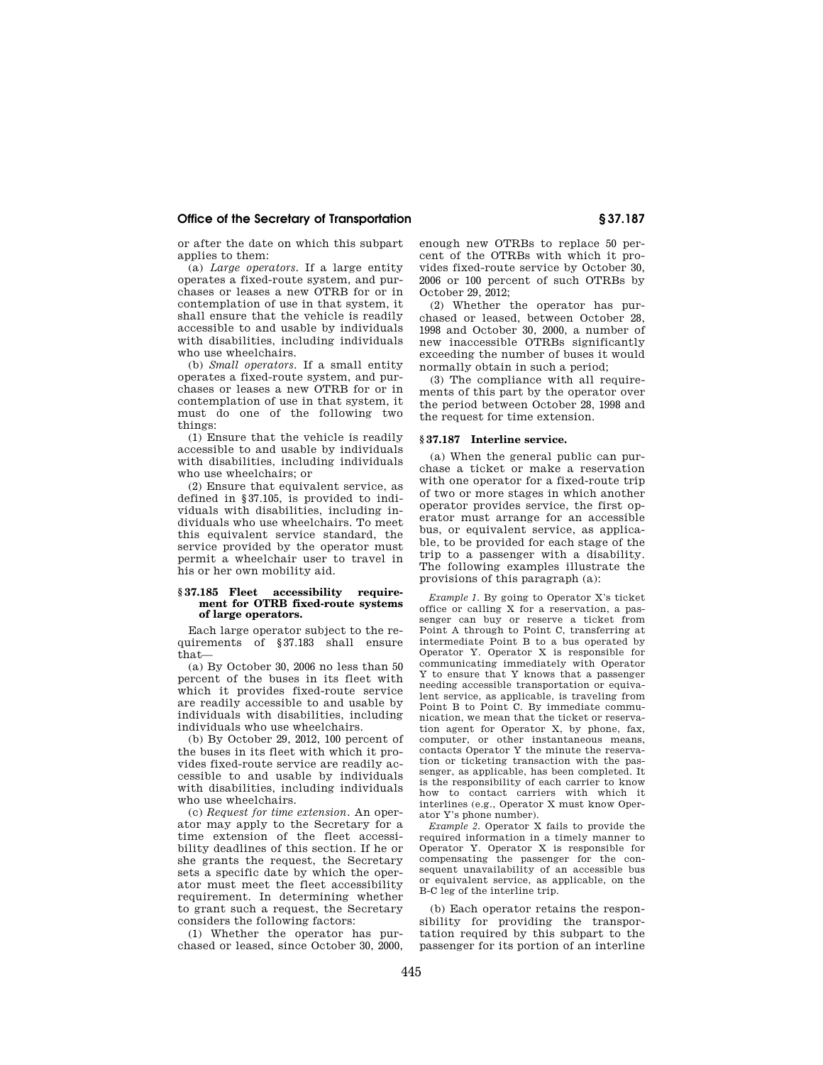# **Office of the Secretary of Transportation § 37.187**

or after the date on which this subpart applies to them:

(a) *Large operators.* If a large entity operates a fixed-route system, and purchases or leases a new OTRB for or in contemplation of use in that system, it shall ensure that the vehicle is readily accessible to and usable by individuals with disabilities, including individuals who use wheelchairs.

(b) *Small operators.* If a small entity operates a fixed-route system, and purchases or leases a new OTRB for or in contemplation of use in that system, it must do one of the following two things:

(1) Ensure that the vehicle is readily accessible to and usable by individuals with disabilities, including individuals who use wheelchairs; or

(2) Ensure that equivalent service, as defined in §37.105, is provided to individuals with disabilities, including individuals who use wheelchairs. To meet this equivalent service standard, the service provided by the operator must permit a wheelchair user to travel in his or her own mobility aid.

## **§ 37.185 Fleet accessibility requirement for OTRB fixed-route systems of large operators.**

Each large operator subject to the requirements of §37.183 shall ensure that—

(a) By October 30, 2006 no less than 50 percent of the buses in its fleet with which it provides fixed-route service are readily accessible to and usable by individuals with disabilities, including individuals who use wheelchairs.

(b) By October 29, 2012, 100 percent of the buses in its fleet with which it provides fixed-route service are readily accessible to and usable by individuals with disabilities, including individuals who use wheelchairs.

(c) *Request for time extension.* An operator may apply to the Secretary for a time extension of the fleet accessibility deadlines of this section. If he or she grants the request, the Secretary sets a specific date by which the operator must meet the fleet accessibility requirement. In determining whether to grant such a request, the Secretary considers the following factors:

(1) Whether the operator has purchased or leased, since October 30, 2000, enough new OTRBs to replace 50 percent of the OTRBs with which it provides fixed-route service by October 30, 2006 or 100 percent of such OTRBs by October 29, 2012;

(2) Whether the operator has purchased or leased, between October 28, 1998 and October 30, 2000, a number of new inaccessible OTRBs significantly exceeding the number of buses it would normally obtain in such a period;

(3) The compliance with all requirements of this part by the operator over the period between October 28, 1998 and the request for time extension.

## **§ 37.187 Interline service.**

(a) When the general public can purchase a ticket or make a reservation with one operator for a fixed-route trip of two or more stages in which another operator provides service, the first operator must arrange for an accessible bus, or equivalent service, as applicable, to be provided for each stage of the trip to a passenger with a disability. The following examples illustrate the provisions of this paragraph (a):

*Example 1.* By going to Operator X's ticket office or calling X for a reservation, a passenger can buy or reserve a ticket from Point A through to Point C, transferring at intermediate Point B to a bus operated by Operator Y. Operator X is responsible for communicating immediately with Operator Y to ensure that Y knows that a passenger needing accessible transportation or equivalent service, as applicable, is traveling from Point B to Point C. By immediate communication, we mean that the ticket or reservation agent for Operator X, by phone, fax, computer, or other instantaneous means, contacts Operator Y the minute the reservation or ticketing transaction with the passenger, as applicable, has been completed. It is the responsibility of each carrier to know how to contact carriers with which it interlines (e.g., Operator X must know Operator Y's phone number).

*Example 2.* Operator X fails to provide the required information in a timely manner to Operator Y. Operator X is responsible for compensating the passenger for the consequent unavailability of an accessible bus or equivalent service, as applicable, on the B-C leg of the interline trip.

(b) Each operator retains the responsibility for providing the transportation required by this subpart to the passenger for its portion of an interline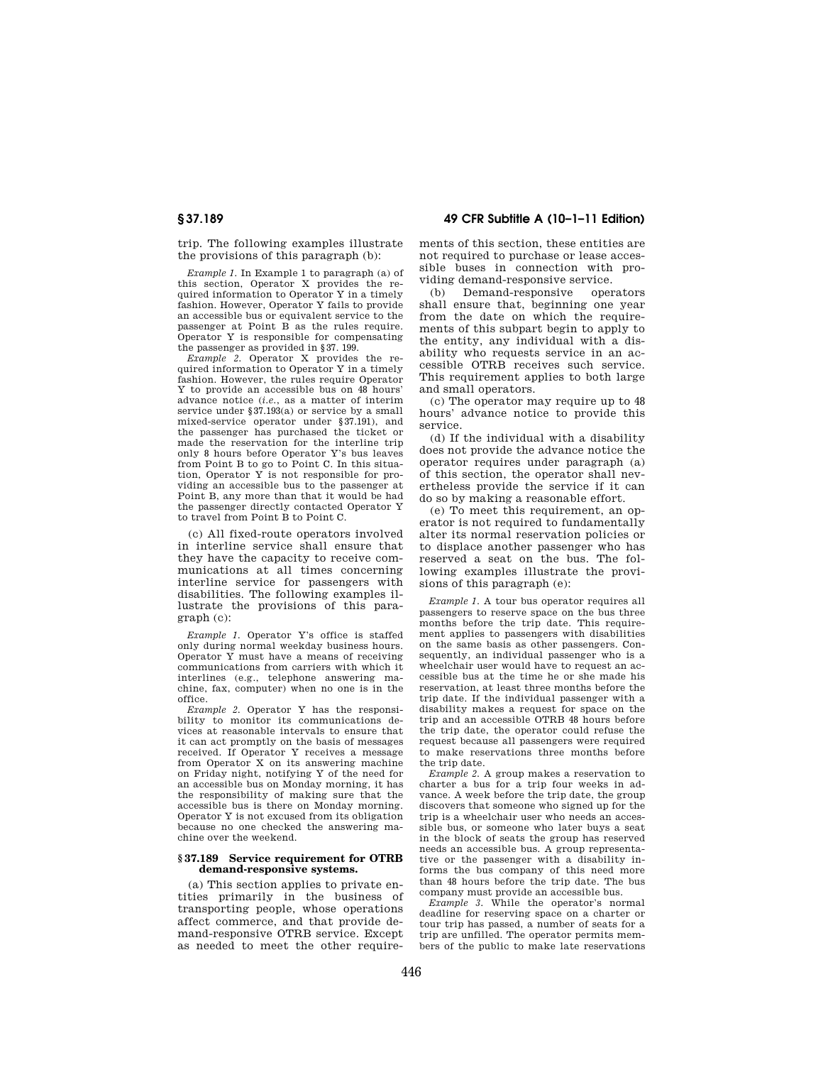trip. The following examples illustrate the provisions of this paragraph (b):

*Example 1.* In Example 1 to paragraph (a) of this section, Operator X provides the required information to Operator Y in a timely fashion. However, Operator Y fails to provide an accessible bus or equivalent service to the passenger at Point B as the rules require. Operator Y is responsible for compensating the passenger as provided in §37. 199.

*Example 2.* Operator X provides the required information to Operator Y in a timely fashion. However, the rules require Operator Y to provide an accessible bus on 48 hours' advance notice (*i.e.*, as a matter of interim service under §37.193(a) or service by a small mixed-service operator under §37.191), and the passenger has purchased the ticket or made the reservation for the interline trip only 8 hours before Operator Y's bus leaves from Point B to go to Point C. In this situa-tion, Operator Y is not responsible for providing an accessible bus to the passenger at Point B, any more than that it would be had the passenger directly contacted Operator Y to travel from Point B to Point C.

(c) All fixed-route operators involved in interline service shall ensure that they have the capacity to receive communications at all times concerning interline service for passengers with disabilities. The following examples illustrate the provisions of this paragraph (c):

*Example 1.* Operator Y's office is staffed only during normal weekday business hours. Operator Y must have a means of receiving communications from carriers with which it interlines (e.g., telephone answering machine, fax, computer) when no one is in the office.

*Example 2.* Operator Y has the responsibility to monitor its communications devices at reasonable intervals to ensure that it can act promptly on the basis of messages received. If Operator Y receives a message from Operator X on its answering machine on Friday night, notifying Y of the need for an accessible bus on Monday morning, it has the responsibility of making sure that the accessible bus is there on Monday morning. Operator Y is not excused from its obligation because no one checked the answering machine over the weekend.

# **§ 37.189 Service requirement for OTRB demand-responsive systems.**

(a) This section applies to private entities primarily in the business of transporting people, whose operations affect commerce, and that provide demand-responsive OTRB service. Except as needed to meet the other require-

**§ 37.189 49 CFR Subtitle A (10–1–11 Edition)** 

ments of this section, these entities are not required to purchase or lease accessible buses in connection with providing demand-responsive service.

(b) Demand-responsive operators shall ensure that, beginning one year from the date on which the requirements of this subpart begin to apply to the entity, any individual with a disability who requests service in an accessible OTRB receives such service. This requirement applies to both large and small operators.

(c) The operator may require up to 48 hours' advance notice to provide this service.

(d) If the individual with a disability does not provide the advance notice the operator requires under paragraph (a) of this section, the operator shall nevertheless provide the service if it can do so by making a reasonable effort.

(e) To meet this requirement, an operator is not required to fundamentally alter its normal reservation policies or to displace another passenger who has reserved a seat on the bus. The following examples illustrate the provisions of this paragraph (e):

*Example 1.* A tour bus operator requires all passengers to reserve space on the bus three months before the trip date. This requirement applies to passengers with disabilities on the same basis as other passengers. Consequently, an individual passenger who is a wheelchair user would have to request an accessible bus at the time he or she made his reservation, at least three months before the trip date. If the individual passenger with a disability makes a request for space on the trip and an accessible OTRB 48 hours before the trip date, the operator could refuse the request because all passengers were required to make reservations three months before the trip date.

*Example 2.* A group makes a reservation to charter a bus for a trip four weeks in advance. A week before the trip date, the group discovers that someone who signed up for the trip is a wheelchair user who needs an accessible bus, or someone who later buys a seat in the block of seats the group has reserved needs an accessible bus. A group representative or the passenger with a disability informs the bus company of this need more than 48 hours before the trip date. The bus company must provide an accessible bus.

*Example 3.* While the operator's normal deadline for reserving space on a charter or tour trip has passed, a number of seats for a trip are unfilled. The operator permits members of the public to make late reservations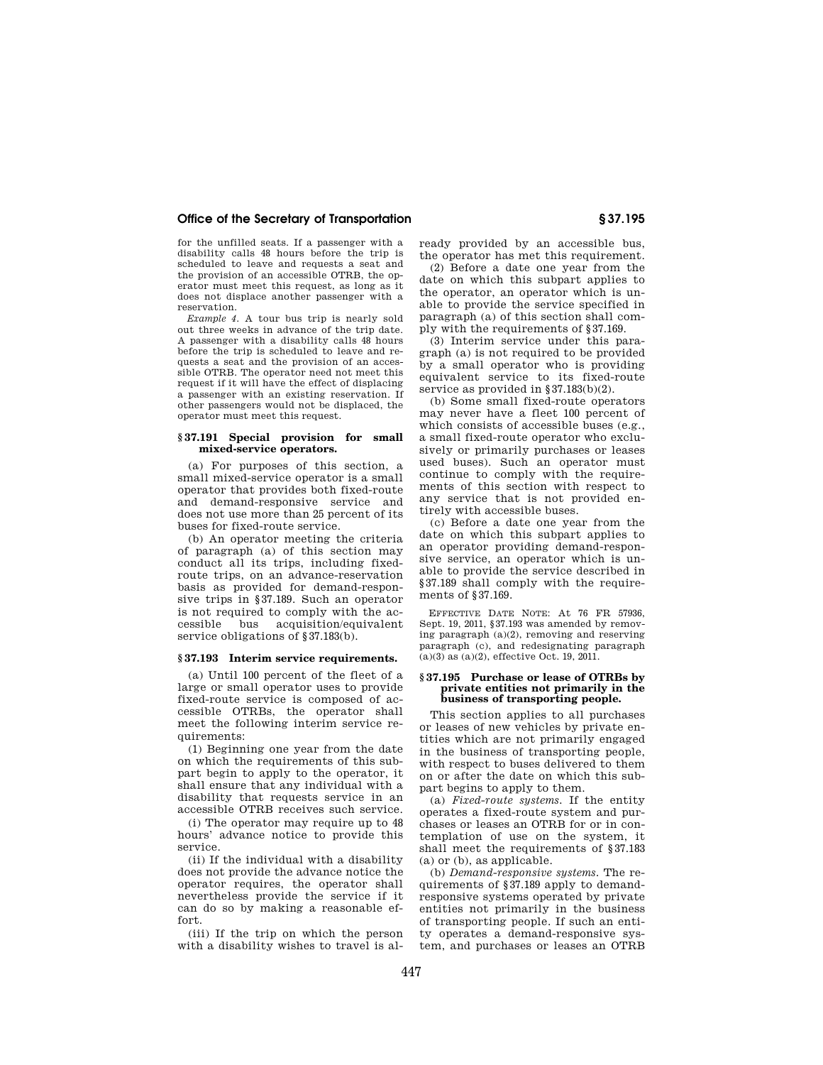# **Office of the Secretary of Transportation § 37.195**

for the unfilled seats. If a passenger with a disability calls 48 hours before the trip is scheduled to leave and requests a seat and the provision of an accessible OTRB, the operator must meet this request, as long as it does not displace another passenger with a reservation.

*Example 4.* A tour bus trip is nearly sold out three weeks in advance of the trip date. A passenger with a disability calls 48 hours before the trip is scheduled to leave and requests a seat and the provision of an accessible OTRB. The operator need not meet this request if it will have the effect of displacing a passenger with an existing reservation. If other passengers would not be displaced, the operator must meet this request.

## **§ 37.191 Special provision for small mixed-service operators.**

(a) For purposes of this section, a small mixed-service operator is a small operator that provides both fixed-route and demand-responsive service and does not use more than 25 percent of its buses for fixed-route service.

(b) An operator meeting the criteria of paragraph (a) of this section may conduct all its trips, including fixedroute trips, on an advance-reservation basis as provided for demand-responsive trips in §37.189. Such an operator is not required to comply with the accessible bus acquisition/equivalent service obligations of §37.183(b).

## **§ 37.193 Interim service requirements.**

(a) Until 100 percent of the fleet of a large or small operator uses to provide fixed-route service is composed of accessible OTRBs, the operator shall meet the following interim service requirements:

(1) Beginning one year from the date on which the requirements of this subpart begin to apply to the operator, it shall ensure that any individual with a disability that requests service in an accessible OTRB receives such service.

(i) The operator may require up to 48 hours' advance notice to provide this service.

(ii) If the individual with a disability does not provide the advance notice the operator requires, the operator shall nevertheless provide the service if it can do so by making a reasonable effort.

(iii) If the trip on which the person with a disability wishes to travel is already provided by an accessible bus, the operator has met this requirement.

(2) Before a date one year from the date on which this subpart applies to the operator, an operator which is unable to provide the service specified in paragraph (a) of this section shall comply with the requirements of §37.169.

(3) Interim service under this paragraph (a) is not required to be provided by a small operator who is providing equivalent service to its fixed-route service as provided in §37.183(b)(2).

(b) Some small fixed-route operators may never have a fleet 100 percent of which consists of accessible buses (e.g., a small fixed-route operator who exclusively or primarily purchases or leases used buses). Such an operator must continue to comply with the requirements of this section with respect to any service that is not provided entirely with accessible buses.

(c) Before a date one year from the date on which this subpart applies to an operator providing demand-responsive service, an operator which is unable to provide the service described in §37.189 shall comply with the requirements of §37.169.

EFFECTIVE DATE NOTE: At 76 FR 57936, Sept. 19, 2011, §37.193 was amended by removing paragraph (a)(2), removing and reserving paragraph (c), and redesignating paragraph  $(a)(3)$  as  $(a)(2)$ , effective Oct. 19, 2011.

## **§ 37.195 Purchase or lease of OTRBs by private entities not primarily in the business of transporting people.**

This section applies to all purchases or leases of new vehicles by private entities which are not primarily engaged in the business of transporting people, with respect to buses delivered to them on or after the date on which this subpart begins to apply to them.

(a) *Fixed-route systems.* If the entity operates a fixed-route system and purchases or leases an OTRB for or in contemplation of use on the system, it shall meet the requirements of §37.183 (a) or (b), as applicable.

(b) *Demand-responsive systems.* The requirements of §37.189 apply to demandresponsive systems operated by private entities not primarily in the business of transporting people. If such an entity operates a demand-responsive system, and purchases or leases an OTRB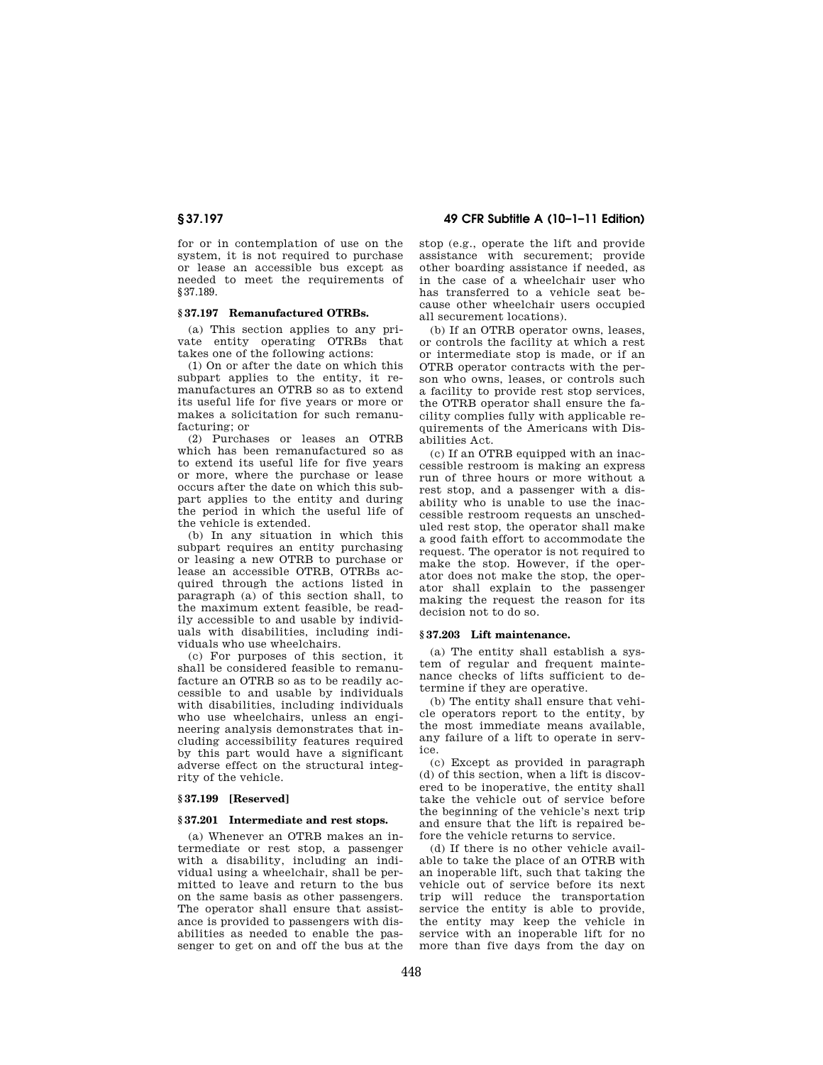for or in contemplation of use on the system, it is not required to purchase or lease an accessible bus except as needed to meet the requirements of §37.189.

## **§ 37.197 Remanufactured OTRBs.**

(a) This section applies to any private entity operating OTRBs that takes one of the following actions:

(1) On or after the date on which this subpart applies to the entity, it remanufactures an OTRB so as to extend its useful life for five years or more or makes a solicitation for such remanufacturing; or

(2) Purchases or leases an OTRB which has been remanufactured so as to extend its useful life for five years or more, where the purchase or lease occurs after the date on which this subpart applies to the entity and during the period in which the useful life of the vehicle is extended.

(b) In any situation in which this subpart requires an entity purchasing or leasing a new OTRB to purchase or lease an accessible OTRB, OTRBs acquired through the actions listed in paragraph (a) of this section shall, to the maximum extent feasible, be readily accessible to and usable by individuals with disabilities, including individuals who use wheelchairs.

(c) For purposes of this section, it shall be considered feasible to remanufacture an OTRB so as to be readily accessible to and usable by individuals with disabilities, including individuals who use wheelchairs, unless an engineering analysis demonstrates that including accessibility features required by this part would have a significant adverse effect on the structural integrity of the vehicle.

## **§ 37.199 [Reserved]**

# **§ 37.201 Intermediate and rest stops.**

(a) Whenever an OTRB makes an intermediate or rest stop, a passenger with a disability, including an individual using a wheelchair, shall be permitted to leave and return to the bus on the same basis as other passengers. The operator shall ensure that assistance is provided to passengers with disabilities as needed to enable the passenger to get on and off the bus at the

# **§ 37.197 49 CFR Subtitle A (10–1–11 Edition)**

stop (e.g., operate the lift and provide assistance with securement; provide other boarding assistance if needed, as in the case of a wheelchair user who has transferred to a vehicle seat because other wheelchair users occupied all securement locations).

(b) If an OTRB operator owns, leases, or controls the facility at which a rest or intermediate stop is made, or if an OTRB operator contracts with the person who owns, leases, or controls such a facility to provide rest stop services, the OTRB operator shall ensure the facility complies fully with applicable requirements of the Americans with Disabilities Act.

(c) If an OTRB equipped with an inaccessible restroom is making an express run of three hours or more without a rest stop, and a passenger with a disability who is unable to use the inaccessible restroom requests an unscheduled rest stop, the operator shall make a good faith effort to accommodate the request. The operator is not required to make the stop. However, if the operator does not make the stop, the operator shall explain to the passenger making the request the reason for its decision not to do so.

## **§ 37.203 Lift maintenance.**

(a) The entity shall establish a system of regular and frequent maintenance checks of lifts sufficient to determine if they are operative.

(b) The entity shall ensure that vehicle operators report to the entity, by the most immediate means available, any failure of a lift to operate in service.

(c) Except as provided in paragraph (d) of this section, when a lift is discovered to be inoperative, the entity shall take the vehicle out of service before the beginning of the vehicle's next trip and ensure that the lift is repaired before the vehicle returns to service.

(d) If there is no other vehicle available to take the place of an OTRB with an inoperable lift, such that taking the vehicle out of service before its next trip will reduce the transportation service the entity is able to provide, the entity may keep the vehicle in service with an inoperable lift for no more than five days from the day on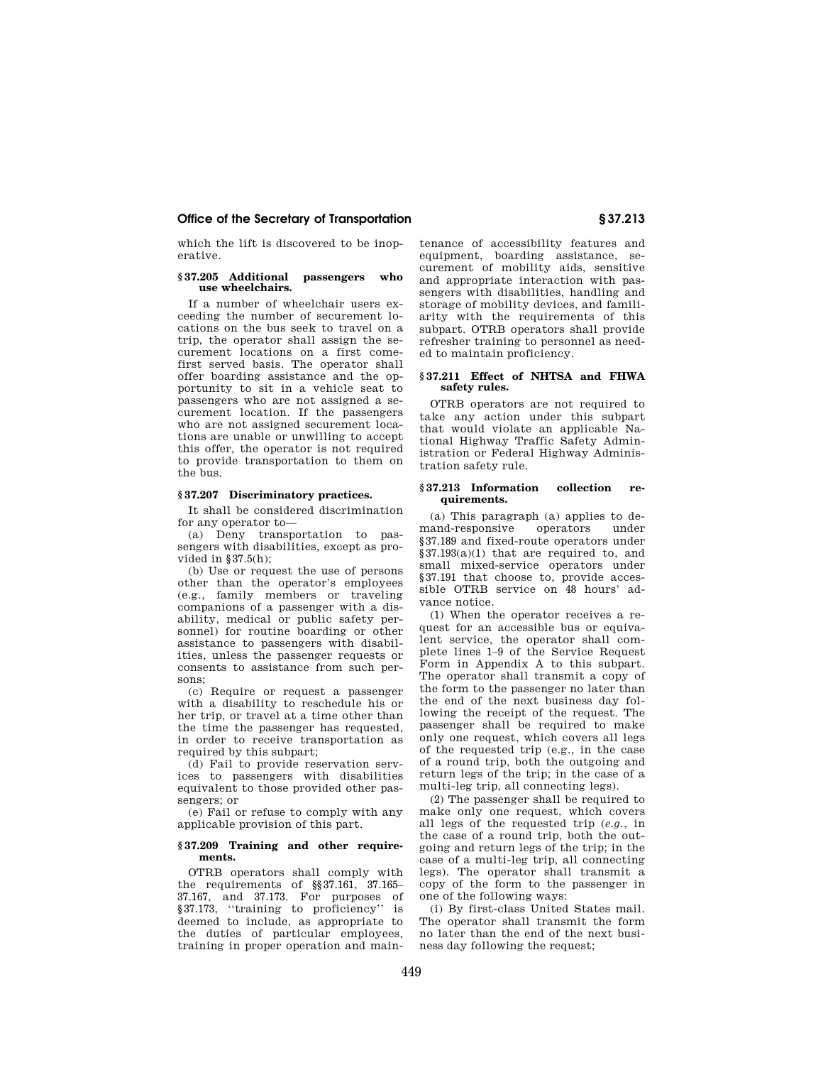# **Office of the Secretary of Transportation § 37.213**

which the lift is discovered to be inoperative.

## **§ 37.205 Additional passengers who use wheelchairs.**

If a number of wheelchair users exceeding the number of securement locations on the bus seek to travel on a trip, the operator shall assign the securement locations on a first comefirst served basis. The operator shall offer boarding assistance and the opportunity to sit in a vehicle seat to passengers who are not assigned a securement location. If the passengers who are not assigned securement locations are unable or unwilling to accept this offer, the operator is not required to provide transportation to them on the bus.

# **§ 37.207 Discriminatory practices.**

It shall be considered discrimination for any operator to—

(a) Deny transportation to passengers with disabilities, except as provided in §37.5(h);

(b) Use or request the use of persons other than the operator's employees (e.g., family members or traveling companions of a passenger with a disability, medical or public safety personnel) for routine boarding or other assistance to passengers with disabilities, unless the passenger requests or consents to assistance from such persons;

(c) Require or request a passenger with a disability to reschedule his or her trip, or travel at a time other than the time the passenger has requested, in order to receive transportation as required by this subpart;

(d) Fail to provide reservation services to passengers with disabilities equivalent to those provided other passengers; or

(e) Fail or refuse to comply with any applicable provision of this part.

## **§ 37.209 Training and other requirements.**

OTRB operators shall comply with the requirements of §§37.161, 37.165–  $37.167$ , and  $37.173$ . For purposes of  $8.37.173$  "training to proficiency" is §37.173, "training to proficiency" deemed to include, as appropriate to the duties of particular employees, training in proper operation and maintenance of accessibility features and equipment, boarding assistance, securement of mobility aids, sensitive and appropriate interaction with passengers with disabilities, handling and storage of mobility devices, and familiarity with the requirements of this subpart. OTRB operators shall provide refresher training to personnel as needed to maintain proficiency.

# **§ 37.211 Effect of NHTSA and FHWA safety rules.**

OTRB operators are not required to take any action under this subpart that would violate an applicable National Highway Traffic Safety Administration or Federal Highway Administration safety rule.

## **§ 37.213 Information collection requirements.**

(a) This paragraph (a) applies to demand-responsive operators under §37.189 and fixed-route operators under  $§37.193(a)(1)$  that are required to, and small mixed-service operators under §37.191 that choose to, provide accessible OTRB service on 48 hours' advance notice.

(1) When the operator receives a request for an accessible bus or equivalent service, the operator shall complete lines 1–9 of the Service Request Form in Appendix A to this subpart. The operator shall transmit a copy of the form to the passenger no later than the end of the next business day following the receipt of the request. The passenger shall be required to make only one request, which covers all legs of the requested trip (e.g., in the case of a round trip, both the outgoing and return legs of the trip; in the case of a multi-leg trip, all connecting legs).

(2) The passenger shall be required to make only one request, which covers all legs of the requested trip (*e.g.*, in the case of a round trip, both the outgoing and return legs of the trip; in the case of a multi-leg trip, all connecting legs). The operator shall transmit a copy of the form to the passenger in one of the following ways:

(i) By first-class United States mail. The operator shall transmit the form no later than the end of the next business day following the request;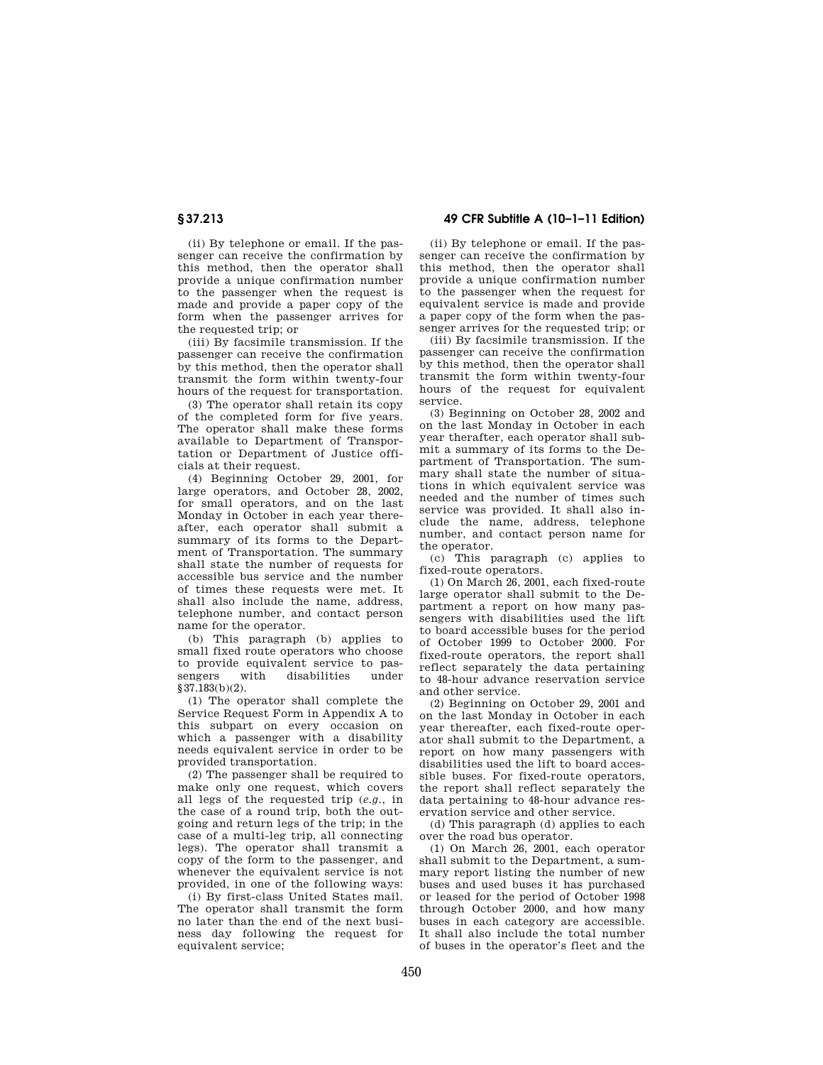(ii) By telephone or email. If the passenger can receive the confirmation by this method, then the operator shall provide a unique confirmation number to the passenger when the request is made and provide a paper copy of the form when the passenger arrives for the requested trip; or

(iii) By facsimile transmission. If the passenger can receive the confirmation by this method, then the operator shall transmit the form within twenty-four hours of the request for transportation.

(3) The operator shall retain its copy of the completed form for five years. The operator shall make these forms available to Department of Transportation or Department of Justice officials at their request.

(4) Beginning October 29, 2001, for large operators, and October 28, 2002, for small operators, and on the last Monday in October in each year thereafter, each operator shall submit a summary of its forms to the Department of Transportation. The summary shall state the number of requests for accessible bus service and the number of times these requests were met. It shall also include the name, address, telephone number, and contact person name for the operator.

(b) This paragraph (b) applies to small fixed route operators who choose to provide equivalent service to passengers with disabilities under § 37.183(b)(2).

(1) The operator shall complete the Service Request Form in Appendix A to this subpart on every occasion on which a passenger with a disability needs equivalent service in order to be provided transportation.

(2) The passenger shall be required to make only one request, which covers all legs of the requested trip (*e.g.*, in the case of a round trip, both the outgoing and return legs of the trip; in the case of a multi-leg trip, all connecting legs). The operator shall transmit a copy of the form to the passenger, and whenever the equivalent service is not provided, in one of the following ways:

(i) By first-class United States mail. The operator shall transmit the form no later than the end of the next business day following the request for equivalent service;

# **§ 37.213 49 CFR Subtitle A (10–1–11 Edition)**

(ii) By telephone or email. If the passenger can receive the confirmation by this method, then the operator shall provide a unique confirmation number to the passenger when the request for equivalent service is made and provide a paper copy of the form when the passenger arrives for the requested trip; or

(iii) By facsimile transmission. If the passenger can receive the confirmation by this method, then the operator shall transmit the form within twenty-four hours of the request for equivalent service.

(3) Beginning on October 28, 2002 and on the last Monday in October in each year therafter, each operator shall submit a summary of its forms to the Department of Transportation. The summary shall state the number of situations in which equivalent service was needed and the number of times such service was provided. It shall also include the name, address, telephone number, and contact person name for the operator.

(c) This paragraph (c) applies to fixed-route operators.

(1) On March 26, 2001, each fixed-route large operator shall submit to the Department a report on how many passengers with disabilities used the lift to board accessible buses for the period of October 1999 to October 2000. For fixed-route operators, the report shall reflect separately the data pertaining to 48-hour advance reservation service and other service.

(2) Beginning on October 29, 2001 and on the last Monday in October in each year thereafter, each fixed-route operator shall submit to the Department, a report on how many passengers with disabilities used the lift to board accessible buses. For fixed-route operators, the report shall reflect separately the data pertaining to 48-hour advance reservation service and other service.

(d) This paragraph (d) applies to each over the road bus operator.

(1) On March 26, 2001, each operator shall submit to the Department, a summary report listing the number of new buses and used buses it has purchased or leased for the period of October 1998 through October 2000, and how many buses in each category are accessible. It shall also include the total number of buses in the operator's fleet and the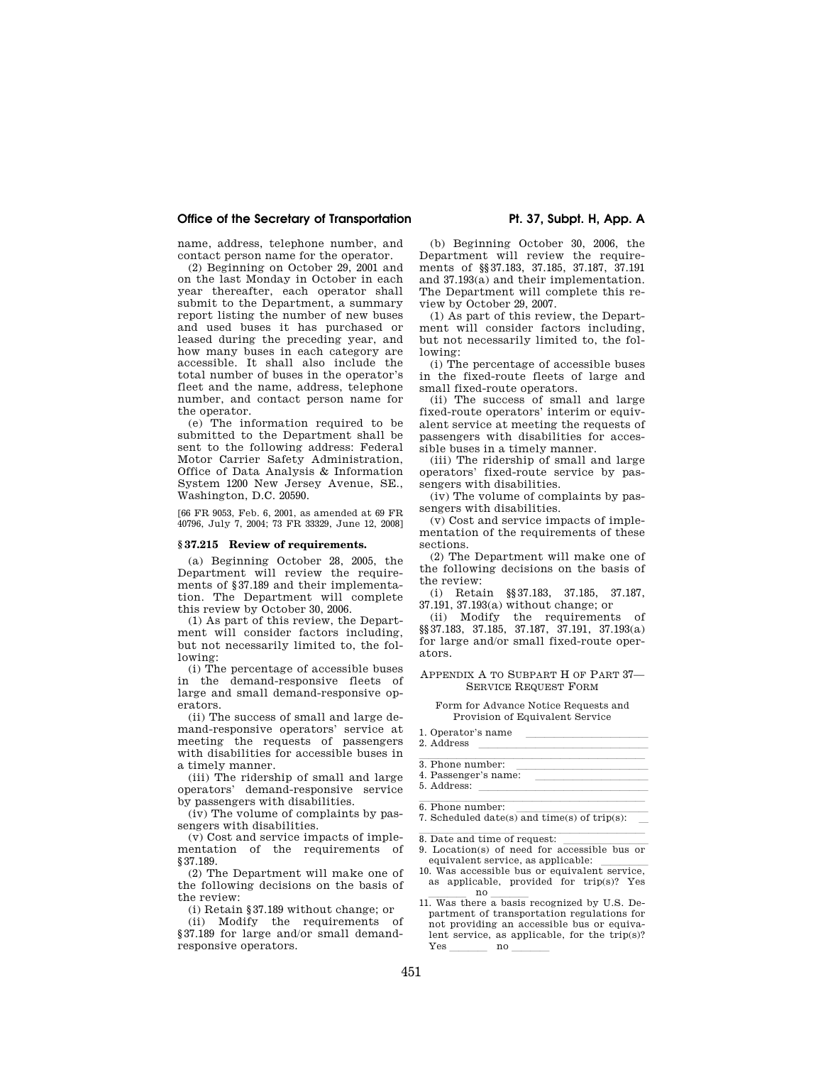# Office of the Secretary of Transportation **Pt. 37, Subpt. H, App. A**

name, address, telephone number, and contact person name for the operator.

(2) Beginning on October 29, 2001 and on the last Monday in October in each year thereafter, each operator shall submit to the Department, a summary report listing the number of new buses and used buses it has purchased or leased during the preceding year, and how many buses in each category are accessible. It shall also include the total number of buses in the operator's fleet and the name, address, telephone number, and contact person name for the operator.

(e) The information required to be submitted to the Department shall be sent to the following address: Federal Motor Carrier Safety Administration, Office of Data Analysis & Information System 1200 New Jersey Avenue, SE., Washington, D.C. 20590.

[66 FR 9053, Feb. 6, 2001, as amended at 69 FR 40796, July 7, 2004; 73 FR 33329, June 12, 2008]

# **§ 37.215 Review of requirements.**

(a) Beginning October 28, 2005, the Department will review the requirements of §37.189 and their implementation. The Department will complete this review by October 30, 2006.

(1) As part of this review, the Department will consider factors including, but not necessarily limited to, the following:

(i) The percentage of accessible buses in the demand-responsive fleets of large and small demand-responsive operators.

(ii) The success of small and large demand-responsive operators' service at meeting the requests of passengers with disabilities for accessible buses in a timely manner.

(iii) The ridership of small and large operators' demand-responsive service by passengers with disabilities.

(iv) The volume of complaints by passengers with disabilities.

(v) Cost and service impacts of implementation of the requirements of §37.189.

(2) The Department will make one of the following decisions on the basis of the review:

(i) Retain §37.189 without change; or

(ii) Modify the requirements of §37.189 for large and/or small demandresponsive operators.

(b) Beginning October 30, 2006, the Department will review the requirements of §§37.183, 37.185, 37.187, 37.191 and 37.193(a) and their implementation. The Department will complete this review by October 29, 2007.

(1) As part of this review, the Department will consider factors including, but not necessarily limited to, the following:

(i) The percentage of accessible buses in the fixed-route fleets of large and small fixed-route operators.

(ii) The success of small and large fixed-route operators' interim or equivalent service at meeting the requests of passengers with disabilities for accessible buses in a timely manner.

(iii) The ridership of small and large operators' fixed-route service by passengers with disabilities.

(iv) The volume of complaints by passengers with disabilities.

(v) Cost and service impacts of implementation of the requirements of these sections.

(2) The Department will make one of the following decisions on the basis of the review:

(i) Retain §§37.183, 37.185, 37.187, 37.191, 37.193(a) without change; or

(ii) Modify the requirements of §§37.183, 37.185, 37.187, 37.191, 37.193(a) for large and/or small fixed-route operators.

## APPENDIX A TO SUBPART H OF PART 37— SERVICE REQUEST FORM

Form for Advance Notice Requests and Provision of Equivalent Service

### 1. Operator's name 2. Address

- 3. Phone number:
- 3. Phone number: llllllllllllll 4. Passenger's name: llllllllllll
- 5. Address:
- $6.$  Phone number:

6. Phone number:  $\frac{1}{\text{Z}}$  and time(s) of trip(s):  $\frac{1}{\text{Z}}$ 

- 8. Date and time of request: 8. Date and time of request:  $\frac{1}{\sqrt{1-\frac{1}{n}}}$
- equivalent service, as applicable:<br>10. Was accessible bus or equivalent service, as applicable, provided for trip(s)? Yes
- $\frac{11}{11}$  mas there a basis recognized by U.S. Department of transportation regulations for not providing an accessible bus or equivalent service, as applicable, for the trip(s)?  $Yes \_\_ no \_\_ no \_\_$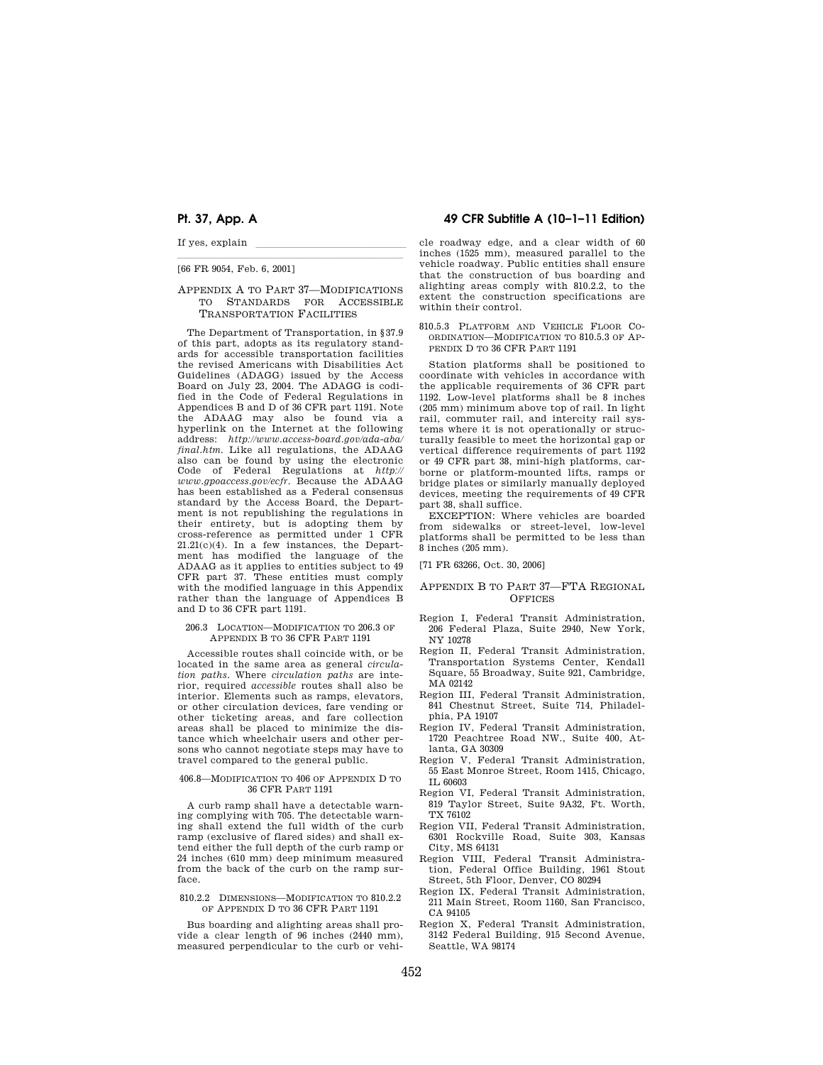If yes, explain

 $[66 \text{ FR } 9054, \text{ Feb. } 6, 2001]$ 

## APPENDIX A TO PART 37—MODIFICATIONS TO STANDARDS FOR ACCESSIBLE TRANSPORTATION FACILITIES

The Department of Transportation, in §37.9 of this part, adopts as its regulatory standards for accessible transportation facilities the revised Americans with Disabilities Act Guidelines (ADAGG) issued by the Access Board on July 23, 2004. The ADAGG is codified in the Code of Federal Regulations in Appendices B and D of 36 CFR part 1191. Note the ADAAG may also be found via a hyperlink on the Internet at the following address: *http://www.access-board.gov/ada-aba/ final.htm*. Like all regulations, the ADAAG also can be found by using the electronic Code of Federal Regulations at *http:// www.gpoaccess.gov/ecfr*. Because the ADAAG has been established as a Federal consensus standard by the Access Board, the Department is not republishing the regulations in their entirety, but is adopting them by cross-reference as permitted under 1 CFR 21.21(c)(4). In a few instances, the Department has modified the language of the ADAAG as it applies to entities subject to 49 CFR part 37. These entities must comply with the modified language in this Appendix rather than the language of Appendices B and D to 36 CFR part 1191.

## 206.3 LOCATION—MODIFICATION TO 206.3 OF APPENDIX B TO 36 CFR PART 1191

Accessible routes shall coincide with, or be located in the same area as general *circulation paths*. Where *circulation paths* are interior, required *accessible* routes shall also be interior. Elements such as ramps, elevators, or other circulation devices, fare vending or other ticketing areas, and fare collection areas shall be placed to minimize the distance which wheelchair users and other persons who cannot negotiate steps may have to travel compared to the general public.

## 406.8—MODIFICATION TO 406 OF APPENDIX D TO 36 CFR PART 1191

A curb ramp shall have a detectable warning complying with 705. The detectable warning shall extend the full width of the curb ramp (exclusive of flared sides) and shall extend either the full depth of the curb ramp or 24 inches (610 mm) deep minimum measured from the back of the curb on the ramp surface.

### 810.2.2 DIMENSIONS—MODIFICATION TO 810.2.2 OF APPENDIX D TO 36 CFR PART 1191

Bus boarding and alighting areas shall provide a clear length of 96 inches (2440 mm), measured perpendicular to the curb or vehi-

# **Pt. 37, App. A 49 CFR Subtitle A (10–1–11 Edition)**

cle roadway edge, and a clear width of 60 inches (1525 mm), measured parallel to the vehicle roadway. Public entities shall ensure that the construction of bus boarding and alighting areas comply with 810.2.2, to the extent the construction specifications are within their control.

## 810.5.3 PLATFORM AND VEHICLE FLOOR CO-ORDINATION—MODIFICATION TO 810.5.3 OF AP-PENDIX D TO 36 CFR PART 1191

Station platforms shall be positioned to coordinate with vehicles in accordance with the applicable requirements of 36 CFR part 1192. Low-level platforms shall be 8 inches (205 mm) minimum above top of rail. In light rail, commuter rail, and intercity rail systems where it is not operationally or structurally feasible to meet the horizontal gap or vertical difference requirements of part 1192 or 49 CFR part 38, mini-high platforms, carborne or platform-mounted lifts, ramps or bridge plates or similarly manually deployed devices, meeting the requirements of 49 CFR part 38, shall suffice.

EXCEPTION: Where vehicles are boarded from sidewalks or street-level, low-level platforms shall be permitted to be less than 8 inches (205 mm).

[71 FR 63266, Oct. 30, 2006]

## APPENDIX B TO PART 37—FTA REGIONAL **OFFICES**

- Region I, Federal Transit Administration, 206 Federal Plaza, Suite 2940, New York, NY 10278
- Region II, Federal Transit Administration, Transportation Systems Center, Kendall Square, 55 Broadway, Suite 921, Cambridge, MA 02142
- Region III, Federal Transit Administration, 841 Chestnut Street, Suite 714, Philadelphia, PA 19107
- Region IV, Federal Transit Administration, 1720 Peachtree Road NW., Suite 400, Atlanta, GA 30309
- Region V, Federal Transit Administration, 55 East Monroe Street, Room 1415, Chicago, IL 60603
- Region VI, Federal Transit Administration, 819 Taylor Street, Suite 9A32, Ft. Worth, TX 76102
- Region VII, Federal Transit Administration, 6301 Rockville Road, Suite 303, Kansas City, MS 64131
- Region VIII, Federal Transit Administration, Federal Office Building, 1961 Stout Street, 5th Floor, Denver, CO 80294
- Region IX, Federal Transit Administration, 211 Main Street, Room 1160, San Francisco, CA 94105
- Region X, Federal Transit Administration, 3142 Federal Building, 915 Second Avenue, Seattle, WA 98174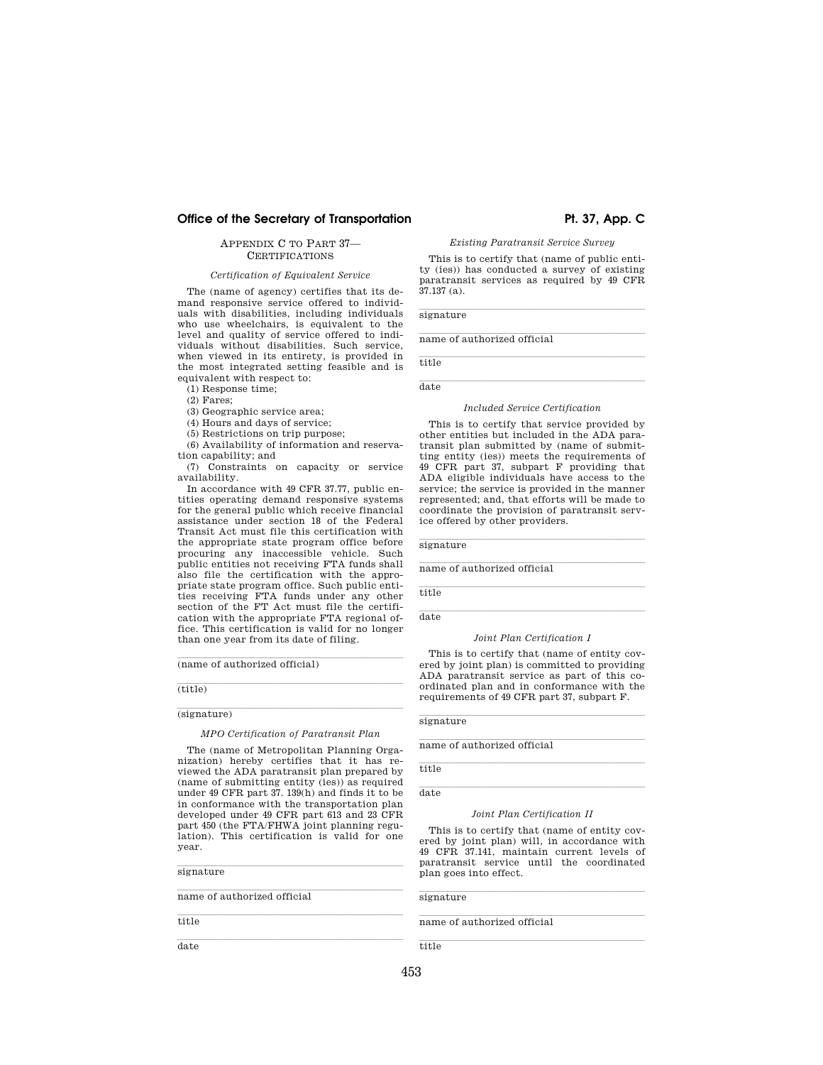# Office of the Secretary of Transportation **Pt. 37, App. C**

# APPENDIX C TO PART 37— CERTIFICATIONS

### *Certification of Equivalent Service*

The (name of agency) certifies that its demand responsive service offered to individuals with disabilities, including individuals who use wheelchairs, is equivalent to the level and quality of service offered to individuals without disabilities. Such service, when viewed in its entirety, is provided in the most integrated setting feasible and is equivalent with respect to:

(1) Response time;

(2) Fares;

(3) Geographic service area;

(4) Hours and days of service;

(5) Restrictions on trip purpose;

(6) Availability of information and reservation capability; and

(7) Constraints on capacity or service availability.

In accordance with 49 CFR 37.77, public entities operating demand responsive systems for the general public which receive financial assistance under section 18 of the Federal Transit Act must file this certification with the appropriate state program office before procuring any inaccessible vehicle. Such public entities not receiving FTA funds shall also file the certification with the appropriate state program office. Such public entities receiving FTA funds under any other section of the FT Act must file the certification with the appropriate FTA regional office. This certification is valid for no longer than one year from its date of filing.

 $(name of authorized official)$ 

# (title)

# (signature)

## *MPO Certification of Paratransit Plan*

The (name of Metropolitan Planning Organization) hereby certifies that it has reviewed the ADA paratransit plan prepared by (name of submitting entity (ies)) as required under 49 CFR part 37. 139(h) and finds it to be in conformance with the transportation plan developed under 49 CFR part 613 and 23 CFR part 450 (the FTA/FHWA joint planning regulation). This certification is valid for one year.

signature **left limits and the set of the set of the set of the set of the set of the set of the set of the set of the set of the set of the set of the set of the set of the set of the set of the set of the set of the set** 

name of authorized official

 $\text{title}$ title

 $\delta$ llate date

# *Existing Paratransit Service Survey*

This is to certify that (name of public entity (ies)) has conducted a survey of existing paratransit services as required by 49 CFR 37.137 (a).

signature **stationary and the set of the set of the set of the set of the set of the set of the set of the set of the set of the set of the set of the set of the set of the set of the set of the set of the set of the set o** 

name of authorized official

llille and a state of the state of the state of the state of the state of the state of the state of the state o title

 $\delta$ llate date

## *Included Service Certification*

This is to certify that service provided by other entities but included in the ADA paratransit plan submitted by (name of submitting entity (ies)) meets the requirements of 49 CFR part 37, subpart F providing that ADA eligible individuals have access to the service; the service is provided in the manner represented; and, that efforts will be made to coordinate the provision of paratransit service offered by other providers.

signature **stationary and the set of the set of the set of the set of the set of the set of the set of the set of the set of the set of the set of the set of the set of the set of the set of the set of the set of the set o** 

name of authorized official

llille and a state of the state of the state of the state of the state of the state of the state of the state o title

 $\delta$ llate date

# *Joint Plan Certification I*

This is to certify that (name of entity covered by joint plan) is committed to providing ADA paratransit service as part of this coordinated plan and in conformance with the requirements of 49 CFR part 37, subpart F.

signature

name of authorized official

lla little and the second control of the second control of the second control of the second control of the second control of the second control of the second control of the second control of the second control of the secon title

 $\delta$ llate date

### *Joint Plan Certification II*

This is to certify that (name of entity covered by joint plan) will, in accordance with 49 CFR 37.141, maintain current levels of paratransit service until the coordinated plan goes into effect.

signature **contract of the set of the set of the set of the set of the set of the set of the set of the set of the set of the set of the set of the set of the set of the set of the set of the set of the set of the set of t** 

name of authorized official

lla little and the second control of the second control of the second control of the second control of the second control of the second control of the second control of the second control of the second control of the secon title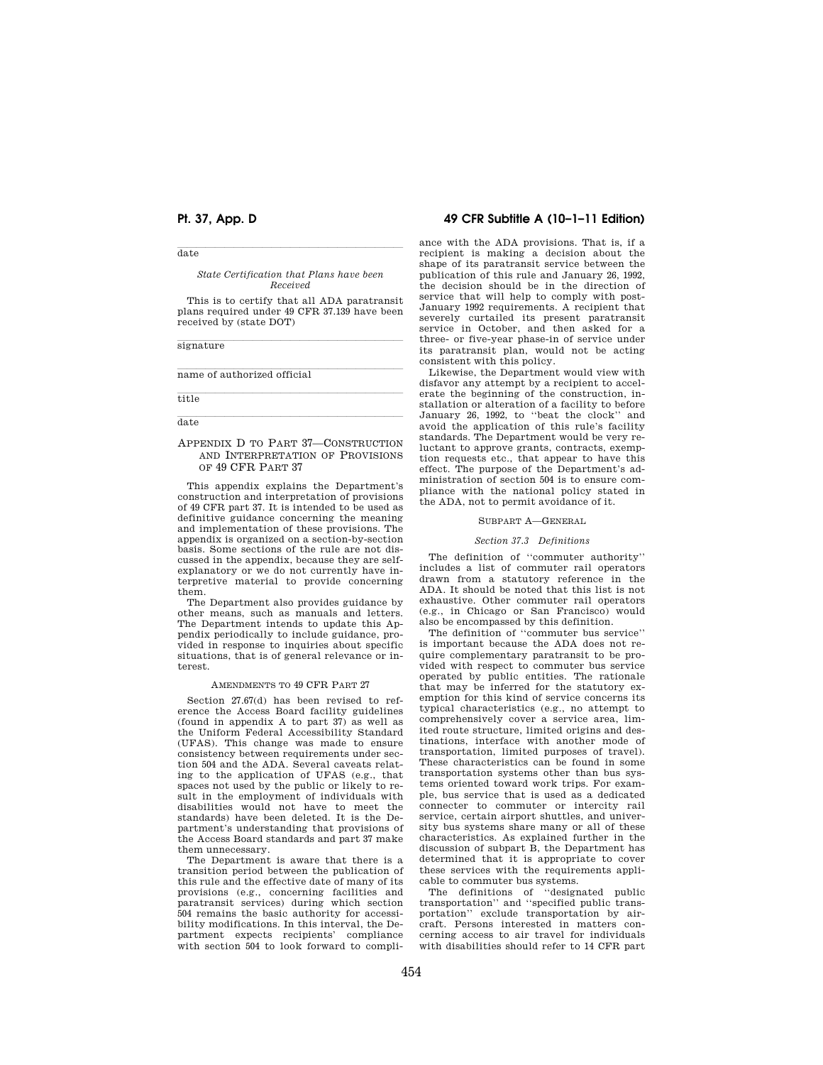$\delta$ late date

*State Certification that Plans have been Received* 

This is to certify that all ADA paratransit plans required under 49 CFR 37.139 have been received by (state DOT)

signature

name of authorized official

llille and a state of the state of the state of the state of the state of the state of the state of the state o title

 $\delta$ late date

# APPENDIX D TO PART 37—CONSTRUCTION AND INTERPRETATION OF PROVISIONS OF 49 CFR PART 37

This appendix explains the Department's construction and interpretation of provisions of 49 CFR part 37. It is intended to be used as definitive guidance concerning the meaning and implementation of these provisions. The appendix is organized on a section-by-section basis. Some sections of the rule are not discussed in the appendix, because they are selfexplanatory or we do not currently have interpretive material to provide concerning them.

The Department also provides guidance by other means, such as manuals and letters. The Department intends to update this Appendix periodically to include guidance, provided in response to inquiries about specific situations, that is of general relevance or interest.

## AMENDMENTS TO 49 CFR PART 27

Section 27.67(d) has been revised to reference the Access Board facility guidelines (found in appendix A to part 37) as well as the Uniform Federal Accessibility Standard (UFAS). This change was made to ensure consistency between requirements under section 504 and the ADA. Several caveats relating to the application of UFAS (e.g., that spaces not used by the public or likely to result in the employment of individuals with disabilities would not have to meet the standards) have been deleted. It is the Department's understanding that provisions of the Access Board standards and part 37 make

them unnecessary. The Department is aware that there is a transition period between the publication of this rule and the effective date of many of its provisions (e.g., concerning facilities and paratransit services) during which section 504 remains the basic authority for accessibility modifications. In this interval, the Department expects recipients' compliance with section 504 to look forward to compli-

# **Pt. 37, App. D 49 CFR Subtitle A (10–1–11 Edition)**

ance with the ADA provisions. That is, if a recipient is making a decision about the shape of its paratransit service between the publication of this rule and January 26, 1992, the decision should be in the direction of service that will help to comply with post-January 1992 requirements. A recipient that severely curtailed its present paratransit service in October, and then asked for a three- or five-year phase-in of service under its paratransit plan, would not be acting consistent with this policy.

Likewise, the Department would view with disfavor any attempt by a recipient to accelerate the beginning of the construction, installation or alteration of a facility to before January 26, 1992, to ''beat the clock'' and avoid the application of this rule's facility standards. The Department would be very reluctant to approve grants, contracts, exemption requests etc., that appear to have this effect. The purpose of the Department's administration of section 504 is to ensure compliance with the national policy stated in the ADA, not to permit avoidance of it.

### SUBPART A—GENERAL

*Section 37.3 Definitions* 

The definition of ''commuter authority'' includes a list of commuter rail operators drawn from a statutory reference in the ADA. It should be noted that this list is not exhaustive. Other commuter rail operators (e.g., in Chicago or San Francisco) would also be encompassed by this definition.

The definition of "commuter bus service" is important because the ADA does not require complementary paratransit to be provided with respect to commuter bus service operated by public entities. The rationale that may be inferred for the statutory exemption for this kind of service concerns its typical characteristics (e.g., no attempt to comprehensively cover a service area, limited route structure, limited origins and destinations, interface with another mode of transportation, limited purposes of travel). These characteristics can be found in some transportation systems other than bus systems oriented toward work trips. For example, bus service that is used as a dedicated connecter to commuter or intercity rail service, certain airport shuttles, and university bus systems share many or all of these characteristics. As explained further in the discussion of subpart B, the Department has determined that it is appropriate to cover these services with the requirements applicable to commuter bus systems.

The definitions of ''designated public transportation'' and ''specified public transportation'' exclude transportation by aircraft. Persons interested in matters concerning access to air travel for individuals with disabilities should refer to 14 CFR part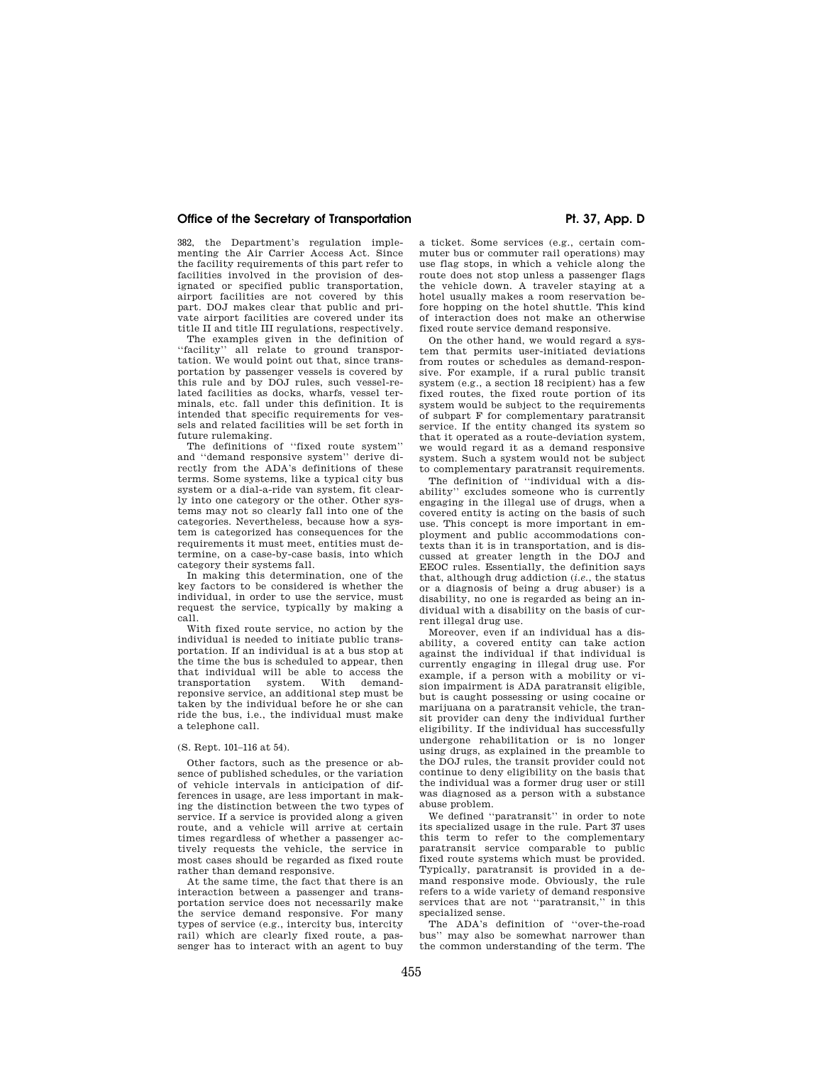382, the Department's regulation implementing the Air Carrier Access Act. Since the facility requirements of this part refer to facilities involved in the provision of designated or specified public transportation, airport facilities are not covered by this part. DOJ makes clear that public and private airport facilities are covered under its title II and title III regulations, respectively.

The examples given in the definition of "facility" all relate to ground transportation. We would point out that, since transportation by passenger vessels is covered by this rule and by DOJ rules, such vessel-related facilities as docks, wharfs, vessel terminals, etc. fall under this definition. It is intended that specific requirements for vessels and related facilities will be set forth in future rulemaking.

The definitions of ''fixed route system'' and ''demand responsive system'' derive directly from the ADA's definitions of these terms. Some systems, like a typical city bus system or a dial-a-ride van system, fit clearly into one category or the other. Other systems may not so clearly fall into one of the categories. Nevertheless, because how a system is categorized has consequences for the requirements it must meet, entities must determine, on a case-by-case basis, into which category their systems fall.

In making this determination, one of the key factors to be considered is whether the individual, in order to use the service, must request the service, typically by making a call.

With fixed route service, no action by the individual is needed to initiate public transportation. If an individual is at a bus stop at the time the bus is scheduled to appear, then that individual will be able to access the transportation system. reponsive service, an additional step must be taken by the individual before he or she can ride the bus, i.e., the individual must make a telephone call.

### (S. Rept. 101–116 at 54).

Other factors, such as the presence or absence of published schedules, or the variation of vehicle intervals in anticipation of differences in usage, are less important in making the distinction between the two types of service. If a service is provided along a given route, and a vehicle will arrive at certain times regardless of whether a passenger actively requests the vehicle, the service in most cases should be regarded as fixed route rather than demand responsive.

At the same time, the fact that there is an interaction between a passenger and transportation service does not necessarily make the service demand responsive. For many types of service (e.g., intercity bus, intercity rail) which are clearly fixed route, a passenger has to interact with an agent to buy

a ticket. Some services (e.g., certain commuter bus or commuter rail operations) may use flag stops, in which a vehicle along the route does not stop unless a passenger flags the vehicle down. A traveler staying at a hotel usually makes a room reservation before hopping on the hotel shuttle. This kind of interaction does not make an otherwise fixed route service demand responsive.

On the other hand, we would regard a system that permits user-initiated deviations from routes or schedules as demand-responsive. For example, if a rural public transit system (e.g., a section 18 recipient) has a few fixed routes, the fixed route portion of its system would be subject to the requirements of subpart F for complementary paratransit service. If the entity changed its system so that it operated as a route-deviation system, we would regard it as a demand responsive system. Such a system would not be subject to complementary paratransit requirements.

The definition of ''individual with a disability'' excludes someone who is currently engaging in the illegal use of drugs, when a covered entity is acting on the basis of such use. This concept is more important in employment and public accommodations contexts than it is in transportation, and is discussed at greater length in the DOJ and EEOC rules. Essentially, the definition says that, although drug addiction (*i.e.*, the status or a diagnosis of being a drug abuser) is a disability, no one is regarded as being an individual with a disability on the basis of current illegal drug use.

Moreover, even if an individual has a disability, a covered entity can take action against the individual if that individual is currently engaging in illegal drug use. For example, if a person with a mobility or vision impairment is ADA paratransit eligible, but is caught possessing or using cocaine or marijuana on a paratransit vehicle, the transit provider can deny the individual further eligibility. If the individual has successfully undergone rehabilitation or is no longer using drugs, as explained in the preamble to the DOJ rules, the transit provider could not continue to deny eligibility on the basis that the individual was a former drug user or still was diagnosed as a person with a substance abuse problem.

We defined ''paratransit'' in order to note its specialized usage in the rule. Part 37 uses this term to refer to the complementary paratransit service comparable to public fixed route systems which must be provided. Typically, paratransit is provided in a demand responsive mode. Obviously, the rule refers to a wide variety of demand responsive services that are not ''paratransit,'' in this specialized sense.

The ADA's definition of ''over-the-road bus'' may also be somewhat narrower than the common understanding of the term. The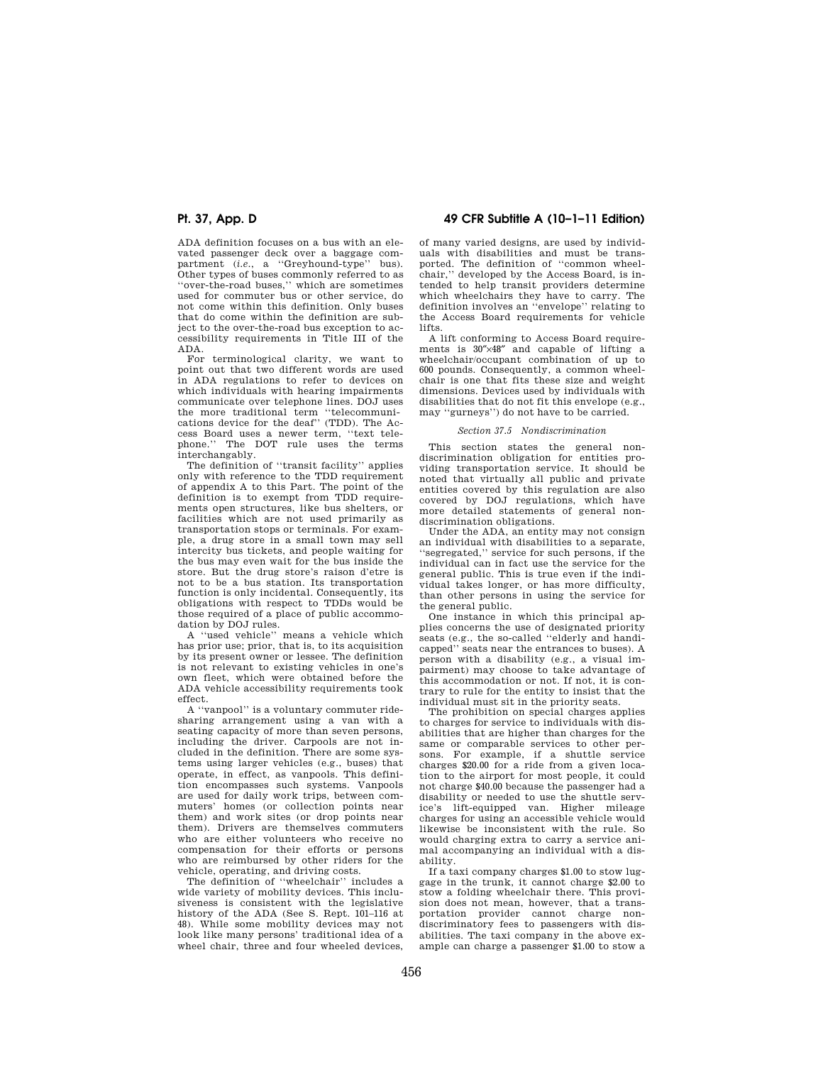ADA definition focuses on a bus with an elevated passenger deck over a baggage compartment (*i.e.*, a "Greyhound-type" bus). Other types of buses commonly referred to as ''over-the-road buses,'' which are sometimes used for commuter bus or other service, do not come within this definition. Only buses that do come within the definition are subject to the over-the-road bus exception to accessibility requirements in Title III of the ADA.

For terminological clarity, we want to point out that two different words are used in ADA regulations to refer to devices on which individuals with hearing impairments communicate over telephone lines. DOJ uses the more traditional term ''telecommunications device for the deaf'' (TDD). The Access Board uses a newer term, ''text telephone.'' The DOT rule uses the terms interchangably.

The definition of ''transit facility'' applies only with reference to the TDD requirement of appendix A to this Part. The point of the definition is to exempt from TDD requirements open structures, like bus shelters, or facilities which are not used primarily as transportation stops or terminals. For example, a drug store in a small town may sell intercity bus tickets, and people waiting for the bus may even wait for the bus inside the store. But the drug store's raison d'etre is not to be a bus station. Its transportation function is only incidental. Consequently, its obligations with respect to TDDs would be those required of a place of public accommodation by DOJ rules.

A ''used vehicle'' means a vehicle which has prior use; prior, that is, to its acquisition by its present owner or lessee. The definition is not relevant to existing vehicles in one's own fleet, which were obtained before the ADA vehicle accessibility requirements took effect.

A ''vanpool'' is a voluntary commuter ridesharing arrangement using a van with a seating capacity of more than seven persons, including the driver. Carpools are not included in the definition. There are some systems using larger vehicles (e.g., buses) that operate, in effect, as vanpools. This definition encompasses such systems. Vanpools are used for daily work trips, between commuters' homes (or collection points near them) and work sites (or drop points near them). Drivers are themselves commuters who are either volunteers who receive no compensation for their efforts or persons who are reimbursed by other riders for the vehicle, operating, and driving costs.

The definition of ''wheelchair'' includes a wide variety of mobility devices. This inclusiveness is consistent with the legislative history of the ADA (See S. Rept. 101–116 at 48). While some mobility devices may not look like many persons' traditional idea of a wheel chair, three and four wheeled devices,

# **Pt. 37, App. D 49 CFR Subtitle A (10–1–11 Edition)**

of many varied designs, are used by individuals with disabilities and must be transported. The definition of ''common wheelchair,'' developed by the Access Board, is intended to help transit providers determine which wheelchairs they have to carry. The definition involves an ''envelope'' relating to the Access Board requirements for vehicle lifts.

A lift conforming to Access Board requirements is 30″×48″ and capable of lifting a wheelchair/occupant combination of up to 600 pounds. Consequently, a common wheelchair is one that fits these size and weight dimensions. Devices used by individuals with disabilities that do not fit this envelope (e.g., may ''gurneys'') do not have to be carried.

## *Section 37.5 Nondiscrimination*

This section states the general nondiscrimination obligation for entities providing transportation service. It should be noted that virtually all public and private entities covered by this regulation are also covered by DOJ regulations, which have more detailed statements of general nondiscrimination obligations.

Under the ADA, an entity may not consign an individual with disabilities to a separate, ''segregated,'' service for such persons, if the individual can in fact use the service for the general public. This is true even if the individual takes longer, or has more difficulty, than other persons in using the service for the general public.

One instance in which this principal applies concerns the use of designated priority seats (e.g., the so-called ''elderly and handicapped'' seats near the entrances to buses). A person with a disability (e.g., a visual impairment) may choose to take advantage of this accommodation or not. If not, it is contrary to rule for the entity to insist that the individual must sit in the priority seats.

The prohibition on special charges applies to charges for service to individuals with disabilities that are higher than charges for the same or comparable services to other persons. For example, if a shuttle service charges \$20.00 for a ride from a given location to the airport for most people, it could not charge \$40.00 because the passenger had a disability or needed to use the shuttle service's lift-equipped van. Higher mileage charges for using an accessible vehicle would likewise be inconsistent with the rule. So would charging extra to carry a service animal accompanying an individual with a disability.

If a taxi company charges \$1.00 to stow luggage in the trunk, it cannot charge \$2.00 to stow a folding wheelchair there. This provision does not mean, however, that a transportation provider cannot charge nondiscriminatory fees to passengers with disabilities. The taxi company in the above example can charge a passenger \$1.00 to stow a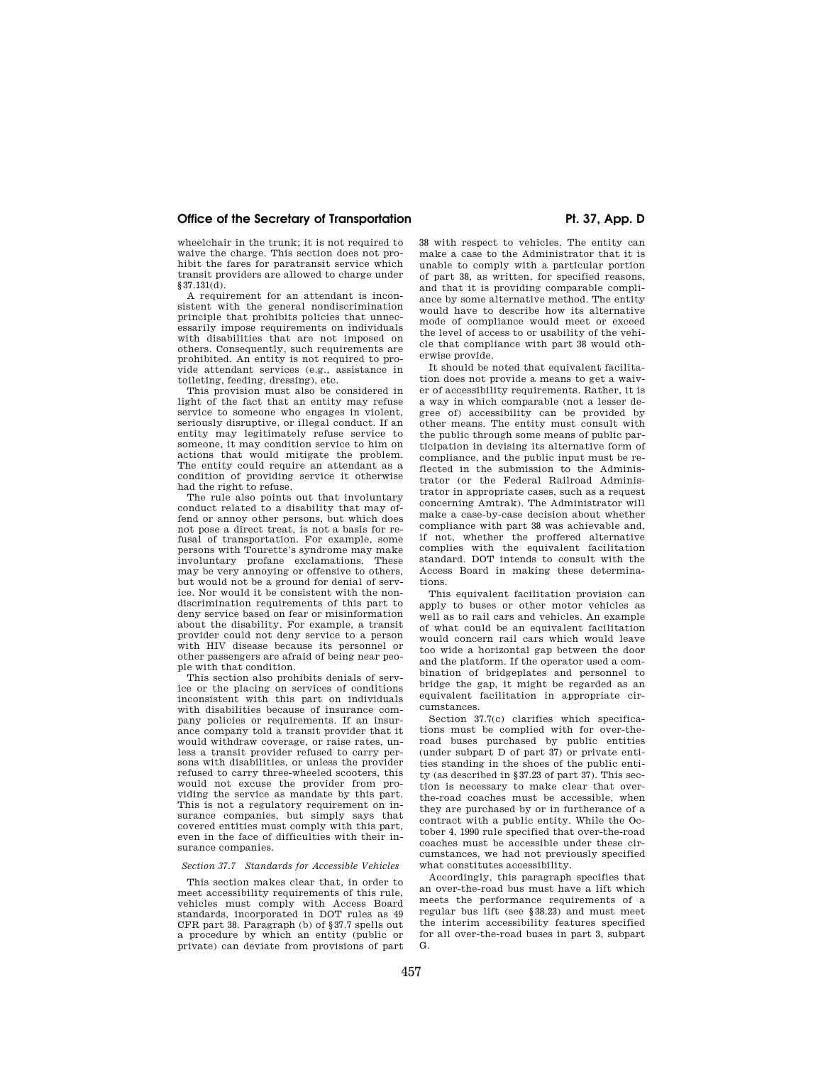wheelchair in the trunk; it is not required to waive the charge. This section does not prohibit the fares for paratransit service which transit providers are allowed to charge under §37.131(d).

A requirement for an attendant is inconsistent with the general nondiscrimination principle that prohibits policies that unnecessarily impose requirements on individuals with disabilities that are not imposed on others. Consequently, such requirements are prohibited. An entity is not required to provide attendant services (e.g., assistance in toileting, feeding, dressing), etc.

This provision must also be considered in light of the fact that an entity may refuse service to someone who engages in violent, seriously disruptive, or illegal conduct. If an entity may legitimately refuse service to someone, it may condition service to him on actions that would mitigate the problem. The entity could require an attendant as a condition of providing service it otherwise had the right to refuse.

The rule also points out that involuntary conduct related to a disability that may offend or annoy other persons, but which does not pose a direct treat, is not a basis for refusal of transportation. For example, some persons with Tourette's syndrome may make involuntary profane exclamations. These may be very annoying or offensive to others, but would not be a ground for denial of service. Nor would it be consistent with the nondiscrimination requirements of this part to deny service based on fear or misinformation about the disability. For example, a transit provider could not deny service to a person with HIV disease because its personnel or other passengers are afraid of being near people with that condition.

This section also prohibits denials of service or the placing on services of conditions inconsistent with this part on individuals with disabilities because of insurance company policies or requirements. If an insurance company told a transit provider that it would withdraw coverage, or raise rates, unless a transit provider refused to carry persons with disabilities, or unless the provider refused to carry three-wheeled scooters, this would not excuse the provider from providing the service as mandate by this part. This is not a regulatory requirement on insurance companies, but simply says that covered entities must comply with this part, even in the face of difficulties with their insurance companies.

# *Section 37.7 Standards for Accessible Vehicles*

This section makes clear that, in order to meet accessibility requirements of this rule, vehicles must comply with Access Board standards, incorporated in DOT rules as 49 CFR part 38. Paragraph (b) of §37.7 spells out a procedure by which an entity (public or private) can deviate from provisions of part

38 with respect to vehicles. The entity can make a case to the Administrator that it is unable to comply with a particular portion of part 38, as written, for specified reasons, and that it is providing comparable compliance by some alternative method. The entity would have to describe how its alternative mode of compliance would meet or exceed the level of access to or usability of the vehicle that compliance with part 38 would otherwise provide.

It should be noted that equivalent facilitation does not provide a means to get a waiver of accessibility requirements. Rather, it is a way in which comparable (not a lesser degree of) accessibility can be provided by other means. The entity must consult with the public through some means of public participation in devising its alternative form of compliance, and the public input must be reflected in the submission to the Administrator (or the Federal Railroad Administrator in appropriate cases, such as a request concerning Amtrak). The Administrator will make a case-by-case decision about whether compliance with part 38 was achievable and, if not, whether the proffered alternative complies with the equivalent facilitation standard. DOT intends to consult with the Access Board in making these determinations.

This equivalent facilitation provision can apply to buses or other motor vehicles as well as to rail cars and vehicles. An example of what could be an equivalent facilitation would concern rail cars which would leave too wide a horizontal gap between the door and the platform. If the operator used a combination of bridgeplates and personnel to bridge the gap, it might be regarded as an equivalent facilitation in appropriate circumstances.

Section 37.7(c) clarifies which specifications must be complied with for over-theroad buses purchased by public entities (under subpart D of part 37) or private entities standing in the shoes of the public entity (as described in §37.23 of part 37). This section is necessary to make clear that overthe-road coaches must be accessible, when they are purchased by or in furtherance of a contract with a public entity. While the October 4, 1990 rule specified that over-the-road coaches must be accessible under these circumstances, we had not previously specified what constitutes accessibility.

Accordingly, this paragraph specifies that an over-the-road bus must have a lift which meets the performance requirements of a regular bus lift (see §38.23) and must meet the interim accessibility features specified for all over-the-road buses in part 3, subpart G.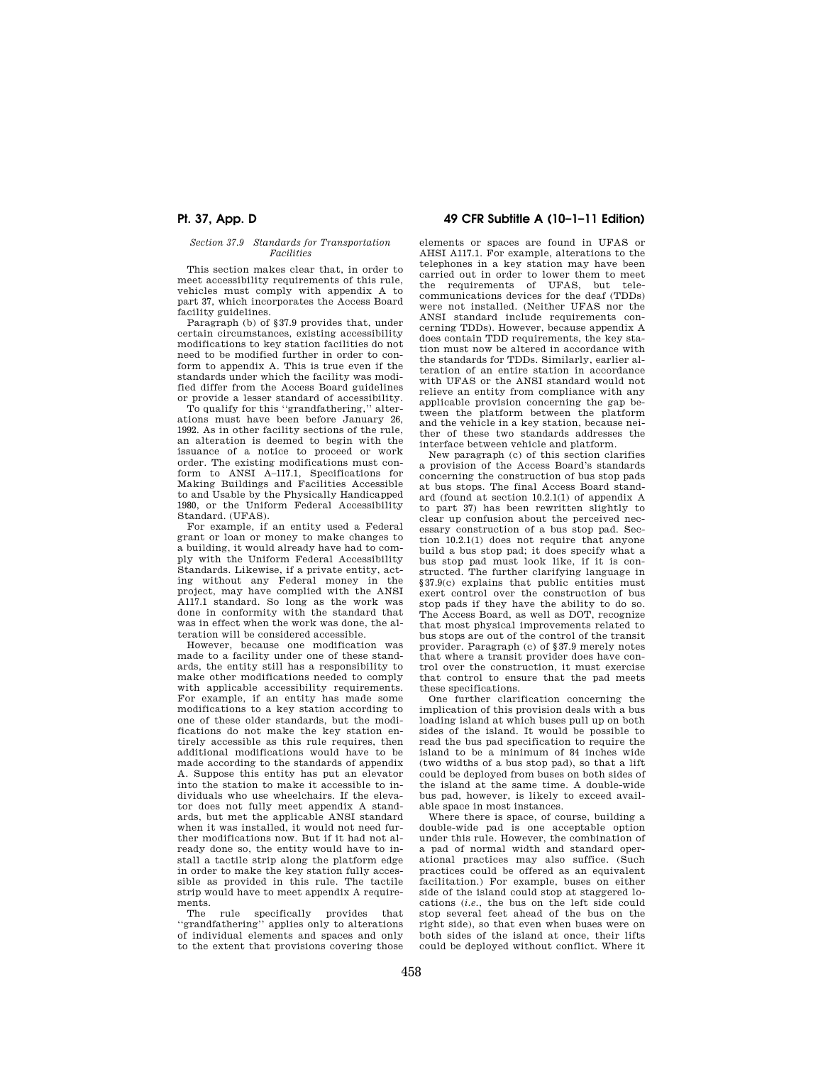## *Section 37.9 Standards for Transportation Facilities*

This section makes clear that, in order to meet accessibility requirements of this rule, vehicles must comply with appendix A to part 37, which incorporates the Access Board facility guidelines.

Paragraph (b) of §37.9 provides that, under certain circumstances, existing accessibility modifications to key station facilities do not need to be modified further in order to conform to appendix A. This is true even if the standards under which the facility was modified differ from the Access Board guidelines or provide a lesser standard of accessibility.

To qualify for this ''grandfathering,'' alterations must have been before January 26, 1992. As in other facility sections of the rule, an alteration is deemed to begin with the issuance of a notice to proceed or work order. The existing modifications must conform to ANSI A–117.1, Specifications for Making Buildings and Facilities Accessible to and Usable by the Physically Handicapped 1980, or the Uniform Federal Accessibility Standard. (UFAS).

For example, if an entity used a Federal grant or loan or money to make changes to a building, it would already have had to comply with the Uniform Federal Accessibility Standards. Likewise, if a private entity, acting without any Federal money in the project, may have complied with the ANSI A117.1 standard. So long as the work was done in conformity with the standard that was in effect when the work was done, the alteration will be considered accessible.

However, because one modification was made to a facility under one of these standards, the entity still has a responsibility to make other modifications needed to comply with applicable accessibility requirements. For example, if an entity has made some modifications to a key station according to one of these older standards, but the modifications do not make the key station entirely accessible as this rule requires, then additional modifications would have to be made according to the standards of appendix A. Suppose this entity has put an elevator into the station to make it accessible to individuals who use wheelchairs. If the elevator does not fully meet appendix A standards, but met the applicable ANSI standard when it was installed, it would not need further modifications now. But if it had not already done so, the entity would have to install a tactile strip along the platform edge in order to make the key station fully accessible as provided in this rule. The tactile strip would have to meet appendix A requirements.

The rule specifically provides that ''grandfathering'' applies only to alterations of individual elements and spaces and only to the extent that provisions covering those

# **Pt. 37, App. D 49 CFR Subtitle A (10–1–11 Edition)**

elements or spaces are found in UFAS or AHSI A117.1. For example, alterations to the telephones in a key station may have been carried out in order to lower them to meet the requirements of UFAS, but telecommunications devices for the deaf (TDDs) were not installed. (Neither UFAS nor the ANSI standard include requirements concerning TDDs). However, because appendix A does contain TDD requirements, the key station must now be altered in accordance with the standards for TDDs. Similarly, earlier alteration of an entire station in accordance with UFAS or the ANSI standard would not relieve an entity from compliance with any applicable provision concerning the gap between the platform between the platform and the vehicle in a key station, because neither of these two standards addresses the interface between vehicle and platform.

New paragraph (c) of this section clarifies a provision of the Access Board's standards concerning the construction of bus stop pads at bus stops. The final Access Board standard (found at section 10.2.1(1) of appendix A to part 37) has been rewritten slightly to clear up confusion about the perceived necessary construction of a bus stop pad. Section 10.2.1(1) does not require that anyone build a bus stop pad; it does specify what a bus stop pad must look like, if it is con-structed. The further clarifying language in §37.9(c) explains that public entities must exert control over the construction of bus stop pads if they have the ability to do so. The Access Board, as well as DOT, recognize that most physical improvements related to bus stops are out of the control of the transit provider. Paragraph (c) of §37.9 merely notes that where a transit provider does have control over the construction, it must exercise that control to ensure that the pad meets these specifications.

One further clarification concerning the implication of this provision deals with a bus loading island at which buses pull up on both sides of the island. It would be possible to read the bus pad specification to require the island to be a minimum of 84 inches wide (two widths of a bus stop pad), so that a lift could be deployed from buses on both sides of the island at the same time. A double-wide bus pad, however, is likely to exceed available space in most instances.

Where there is space, of course, building a double-wide pad is one acceptable option under this rule. However, the combination of a pad of normal width and standard operational practices may also suffice. (Such practices could be offered as an equivalent facilitation.) For example, buses on either side of the island could stop at staggered locations (*i.e.*, the bus on the left side could stop several feet ahead of the bus on the right side), so that even when buses were on both sides of the island at once, their lifts could be deployed without conflict. Where it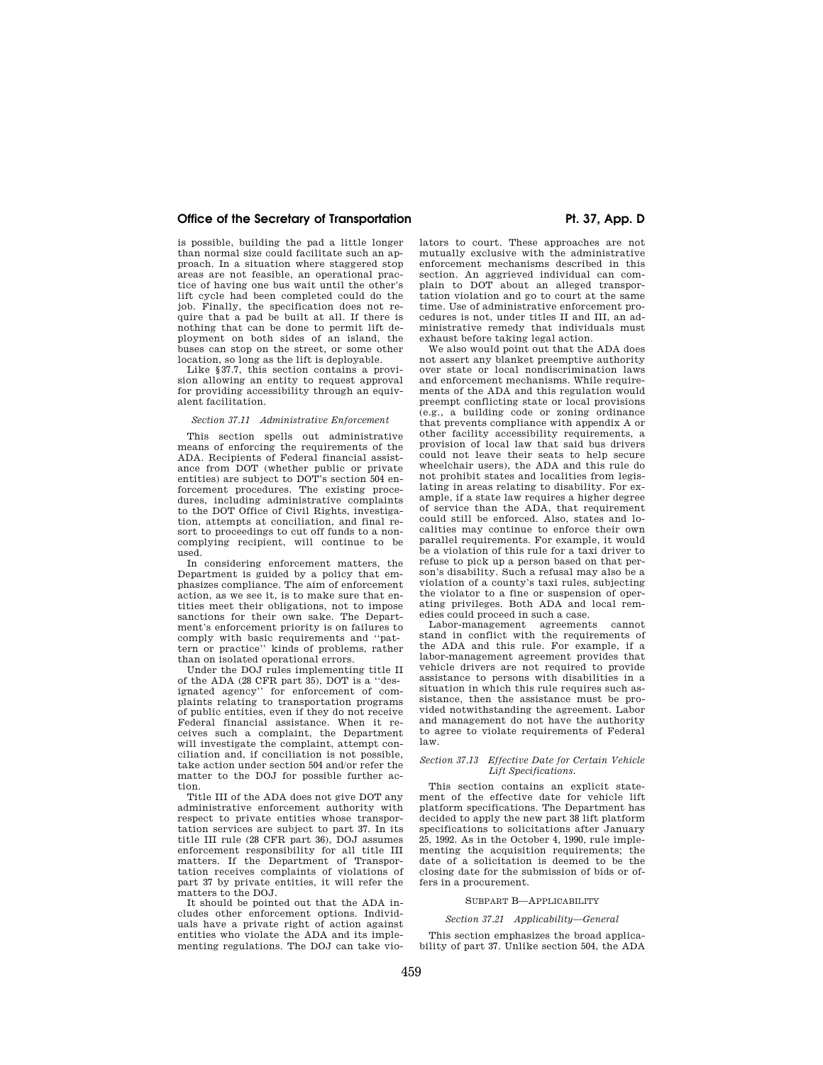is possible, building the pad a little longer than normal size could facilitate such an approach. In a situation where staggered stop areas are not feasible, an operational practice of having one bus wait until the other's lift cycle had been completed could do the job. Finally, the specification does not require that a pad be built at all. If there is nothing that can be done to permit lift deployment on both sides of an island, the buses can stop on the street, or some other location, so long as the lift is deployable.

Like §37.7, this section contains a provision allowing an entity to request approval for providing accessibility through an equivalent facilitation.

## *Section 37.11 Administrative Enforcement*

This section spells out administrative means of enforcing the requirements of the ADA. Recipients of Federal financial assistance from DOT (whether public or private entities) are subject to DOT's section 504 enforcement procedures. The existing procedures, including administrative complaints to the DOT Office of Civil Rights, investigation, attempts at conciliation, and final resort to proceedings to cut off funds to a noncomplying recipient, will continue to be used.

In considering enforcement matters, the Department is guided by a policy that emphasizes compliance. The aim of enforcement action, as we see it, is to make sure that entities meet their obligations, not to impose sanctions for their own sake. The Department's enforcement priority is on failures to comply with basic requirements and ''pattern or practice'' kinds of problems, rather than on isolated operational errors.

Under the DOJ rules implementing title II of the ADA (28 CFR part 35), DOT is a ''designated agency'' for enforcement of complaints relating to transportation programs of public entities, even if they do not receive Federal financial assistance. When it receives such a complaint, the Department will investigate the complaint, attempt conciliation and, if conciliation is not possible, take action under section 504 and/or refer the matter to the DOJ for possible further action.

Title III of the ADA does not give DOT any administrative enforcement authority with respect to private entities whose transportation services are subject to part 37. In its title III rule (28 CFR part 36), DOJ assumes enforcement responsibility for all title III matters. If the Department of Transpor-tation receives complaints of violations of part 37 by private entities, it will refer the matters to the DOJ.

It should be pointed out that the ADA includes other enforcement options. Individuals have a private right of action against entities who violate the ADA and its implementing regulations. The DOJ can take violators to court. These approaches are not mutually exclusive with the administrative enforcement mechanisms described in this section. An aggrieved individual can complain to DOT about an alleged transportation violation and go to court at the same time. Use of administrative enforcement procedures is not, under titles II and III, an administrative remedy that individuals must exhaust before taking legal action.

We also would point out that the ADA does not assert any blanket preemptive authority over state or local nondiscrimination laws and enforcement mechanisms. While requirements of the ADA and this regulation would preempt conflicting state or local provisions (e.g., a building code or zoning ordinance that prevents compliance with appendix A or other facility accessibility requirements, a provision of local law that said bus drivers could not leave their seats to help secure wheelchair users), the ADA and this rule do not prohibit states and localities from legislating in areas relating to disability. For example, if a state law requires a higher degree of service than the ADA, that requirement could still be enforced. Also, states and localities may continue to enforce their own parallel requirements. For example, it would be a violation of this rule for a taxi driver to refuse to pick up a person based on that person's disability. Such a refusal may also be a violation of a county's taxi rules, subjecting the violator to a fine or suspension of operating privileges. Both ADA and local remedies could proceed in such a case.

Labor-management agreements cannot stand in conflict with the requirements of the ADA and this rule. For example, if a labor-management agreement provides that vehicle drivers are not required to provide assistance to persons with disabilities in a situation in which this rule requires such assistance, then the assistance must be provided notwithstanding the agreement. Labor and management do not have the authority to agree to violate requirements of Federal law.

## *Section 37.13 Effective Date for Certain Vehicle Lift Specifications.*

This section contains an explicit statement of the effective date for vehicle lift platform specifications. The Department has decided to apply the new part 38 lift platform specifications to solicitations after January 25, 1992. As in the October 4, 1990, rule implementing the acquisition requirements; the date of a solicitation is deemed to be the closing date for the submission of bids or offers in a procurement.

## SUBPART B—APPLICABILITY

### *Section 37.21 Applicability—General*

This section emphasizes the broad applicability of part 37. Unlike section 504, the ADA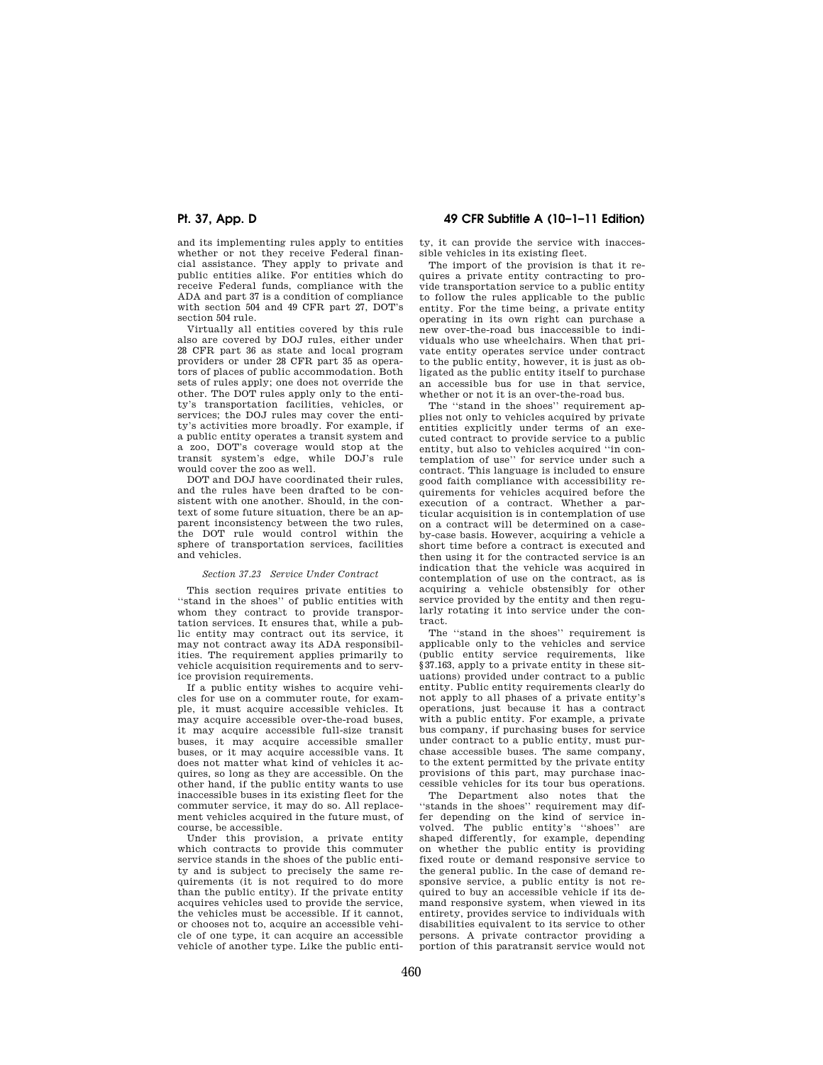and its implementing rules apply to entities whether or not they receive Federal financial assistance. They apply to private and public entities alike. For entities which do receive Federal funds, compliance with the ADA and part 37 is a condition of compliance with section 504 and 49 CFR part 27, DOT's section 504 rule.

Virtually all entities covered by this rule also are covered by DOJ rules, either under 28 CFR part 36 as state and local program providers or under 28 CFR part 35 as operators of places of public accommodation. Both sets of rules apply; one does not override the other. The DOT rules apply only to the entity's transportation facilities, vehicles, or services; the DOJ rules may cover the entity's activities more broadly. For example, if a public entity operates a transit system and a zoo, DOT's coverage would stop at the transit system's edge, while DOJ's rule would cover the zoo as well.

DOT and DOJ have coordinated their rules, and the rules have been drafted to be consistent with one another. Should, in the context of some future situation, there be an apparent inconsistency between the two rules, the DOT rule would control within the sphere of transportation services, facilities and vehicles.

# *Section 37.23 Service Under Contract*

This section requires private entities to ''stand in the shoes'' of public entities with whom they contract to provide transportation services. It ensures that, while a public entity may contract out its service, it may not contract away its ADA responsibilities. The requirement applies primarily to vehicle acquisition requirements and to service provision requirements.

If a public entity wishes to acquire vehicles for use on a commuter route, for example, it must acquire accessible vehicles. It may acquire accessible over-the-road buses, it may acquire accessible full-size transit buses, it may acquire accessible smaller buses, or it may acquire accessible vans. It does not matter what kind of vehicles it acquires, so long as they are accessible. On the other hand, if the public entity wants to use inaccessible buses in its existing fleet for the commuter service, it may do so. All replacement vehicles acquired in the future must, of course, be accessible.

Under this provision, a private entity which contracts to provide this commuter service stands in the shoes of the public entity and is subject to precisely the same requirements (it is not required to do more than the public entity). If the private entity acquires vehicles used to provide the service, the vehicles must be accessible. If it cannot, or chooses not to, acquire an accessible vehicle of one type, it can acquire an accessible vehicle of another type. Like the public enti-

**Pt. 37, App. D 49 CFR Subtitle A (10–1–11 Edition)** 

ty, it can provide the service with inaccessible vehicles in its existing fleet.

The import of the provision is that it requires a private entity contracting to provide transportation service to a public entity to follow the rules applicable to the public entity. For the time being, a private entity operating in its own right can purchase a new over-the-road bus inaccessible to individuals who use wheelchairs. When that private entity operates service under contract to the public entity, however, it is just as obligated as the public entity itself to purchase an accessible bus for use in that service, whether or not it is an over-the-road bus.

The "stand in the shoes" requirement applies not only to vehicles acquired by private entities explicitly under terms of an executed contract to provide service to a public entity, but also to vehicles acquired ''in contemplation of use'' for service under such a contract. This language is included to ensure good faith compliance with accessibility requirements for vehicles acquired before the execution of a contract. Whether a particular acquisition is in contemplation of use on a contract will be determined on a caseby-case basis. However, acquiring a vehicle a short time before a contract is executed and then using it for the contracted service is an indication that the vehicle was acquired in contemplation of use on the contract, as is acquiring a vehicle obstensibly for other service provided by the entity and then regularly rotating it into service under the contract.

The "stand in the shoes" requirement is applicable only to the vehicles and service (public entity service requirements, like §37.163, apply to a private entity in these situations) provided under contract to a public entity. Public entity requirements clearly do not apply to all phases of a private entity's operations, just because it has a contract with a public entity. For example, a private bus company, if purchasing buses for service under contract to a public entity, must purchase accessible buses. The same company, to the extent permitted by the private entity provisions of this part, may purchase inaccessible vehicles for its tour bus operations.

The Department also notes that the ''stands in the shoes'' requirement may differ depending on the kind of service involved. The public entity's ''shoes'' are shaped differently, for example, depending on whether the public entity is providing fixed route or demand responsive service to the general public. In the case of demand responsive service, a public entity is not required to buy an accessible vehicle if its demand responsive system, when viewed in its entirety, provides service to individuals with disabilities equivalent to its service to other persons. A private contractor providing a portion of this paratransit service would not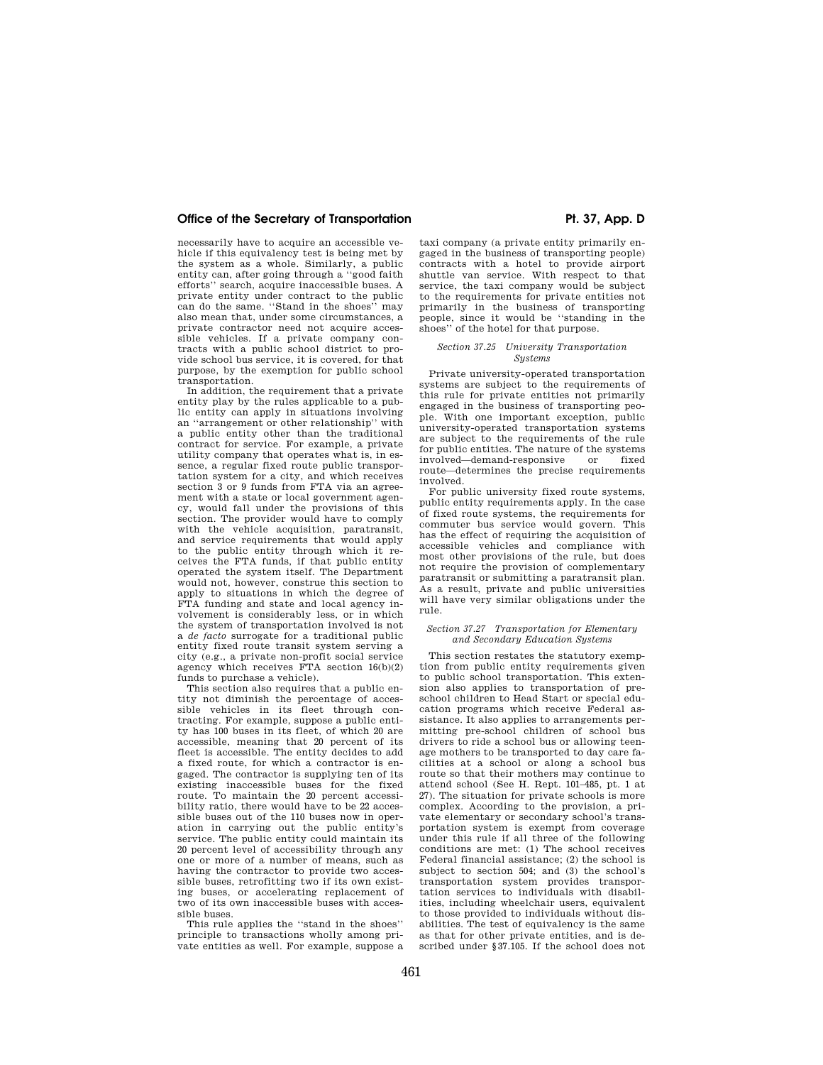necessarily have to acquire an accessible vehicle if this equivalency test is being met by the system as a whole. Similarly, a public entity can, after going through a ''good faith efforts'' search, acquire inaccessible buses. A private entity under contract to the public can do the same. "Stand in the shoes" may also mean that, under some circumstances, a private contractor need not acquire accessible vehicles. If a private company contracts with a public school district to provide school bus service, it is covered, for that purpose, by the exemption for public school transportation.

In addition, the requirement that a private entity play by the rules applicable to a public entity can apply in situations involving an ''arrangement or other relationship'' with a public entity other than the traditional contract for service. For example, a private utility company that operates what is, in essence, a regular fixed route public transportation system for a city, and which receives section 3 or 9 funds from FTA via an agreement with a state or local government agency, would fall under the provisions of this section. The provider would have to comply with the vehicle acquisition, paratransit, and service requirements that would apply to the public entity through which it receives the FTA funds, if that public entity operated the system itself. The Department would not, however, construe this section to apply to situations in which the degree of FTA funding and state and local agency involvement is considerably less, or in which the system of transportation involved is not a *de facto* surrogate for a traditional public entity fixed route transit system serving a city (e.g., a private non-profit social service agency which receives FTA section 16(b)(2) funds to purchase a vehicle).

This section also requires that a public entity not diminish the percentage of accessible vehicles in its fleet through contracting. For example, suppose a public entity has 100 buses in its fleet, of which 20 are accessible, meaning that 20 percent of its fleet is accessible. The entity decides to add a fixed route, for which a contractor is engaged. The contractor is supplying ten of its existing inaccessible buses for the fixed route. To maintain the 20 percent accessibility ratio, there would have to be 22 accessible buses out of the 110 buses now in operation in carrying out the public entity's service. The public entity could maintain its 20 percent level of accessibility through any one or more of a number of means, such as having the contractor to provide two accessible buses, retrofitting two if its own existing buses, or accelerating replacement of two of its own inaccessible buses with accessible buses.

This rule applies the "stand in the shoes" principle to transactions wholly among private entities as well. For example, suppose a taxi company (a private entity primarily engaged in the business of transporting people) contracts with a hotel to provide airport shuttle van service. With respect to that service, the taxi company would be subject to the requirements for private entities not primarily in the business of transporting people, since it would be ''standing in the shoes'' of the hotel for that purpose.

### *Section 37.25 University Transportation Systems*

Private university-operated transportation systems are subject to the requirements of this rule for private entities not primarily engaged in the business of transporting people. With one important exception, public university-operated transportation systems are subject to the requirements of the rule for public entities. The nature of the systems involved—demand-responsive or fixed route—determines the precise requirements involved.

For public university fixed route systems, public entity requirements apply. In the case of fixed route systems, the requirements for commuter bus service would govern. This has the effect of requiring the acquisition of accessible vehicles and compliance with most other provisions of the rule, but does not require the provision of complementary paratransit or submitting a paratransit plan. As a result, private and public universities will have very similar obligations under the rule.

## *Section 37.27 Transportation for Elementary and Secondary Education Systems*

This section restates the statutory exemption from public entity requirements given to public school transportation. This extension also applies to transportation of preschool children to Head Start or special education programs which receive Federal assistance. It also applies to arrangements permitting pre-school children of school bus drivers to ride a school bus or allowing teenage mothers to be transported to day care facilities at a school or along a school bus route so that their mothers may continue to attend school (See H. Rept. 101–485, pt. 1 at 27). The situation for private schools is more complex. According to the provision, a private elementary or secondary school's transportation system is exempt from coverage under this rule if all three of the following conditions are met: (1) The school receives Federal financial assistance; (2) the school is subject to section 504; and (3) the school's transportation system provides transportation services to individuals with disabilities, including wheelchair users, equivalent to those provided to individuals without disabilities. The test of equivalency is the same as that for other private entities, and is described under §37.105. If the school does not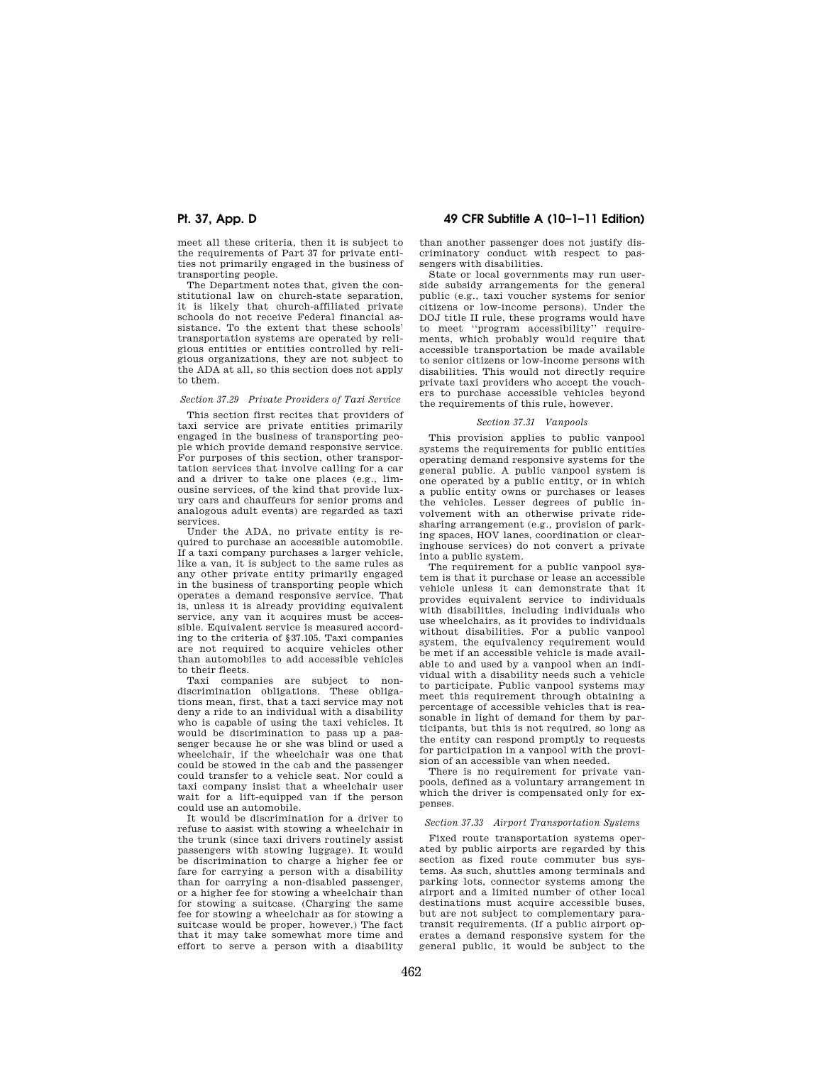meet all these criteria, then it is subject to the requirements of Part 37 for private entities not primarily engaged in the business of transporting people.

The Department notes that, given the constitutional law on church-state separation, it is likely that church-affiliated private schools do not receive Federal financial assistance. To the extent that these schools' transportation systems are operated by religious entities or entities controlled by religious organizations, they are not subject to the ADA at all, so this section does not apply to them.

# *Section 37.29 Private Providers of Taxi Service*

This section first recites that providers of taxi service are private entities primarily engaged in the business of transporting people which provide demand responsive service. For purposes of this section, other transportation services that involve calling for a car and a driver to take one places (e.g., limousine services, of the kind that provide luxury cars and chauffeurs for senior proms and analogous adult events) are regarded as taxi services.

Under the ADA, no private entity is required to purchase an accessible automobile. If a taxi company purchases a larger vehicle, like a van, it is subject to the same rules as any other private entity primarily engaged in the business of transporting people which operates a demand responsive service. That is, unless it is already providing equivalent service, any van it acquires must be accessible. Equivalent service is measured according to the criteria of §37.105. Taxi companies are not required to acquire vehicles other than automobiles to add accessible vehicles to their fleets.

Taxi companies are subject to nondiscrimination obligations. These obligations mean, first, that a taxi service may not deny a ride to an individual with a disability who is capable of using the taxi vehicles. It would be discrimination to pass up a passenger because he or she was blind or used a wheelchair, if the wheelchair was one that could be stowed in the cab and the passenger could transfer to a vehicle seat. Nor could a taxi company insist that a wheelchair user wait for a lift-equipped van if the person could use an automobile.

It would be discrimination for a driver to refuse to assist with stowing a wheelchair in the trunk (since taxi drivers routinely assist passengers with stowing luggage). It would be discrimination to charge a higher fee or fare for carrying a person with a disability than for carrying a non-disabled passenger, or a higher fee for stowing a wheelchair than for stowing a suitcase. (Charging the same fee for stowing a wheelchair as for stowing a suitcase would be proper, however.) The fact that it may take somewhat more time and effort to serve a person with a disability

**Pt. 37, App. D 49 CFR Subtitle A (10–1–11 Edition)** 

than another passenger does not justify discriminatory conduct with respect to passengers with disabilities.

State or local governments may run userside subsidy arrangements for the general public (e.g., taxi voucher systems for senior citizens or low-income persons). Under the DOJ title II rule, these programs would have to meet ''program accessibility'' requirements, which probably would require that accessible transportation be made available to senior citizens or low-income persons with disabilities. This would not directly require private taxi providers who accept the vouchers to purchase accessible vehicles beyond the requirements of this rule, however.

## *Section 37.31 Vanpools*

This provision applies to public vanpool systems the requirements for public entities operating demand responsive systems for the general public. A public vanpool system is one operated by a public entity, or in which a public entity owns or purchases or leases the vehicles. Lesser degrees of public involvement with an otherwise private ridesharing arrangement (e.g., provision of parking spaces, HOV lanes, coordination or clearinghouse services) do not convert a private into a public system.

The requirement for a public vanpool system is that it purchase or lease an accessible vehicle unless it can demonstrate that it provides equivalent service to individuals with disabilities, including individuals who use wheelchairs, as it provides to individuals without disabilities. For a public vanpool system, the equivalency requirement would be met if an accessible vehicle is made available to and used by a vanpool when an individual with a disability needs such a vehicle to participate. Public vanpool systems may meet this requirement through obtaining a percentage of accessible vehicles that is reasonable in light of demand for them by participants, but this is not required, so long as the entity can respond promptly to requests for participation in a vanpool with the provision of an accessible van when needed.

There is no requirement for private vanpools, defined as a voluntary arrangement in which the driver is compensated only for expenses.

## *Section 37.33 Airport Transportation Systems*

Fixed route transportation systems operated by public airports are regarded by this section as fixed route commuter bus systems. As such, shuttles among terminals and parking lots, connector systems among the airport and a limited number of other local destinations must acquire accessible buses, but are not subject to complementary paratransit requirements. (If a public airport operates a demand responsive system for the general public, it would be subject to the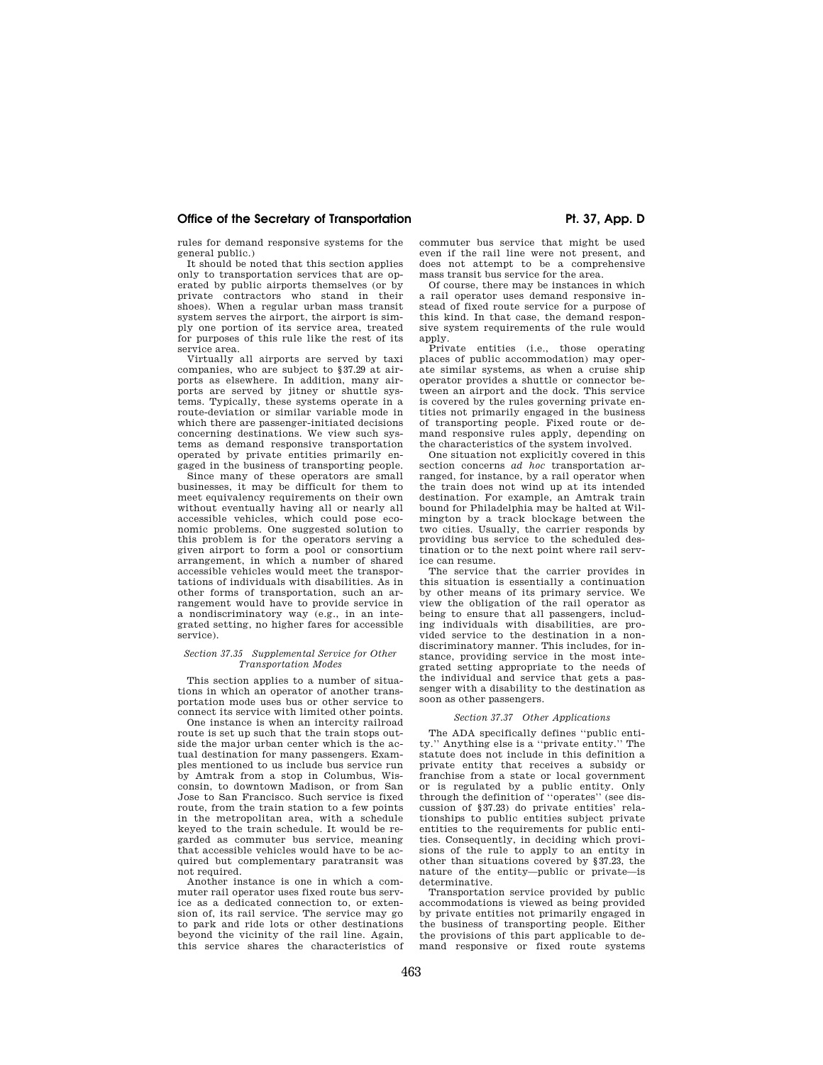rules for demand responsive systems for the general public.)

It should be noted that this section applies only to transportation services that are operated by public airports themselves (or by private contractors who stand in their shoes). When a regular urban mass transit system serves the airport, the airport is simply one portion of its service area, treated for purposes of this rule like the rest of its service area.

Virtually all airports are served by taxi companies, who are subject to §37.29 at airports as elsewhere. In addition, many airports are served by jitney or shuttle systems. Typically, these systems operate in a route-deviation or similar variable mode in which there are passenger-initiated decisions concerning destinations. We view such systems as demand responsive transportation operated by private entities primarily engaged in the business of transporting people.

Since many of these operators are small businesses, it may be difficult for them to meet equivalency requirements on their own without eventually having all or nearly all accessible vehicles, which could pose economic problems. One suggested solution to this problem is for the operators serving a given airport to form a pool or consortium arrangement, in which a number of shared accessible vehicles would meet the transportations of individuals with disabilities. As in other forms of transportation, such an arrangement would have to provide service in a nondiscriminatory way (e.g., in an integrated setting, no higher fares for accessible service).

### *Section 37.35 Supplemental Service for Other Transportation Modes*

This section applies to a number of situations in which an operator of another transportation mode uses bus or other service to connect its service with limited other points.

One instance is when an intercity railroad route is set up such that the train stops outside the major urban center which is the actual destination for many passengers. Examples mentioned to us include bus service run by Amtrak from a stop in Columbus, Wisconsin, to downtown Madison, or from San Jose to San Francisco. Such service is fixed route, from the train station to a few points in the metropolitan area, with a schedule keyed to the train schedule. It would be regarded as commuter bus service, meaning that accessible vehicles would have to be acquired but complementary paratransit was not required.

Another instance is one in which a commuter rail operator uses fixed route bus service as a dedicated connection to, or extension of, its rail service. The service may go to park and ride lots or other destinations beyond the vicinity of the rail line. Again, this service shares the characteristics of commuter bus service that might be used even if the rail line were not present, and does not attempt to be a comprehensive mass transit bus service for the area.

Of course, there may be instances in which a rail operator uses demand responsive instead of fixed route service for a purpose of this kind. In that case, the demand responsive system requirements of the rule would apply.

Private entities (i.e., those operating places of public accommodation) may operate similar systems, as when a cruise ship operator provides a shuttle or connector between an airport and the dock. This service is covered by the rules governing private entities not primarily engaged in the business of transporting people. Fixed route or demand responsive rules apply, depending on the characteristics of the system involved.

One situation not explicitly covered in this section concerns *ad hoc* transportation arranged, for instance, by a rail operator when the train does not wind up at its intended destination. For example, an Amtrak train bound for Philadelphia may be halted at Wilmington by a track blockage between the two cities. Usually, the carrier responds by providing bus service to the scheduled destination or to the next point where rail service can resume.

The service that the carrier provides in this situation is essentially a continuation by other means of its primary service. We view the obligation of the rail operator as being to ensure that all passengers, including individuals with disabilities, are provided service to the destination in a nondiscriminatory manner. This includes, for instance, providing service in the most integrated setting appropriate to the needs of the individual and service that gets a passenger with a disability to the destination as soon as other passengers.

## *Section 37.37 Other Applications*

The ADA specifically defines ''public enti-ty.'' Anything else is a ''private entity.'' The statute does not include in this definition a private entity that receives a subsidy or franchise from a state or local government or is regulated by a public entity. Only through the definition of ''operates'' (see discussion of §37.23) do private entities' relationships to public entities subject private entities to the requirements for public entities. Consequently, in deciding which provisions of the rule to apply to an entity in other than situations covered by §37.23, the nature of the entity—public or private—is determinative.

Transportation service provided by public accommodations is viewed as being provided by private entities not primarily engaged in the business of transporting people. Either the provisions of this part applicable to demand responsive or fixed route systems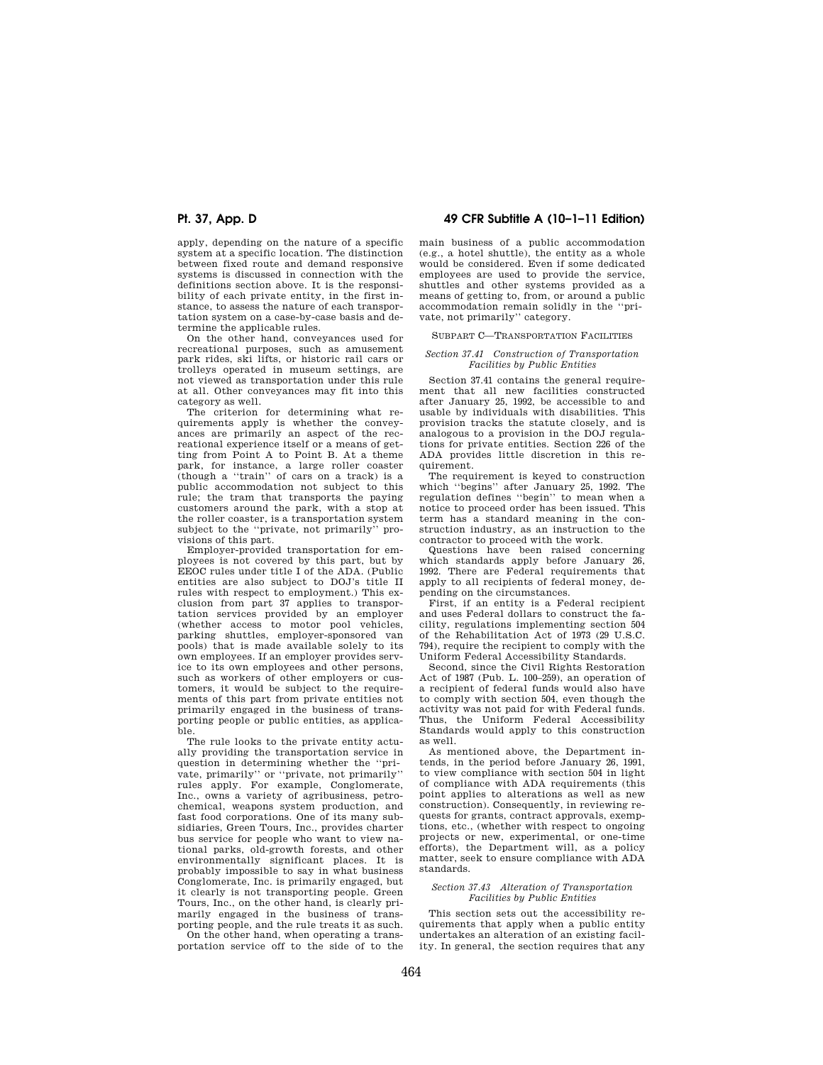apply, depending on the nature of a specific system at a specific location. The distinction between fixed route and demand responsive systems is discussed in connection with the definitions section above. It is the responsibility of each private entity, in the first instance, to assess the nature of each transportation system on a case-by-case basis and determine the applicable rules.

On the other hand, conveyances used for recreational purposes, such as amusement park rides, ski lifts, or historic rail cars or trolleys operated in museum settings, are not viewed as transportation under this rule at all. Other conveyances may fit into this category as well.

The criterion for determining what requirements apply is whether the conveyances are primarily an aspect of the recreational experience itself or a means of getting from Point A to Point B. At a theme park, for instance, a large roller coaster (though a ''train'' of cars on a track) is a public accommodation not subject to this rule; the tram that transports the paying customers around the park, with a stop at the roller coaster, is a transportation system subject to the ''private, not primarily'' provisions of this part.

Employer-provided transportation for employees is not covered by this part, but by EEOC rules under title I of the ADA. (Public entities are also subject to DOJ's title II rules with respect to employment.) This exclusion from part 37 applies to transportation services provided by an employer (whether access to motor pool vehicles, parking shuttles, employer-sponsored van pools) that is made available solely to its own employees. If an employer provides service to its own employees and other persons, such as workers of other employers or customers, it would be subject to the requirements of this part from private entities not primarily engaged in the business of transporting people or public entities, as applicable.

The rule looks to the private entity actually providing the transportation service in question in determining whether the ''private, primarily'' or ''private, not primarily'' rules apply. For example, Conglomerate, Inc., owns a variety of agribusiness, petrochemical, weapons system production, and fast food corporations. One of its many subsidiaries, Green Tours, Inc., provides charter bus service for people who want to view national parks, old-growth forests, and other environmentally significant places. It is probably impossible to say in what business Conglomerate, Inc. is primarily engaged, but it clearly is not transporting people. Green Tours, Inc., on the other hand, is clearly primarily engaged in the business of transporting people, and the rule treats it as such.

On the other hand, when operating a transportation service off to the side of to the

# **Pt. 37, App. D 49 CFR Subtitle A (10–1–11 Edition)**

main business of a public accommodation (e.g., a hotel shuttle), the entity as a whole would be considered. Even if some dedicated employees are used to provide the service, shuttles and other systems provided as a means of getting to, from, or around a public accommodation remain solidly in the ''private, not primarily'' category.

## SUBPART C—TRANSPORTATION FACILITIES

### *Section 37.41 Construction of Transportation Facilities by Public Entities*

Section 37.41 contains the general requirement that all new facilities constructed after January 25, 1992, be accessible to and usable by individuals with disabilities. This provision tracks the statute closely, and is analogous to a provision in the DOJ regulations for private entities. Section 226 of the ADA provides little discretion in this requirement.

The requirement is keyed to construction which ''begins'' after January 25, 1992. The regulation defines ''begin'' to mean when a notice to proceed order has been issued. This term has a standard meaning in the construction industry, as an instruction to the contractor to proceed with the work.

Questions have been raised concerning which standards apply before January 26, 1992. There are Federal requirements that apply to all recipients of federal money, depending on the circumstances.

First, if an entity is a Federal recipient and uses Federal dollars to construct the facility, regulations implementing section 504 of the Rehabilitation Act of 1973 (29 U.S.C. 794), require the recipient to comply with the Uniform Federal Accessibility Standards.

Second, since the Civil Rights Restoration Act of 1987 (Pub. L. 100–259), an operation of a recipient of federal funds would also have to comply with section 504, even though the activity was not paid for with Federal funds. Thus, the Uniform Federal Accessibility Standards would apply to this construction as well.

As mentioned above, the Department intends, in the period before January 26, 1991, to view compliance with section 504 in light of compliance with ADA requirements (this point applies to alterations as well as new construction). Consequently, in reviewing requests for grants, contract approvals, exemptions, etc., (whether with respect to ongoing projects or new, experimental, or one-time efforts), the Department will, as a policy matter, seek to ensure compliance with ADA standards.

## *Section 37.43 Alteration of Transportation Facilities by Public Entities*

This section sets out the accessibility requirements that apply when a public entity undertakes an alteration of an existing facility. In general, the section requires that any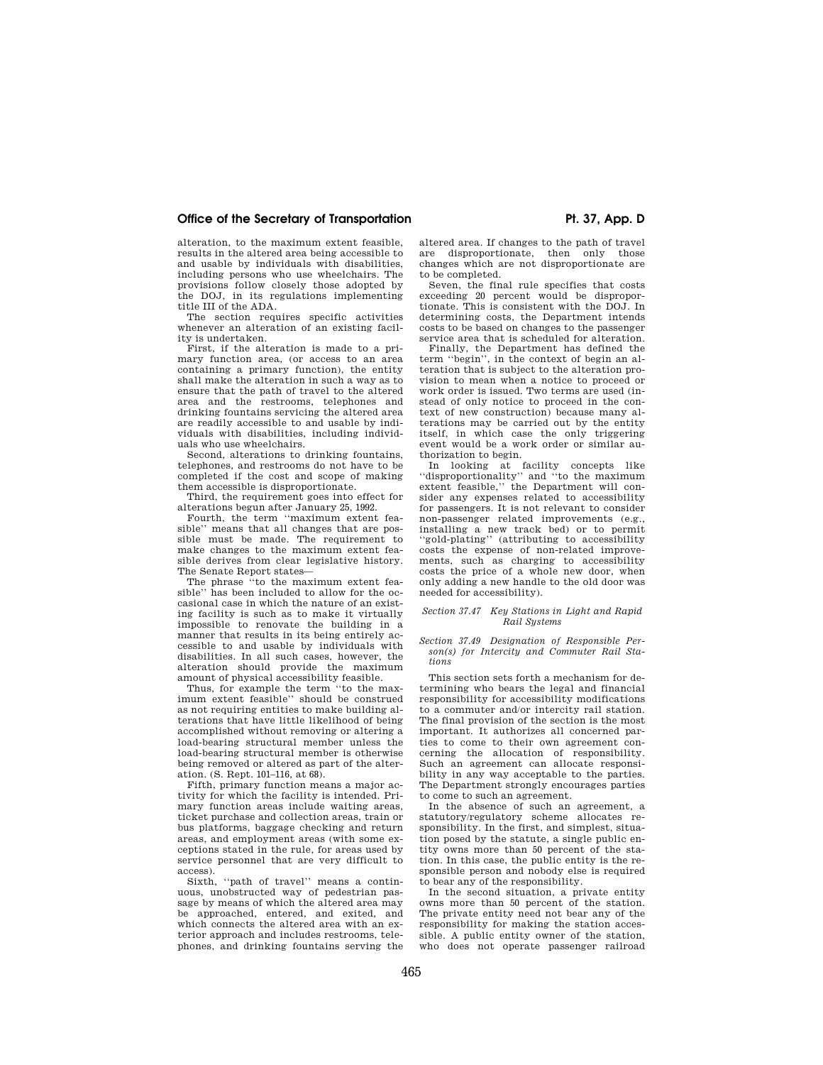alteration, to the maximum extent feasible, results in the altered area being accessible to and usable by individuals with disabilities, including persons who use wheelchairs. The provisions follow closely those adopted by the DOJ, in its regulations implementing title III of the ADA.

The section requires specific activities whenever an alteration of an existing facility is undertaken.

First, if the alteration is made to a primary function area, (or access to an area containing a primary function), the entity shall make the alteration in such a way as to ensure that the path of travel to the altered area and the restrooms, telephones and drinking fountains servicing the altered area are readily accessible to and usable by individuals with disabilities, including individuals who use wheelchairs.

Second, alterations to drinking fountains, telephones, and restrooms do not have to be completed if the cost and scope of making them accessible is disproportionate.

Third, the requirement goes into effect for alterations begun after January 25, 1992.

Fourth, the term ''maximum extent feasible'' means that all changes that are possible must be made. The requirement to make changes to the maximum extent feasible derives from clear legislative history. The Senate Report states—

The phrase "to the maximum extent feasible'' has been included to allow for the occasional case in which the nature of an existing facility is such as to make it virtually impossible to renovate the building in a manner that results in its being entirely accessible to and usable by individuals with disabilities. In all such cases, however, the alteration should provide the maximum amount of physical accessibility feasible.

Thus, for example the term ''to the maximum extent feasible'' should be construed as not requiring entities to make building alterations that have little likelihood of being accomplished without removing or altering a load-bearing structural member unless the load-bearing structural member is otherwise being removed or altered as part of the alteration. (S. Rept. 101–116, at 68).

Fifth, primary function means a major activity for which the facility is intended. Primary function areas include waiting areas, ticket purchase and collection areas, train or bus platforms, baggage checking and return areas, and employment areas (with some exceptions stated in the rule, for areas used by service personnel that are very difficult to access).

Sixth, ''path of travel'' means a continuous, unobstructed way of pedestrian passage by means of which the altered area may be approached, entered, and exited, and which connects the altered area with an exterior approach and includes restrooms, telephones, and drinking fountains serving the altered area. If changes to the path of travel are disproportionate, then only those changes which are not disproportionate are to be completed.

Seven, the final rule specifies that costs exceeding 20 percent would be disproportionate. This is consistent with the DOJ. In determining costs, the Department intends costs to be based on changes to the passenger service area that is scheduled for alteration.

Finally, the Department has defined the term ''begin'', in the context of begin an alteration that is subject to the alteration provision to mean when a notice to proceed or work order is issued. Two terms are used (instead of only notice to proceed in the context of new construction) because many alterations may be carried out by the entity itself, in which case the only triggering event would be a work order or similar authorization to begin.

In looking at facility concepts like ''disproportionality'' and ''to the maximum extent feasible,'' the Department will consider any expenses related to accessibility for passengers. It is not relevant to consider non-passenger related improvements (e.g., installing a new track bed) or to permit ''gold-plating'' (attributing to accessibility costs the expense of non-related improvements, such as charging to accessibility costs the price of a whole new door, when only adding a new handle to the old door was needed for accessibility).

## *Section 37.47 Key Stations in Light and Rapid Rail Systems*

# *Section 37.49 Designation of Responsible Per-son(s) for Intercity and Commuter Rail Stations*

This section sets forth a mechanism for determining who bears the legal and financial responsibility for accessibility modifications to a commuter and/or intercity rail station. The final provision of the section is the most important. It authorizes all concerned parties to come to their own agreement concerning the allocation of responsibility. Such an agreement can allocate responsibility in any way acceptable to the parties. The Department strongly encourages parties to come to such an agreement.

In the absence of such an agreement, a statutory/regulatory scheme allocates responsibility. In the first, and simplest, situation posed by the statute, a single public entity owns more than 50 percent of the station. In this case, the public entity is the responsible person and nobody else is required to bear any of the responsibility.

In the second situation, a private entity owns more than 50 percent of the station. The private entity need not bear any of the responsibility for making the station accessible. A public entity owner of the station, who does not operate passenger railroad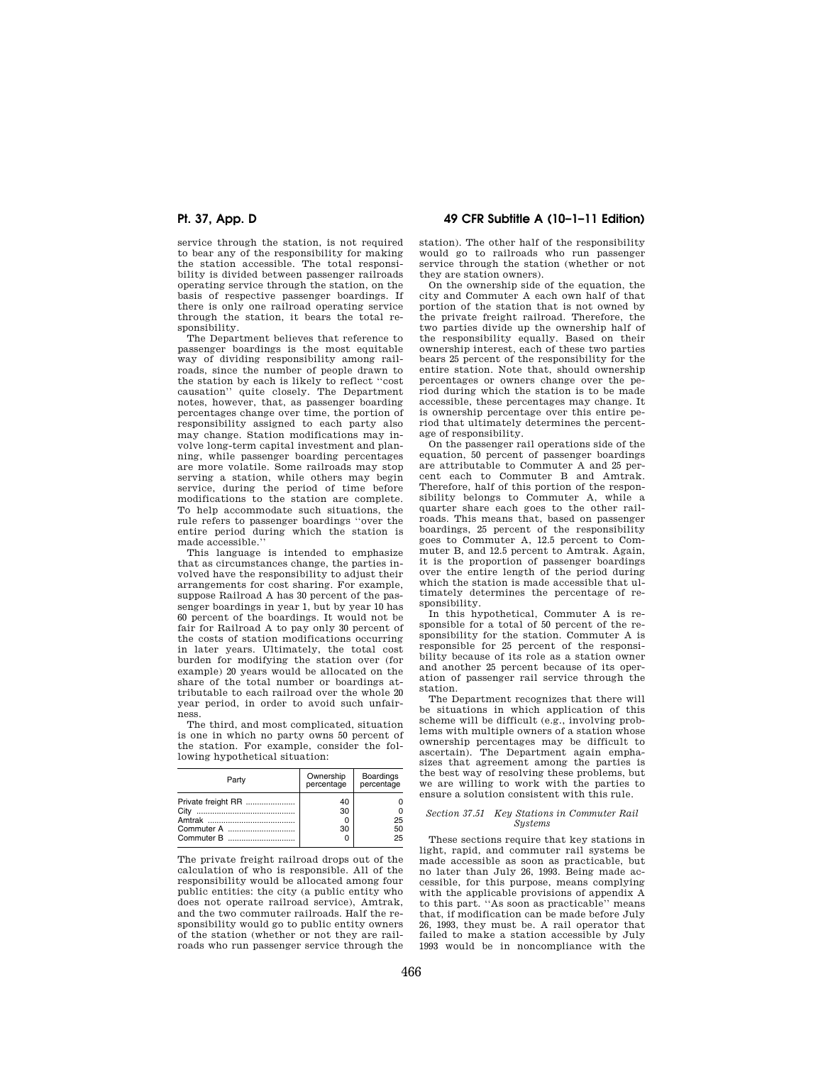service through the station, is not required to bear any of the responsibility for making the station accessible. The total responsibility is divided between passenger railroads operating service through the station, on the basis of respective passenger boardings. If there is only one railroad operating service through the station, it bears the total responsibility.

The Department believes that reference to passenger boardings is the most equitable way of dividing responsibility among railroads, since the number of people drawn to the station by each is likely to reflect ''cost causation'' quite closely. The Department notes, however, that, as passenger boarding percentages change over time, the portion of responsibility assigned to each party also may change. Station modifications may involve long-term capital investment and planning, while passenger boarding percentages are more volatile. Some railroads may stop serving a station, while others may begin service, during the period of time before modifications to the station are complete. To help accommodate such situations, the rule refers to passenger boardings ''over the entire period during which the station is made accessible.''

This language is intended to emphasize that as circumstances change, the parties involved have the responsibility to adjust their arrangements for cost sharing. For example, suppose Railroad A has 30 percent of the passenger boardings in year 1, but by year 10 has 60 percent of the boardings. It would not be fair for Railroad A to pay only 30 percent of the costs of station modifications occurring in later years. Ultimately, the total cost burden for modifying the station over (for example) 20 years would be allocated on the share of the total number or boardings attributable to each railroad over the whole 20 year period, in order to avoid such unfairness.

The third, and most complicated, situation is one in which no party owns 50 percent of the station. For example, consider the following hypothetical situation:

| Party              | Ownership<br>percentage | Boardings<br>percentage |
|--------------------|-------------------------|-------------------------|
| Private freight RR | 40                      |                         |
|                    | 30                      |                         |
|                    |                         | 25                      |
| Commuter A         | 30                      | 50                      |
| Commuter B         |                         | 25                      |

The private freight railroad drops out of the calculation of who is responsible. All of the responsibility would be allocated among four public entities: the city (a public entity who does not operate railroad service), Amtrak, and the two commuter railroads. Half the responsibility would go to public entity owners of the station (whether or not they are railroads who run passenger service through the

# **Pt. 37, App. D 49 CFR Subtitle A (10–1–11 Edition)**

station). The other half of the responsibility would go to railroads who run passenger service through the station (whether or not they are station owners).

On the ownership side of the equation, the city and Commuter A each own half of that portion of the station that is not owned by the private freight railroad. Therefore, the two parties divide up the ownership half of the responsibility equally. Based on their ownership interest, each of these two parties bears 25 percent of the responsibility for the entire station. Note that, should ownership percentages or owners change over the period during which the station is to be made accessible, these percentages may change. It is ownership percentage over this entire period that ultimately determines the percentage of responsibility.

On the passenger rail operations side of the equation, 50 percent of passenger boardings are attributable to Commuter A and 25 percent each to Commuter B and Amtrak. Therefore, half of this portion of the responsibility belongs to Commuter A, while a quarter share each goes to the other railroads. This means that, based on passenger boardings, 25 percent of the responsibility goes to Commuter A, 12.5 percent to Commuter B, and 12.5 percent to Amtrak. Again, it is the proportion of passenger boardings over the entire length of the period during which the station is made accessible that ultimately determines the percentage of responsibility.

In this hypothetical, Commuter A is responsible for a total of 50 percent of the responsibility for the station. Commuter A is responsible for 25 percent of the responsibility because of its role as a station owner and another 25 percent because of its operation of passenger rail service through the station.

The Department recognizes that there will be situations in which application of this scheme will be difficult (e.g., involving problems with multiple owners of a station whose ownership percentages may be difficult to The Department again emphasizes that agreement among the parties is the best way of resolving these problems, but we are willing to work with the parties to ensure a solution consistent with this rule.

### *Section 37.51 Key Stations in Commuter Rail Systems*

These sections require that key stations in light, rapid, and commuter rail systems be made accessible as soon as practicable, but no later than July 26, 1993. Being made accessible, for this purpose, means complying with the applicable provisions of appendix A to this part. ''As soon as practicable'' means that, if modification can be made before July 26, 1993, they must be. A rail operator that failed to make a station accessible by July 1993 would be in noncompliance with the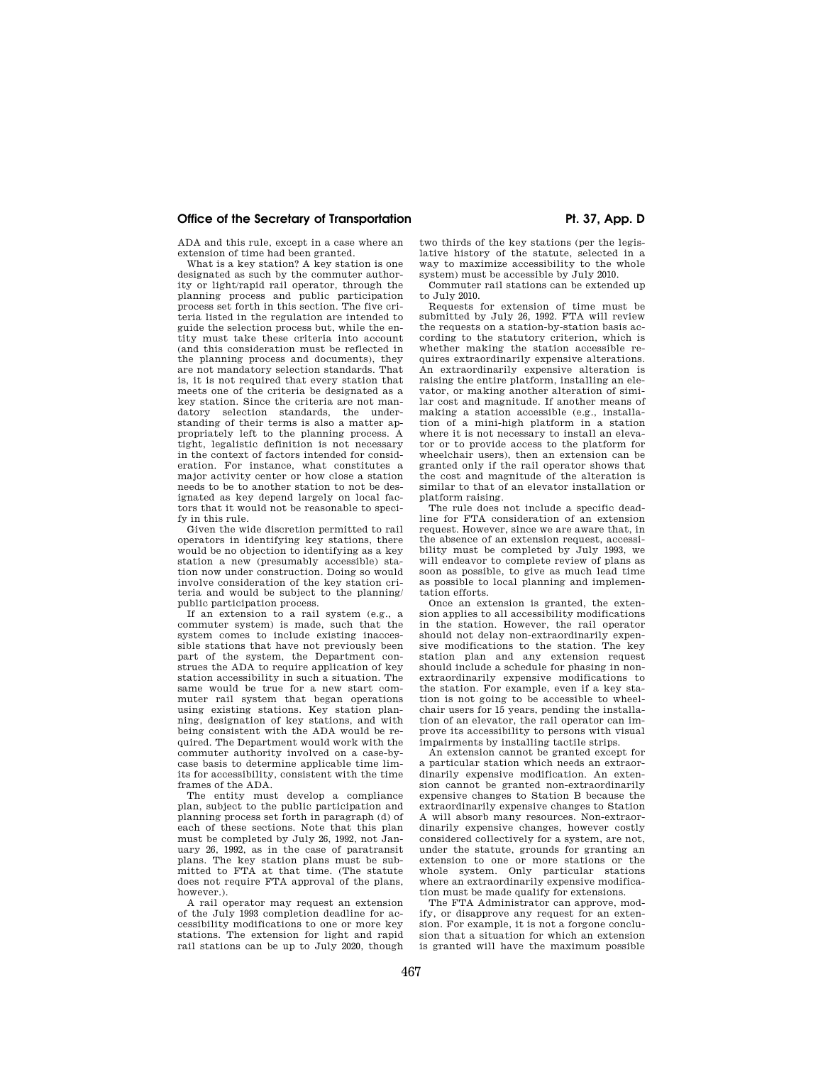ADA and this rule, except in a case where an extension of time had been granted.

What is a key station? A key station is one designated as such by the commuter authority or light/rapid rail operator, through the planning process and public participation process set forth in this section. The five criteria listed in the regulation are intended to guide the selection process but, while the entity must take these criteria into account (and this consideration must be reflected in the planning process and documents), they are not mandatory selection standards. That is, it is not required that every station that meets one of the criteria be designated as a key station. Since the criteria are not mandatory selection standards, the understanding of their terms is also a matter appropriately left to the planning process. A tight, legalistic definition is not necessary in the context of factors intended for consideration. For instance, what constitutes a major activity center or how close a station needs to be to another station to not be designated as key depend largely on local factors that it would not be reasonable to specify in this rule.

Given the wide discretion permitted to rail operators in identifying key stations, there would be no objection to identifying as a key station a new (presumably accessible) station now under construction. Doing so would involve consideration of the key station criteria and would be subject to the planning/ public participation process.

If an extension to a rail system (e.g., a commuter system) is made, such that the system comes to include existing inaccessible stations that have not previously been part of the system, the Department construes the ADA to require application of key station accessibility in such a situation. The same would be true for a new start commuter rail system that began operations using existing stations. Key station planning, designation of key stations, and with being consistent with the ADA would be required. The Department would work with the commuter authority involved on a case-bycase basis to determine applicable time limits for accessibility, consistent with the time frames of the ADA.

The entity must develop a compliance plan, subject to the public participation and planning process set forth in paragraph (d) of each of these sections. Note that this plan must be completed by July 26, 1992, not January 26, 1992, as in the case of paratransit plans. The key station plans must be submitted to FTA at that time. (The statute does not require FTA approval of the plans, however.)

A rail operator may request an extension of the July 1993 completion deadline for accessibility modifications to one or more key stations. The extension for light and rapid rail stations can be up to July 2020, though two thirds of the key stations (per the legislative history of the statute, selected in a way to maximize accessibility to the whole system) must be accessible by July 2010.

Commuter rail stations can be extended up to July 2010.

Requests for extension of time must be submitted by July 26, 1992. FTA will review the requests on a station-by-station basis according to the statutory criterion, which is whether making the station accessible requires extraordinarily expensive alterations. An extraordinarily expensive alteration is raising the entire platform, installing an elevator, or making another alteration of similar cost and magnitude. If another means of making a station accessible (e.g., installation of a mini-high platform in a station where it is not necessary to install an elevator or to provide access to the platform for wheelchair users), then an extension can be granted only if the rail operator shows that the cost and magnitude of the alteration is similar to that of an elevator installation or platform raising.

The rule does not include a specific deadline for FTA consideration of an extension request. However, since we are aware that, in the absence of an extension request, accessibility must be completed by July 1993, we will endeavor to complete review of plans as soon as possible, to give as much lead time as possible to local planning and implementation efforts.

Once an extension is granted, the extension applies to all accessibility modifications in the station. However, the rail operator should not delay non-extraordinarily expensive modifications to the station. The key station plan and any extension request should include a schedule for phasing in nonextraordinarily expensive modifications to the station. For example, even if a key station is not going to be accessible to wheelchair users for 15 years, pending the installation of an elevator, the rail operator can improve its accessibility to persons with visual impairments by installing tactile strips.

An extension cannot be granted except for a particular station which needs an extraordinarily expensive modification. An extension cannot be granted non-extraordinarily expensive changes to Station B because the extraordinarily expensive changes to Station A will absorb many resources. Non-extraordinarily expensive changes, however costly considered collectively for a system, are not, under the statute, grounds for granting an extension to one or more stations or the whole system. Only particular stations where an extraordinarily expensive modification must be made qualify for extensions.

The FTA Administrator can approve, modify, or disapprove any request for an extension. For example, it is not a forgone conclusion that a situation for which an extension is granted will have the maximum possible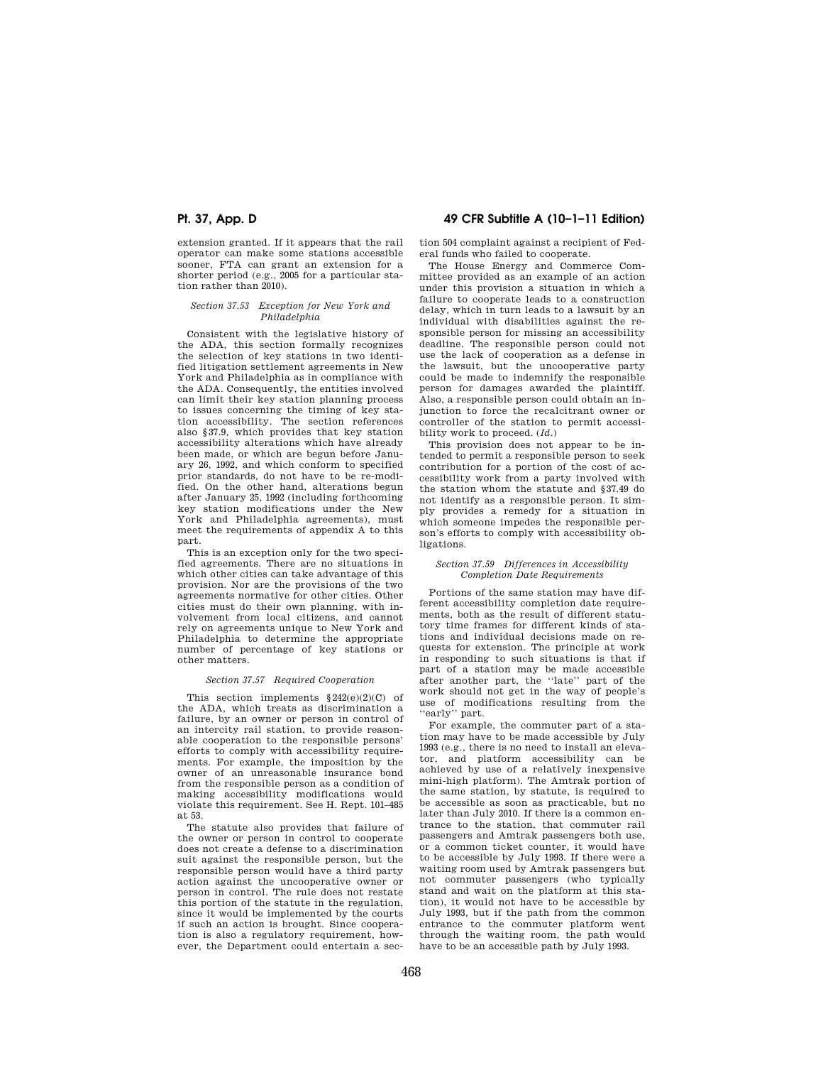extension granted. If it appears that the rail operator can make some stations accessible sooner, FTA can grant an extension for a shorter period (e.g., 2005 for a particular station rather than 2010).

## *Section 37.53 Exception for New York and Philadelphia*

Consistent with the legislative history of the ADA, this section formally recognizes the selection of key stations in two identified litigation settlement agreements in New York and Philadelphia as in compliance with the ADA. Consequently, the entities involved can limit their key station planning process to issues concerning the timing of key station accessibility. The section references also §37.9, which provides that key station accessibility alterations which have already been made, or which are begun before January 26, 1992, and which conform to specified prior standards, do not have to be re-modified. On the other hand, alterations begun after January 25, 1992 (including forthcoming key station modifications under the New York and Philadelphia agreements), must meet the requirements of appendix A to this part.

This is an exception only for the two specified agreements. There are no situations in which other cities can take advantage of this provision. Nor are the provisions of the two agreements normative for other cities. Other cities must do their own planning, with involvement from local citizens, and cannot rely on agreements unique to New York and Philadelphia to determine the appropriate number of percentage of key stations or other matters.

## *Section 37.57 Required Cooperation*

This section implements §242(e)(2)(C) of the ADA, which treats as discrimination a failure, by an owner or person in control of an intercity rail station, to provide reasonable cooperation to the responsible persons' efforts to comply with accessibility requirements. For example, the imposition by the owner of an unreasonable insurance bond from the responsible person as a condition of making accessibility modifications would violate this requirement. See H. Rept. 101–485 at 53.

The statute also provides that failure of the owner or person in control to cooperate does not create a defense to a discrimination suit against the responsible person, but the responsible person would have a third party action against the uncooperative owner or person in control. The rule does not restate this portion of the statute in the regulation, since it would be implemented by the courts if such an action is brought. Since cooperation is also a regulatory requirement, however, the Department could entertain a sec-

# **Pt. 37, App. D 49 CFR Subtitle A (10–1–11 Edition)**

tion 504 complaint against a recipient of Federal funds who failed to cooperate.

The House Energy and Commerce Committee provided as an example of an action under this provision a situation in which a failure to cooperate leads to a construction delay, which in turn leads to a lawsuit by an individual with disabilities against the responsible person for missing an accessibility deadline. The responsible person could not use the lack of cooperation as a defense in the lawsuit, but the uncooperative party could be made to indemnify the responsible person for damages awarded the plaintiff. Also, a responsible person could obtain an injunction to force the recalcitrant owner or controller of the station to permit accessibility work to proceed. (*Id*.)

This provision does not appear to be intended to permit a responsible person to seek contribution for a portion of the cost of accessibility work from a party involved with the station whom the statute and §37.49 do not identify as a responsible person. It simply provides a remedy for a situation in which someone impedes the responsible person's efforts to comply with accessibility obligations.

## *Section 37.59 Differences in Accessibility Completion Date Requirements*

Portions of the same station may have different accessibility completion date requirements, both as the result of different statutory time frames for different kinds of stations and individual decisions made on requests for extension. The principle at work in responding to such situations is that if part of a station may be made accessible after another part, the ''late'' part of the work should not get in the way of people's use of modifications resulting from the "early" part.

For example, the commuter part of a station may have to be made accessible by July 1993 (e.g., there is no need to install an elevator, and platform accessibility can be achieved by use of a relatively inexpensive mini-high platform). The Amtrak portion of the same station, by statute, is required to be accessible as soon as practicable, but no later than July 2010. If there is a common entrance to the station, that commuter rail passengers and Amtrak passengers both use, or a common ticket counter, it would have to be accessible by July 1993. If there were a waiting room used by Amtrak passengers but not commuter passengers (who typically stand and wait on the platform at this station), it would not have to be accessible by July 1993, but if the path from the common entrance to the commuter platform went through the waiting room, the path would have to be an accessible path by July 1993.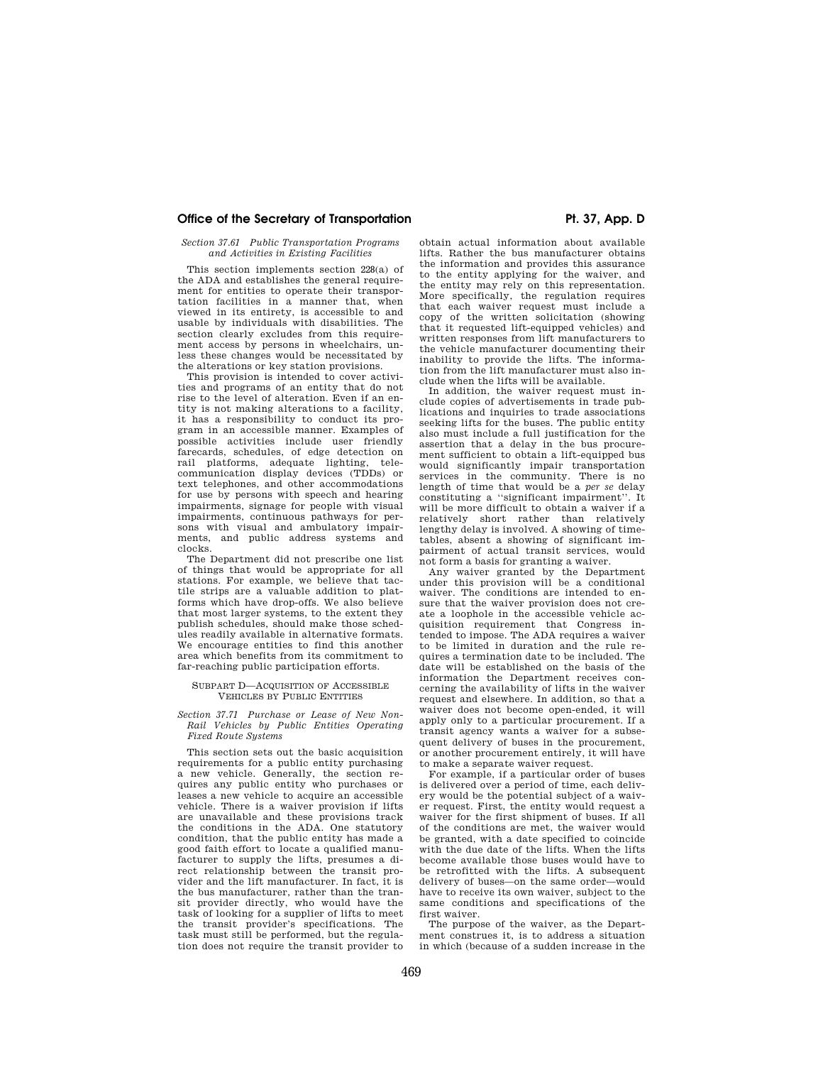# Office of the Secretary of Transportation **Pt. 37, App. D**

## *Section 37.61 Public Transportation Programs and Activities in Existing Facilities*

This section implements section 228(a) of the ADA and establishes the general requirement for entities to operate their transportation facilities in a manner that, when viewed in its entirety, is accessible to and usable by individuals with disabilities. The section clearly excludes from this requirement access by persons in wheelchairs, unless these changes would be necessitated by the alterations or key station provisions.

This provision is intended to cover activities and programs of an entity that do not rise to the level of alteration. Even if an entity is not making alterations to a facility, it has a responsibility to conduct its program in an accessible manner. Examples of possible activities include user friendly farecards, schedules, of edge detection on rail platforms, adequate lighting, telecommunication display devices (TDDs) or text telephones, and other accommodations for use by persons with speech and hearing impairments, signage for people with visual impairments, continuous pathways for persons with visual and ambulatory impairments, and public address systems and clocks.

The Department did not prescribe one list of things that would be appropriate for all stations. For example, we believe that tactile strips are a valuable addition to platforms which have drop-offs. We also believe that most larger systems, to the extent they publish schedules, should make those schedules readily available in alternative formats. We encourage entities to find this another area which benefits from its commitment to far-reaching public participation efforts.

## SUBPART D—ACQUISITION OF ACCESSIBLE VEHICLES BY PUBLIC ENTITIES

*Section 37.71 Purchase or Lease of New Non-Rail Vehicles by Public Entities Operating Fixed Route Systems* 

This section sets out the basic acquisition requirements for a public entity purchasing a new vehicle. Generally, the section requires any public entity who purchases or leases a new vehicle to acquire an accessible vehicle. There is a waiver provision if lifts are unavailable and these provisions track the conditions in the ADA. One statutory condition, that the public entity has made a good faith effort to locate a qualified manufacturer to supply the lifts, presumes a direct relationship between the transit provider and the lift manufacturer. In fact, it is the bus manufacturer, rather than the transit provider directly, who would have the task of looking for a supplier of lifts to meet the transit provider's specifications. The task must still be performed, but the regulation does not require the transit provider to

obtain actual information about available lifts. Rather the bus manufacturer obtains the information and provides this assurance to the entity applying for the waiver, and the entity may rely on this representation. More specifically, the regulation requires that each waiver request must include a copy of the written solicitation (showing that it requested lift-equipped vehicles) and written responses from lift manufacturers to the vehicle manufacturer documenting their inability to provide the lifts. The information from the lift manufacturer must also include when the lifts will be available.

In addition, the waiver request must include copies of advertisements in trade publications and inquiries to trade associations seeking lifts for the buses. The public entity also must include a full justification for the assertion that a delay in the bus procurement sufficient to obtain a lift-equipped bus would significantly impair transportation services in the community. There is no length of time that would be a *per se* delay constituting a ''significant impairment''. It will be more difficult to obtain a waiver if a relatively short rather than relatively lengthy delay is involved. A showing of timetables, absent a showing of significant impairment of actual transit services, would not form a basis for granting a waiver.

Any waiver granted by the Department under this provision will be a conditional waiver. The conditions are intended to ensure that the waiver provision does not create a loophole in the accessible vehicle acquisition requirement that Congress intended to impose. The ADA requires a waiver to be limited in duration and the rule requires a termination date to be included. The date will be established on the basis of the information the Department receives concerning the availability of lifts in the waiver request and elsewhere. In addition, so that a waiver does not become open-ended, it will apply only to a particular procurement. If a transit agency wants a waiver for a subsequent delivery of buses in the procurement, or another procurement entirely, it will have to make a separate waiver request.

For example, if a particular order of buses is delivered over a period of time, each delivery would be the potential subject of a waiver request. First, the entity would request a waiver for the first shipment of buses. If all of the conditions are met, the waiver would be granted, with a date specified to coincide with the due date of the lifts. When the lifts become available those buses would have to be retrofitted with the lifts. A subsequent delivery of buses—on the same order—would have to receive its own waiver, subject to the same conditions and specifications of the first waiver.

The purpose of the waiver, as the Department construes it, is to address a situation in which (because of a sudden increase in the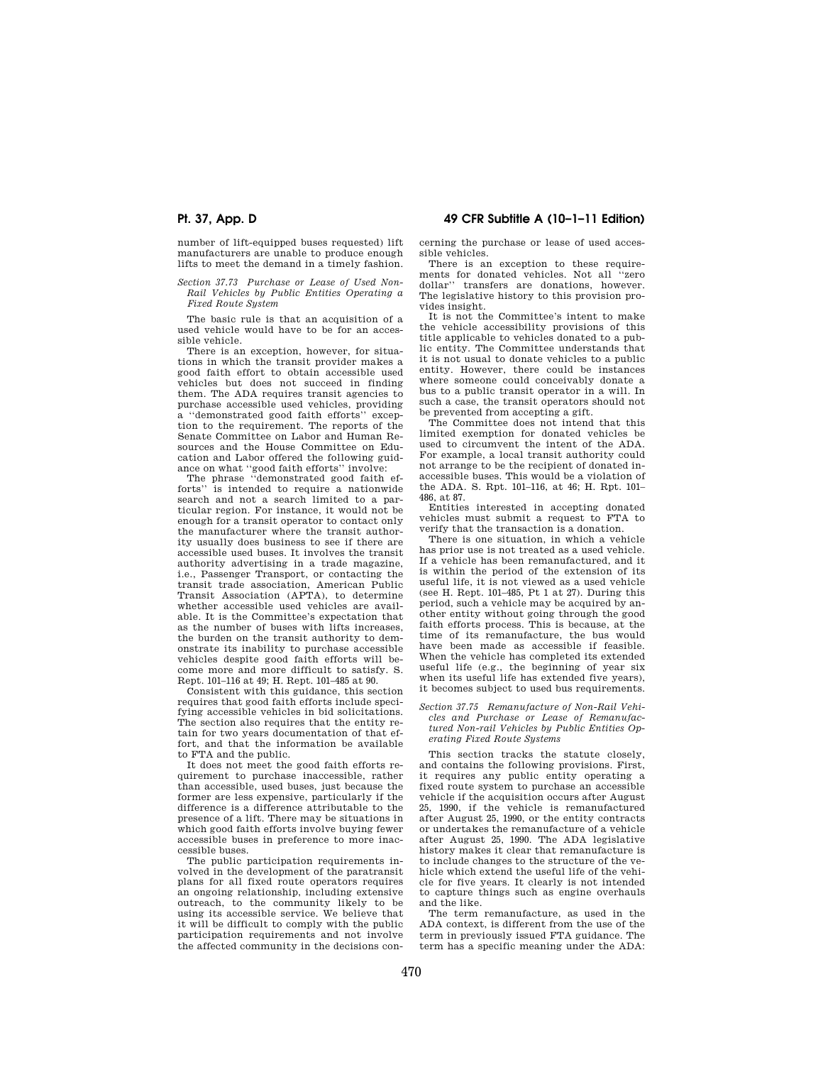number of lift-equipped buses requested) lift manufacturers are unable to produce enough lifts to meet the demand in a timely fashion.

*Section 37.73 Purchase or Lease of Used Non-Rail Vehicles by Public Entities Operating a Fixed Route System* 

The basic rule is that an acquisition of a used vehicle would have to be for an accessible vehicle.

There is an exception, however, for situations in which the transit provider makes a good faith effort to obtain accessible used vehicles but does not succeed in finding them. The ADA requires transit agencies to purchase accessible used vehicles, providing a ''demonstrated good faith efforts'' exception to the requirement. The reports of the Senate Committee on Labor and Human Resources and the House Committee on Education and Labor offered the following guidance on what ''good faith efforts'' involve:

The phrase "demonstrated good faith efforts'' is intended to require a nationwide search and not a search limited to a particular region. For instance, it would not be enough for a transit operator to contact only the manufacturer where the transit authority usually does business to see if there are accessible used buses. It involves the transit authority advertising in a trade magazine, i.e., Passenger Transport, or contacting the transit trade association, American Public Transit Association (APTA), to determine whether accessible used vehicles are available. It is the Committee's expectation that as the number of buses with lifts increases, the burden on the transit authority to demonstrate its inability to purchase accessible vehicles despite good faith efforts will become more and more difficult to satisfy. S. Rept. 101–116 at 49; H. Rept. 101–485 at 90.

Consistent with this guidance, this section requires that good faith efforts include specifying accessible vehicles in bid solicitations. The section also requires that the entity retain for two years documentation of that effort, and that the information be available to FTA and the public.

It does not meet the good faith efforts requirement to purchase inaccessible, rather than accessible, used buses, just because the former are less expensive, particularly if the difference is a difference attributable to the presence of a lift. There may be situations in which good faith efforts involve buying fewer accessible buses in preference to more inaccessible buses.

The public participation requirements involved in the development of the paratransit plans for all fixed route operators requires an ongoing relationship, including extensive outreach, to the community likely to be using its accessible service. We believe that it will be difficult to comply with the public participation requirements and not involve the affected community in the decisions con-

**Pt. 37, App. D 49 CFR Subtitle A (10–1–11 Edition)** 

cerning the purchase or lease of used accessible vehicles.

There is an exception to these requirements for donated vehicles. Not all "zero<br>dollar" transfers are donations, however. transfers are donations, however. The legislative history to this provision provides insight.

It is not the Committee's intent to make the vehicle accessibility provisions of this title applicable to vehicles donated to a public entity. The Committee understands that it is not usual to donate vehicles to a public entity. However, there could be instances where someone could conceivably donate a bus to a public transit operator in a will. In such a case, the transit operators should not be prevented from accepting a gift.

The Committee does not intend that this limited exemption for donated vehicles be used to circumvent the intent of the ADA. For example, a local transit authority could not arrange to be the recipient of donated inaccessible buses. This would be a violation of the ADA. S. Rpt. 101–116, at 46; H. Rpt. 101– 486, at 87.

Entities interested in accepting donated vehicles must submit a request to FTA to verify that the transaction is a donation.

There is one situation, in which a vehicle has prior use is not treated as a used vehicle. If a vehicle has been remanufactured, and it is within the period of the extension of its useful life, it is not viewed as a used vehicle (see H. Rept. 101–485, Pt 1 at 27). During this period, such a vehicle may be acquired by another entity without going through the good faith efforts process. This is because, at the time of its remanufacture, the bus would have been made as accessible if feasible. When the vehicle has completed its extended useful life (e.g., the beginning of year six when its useful life has extended five years), it becomes subject to used bus requirements.

*Section 37.75 Remanufacture of Non-Rail Vehicles and Purchase or Lease of Remanufactured Non-rail Vehicles by Public Entities Operating Fixed Route Systems* 

This section tracks the statute closely, and contains the following provisions. First, it requires any public entity operating a fixed route system to purchase an accessible vehicle if the acquisition occurs after August 25, 1990, if the vehicle is remanufactured after August 25, 1990, or the entity contracts or undertakes the remanufacture of a vehicle after August 25, 1990. The ADA legislative history makes it clear that remanufacture is to include changes to the structure of the vehicle which extend the useful life of the vehicle for five years. It clearly is not intended to capture things such as engine overhauls and the like.

The term remanufacture, as used in the ADA context, is different from the use of the term in previously issued FTA guidance. The term has a specific meaning under the ADA: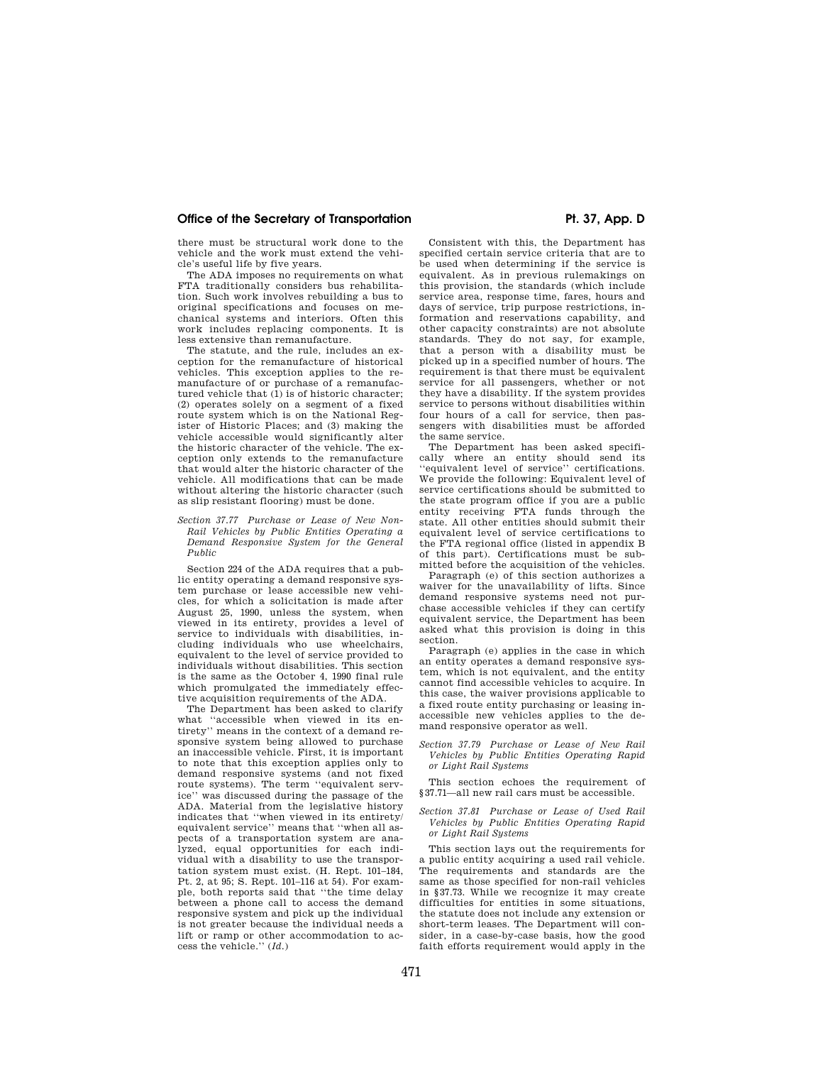there must be structural work done to the vehicle and the work must extend the vehicle's useful life by five years.

The ADA imposes no requirements on what FTA traditionally considers bus rehabilitation. Such work involves rebuilding a bus to original specifications and focuses on mechanical systems and interiors. Often this work includes replacing components. It is less extensive than remanufacture.

The statute, and the rule, includes an exception for the remanufacture of historical vehicles. This exception applies to the remanufacture of or purchase of a remanufactured vehicle that (1) is of historic character; (2) operates solely on a segment of a fixed route system which is on the National Register of Historic Places; and (3) making the vehicle accessible would significantly alter the historic character of the vehicle. The exception only extends to the remanufacture that would alter the historic character of the vehicle. All modifications that can be made without altering the historic character (such as slip resistant flooring) must be done.

*Section 37.77 Purchase or Lease of New Non-Rail Vehicles by Public Entities Operating a Demand Responsive System for the General Public* 

Section 224 of the ADA requires that a public entity operating a demand responsive system purchase or lease accessible new vehicles, for which a solicitation is made after August 25, 1990, unless the system, when viewed in its entirety, provides a level of service to individuals with disabilities, including individuals who use wheelchairs, equivalent to the level of service provided to individuals without disabilities. This section is the same as the October 4, 1990 final rule which promulgated the immediately effective acquisition requirements of the ADA.

The Department has been asked to clarify what ''accessible when viewed in its entirety'' means in the context of a demand responsive system being allowed to purchase an inaccessible vehicle. First, it is important to note that this exception applies only to demand responsive systems (and not fixed route systems). The term ''equivalent service'' was discussed during the passage of the ADA. Material from the legislative history indicates that ''when viewed in its entirety/ equivalent service'' means that ''when all aspects of a transportation system are analyzed, equal opportunities for each individual with a disability to use the transportation system must exist. (H. Rept. 101–184, Pt. 2, at 95; S. Rept. 101–116 at 54). For example, both reports said that ''the time delay between a phone call to access the demand responsive system and pick up the individual is not greater because the individual needs a lift or ramp or other accommodation to access the vehicle.'' (*Id.*)

Consistent with this, the Department has specified certain service criteria that are to be used when determining if the service is equivalent. As in previous rulemakings on this provision, the standards (which include service area, response time, fares, hours and days of service, trip purpose restrictions, information and reservations capability, and other capacity constraints) are not absolute standards. They do not say, for example, that a person with a disability must be picked up in a specified number of hours. The requirement is that there must be equivalent service for all passengers, whether or not they have a disability. If the system provides service to persons without disabilities within four hours of a call for service, then passengers with disabilities must be afforded the same service.

The Department has been asked specifically where an entity should send its 'equivalent level of service'' certifications. We provide the following: Equivalent level of service certifications should be submitted to the state program office if you are a public entity receiving FTA funds through the state. All other entities should submit their equivalent level of service certifications to the FTA regional office (listed in appendix B of this part). Certifications must be submitted before the acquisition of the vehicles.

Paragraph (e) of this section authorizes a waiver for the unavailability of lifts. Since demand responsive systems need not purchase accessible vehicles if they can certify equivalent service, the Department has been asked what this provision is doing in this section.

Paragraph (e) applies in the case in which an entity operates a demand responsive system, which is not equivalent, and the entity cannot find accessible vehicles to acquire. In this case, the waiver provisions applicable to a fixed route entity purchasing or leasing inaccessible new vehicles applies to the demand responsive operator as well.

*Section 37.79 Purchase or Lease of New Rail Vehicles by Public Entities Operating Rapid or Light Rail Systems* 

This section echoes the requirement of §37.71—all new rail cars must be accessible.

*Section 37.81 Purchase or Lease of Used Rail Vehicles by Public Entities Operating Rapid or Light Rail Systems* 

This section lays out the requirements for a public entity acquiring a used rail vehicle. The requirements and standards are the same as those specified for non-rail vehicles in §37.73. While we recognize it may create difficulties for entities in some situations, the statute does not include any extension or short-term leases. The Department will consider, in a case-by-case basis, how the good faith efforts requirement would apply in the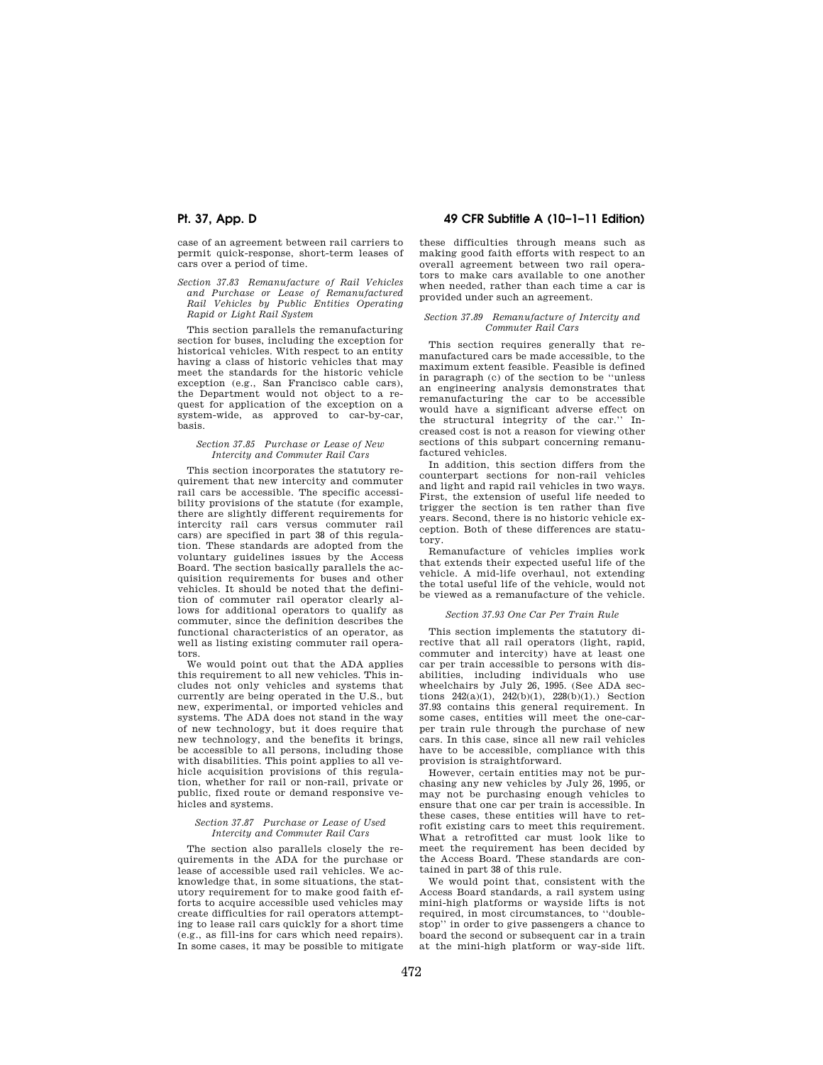case of an agreement between rail carriers to permit quick-response, short-term leases of cars over a period of time.

*Section 37.83 Remanufacture of Rail Vehicles and Purchase or Lease of Remanufactured Rail Vehicles by Public Entities Operating Rapid or Light Rail System* 

This section parallels the remanufacturing section for buses, including the exception for historical vehicles. With respect to an entity having a class of historic vehicles that may meet the standards for the historic vehicle exception (e.g., San Francisco cable cars), the Department would not object to a request for application of the exception on a system-wide, as approved to car-by-car, basis.

# *Section 37.85 Purchase or Lease of New Intercity and Commuter Rail Cars*

This section incorporates the statutory requirement that new intercity and commuter rail cars be accessible. The specific accessibility provisions of the statute (for example, there are slightly different requirements for intercity rail cars versus commuter rail cars) are specified in part 38 of this regulation. These standards are adopted from the voluntary guidelines issues by the Access Board. The section basically parallels the acquisition requirements for buses and other vehicles. It should be noted that the definition of commuter rail operator clearly allows for additional operators to qualify as commuter, since the definition describes the functional characteristics of an operator, as well as listing existing commuter rail operators.

We would point out that the ADA applies this requirement to all new vehicles. This includes not only vehicles and systems that currently are being operated in the U.S., but new, experimental, or imported vehicles and systems. The ADA does not stand in the way of new technology, but it does require that new technology, and the benefits it brings, be accessible to all persons, including those with disabilities. This point applies to all vehicle acquisition provisions of this regulation, whether for rail or non-rail, private or public, fixed route or demand responsive vehicles and systems.

## *Section 37.87 Purchase or Lease of Used Intercity and Commuter Rail Cars*

The section also parallels closely the requirements in the ADA for the purchase or lease of accessible used rail vehicles. We acknowledge that, in some situations, the statutory requirement for to make good faith efforts to acquire accessible used vehicles may create difficulties for rail operators attempting to lease rail cars quickly for a short time (e.g., as fill-ins for cars which need repairs). In some cases, it may be possible to mitigate

# **Pt. 37, App. D 49 CFR Subtitle A (10–1–11 Edition)**

these difficulties through means such as making good faith efforts with respect to an overall agreement between two rail operators to make cars available to one another when needed, rather than each time a car is provided under such an agreement.

### *Section 37.89 Remanufacture of Intercity and Commuter Rail Cars*

This section requires generally that remanufactured cars be made accessible, to the maximum extent feasible. Feasible is defined in paragraph (c) of the section to be ''unless an engineering analysis demonstrates that remanufacturing the car to be accessible would have a significant adverse effect on the structural integrity of the car.'' Increased cost is not a reason for viewing other sections of this subpart concerning remanufactured vehicles.

In addition, this section differs from the counterpart sections for non-rail vehicles and light and rapid rail vehicles in two ways. First, the extension of useful life needed to trigger the section is ten rather than five years. Second, there is no historic vehicle exception. Both of these differences are statutory.

Remanufacture of vehicles implies work that extends their expected useful life of the vehicle. A mid-life overhaul, not extending the total useful life of the vehicle, would not be viewed as a remanufacture of the vehicle.

# *Section 37.93 One Car Per Train Rule*

This section implements the statutory directive that all rail operators (light, rapid, commuter and intercity) have at least one car per train accessible to persons with disabilities, including individuals who use wheelchairs by July 26, 1995. (See ADA sections  $242(a)(1)$ ,  $242(b)(1)$ ,  $228(b)(1)$ .) Section 37.93 contains this general requirement. In some cases, entities will meet the one-carper train rule through the purchase of new cars. In this case, since all new rail vehicles have to be accessible, compliance with this provision is straightforward.

However, certain entities may not be purchasing any new vehicles by July 26, 1995, or may not be purchasing enough vehicles to ensure that one car per train is accessible. In these cases, these entities will have to retrofit existing cars to meet this requirement. What a retrofitted car must look like to meet the requirement has been decided by the Access Board. These standards are contained in part 38 of this rule.

We would point that, consistent with the Access Board standards, a rail system using mini-high platforms or wayside lifts is not required, in most circumstances, to ''doublestop'' in order to give passengers a chance to board the second or subsequent car in a train at the mini-high platform or way-side lift.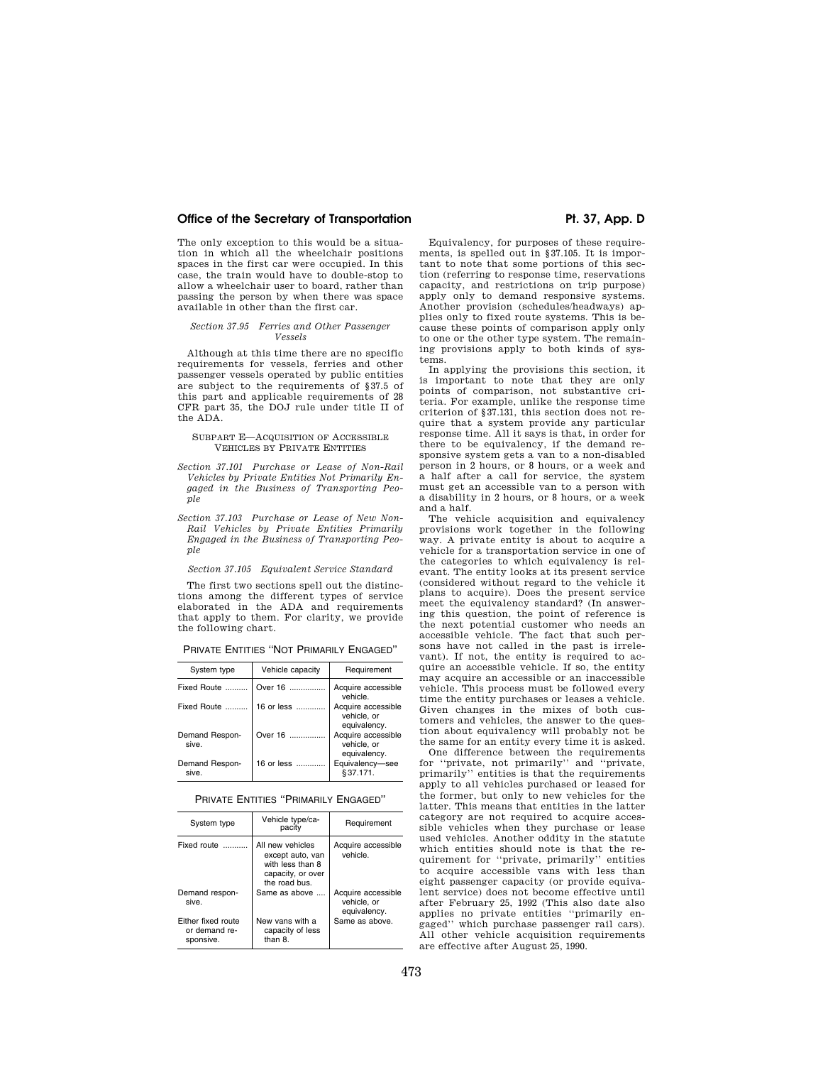The only exception to this would be a situation in which all the wheelchair positions spaces in the first car were occupied. In this case, the train would have to double-stop to allow a wheelchair user to board, rather than passing the person by when there was space available in other than the first car.

### *Section 37.95 Ferries and Other Passenger Vessels*

Although at this time there are no specific requirements for vessels, ferries and other passenger vessels operated by public entities are subject to the requirements of §37.5 of this part and applicable requirements of 28 CFR part 35, the DOJ rule under title II of the ADA.

## SUBPART E—ACQUISITION OF ACCESSIBLE VEHICLES BY PRIVATE ENTITIES

- *Section 37.101 Purchase or Lease of Non-Rail Vehicles by Private Entities Not Primarily Engaged in the Business of Transporting People*
- *Section 37.103 Purchase or Lease of New Non-Rail Vehicles by Private Entities Primarily Engaged in the Business of Transporting People*

# *Section 37.105 Equivalent Service Standard*

The first two sections spell out the distinctions among the different types of service elaborated in the ADA and requirements that apply to them. For clarity, we provide the following chart.

| System type             | Vehicle capacity | Requirement                                       |
|-------------------------|------------------|---------------------------------------------------|
| Fixed Route             | Over 16          | Acquire accessible<br>vehicle.                    |
| Fixed Route             | 16 or less       | Acquire accessible<br>vehicle, or<br>equivalency. |
| Demand Respon-<br>sive. | Over 16          | Acquire accessible<br>vehicle, or<br>equivalency. |
| Demand Respon-<br>sive. | 16 or less       | Equivalency-see<br>\$37.171.                      |

# PRIVATE ENTITIES ''NOT PRIMARILY ENGAGED''

# PRIVATE ENTITIES ''PRIMARILY ENGAGED''

| System type                                      | Vehicle type/ca-<br>pacity                                                                     | Requirement                                       |
|--------------------------------------------------|------------------------------------------------------------------------------------------------|---------------------------------------------------|
| Fixed route                                      | All new vehicles<br>except auto, van<br>with less than 8<br>capacity, or over<br>the road bus. | Acquire accessible<br>vehicle.                    |
| Demand respon-<br>sive.                          | Same as above                                                                                  | Acquire accessible<br>vehicle, or<br>equivalency. |
| Either fixed route<br>or demand re-<br>sponsive. | New vans with a<br>capacity of less<br>than 8.                                                 | Same as above.                                    |

Equivalency, for purposes of these requirements, is spelled out in §37.105. It is important to note that some portions of this section (referring to response time, reservations capacity, and restrictions on trip purpose) apply only to demand responsive systems. Another provision (schedules/headways) applies only to fixed route systems. This is because these points of comparison apply only to one or the other type system. The remaining provisions apply to both kinds of systems.

In applying the provisions this section, it is important to note that they are only points of comparison, not substantive criteria. For example, unlike the response time criterion of §37.131, this section does not require that a system provide any particular response time. All it says is that, in order for there to be equivalency, if the demand responsive system gets a van to a non-disabled person in 2 hours, or 8 hours, or a week and a half after a call for service, the system must get an accessible van to a person with a disability in 2 hours, or 8 hours, or a week and a half.

The vehicle acquisition and equivalency provisions work together in the following way. A private entity is about to acquire a vehicle for a transportation service in one of the categories to which equivalency is relevant. The entity looks at its present service (considered without regard to the vehicle it plans to acquire). Does the present service meet the equivalency standard? (In answering this question, the point of reference is the next potential customer who needs an accessible vehicle. The fact that such persons have not called in the past is irrelevant). If not, the entity is required to acquire an accessible vehicle. If so, the entity may acquire an accessible or an inaccessible vehicle. This process must be followed every time the entity purchases or leases a vehicle. Given changes in the mixes of both customers and vehicles, the answer to the question about equivalency will probably not be the same for an entity every time it is asked.

One difference between the requirements for ''private, not primarily'' and ''private, primarily'' entities is that the requirements apply to all vehicles purchased or leased for the former, but only to new vehicles for the latter. This means that entities in the latter category are not required to acquire accessible vehicles when they purchase or lease used vehicles. Another oddity in the statute which entities should note is that the requirement for ''private, primarily'' entities to acquire accessible vans with less than eight passenger capacity (or provide equivalent service) does not become effective until after February 25, 1992 (This also date also applies no private entities ''primarily engaged'' which purchase passenger rail cars). All other vehicle acquisition requirements are effective after August 25, 1990.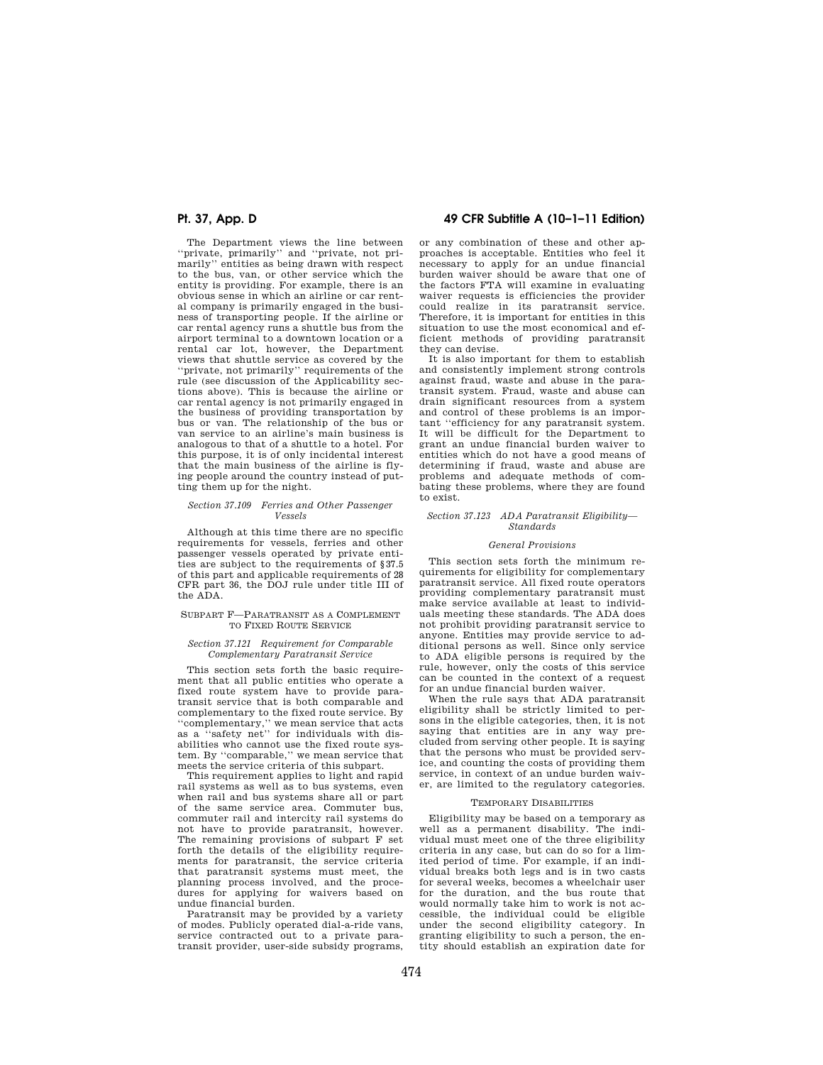The Department views the line between ''private, primarily'' and ''private, not primarily'' entities as being drawn with respect to the bus, van, or other service which the entity is providing. For example, there is an obvious sense in which an airline or car rental company is primarily engaged in the business of transporting people. If the airline or car rental agency runs a shuttle bus from the airport terminal to a downtown location or a rental car lot, however, the Department views that shuttle service as covered by the ''private, not primarily'' requirements of the rule (see discussion of the Applicability sections above). This is because the airline or car rental agency is not primarily engaged in the business of providing transportation by bus or van. The relationship of the bus or van service to an airline's main business is analogous to that of a shuttle to a hotel. For this purpose, it is of only incidental interest that the main business of the airline is flying people around the country instead of putting them up for the night.

### *Section 37.109 Ferries and Other Passenger Vessels*

Although at this time there are no specific requirements for vessels, ferries and other passenger vessels operated by private entities are subject to the requirements of §37.5 of this part and applicable requirements of 28 CFR part 36, the DOJ rule under title III of the ADA.

### SUBPART F—PARATRANSIT AS A COMPLEMENT TO FIXED ROUTE SERVICE

## *Section 37.121 Requirement for Comparable Complementary Paratransit Service*

This section sets forth the basic requirement that all public entities who operate a fixed route system have to provide paratransit service that is both comparable and complementary to the fixed route service. By ''complementary,'' we mean service that acts as a ''safety net'' for individuals with disabilities who cannot use the fixed route system. By ''comparable,'' we mean service that meets the service criteria of this subpart.

This requirement applies to light and rapid rail systems as well as to bus systems, even when rail and bus systems share all or part of the same service area. Commuter bus, commuter rail and intercity rail systems do not have to provide paratransit, however. The remaining provisions of subpart F set forth the details of the eligibility requirements for paratransit, the service criteria that paratransit systems must meet, the planning process involved, and the procedures for applying for waivers based on undue financial burden.

Paratransit may be provided by a variety of modes. Publicly operated dial-a-ride vans, service contracted out to a private paratransit provider, user-side subsidy programs,

# **Pt. 37, App. D 49 CFR Subtitle A (10–1–11 Edition)**

or any combination of these and other approaches is acceptable. Entities who feel it necessary to apply for an undue financial burden waiver should be aware that one of the factors FTA will examine in evaluating waiver requests is efficiencies the provider could realize in its paratransit service. Therefore, it is important for entities in this situation to use the most economical and efficient methods of providing paratransit they can devise.

It is also important for them to establish and consistently implement strong controls against fraud, waste and abuse in the paratransit system. Fraud, waste and abuse can drain significant resources from a system and control of these problems is an important ''efficiency for any paratransit system. It will be difficult for the Department to grant an undue financial burden waiver to entities which do not have a good means of determining if fraud, waste and abuse are problems and adequate methods of combating these problems, where they are found to exist.

## *Section 37.123 ADA Paratransit Eligibility— Standards*

### *General Provisions*

This section sets forth the minimum requirements for eligibility for complementary paratransit service. All fixed route operators providing complementary paratransit must make service available at least to individuals meeting these standards. The ADA does not prohibit providing paratransit service to anyone. Entities may provide service to additional persons as well. Since only service to ADA eligible persons is required by the rule, however, only the costs of this service can be counted in the context of a request for an undue financial burden waiver.

When the rule says that ADA paratransit eligibility shall be strictly limited to persons in the eligible categories, then, it is not saying that entities are in any way precluded from serving other people. It is saying that the persons who must be provided service, and counting the costs of providing them service, in context of an undue burden waiver, are limited to the regulatory categories.

### TEMPORARY DISABILITIES

Eligibility may be based on a temporary as well as a permanent disability. The individual must meet one of the three eligibility criteria in any case, but can do so for a limited period of time. For example, if an individual breaks both legs and is in two casts for several weeks, becomes a wheelchair user for the duration, and the bus route that would normally take him to work is not accessible, the individual could be eligible under the second eligibility category. In granting eligibility to such a person, the entity should establish an expiration date for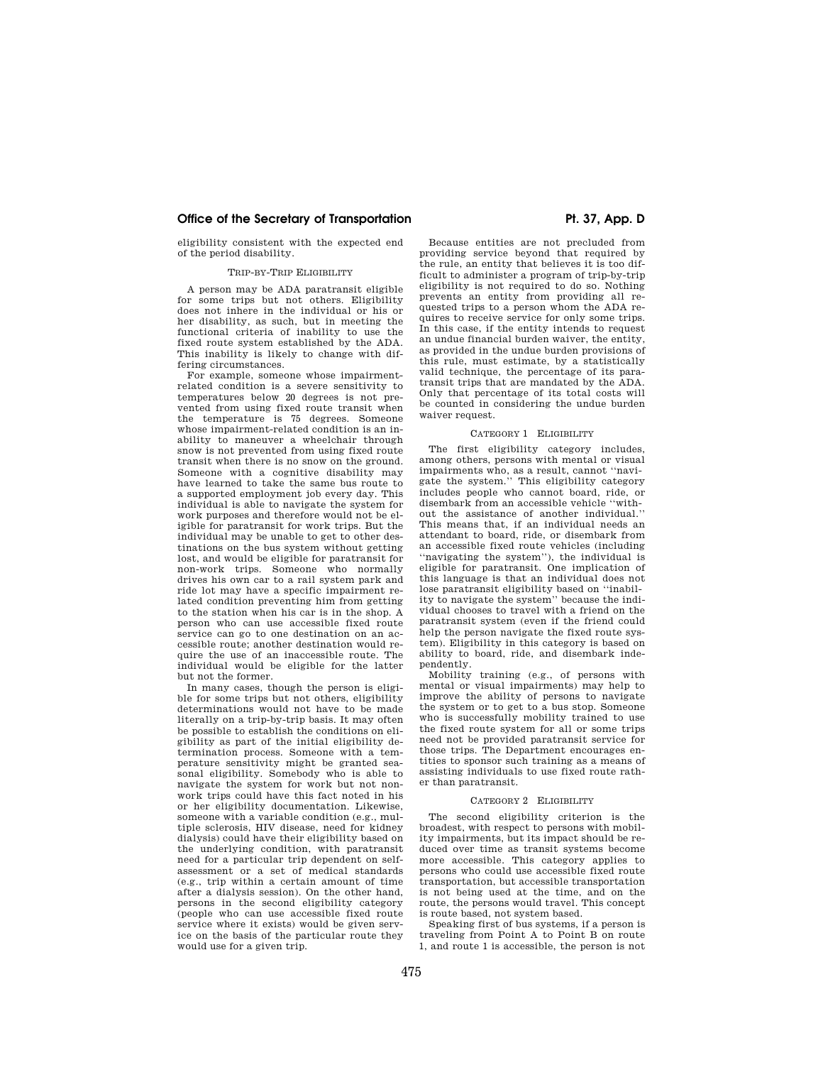eligibility consistent with the expected end of the period disability.

# TRIP-BY-TRIP ELIGIBILITY

A person may be ADA paratransit eligible for some trips but not others. Eligibility does not inhere in the individual or his or her disability, as such, but in meeting the functional criteria of inability to use the fixed route system established by the ADA. This inability is likely to change with differing circumstances.

For example, someone whose impairmentrelated condition is a severe sensitivity to temperatures below 20 degrees is not prevented from using fixed route transit when the temperature is 75 degrees. Someone whose impairment-related condition is an inability to maneuver a wheelchair through snow is not prevented from using fixed route transit when there is no snow on the ground. Someone with a cognitive disability may have learned to take the same bus route to a supported employment job every day. This individual is able to navigate the system for work purposes and therefore would not be eligible for paratransit for work trips. But the individual may be unable to get to other destinations on the bus system without getting lost, and would be eligible for paratransit for non-work trips. Someone who normally drives his own car to a rail system park and ride lot may have a specific impairment related condition preventing him from getting to the station when his car is in the shop. A person who can use accessible fixed route service can go to one destination on an accessible route; another destination would require the use of an inaccessible route. The individual would be eligible for the latter but not the former.

In many cases, though the person is eligible for some trips but not others, eligibility determinations would not have to be made literally on a trip-by-trip basis. It may often be possible to establish the conditions on eligibility as part of the initial eligibility determination process. Someone with a temperature sensitivity might be granted seasonal eligibility. Somebody who is able to navigate the system for work but not nonwork trips could have this fact noted in his or her eligibility documentation. Likewise, someone with a variable condition (e.g., multiple sclerosis, HIV disease, need for kidney dialysis) could have their eligibility based on the underlying condition, with paratransit need for a particular trip dependent on selfassessment or a set of medical standards (e.g., trip within a certain amount of time after a dialysis session). On the other hand, persons in the second eligibility category (people who can use accessible fixed route service where it exists) would be given service on the basis of the particular route they would use for a given trip.

Because entities are not precluded from providing service beyond that required by the rule, an entity that believes it is too difficult to administer a program of trip-by-trip eligibility is not required to do so. Nothing prevents an entity from providing all requested trips to a person whom the ADA requires to receive service for only some trips. In this case, if the entity intends to request an undue financial burden waiver, the entity, as provided in the undue burden provisions of this rule, must estimate, by a statistically valid technique, the percentage of its paratransit trips that are mandated by the ADA. Only that percentage of its total costs will be counted in considering the undue burden waiver request.

## CATEGORY 1 ELIGIBILITY

The first eligibility category includes, among others, persons with mental or visual impairments who, as a result, cannot ''navigate the system.'' This eligibility category includes people who cannot board, ride, or disembark from an accessible vehicle ''without the assistance of another individual.'' This means that, if an individual needs an attendant to board, ride, or disembark from an accessible fixed route vehicles (including ''navigating the system''), the individual is eligible for paratransit. One implication of this language is that an individual does not lose paratransit eligibility based on ''inability to navigate the system'' because the individual chooses to travel with a friend on the paratransit system (even if the friend could help the person navigate the fixed route system). Eligibility in this category is based on ability to board, ride, and disembark independently.

Mobility training (e.g., of persons with mental or visual impairments) may help to improve the ability of persons to navigate the system or to get to a bus stop. Someone who is successfully mobility trained to use the fixed route system for all or some trips need not be provided paratransit service for those trips. The Department encourages entities to sponsor such training as a means of assisting individuals to use fixed route rather than paratransit.

## CATEGORY 2 ELIGIBILITY

The second eligibility criterion is the broadest, with respect to persons with mobility impairments, but its impact should be reduced over time as transit systems become more accessible. This category applies to persons who could use accessible fixed route transportation, but accessible transportation is not being used at the time, and on the route, the persons would travel. This concept is route based, not system based.

Speaking first of bus systems, if a person is traveling from Point A to Point B on route 1, and route 1 is accessible, the person is not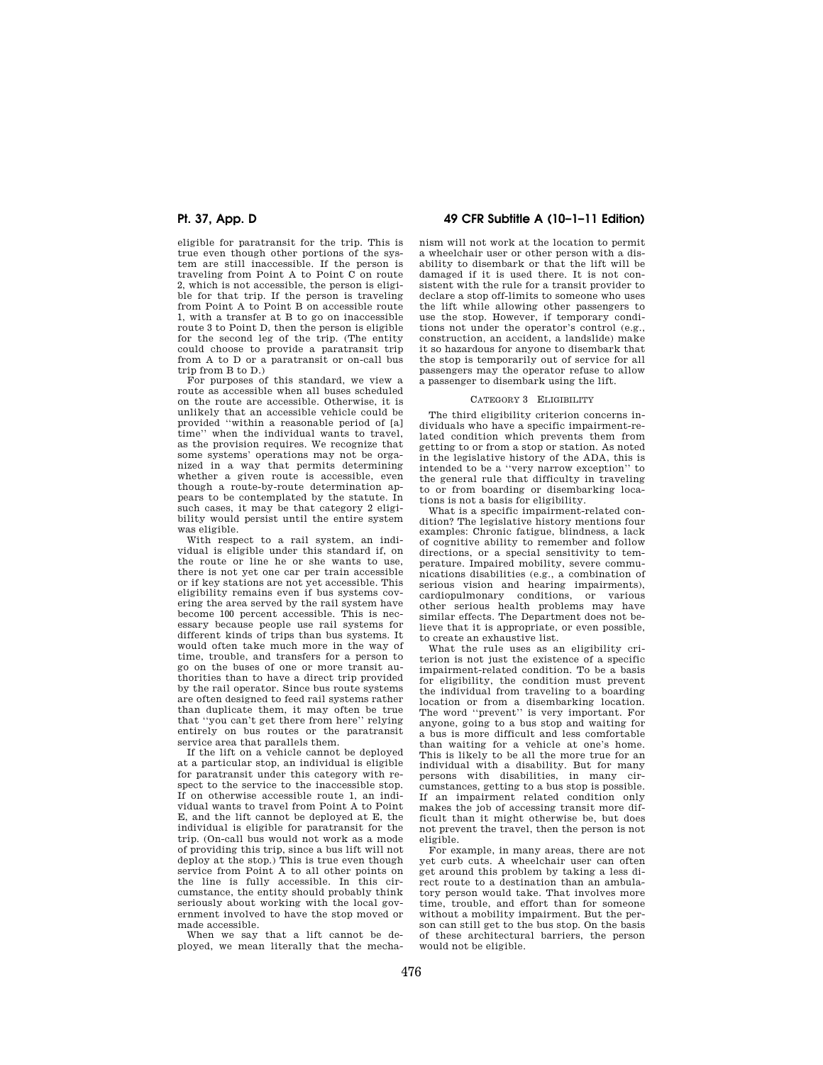eligible for paratransit for the trip. This is true even though other portions of the system are still inaccessible. If the person is traveling from Point A to Point C on route 2, which is not accessible, the person is eligible for that trip. If the person is traveling from Point A to Point B on accessible route 1, with a transfer at B to go on inaccessible route 3 to Point D, then the person is eligible for the second leg of the trip. (The entity could choose to provide a paratransit trip from A to D or a paratransit or on-call bus trip from B to D.)

For purposes of this standard, we view a route as accessible when all buses scheduled on the route are accessible. Otherwise, it is unlikely that an accessible vehicle could be provided ''within a reasonable period of [a] time'' when the individual wants to travel, as the provision requires. We recognize that some systems' operations may not be organized in a way that permits determining whether a given route is accessible, even though a route-by-route determination appears to be contemplated by the statute. In such cases, it may be that category 2 eligibility would persist until the entire system was eligible.

With respect to a rail system, an individual is eligible under this standard if, on the route or line he or she wants to use, there is not yet one car per train accessible or if key stations are not yet accessible. This eligibility remains even if bus systems covering the area served by the rail system have become 100 percent accessible. This is necessary because people use rail systems for different kinds of trips than bus systems. It would often take much more in the way of time, trouble, and transfers for a person to go on the buses of one or more transit authorities than to have a direct trip provided by the rail operator. Since bus route systems are often designed to feed rail systems rather than duplicate them, it may often be true that ''you can't get there from here'' relying entirely on bus routes or the paratransit service area that parallels them.

If the lift on a vehicle cannot be deployed at a particular stop, an individual is eligible for paratransit under this category with respect to the service to the inaccessible stop. If on otherwise accessible route 1, an individual wants to travel from Point A to Point E, and the lift cannot be deployed at E, the individual is eligible for paratransit for the trip. (On-call bus would not work as a mode of providing this trip, since a bus lift will not deploy at the stop.) This is true even though service from Point A to all other points on the line is fully accessible. In this circumstance, the entity should probably think seriously about working with the local government involved to have the stop moved or made accessible.

When we say that a lift cannot be deployed, we mean literally that the mecha-

# **Pt. 37, App. D 49 CFR Subtitle A (10–1–11 Edition)**

nism will not work at the location to permit a wheelchair user or other person with a disability to disembark or that the lift will be damaged if it is used there. It is not consistent with the rule for a transit provider to declare a stop off-limits to someone who uses the lift while allowing other passengers to use the stop. However, if temporary conditions not under the operator's control (e.g., construction, an accident, a landslide) make it so hazardous for anyone to disembark that the stop is temporarily out of service for all passengers may the operator refuse to allow a passenger to disembark using the lift.

## CATEGORY 3 ELIGIBILITY

The third eligibility criterion concerns individuals who have a specific impairment-related condition which prevents them from getting to or from a stop or station. As noted in the legislative history of the ADA, this is intended to be a ''very narrow exception'' to the general rule that difficulty in traveling to or from boarding or disembarking locations is not a basis for eligibility.

What is a specific impairment-related condition? The legislative history mentions four examples: Chronic fatigue, blindness, a lack of cognitive ability to remember and follow directions, or a special sensitivity to temperature. Impaired mobility, severe communications disabilities (e.g., a combination of serious vision and hearing impairments), cardiopulmonary conditions, or various other serious health problems may have similar effects. The Department does not believe that it is appropriate, or even possible, to create an exhaustive list.

What the rule uses as an eligibility criterion is not just the existence of a specific impairment-related condition. To be a basis for eligibility, the condition must prevent the individual from traveling to a boarding location or from a disembarking location. The word ''prevent'' is very important. For anyone, going to a bus stop and waiting for a bus is more difficult and less comfortable than waiting for a vehicle at one's home. This is likely to be all the more true for an individual with a disability. But for many persons with disabilities, in many circumstances, getting to a bus stop is possible. If an impairment related condition only makes the job of accessing transit more difficult than it might otherwise be, but does not prevent the travel, then the person is not eligible.

For example, in many areas, there are not yet curb cuts. A wheelchair user can often get around this problem by taking a less direct route to a destination than an ambulatory person would take. That involves more time, trouble, and effort than for someone without a mobility impairment. But the person can still get to the bus stop. On the basis of these architectural barriers, the person would not be eligible.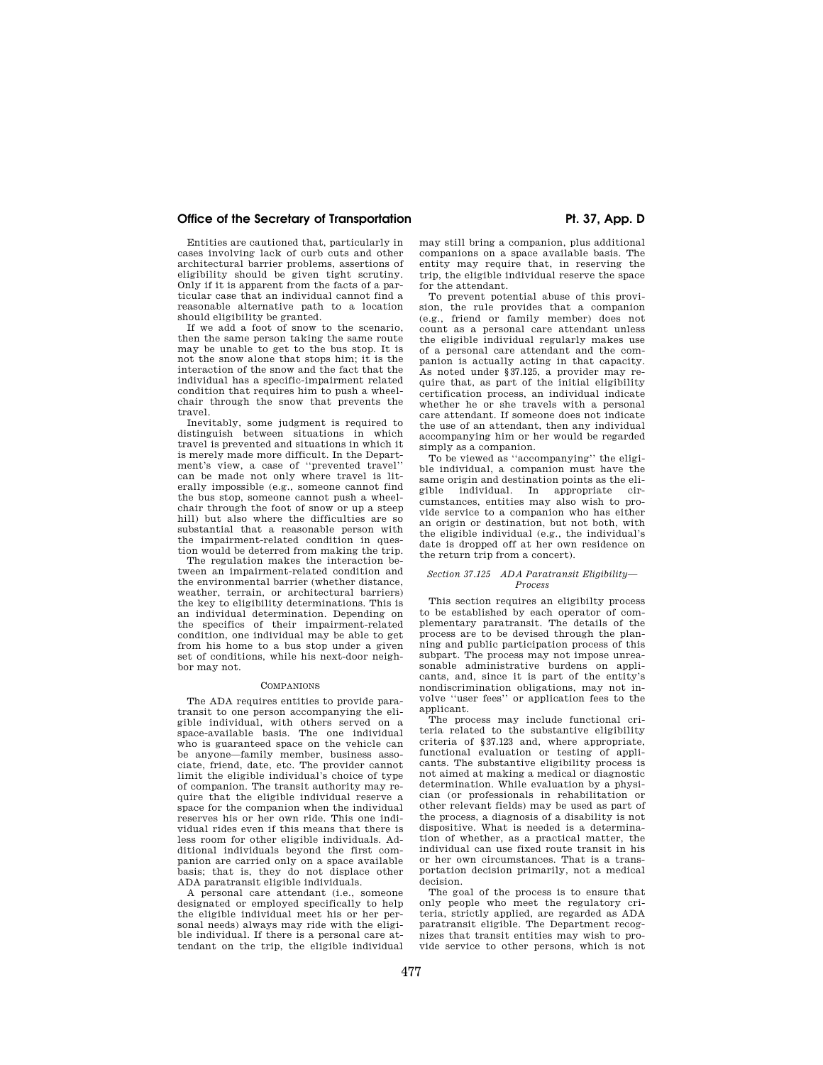Entities are cautioned that, particularly in cases involving lack of curb cuts and other architectural barrier problems, assertions of eligibility should be given tight scrutiny. Only if it is apparent from the facts of a particular case that an individual cannot find a reasonable alternative path to a location should eligibility be granted.

If we add a foot of snow to the scenario, then the same person taking the same route may be unable to get to the bus stop. It is not the snow alone that stops him; it is the interaction of the snow and the fact that the individual has a specific-impairment related condition that requires him to push a wheelchair through the snow that prevents the travel.

Inevitably, some judgment is required to distinguish between situations in which travel is prevented and situations in which it is merely made more difficult. In the Department's view, a case of ''prevented travel'' can be made not only where travel is literally impossible (e.g., someone cannot find the bus stop, someone cannot push a wheelchair through the foot of snow or up a steep hill) but also where the difficulties are so substantial that a reasonable person with the impairment-related condition in question would be deterred from making the trip.

The regulation makes the interaction between an impairment-related condition and the environmental barrier (whether distance, weather, terrain, or architectural barriers) the key to eligibility determinations. This is an individual determination. Depending on the specifics of their impairment-related condition, one individual may be able to get from his home to a bus stop under a given set of conditions, while his next-door neighbor may not.

## **COMPANIONS**

The ADA requires entities to provide paratransit to one person accompanying the eligible individual, with others served on a space-available basis. The one individual who is guaranteed space on the vehicle can be anyone—family member, business associate, friend, date, etc. The provider cannot limit the eligible individual's choice of type of companion. The transit authority may require that the eligible individual reserve a space for the companion when the individual reserves his or her own ride. This one individual rides even if this means that there is less room for other eligible individuals. Additional individuals beyond the first companion are carried only on a space available basis; that is, they do not displace other ADA paratransit eligible individuals.

A personal care attendant (i.e., someone designated or employed specifically to help the eligible individual meet his or her personal needs) always may ride with the eligible individual. If there is a personal care attendant on the trip, the eligible individual

may still bring a companion, plus additional companions on a space available basis. The entity may require that, in reserving the trip, the eligible individual reserve the space for the attendant.

To prevent potential abuse of this provision, the rule provides that a companion (e.g., friend or family member) does not count as a personal care attendant unless the eligible individual regularly makes use of a personal care attendant and the companion is actually acting in that capacity. As noted under §37.125, a provider may require that, as part of the initial eligibility certification process, an individual indicate whether he or she travels with a personal care attendant. If someone does not indicate the use of an attendant, then any individual accompanying him or her would be regarded simply as a companion.

To be viewed as ''accompanying'' the eligible individual, a companion must have the same origin and destination points as the eligible individual. In appropriate circumstances, entities may also wish to provide service to a companion who has either an origin or destination, but not both, with the eligible individual (e.g., the individual's date is dropped off at her own residence on the return trip from a concert).

### *Section 37.125 ADA Paratransit Eligibility— Process*

This section requires an eligibilty process to be established by each operator of complementary paratransit. The details of the process are to be devised through the planning and public participation process of this subpart. The process may not impose unreasonable administrative burdens on applicants, and, since it is part of the entity's nondiscrimination obligations, may not involve ''user fees'' or application fees to the applicant.

The process may include functional criteria related to the substantive eligibility criteria of §37.123 and, where appropriate, functional evaluation or testing of applicants. The substantive eligibility process is not aimed at making a medical or diagnostic determination. While evaluation by a physician (or professionals in rehabilitation or other relevant fields) may be used as part of the process, a diagnosis of a disability is not dispositive. What is needed is a determination of whether, as a practical matter, the individual can use fixed route transit in his or her own circumstances. That is a transportation decision primarily, not a medical decision.

The goal of the process is to ensure that only people who meet the regulatory criteria, strictly applied, are regarded as ADA paratransit eligible. The Department recognizes that transit entities may wish to provide service to other persons, which is not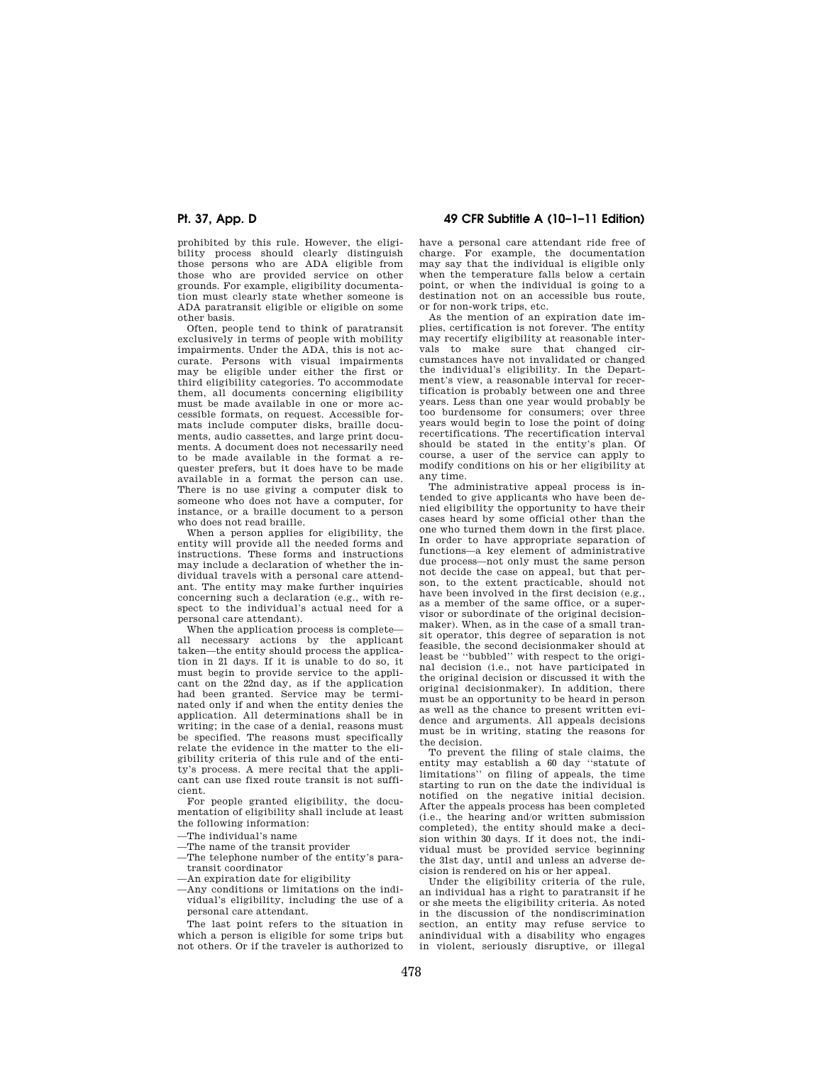prohibited by this rule. However, the eligibility process should clearly distinguish those persons who are ADA eligible from those who are provided service on other grounds. For example, eligibility documentation must clearly state whether someone is ADA paratransit eligible or eligible on some other basis.

Often, people tend to think of paratransit exclusively in terms of people with mobility impairments. Under the ADA, this is not accurate. Persons with visual impairments may be eligible under either the first or third eligibility categories. To accommodate them, all documents concerning eligibility must be made available in one or more accessible formats, on request. Accessible formats include computer disks, braille documents, audio cassettes, and large print documents. A document does not necessarily need to be made available in the format a requester prefers, but it does have to be made available in a format the person can use. There is no use giving a computer disk to someone who does not have a computer, for instance, or a braille document to a person who does not read braille.

When a person applies for eligibility, the entity will provide all the needed forms and instructions. These forms and instructions may include a declaration of whether the individual travels with a personal care attendant. The entity may make further inquiries concerning such a declaration (e.g., with respect to the individual's actual need for a personal care attendant).

When the application process is complete all necessary actions by the applicant taken—the entity should process the application in 21 days. If it is unable to do so, it must begin to provide service to the applicant on the 22nd day, as if the application had been granted. Service may be terminated only if and when the entity denies the application. All determinations shall be in writing; in the case of a denial, reasons must be specified. The reasons must specifically relate the evidence in the matter to the eligibility criteria of this rule and of the entity's process. A mere recital that the applicant can use fixed route transit is not sufficient.

For people granted eligibility, the documentation of eligibility shall include at least the following information:

- —The individual's name
- —The name of the transit provider
- —The telephone number of the entity's paratransit coordinator
- —An expiration date for eligibility
- —Any conditions or limitations on the individual's eligibility, including the use of a personal care attendant.

The last point refers to the situation in which a person is eligible for some trips but not others. Or if the traveler is authorized to

# **Pt. 37, App. D 49 CFR Subtitle A (10–1–11 Edition)**

have a personal care attendant ride free of charge. For example, the documentation may say that the individual is eligible only when the temperature falls below a certain point, or when the individual is going to a destination not on an accessible bus route, or for non-work trips, etc.

As the mention of an expiration date implies, certification is not forever. The entity may recertify eligibility at reasonable intervals to make sure that changed circumstances have not invalidated or changed the individual's eligibility. In the Department's view, a reasonable interval for recertification is probably between one and three years. Less than one year would probably be too burdensome for consumers; over three years would begin to lose the point of doing recertifications. The recertification interval should be stated in the entity's plan. Of course, a user of the service can apply to modify conditions on his or her eligibility at any time.

The administrative appeal process is intended to give applicants who have been denied eligibility the opportunity to have their cases heard by some official other than the one who turned them down in the first place. In order to have appropriate separation of functions—a key element of administrative due process—not only must the same person not decide the case on appeal, but that person, to the extent practicable, should not have been involved in the first decision (e.g., as a member of the same office, or a supervisor or subordinate of the original decisionmaker). When, as in the case of a small transit operator, this degree of separation is not feasible, the second decisionmaker should at least be ''bubbled'' with respect to the original decision (i.e., not have participated in the original decision or discussed it with the original decisionmaker). In addition, there must be an opportunity to be heard in person as well as the chance to present written evidence and arguments. All appeals decisions must be in writing, stating the reasons for the decision.

To prevent the filing of stale claims, the entity may establish a 60 day ''statute of limitations'' on filing of appeals, the time starting to run on the date the individual is notified on the negative initial decision. After the appeals process has been completed (i.e., the hearing and/or written submission completed), the entity should make a decision within 30 days. If it does not, the individual must be provided service beginning the 31st day, until and unless an adverse decision is rendered on his or her appeal.

Under the eligibility criteria of the rule, an individual has a right to paratransit if he or she meets the eligibility criteria. As noted in the discussion of the nondiscrimination section, an entity may refuse service to anindividual with a disability who engages in violent, seriously disruptive, or illegal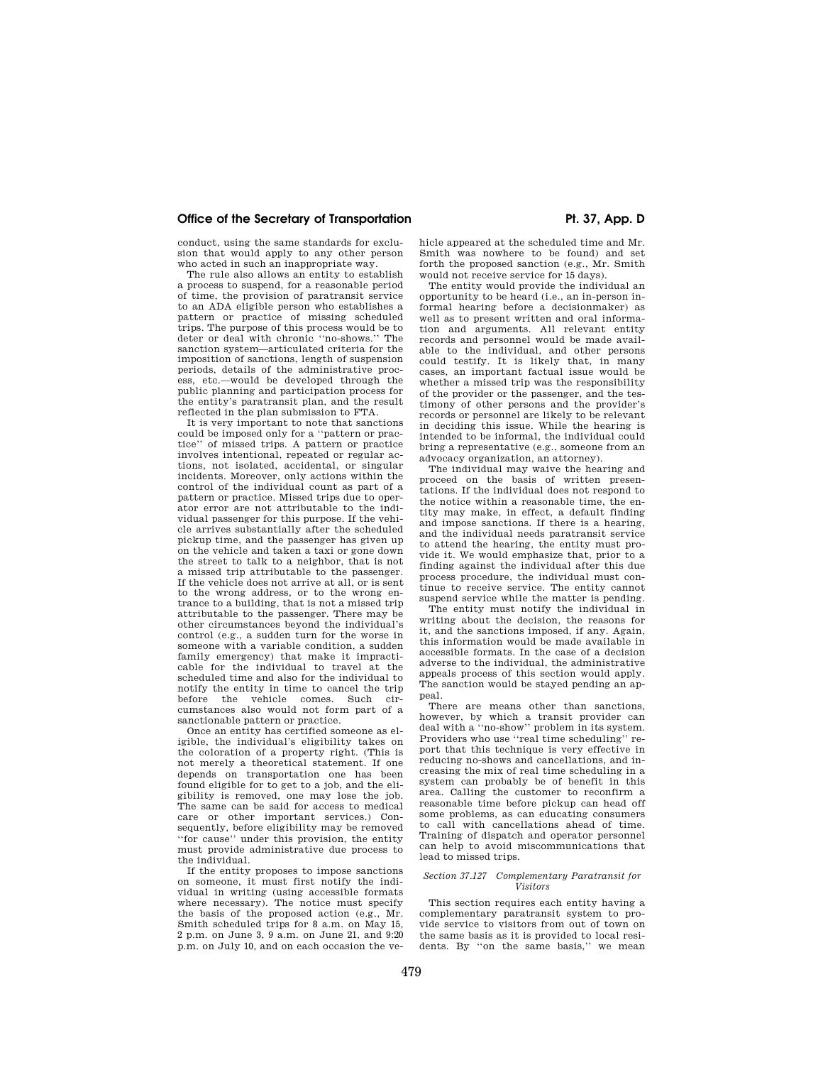conduct, using the same standards for exclusion that would apply to any other person who acted in such an inappropriate way.

The rule also allows an entity to establish a process to suspend, for a reasonable period of time, the provision of paratransit service to an ADA eligible person who establishes a pattern or practice of missing scheduled trips. The purpose of this process would be to deter or deal with chronic ''no-shows.'' The sanction system—articulated criteria for the imposition of sanctions, length of suspension periods, details of the administrative process, etc.—would be developed through the public planning and participation process for the entity's paratransit plan, and the result reflected in the plan submission to FTA.

It is very important to note that sanctions could be imposed only for a ''pattern or practice'' of missed trips. A pattern or practice involves intentional, repeated or regular actions, not isolated, accidental, or singular incidents. Moreover, only actions within the control of the individual count as part of a pattern or practice. Missed trips due to operator error are not attributable to the individual passenger for this purpose. If the vehicle arrives substantially after the scheduled pickup time, and the passenger has given up on the vehicle and taken a taxi or gone down the street to talk to a neighbor, that is not a missed trip attributable to the passenger. If the vehicle does not arrive at all, or is sent to the wrong address, or to the wrong entrance to a building, that is not a missed trip attributable to the passenger. There may be other circumstances beyond the individual's control (e.g., a sudden turn for the worse in someone with a variable condition, a sudden family emergency) that make it impracticable for the individual to travel at the scheduled time and also for the individual to notify the entity in time to cancel the trip before the vehicle comes. Such circumstances also would not form part of a sanctionable pattern or practice.

Once an entity has certified someone as eligible, the individual's eligibility takes on the coloration of a property right. (This is not merely a theoretical statement. If one depends on transportation one has been found eligible for to get to a job, and the eligibility is removed, one may lose the job. The same can be said for access to medical care or other important services.) Consequently, before eligibility may be removed ''for cause'' under this provision, the entity must provide administrative due process to the individual.

If the entity proposes to impose sanctions on someone, it must first notify the individual in writing (using accessible formats where necessary). The notice must specify the basis of the proposed action (e.g., Mr. Smith scheduled trips for 8 a.m. on May 15, 2 p.m. on June 3, 9 a.m. on June 21, and 9:20 p.m. on July 10, and on each occasion the vehicle appeared at the scheduled time and Mr. Smith was nowhere to be found) and set forth the proposed sanction (e.g., Mr. Smith would not receive service for 15 days).

The entity would provide the individual an opportunity to be heard (i.e., an in-person informal hearing before a decisionmaker) as well as to present written and oral information and arguments. All relevant entity records and personnel would be made available to the individual, and other persons could testify. It is likely that, in many cases, an important factual issue would be whether a missed trip was the responsibility of the provider or the passenger, and the testimony of other persons and the provider's records or personnel are likely to be relevant in deciding this issue. While the hearing is intended to be informal, the individual could bring a representative (e.g., someone from an advocacy organization, an attorney).

The individual may waive the hearing and proceed on the basis of written presentations. If the individual does not respond to the notice within a reasonable time, the entity may make, in effect, a default finding and impose sanctions. If there is a hearing, and the individual needs paratransit service to attend the hearing, the entity must provide it. We would emphasize that, prior to a finding against the individual after this due process procedure, the individual must continue to receive service. The entity cannot suspend service while the matter is pending.

The entity must notify the individual in writing about the decision, the reasons for it, and the sanctions imposed, if any. Again, this information would be made available in accessible formats. In the case of a decision adverse to the individual, the administrative appeals process of this section would apply. The sanction would be stayed pending an appeal.

There are means other than sanctions, however, by which a transit provider can deal with a ''no-show'' problem in its system. Providers who use ''real time scheduling'' report that this technique is very effective in reducing no-shows and cancellations, and increasing the mix of real time scheduling in a system can probably be of benefit in this area. Calling the customer to reconfirm a reasonable time before pickup can head off some problems, as can educating consumers to call with cancellations ahead of time. Training of dispatch and operator personnel can help to avoid miscommunications that lead to missed trips.

### *Section 37.127 Complementary Paratransit for Visitors*

This section requires each entity having a complementary paratransit system to provide service to visitors from out of town on the same basis as it is provided to local residents. By ''on the same basis,'' we mean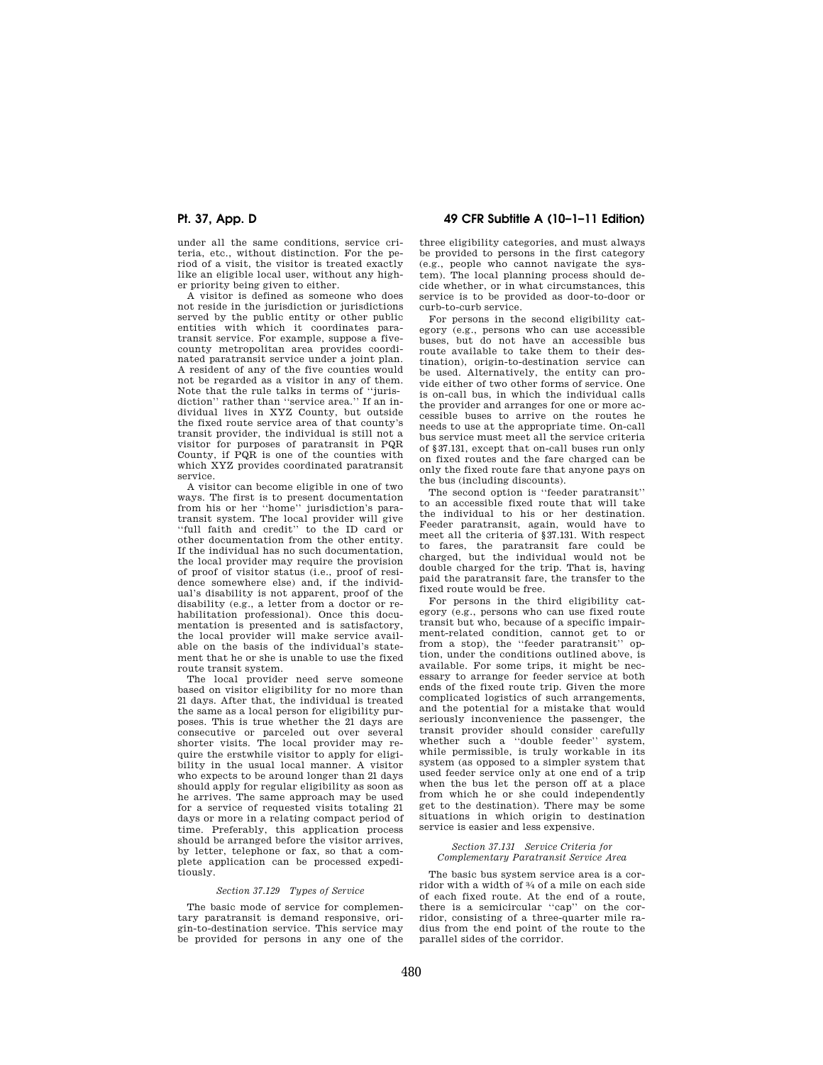under all the same conditions, service criteria, etc., without distinction. For the period of a visit, the visitor is treated exactly like an eligible local user, without any higher priority being given to either.

A visitor is defined as someone who does not reside in the jurisdiction or jurisdictions served by the public entity or other public entities with which it coordinates paratransit service. For example, suppose a fivecounty metropolitan area provides coordinated paratransit service under a joint plan. A resident of any of the five counties would not be regarded as a visitor in any of them. Note that the rule talks in terms of ''jurisdiction'' rather than ''service area.'' If an individual lives in XYZ County, but outside the fixed route service area of that county's transit provider, the individual is still not a visitor for purposes of paratransit in PQR County, if PQR is one of the counties with which XYZ provides coordinated paratransit service.

A visitor can become eligible in one of two ways. The first is to present documentation from his or her ''home'' jurisdiction's paratransit system. The local provider will give ''full faith and credit'' to the ID card or other documentation from the other entity. If the individual has no such documentation, the local provider may require the provision of proof of visitor status (i.e., proof of residence somewhere else) and, if the individual's disability is not apparent, proof of the disability (e.g., a letter from a doctor or rehabilitation professional). Once this documentation is presented and is satisfactory, the local provider will make service available on the basis of the individual's statement that he or she is unable to use the fixed route transit system.

The local provider need serve someone based on visitor eligibility for no more than 21 days. After that, the individual is treated the same as a local person for eligibility purposes. This is true whether the 21 days are consecutive or parceled out over several shorter visits. The local provider may require the erstwhile visitor to apply for eligibility in the usual local manner. A visitor who expects to be around longer than 21 days should apply for regular eligibility as soon as he arrives. The same approach may be used for a service of requested visits totaling 21 days or more in a relating compact period of time. Preferably, this application process should be arranged before the visitor arrives, by letter, telephone or fax, so that a complete application can be processed expeditiously.

## *Section 37.129 Types of Service*

The basic mode of service for complementary paratransit is demand responsive, origin-to-destination service. This service may be provided for persons in any one of the

# **Pt. 37, App. D 49 CFR Subtitle A (10–1–11 Edition)**

three eligibility categories, and must always be provided to persons in the first category (e.g., people who cannot navigate the system). The local planning process should decide whether, or in what circumstances, this service is to be provided as door-to-door or curb-to-curb service.

For persons in the second eligibility category (e.g., persons who can use accessible buses, but do not have an accessible bus route available to take them to their destination), origin-to-destination service can be used. Alternatively, the entity can provide either of two other forms of service. One is on-call bus, in which the individual calls the provider and arranges for one or more accessible buses to arrive on the routes he needs to use at the appropriate time. On-call bus service must meet all the service criteria of §37.131, except that on-call buses run only on fixed routes and the fare charged can be only the fixed route fare that anyone pays on the bus (including discounts).

The second option is ''feeder paratransit'' to an accessible fixed route that will take the individual to his or her destination. Feeder paratransit, again, would have to meet all the criteria of §37.131. With respect to fares, the paratransit fare could be charged, but the individual would not be double charged for the trip. That is, having paid the paratransit fare, the transfer to the fixed route would be free.

For persons in the third eligibility category (e.g., persons who can use fixed route transit but who, because of a specific impairment-related condition, cannot get to or from a stop), the ''feeder paratransit'' option, under the conditions outlined above, is available. For some trips, it might be necessary to arrange for feeder service at both ends of the fixed route trip. Given the more complicated logistics of such arrangements, and the potential for a mistake that would seriously inconvenience the passenger, the transit provider should consider carefully whether such a ''double feeder'' system, while permissible, is truly workable in its system (as opposed to a simpler system that used feeder service only at one end of a trip when the bus let the person off at a place from which he or she could independently get to the destination). There may be some situations in which origin to destination service is easier and less expensive.

## *Section 37.131 Service Criteria for Complementary Paratransit Service Area*

The basic bus system service area is a corridor with a width of 3⁄4 of a mile on each side of each fixed route. At the end of a route, there is a semicircular ''cap'' on the corridor, consisting of a three-quarter mile radius from the end point of the route to the parallel sides of the corridor.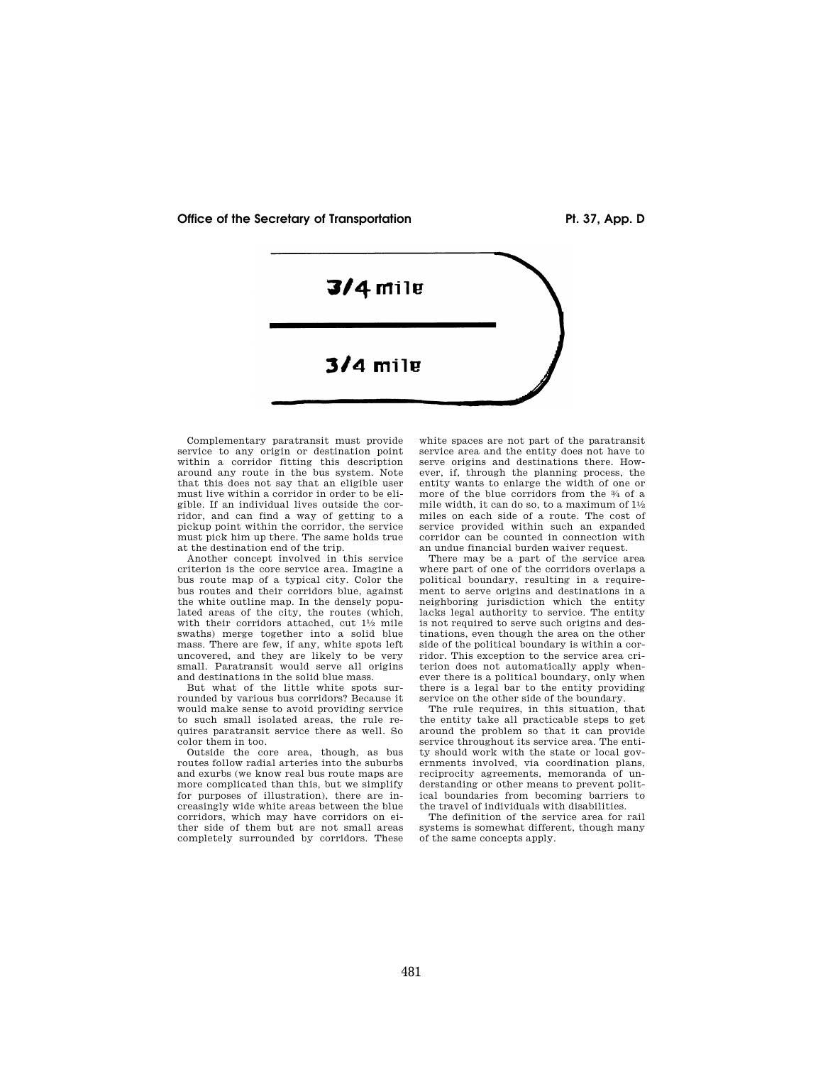

Complementary paratransit must provide service to any origin or destination point within a corridor fitting this description around any route in the bus system. Note that this does not say that an eligible user must live within a corridor in order to be eligible. If an individual lives outside the corridor, and can find a way of getting to a pickup point within the corridor, the service must pick him up there. The same holds true at the destination end of the trip.

Another concept involved in this service criterion is the core service area. Imagine a bus route map of a typical city. Color the bus routes and their corridors blue, against the white outline map. In the densely populated areas of the city, the routes (which, with their corridors attached, cut 11⁄2 mile swaths) merge together into a solid blue mass. There are few, if any, white spots left uncovered, and they are likely to be very small. Paratransit would serve all origins and destinations in the solid blue mass.

But what of the little white spots surrounded by various bus corridors? Because it would make sense to avoid providing service to such small isolated areas, the rule requires paratransit service there as well. So color them in too.

Outside the core area, though, as bus routes follow radial arteries into the suburbs and exurbs (we know real bus route maps are more complicated than this, but we simplify for purposes of illustration), there are increasingly wide white areas between the blue corridors, which may have corridors on either side of them but are not small areas completely surrounded by corridors. These white spaces are not part of the paratransit service area and the entity does not have to serve origins and destinations there. However, if, through the planning process, the entity wants to enlarge the width of one or more of the blue corridors from the 3⁄4 of a mile width, it can do so, to a maximum of  $1\frac{1}{2}$ miles on each side of a route. The cost of service provided within such an expanded corridor can be counted in connection with an undue financial burden waiver request.

There may be a part of the service area where part of one of the corridors overlaps a political boundary, resulting in a requirement to serve origins and destinations in a neighboring jurisdiction which the entity lacks legal authority to service. The entity is not required to serve such origins and destinations, even though the area on the other side of the political boundary is within a corridor. This exception to the service area criterion does not automatically apply whenever there is a political boundary, only when there is a legal bar to the entity providing service on the other side of the boundary.

The rule requires, in this situation, that the entity take all practicable steps to get around the problem so that it can provide service throughout its service area. The entity should work with the state or local governments involved, via coordination plans, reciprocity agreements, memoranda of understanding or other means to prevent political boundaries from becoming barriers to the travel of individuals with disabilities.

The definition of the service area for rail systems is somewhat different, though many of the same concepts apply.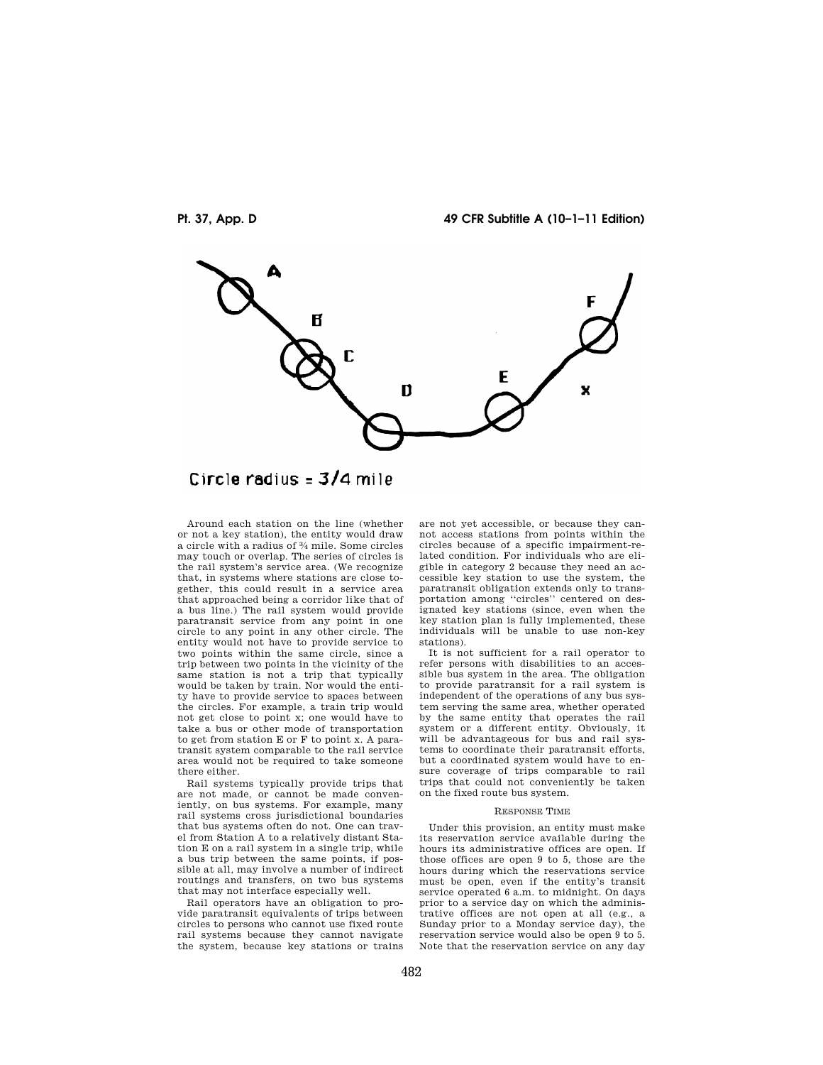

**Pt. 37, App. D 49 CFR Subtitle A (10–1–11 Edition)** 



Circle radius =  $3/4$  mile

Around each station on the line (whether or not a key station), the entity would draw a circle with a radius of 3⁄4 mile. Some circles may touch or overlap. The series of circles is the rail system's service area. (We recognize that, in systems where stations are close together, this could result in a service area that approached being a corridor like that of a bus line.) The rail system would provide paratransit service from any point in one circle to any point in any other circle. The entity would not have to provide service to two points within the same circle, since a trip between two points in the vicinity of the same station is not a trip that typically would be taken by train. Nor would the entity have to provide service to spaces between the circles. For example, a train trip would not get close to point x; one would have to take a bus or other mode of transportation to get from station E or F to point x. A paratransit system comparable to the rail service area would not be required to take someone there either.

Rail systems typically provide trips that are not made, or cannot be made conveniently, on bus systems. For example, many rail systems cross jurisdictional boundaries that bus systems often do not. One can travel from Station A to a relatively distant Station E on a rail system in a single trip, while a bus trip between the same points, if possible at all, may involve a number of indirect routings and transfers, on two bus systems that may not interface especially well.

Rail operators have an obligation to provide paratransit equivalents of trips between circles to persons who cannot use fixed route rail systems because they cannot navigate the system, because key stations or trains

are not yet accessible, or because they cannot access stations from points within the circles because of a specific impairment-related condition. For individuals who are eligible in category 2 because they need an accessible key station to use the system, the paratransit obligation extends only to transportation among ''circles'' centered on designated key stations (since, even when the key station plan is fully implemented, these individuals will be unable to use non-key stations).

It is not sufficient for a rail operator to refer persons with disabilities to an accessible bus system in the area. The obligation to provide paratransit for a rail system is independent of the operations of any bus system serving the same area, whether operated by the same entity that operates the rail system or a different entity. Obviously, it will be advantageous for bus and rail systems to coordinate their paratransit efforts, but a coordinated system would have to ensure coverage of trips comparable to rail trips that could not conveniently be taken on the fixed route bus system.

### RESPONSE TIME

Under this provision, an entity must make its reservation service available during the hours its administrative offices are open. If those offices are open 9 to 5, those are the hours during which the reservations service must be open, even if the entity's transit service operated 6 a.m. to midnight. On days prior to a service day on which the administrative offices are not open at all (e.g., a Sunday prior to a Monday service day), the reservation service would also be open 9 to 5. Note that the reservation service on any day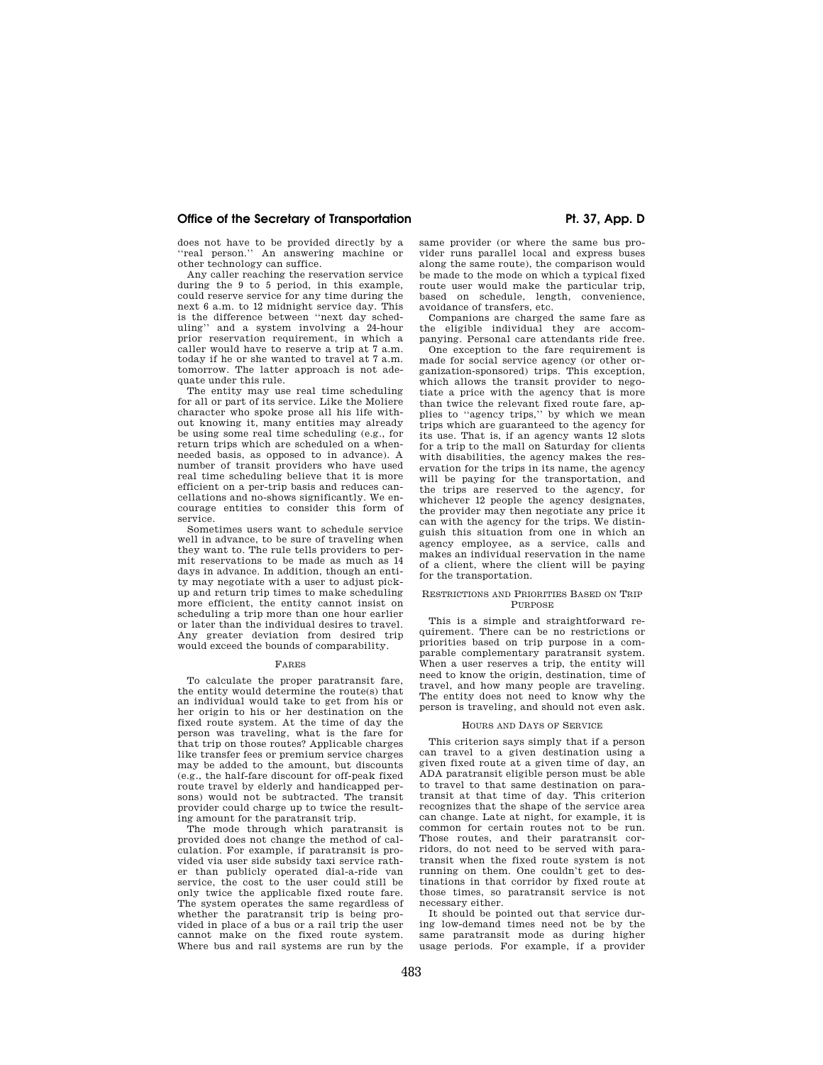does not have to be provided directly by a ''real person.'' An answering machine or other technology can suffice.

Any caller reaching the reservation service during the 9 to 5 period, in this example, could reserve service for any time during the next 6 a.m. to 12 midnight service day. This is the difference between ''next day scheduling'' and a system involving a 24-hour prior reservation requirement, in which a caller would have to reserve a trip at 7 a.m. today if he or she wanted to travel at 7 a.m. tomorrow. The latter approach is not adequate under this rule.

The entity may use real time scheduling for all or part of its service. Like the Moliere character who spoke prose all his life without knowing it, many entities may already be using some real time scheduling (e.g., for return trips which are scheduled on a whenneeded basis, as opposed to in advance). A number of transit providers who have used real time scheduling believe that it is more efficient on a per-trip basis and reduces cancellations and no-shows significantly. We encourage entities to consider this form of service.

Sometimes users want to schedule service well in advance, to be sure of traveling when they want to. The rule tells providers to permit reservations to be made as much as 14 days in advance. In addition, though an entity may negotiate with a user to adjust pickup and return trip times to make scheduling more efficient, the entity cannot insist on scheduling a trip more than one hour earlier or later than the individual desires to travel. Any greater deviation from desired trip would exceed the bounds of comparability.

## FARES

To calculate the proper paratransit fare, the entity would determine the route(s) that an individual would take to get from his or her origin to his or her destination on the fixed route system. At the time of day the person was traveling, what is the fare for that trip on those routes? Applicable charges like transfer fees or premium service charges may be added to the amount, but discounts (e.g., the half-fare discount for off-peak fixed route travel by elderly and handicapped persons) would not be subtracted. The transit provider could charge up to twice the resulting amount for the paratransit trip.

The mode through which paratransit is provided does not change the method of calculation. For example, if paratransit is provided via user side subsidy taxi service rather than publicly operated dial-a-ride van service, the cost to the user could still be only twice the applicable fixed route fare. The system operates the same regardless of whether the paratransit trip is being provided in place of a bus or a rail trip the user cannot make on the fixed route system. Where bus and rail systems are run by the same provider (or where the same bus provider runs parallel local and express buses along the same route), the comparison would be made to the mode on which a typical fixed route user would make the particular trip, based on schedule, length, convenience, avoidance of transfers, etc.

Companions are charged the same fare as the eligible individual they are accompanying. Personal care attendants ride free.

One exception to the fare requirement is made for social service agency (or other organization-sponsored) trips. This exception, which allows the transit provider to negotiate a price with the agency that is more than twice the relevant fixed route fare, applies to ''agency trips,'' by which we mean trips which are guaranteed to the agency for its use. That is, if an agency wants 12 slots for a trip to the mall on Saturday for clients with disabilities, the agency makes the reservation for the trips in its name, the agency will be paying for the transportation, and the trips are reserved to the agency, for whichever 12 people the agency designates, the provider may then negotiate any price it can with the agency for the trips. We distinguish this situation from one in which an agency employee, as a service, calls and makes an individual reservation in the name of a client, where the client will be paying for the transportation.

### RESTRICTIONS AND PRIORITIES BASED ON TRIP **PURPOSE**

This is a simple and straightforward requirement. There can be no restrictions or priorities based on trip purpose in a comparable complementary paratransit system. When a user reserves a trip, the entity will need to know the origin, destination, time of travel, and how many people are traveling. The entity does not need to know why the person is traveling, and should not even ask.

## HOURS AND DAYS OF SERVICE

This criterion says simply that if a person can travel to a given destination using a given fixed route at a given time of day, an ADA paratransit eligible person must be able to travel to that same destination on paratransit at that time of day. This criterion recognizes that the shape of the service area can change. Late at night, for example, it is common for certain routes not to be run. Those routes, and their paratransit corridors, do not need to be served with paratransit when the fixed route system is not running on them. One couldn't get to destinations in that corridor by fixed route at those times, so paratransit service is not necessary either.

It should be pointed out that service during low-demand times need not be by the same paratransit mode as during higher usage periods. For example, if a provider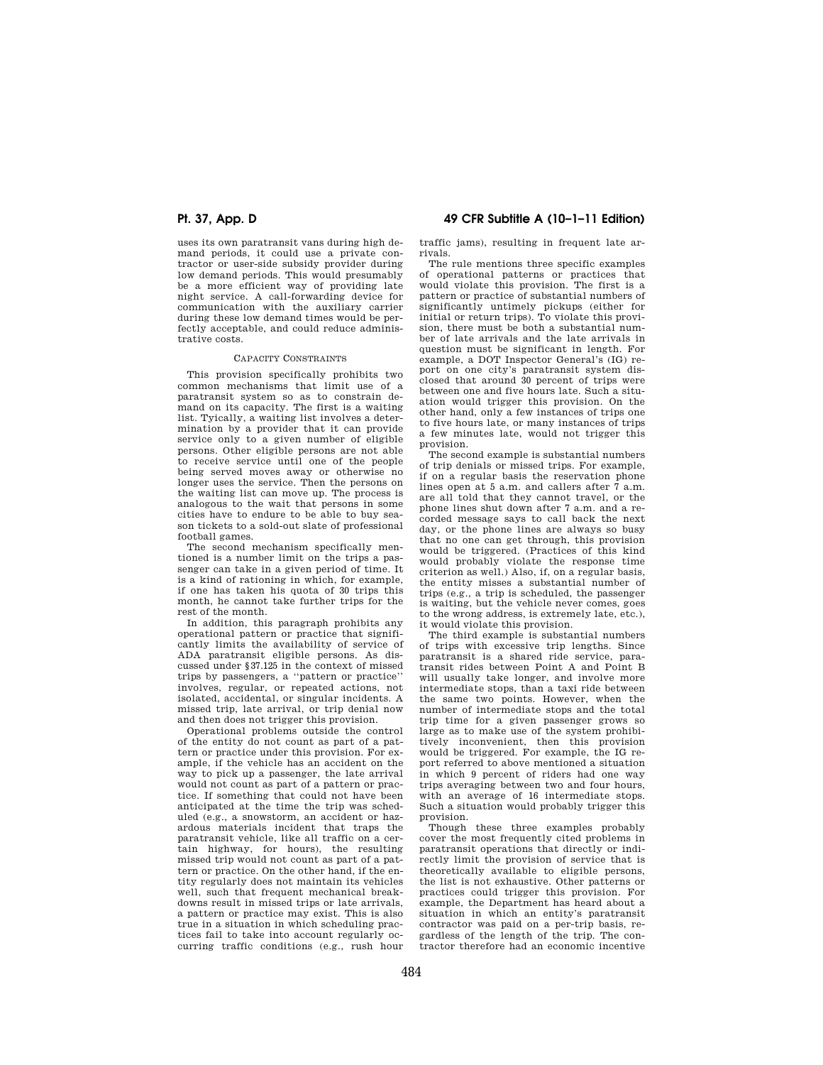uses its own paratransit vans during high demand periods, it could use a private contractor or user-side subsidy provider during low demand periods. This would presumably be a more efficient way of providing late night service. A call-forwarding device for communication with the auxiliary carrier during these low demand times would be perfectly acceptable, and could reduce administrative costs.

### CAPACITY CONSTRAINTS

This provision specifically prohibits two common mechanisms that limit use of a paratransit system so as to constrain demand on its capacity. The first is a waiting list. Tyically, a waiting list involves a determination by a provider that it can provide service only to a given number of eligible persons. Other eligible persons are not able to receive service until one of the people being served moves away or otherwise no longer uses the service. Then the persons on the waiting list can move up. The process is analogous to the wait that persons in some cities have to endure to be able to buy season tickets to a sold-out slate of professional football games.

The second mechanism specifically mentioned is a number limit on the trips a passenger can take in a given period of time. It is a kind of rationing in which, for example, if one has taken his quota of 30 trips this month, he cannot take further trips for the rest of the month.

In addition, this paragraph prohibits any operational pattern or practice that significantly limits the availability of service of ADA paratransit eligible persons. As discussed under §37.125 in the context of missed trips by passengers, a ''pattern or practice'' involves, regular, or repeated actions, not isolated, accidental, or singular incidents. A missed trip, late arrival, or trip denial now and then does not trigger this provision.

Operational problems outside the control of the entity do not count as part of a pattern or practice under this provision. For example, if the vehicle has an accident on the way to pick up a passenger, the late arrival would not count as part of a pattern or practice. If something that could not have been anticipated at the time the trip was scheduled (e.g., a snowstorm, an accident or hazardous materials incident that traps the paratransit vehicle, like all traffic on a certain highway, for hours), the resulting missed trip would not count as part of a pattern or practice. On the other hand, if the entity regularly does not maintain its vehicles well, such that frequent mechanical breakdowns result in missed trips or late arrivals, a pattern or practice may exist. This is also true in a situation in which scheduling practices fail to take into account regularly occurring traffic conditions (e.g., rush hour

**Pt. 37, App. D 49 CFR Subtitle A (10–1–11 Edition)** 

traffic jams), resulting in frequent late arrivals.

The rule mentions three specific examples of operational patterns or practices that would violate this provision. The first is a pattern or practice of substantial numbers of significantly untimely pickups (either for initial or return trips). To violate this provision, there must be both a substantial number of late arrivals and the late arrivals in question must be significant in length. For example, a DOT Inspector General's (IG) report on one city's paratransit system dis-closed that around 30 percent of trips were between one and five hours late. Such a situation would trigger this provision. On the other hand, only a few instances of trips one to five hours late, or many instances of trips a few minutes late, would not trigger this provision.

The second example is substantial numbers of trip denials or missed trips. For example, if on a regular basis the reservation phone lines open at 5 a.m. and callers after  $\overline{7}$  a.m. are all told that they cannot travel, or the phone lines shut down after 7 a.m. and a recorded message says to call back the next day, or the phone lines are always so busy that no one can get through, this provision would be triggered. (Practices of this kind would probably violate the response time criterion as well.) Also, if, on a regular basis, the entity misses a substantial number of trips (e.g., a trip is scheduled, the passenger is waiting, but the vehicle never comes, goes to the wrong address, is extremely late, etc.), it would violate this provision.

The third example is substantial numbers of trips with excessive trip lengths. Since paratransit is a shared ride service, paratransit rides between Point A and Point B will usually take longer, and involve more intermediate stops, than a taxi ride between the same two points. However, when the number of intermediate stops and the total trip time for a given passenger grows so large as to make use of the system prohibitively inconvenient, then this provision would be triggered. For example, the IG report referred to above mentioned a situation in which 9 percent of riders had one way trips averaging between two and four hours, with an average of 16 intermediate stops. Such a situation would probably trigger this provision.

Though these three examples probably cover the most frequently cited problems in paratransit operations that directly or indirectly limit the provision of service that is theoretically available to eligible persons, the list is not exhaustive. Other patterns or practices could trigger this provision. For example, the Department has heard about a situation in which an entity's paratransit contractor was paid on a per-trip basis, regardless of the length of the trip. The contractor therefore had an economic incentive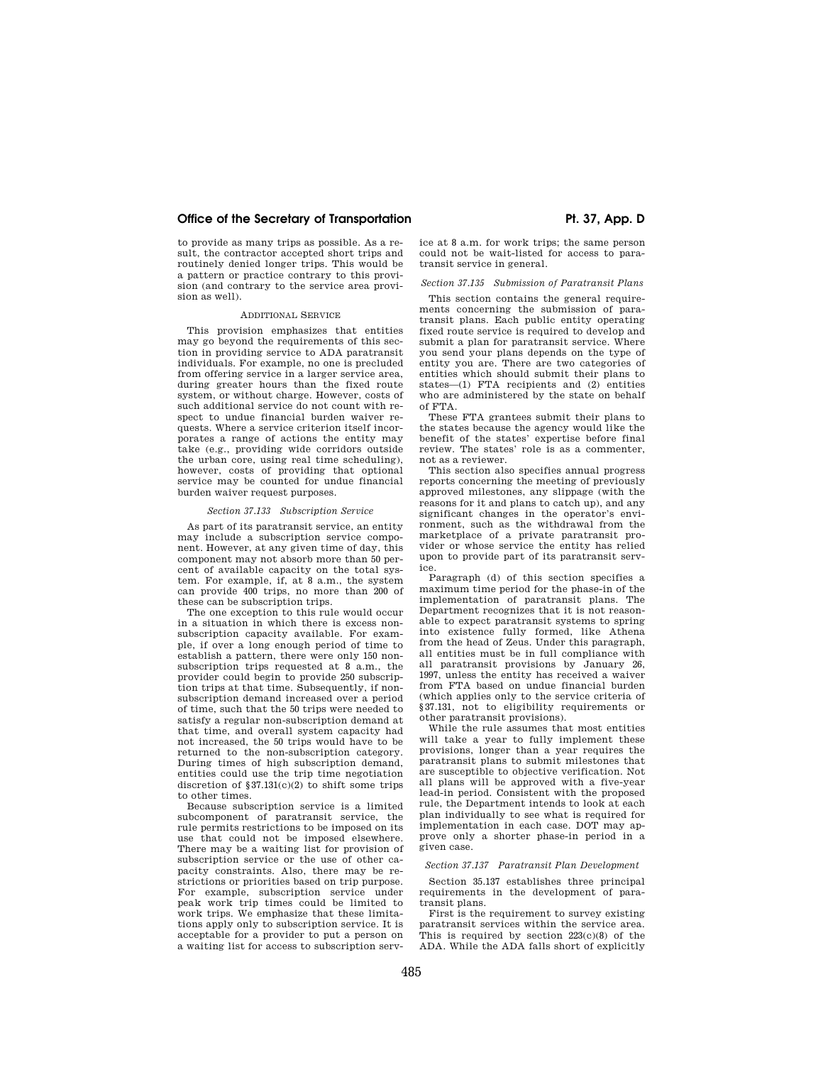to provide as many trips as possible. As a result, the contractor accepted short trips and routinely denied longer trips. This would be a pattern or practice contrary to this provision (and contrary to the service area provision as well).

### ADDITIONAL SERVICE

This provision emphasizes that entities may go beyond the requirements of this section in providing service to ADA paratransit individuals. For example, no one is precluded from offering service in a larger service area, during greater hours than the fixed route system, or without charge. However, costs of such additional service do not count with respect to undue financial burden waiver requests. Where a service criterion itself incorporates a range of actions the entity may take (e.g., providing wide corridors outside the urban core, using real time scheduling), however, costs of providing that optional service may be counted for undue financial burden waiver request purposes.

# *Section 37.133 Subscription Service*

As part of its paratransit service, an entity may include a subscription service component. However, at any given time of day, this component may not absorb more than 50 percent of available capacity on the total system. For example, if, at 8 a.m., the system can provide 400 trips, no more than 200 of these can be subscription trips.

The one exception to this rule would occur in a situation in which there is excess nonsubscription capacity available. For example, if over a long enough period of time to establish a pattern, there were only 150 nonsubscription trips requested at 8 a.m., the provider could begin to provide 250 subscription trips at that time. Subsequently, if nonsubscription demand increased over a period of time, such that the 50 trips were needed to satisfy a regular non-subscription demand at that time, and overall system capacity had not increased, the 50 trips would have to be returned to the non-subscription category. During times of high subscription demand, entities could use the trip time negotiation discretion of  $$37.131(c)(2)$  to shift some trips to other times.

Because subscription service is a limited subcomponent of paratransit service, the rule permits restrictions to be imposed on its use that could not be imposed elsewhere. There may be a waiting list for provision of subscription service or the use of other capacity constraints. Also, there may be restrictions or priorities based on trip purpose. For example, subscription service under peak work trip times could be limited to work trips. We emphasize that these limitations apply only to subscription service. It is acceptable for a provider to put a person on a waiting list for access to subscription serv-

ice at 8 a.m. for work trips; the same person could not be wait-listed for access to paratransit service in general.

### *Section 37.135 Submission of Paratransit Plans*

This section contains the general requirements concerning the submission of paratransit plans. Each public entity operating fixed route service is required to develop and submit a plan for paratransit service. Where you send your plans depends on the type of entity you are. There are two categories of entities which should submit their plans to states—(1) FTA recipients and (2) entities who are administered by the state on behalf of FTA.

These FTA grantees submit their plans to the states because the agency would like the benefit of the states' expertise before final review. The states' role is as a commenter, not as a reviewer.

This section also specifies annual progress reports concerning the meeting of previously approved milestones, any slippage (with the reasons for it and plans to catch up), and any significant changes in the operator's environment, such as the withdrawal from the marketplace of a private paratransit provider or whose service the entity has relied upon to provide part of its paratransit service.

Paragraph (d) of this section specifies a maximum time period for the phase-in of the implementation of paratransit plans. The Department recognizes that it is not reasonable to expect paratransit systems to spring into existence fully formed, like Athena from the head of Zeus. Under this paragraph, all entities must be in full compliance with all paratransit provisions by January 26, 1997, unless the entity has received a waiver from FTA based on undue financial burden (which applies only to the service criteria of §37.131, not to eligibility requirements or other paratransit provisions).

While the rule assumes that most entities will take a year to fully implement these provisions, longer than a year requires the paratransit plans to submit milestones that are susceptible to objective verification. Not all plans will be approved with a five-year lead-in period. Consistent with the proposed rule, the Department intends to look at each plan individually to see what is required for implementation in each case. DOT may approve only a shorter phase-in period in a given case.

## *Section 37.137 Paratransit Plan Development*

Section 35.137 establishes three principal requirements in the development of paratransit plans.

First is the requirement to survey existing paratransit services within the service area. This is required by section 223(c)(8) of the ADA. While the ADA falls short of explicitly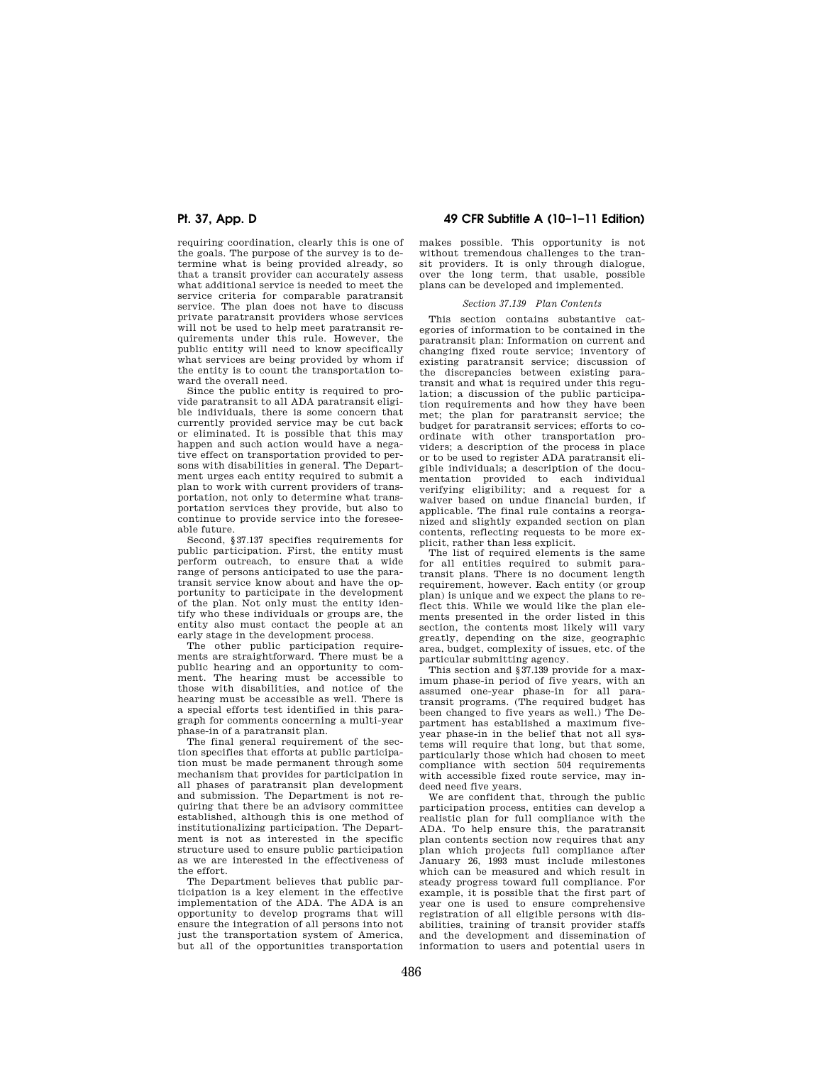requiring coordination, clearly this is one of the goals. The purpose of the survey is to determine what is being provided already, so that a transit provider can accurately assess what additional service is needed to meet the service criteria for comparable paratransit service. The plan does not have to discuss private paratransit providers whose services will not be used to help meet paratransit requirements under this rule. However, the public entity will need to know specifically what services are being provided by whom if the entity is to count the transportation toward the overall need.

Since the public entity is required to provide paratransit to all ADA paratransit eligible individuals, there is some concern that currently provided service may be cut back or eliminated. It is possible that this may happen and such action would have a negative effect on transportation provided to persons with disabilities in general. The Department urges each entity required to submit a plan to work with current providers of transportation, not only to determine what transportation services they provide, but also to continue to provide service into the foreseeable future.

Second, §37.137 specifies requirements for public participation. First, the entity must perform outreach, to ensure that a wide range of persons anticipated to use the paratransit service know about and have the opportunity to participate in the development of the plan. Not only must the entity identify who these individuals or groups are, the entity also must contact the people at an early stage in the development process.

The other public participation requirements are straightforward. There must be a public hearing and an opportunity to comment. The hearing must be accessible to those with disabilities, and notice of the hearing must be accessible as well. There is a special efforts test identified in this paragraph for comments concerning a multi-year phase-in of a paratransit plan.

The final general requirement of the section specifies that efforts at public participation must be made permanent through some mechanism that provides for participation in all phases of paratransit plan development and submission. The Department is not requiring that there be an advisory committee established, although this is one method of institutionalizing participation. The Department is not as interested in the specific structure used to ensure public participation as we are interested in the effectiveness of the effort.

The Department believes that public participation is a key element in the effective implementation of the ADA. The ADA is an opportunity to develop programs that will ensure the integration of all persons into not just the transportation system of America, but all of the opportunities transportation

# **Pt. 37, App. D 49 CFR Subtitle A (10–1–11 Edition)**

makes possible. This opportunity is not without tremendous challenges to the transit providers. It is only through dialogue, over the long term, that usable, possible plans can be developed and implemented.

## *Section 37.139 Plan Contents*

This section contains substantive categories of information to be contained in the paratransit plan: Information on current and changing fixed route service; inventory of existing paratransit service; discussion of the discrepancies between existing paratransit and what is required under this regulation; a discussion of the public participation requirements and how they have been met; the plan for paratransit service; the budget for paratransit services; efforts to coordinate with other transportation providers; a description of the process in place or to be used to register ADA paratransit eligible individuals; a description of the documentation provided to each individual verifying eligibility; and a request for a waiver based on undue financial burden, if applicable. The final rule contains a reorganized and slightly expanded section on plan contents, reflecting requests to be more explicit, rather than less explicit.

The list of required elements is the same for all entities required to submit paratransit plans. There is no document length requirement, however. Each entity (or group plan) is unique and we expect the plans to reflect this. While we would like the plan elements presented in the order listed in this section, the contents most likely will vary greatly, depending on the size, geographic area, budget, complexity of issues, etc. of the particular submitting agency.

This section and §37.139 provide for a maximum phase-in period of five years, with an assumed one-year phase-in for all para-transit programs. (The required budget has been changed to five years as well.) The Department has established a maximum fiveyear phase-in in the belief that not all systems will require that long, but that some, particularly those which had chosen to meet compliance with section 504 requirements with accessible fixed route service, may indeed need five years.

We are confident that, through the public participation process, entities can develop a realistic plan for full compliance with the ADA. To help ensure this, the paratransit plan contents section now requires that any plan which projects full compliance after January 26, 1993 must include milestones which can be measured and which result in steady progress toward full compliance. For example, it is possible that the first part of year one is used to ensure comprehensive registration of all eligible persons with disabilities, training of transit provider staffs and the development and dissemination of information to users and potential users in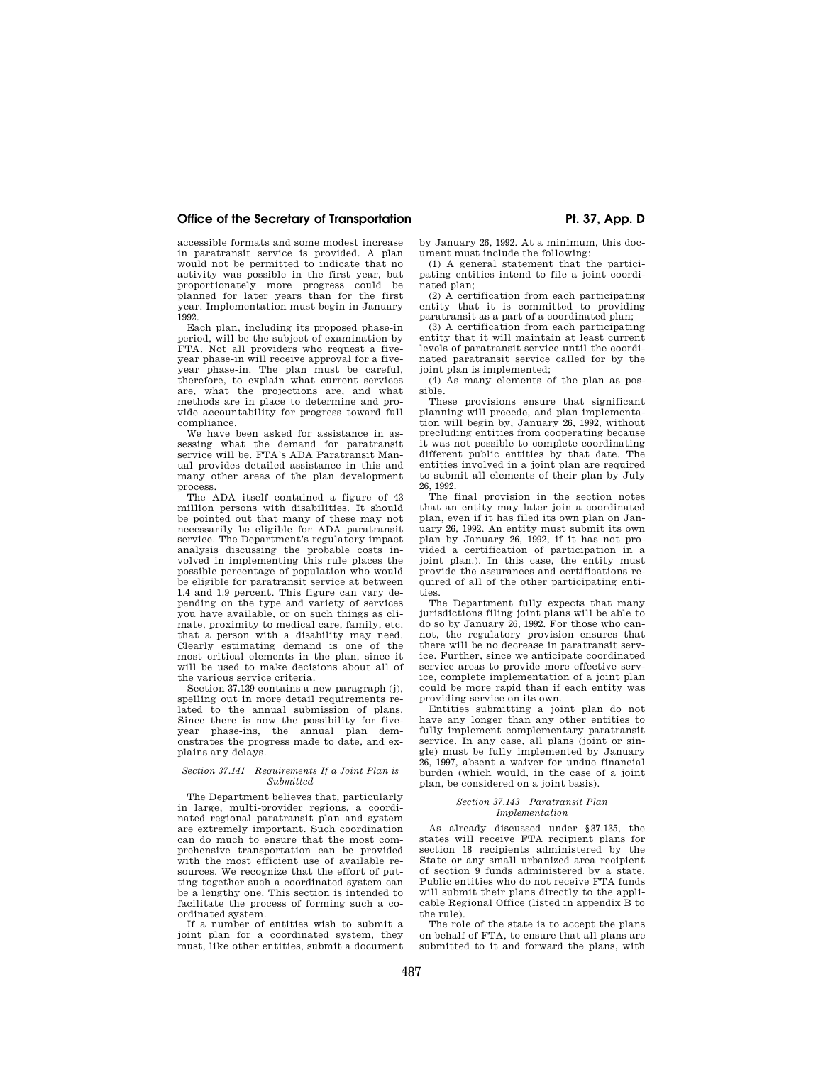accessible formats and some modest increase in paratransit service is provided. A plan would not be permitted to indicate that no activity was possible in the first year, but proportionately more progress could be planned for later years than for the first year. Implementation must begin in January 1992.

Each plan, including its proposed phase-in period, will be the subject of examination by FTA. Not all providers who request a fiveyear phase-in will receive approval for a fiveyear phase-in. The plan must be careful, therefore, to explain what current services are, what the projections are, and what methods are in place to determine and provide accountability for progress toward full compliance.

We have been asked for assistance in assessing what the demand for paratransit service will be. FTA's ADA Paratransit Manual provides detailed assistance in this and many other areas of the plan development process.

The ADA itself contained a figure of 43 million persons with disabilities. It should be pointed out that many of these may not necessarily be eligible for ADA paratransit service. The Department's regulatory impact analysis discussing the probable costs involved in implementing this rule places the possible percentage of population who would be eligible for paratransit service at between 1.4 and 1.9 percent. This figure can vary depending on the type and variety of services you have available, or on such things as climate, proximity to medical care, family, etc. that a person with a disability may need. Clearly estimating demand is one of the most critical elements in the plan, since it will be used to make decisions about all of the various service criteria.

Section 37.139 contains a new paragraph (j), spelling out in more detail requirements related to the annual submission of plans. Since there is now the possibility for fiveyear phase-ins, the annual plan demonstrates the progress made to date, and explains any delays.

### *Section 37.141 Requirements If a Joint Plan is Submitted*

The Department believes that, particularly in large, multi-provider regions, a coordinated regional paratransit plan and system are extremely important. Such coordination can do much to ensure that the most comprehensive transportation can be provided with the most efficient use of available resources. We recognize that the effort of putting together such a coordinated system can be a lengthy one. This section is intended to facilitate the process of forming such a coordinated system.

If a number of entities wish to submit a joint plan for a coordinated system, they must, like other entities, submit a document by January 26, 1992. At a minimum, this document must include the following:

(1) A general statement that the participating entities intend to file a joint coordinated plan;

(2) A certification from each participating entity that it is committed to providing paratransit as a part of a coordinated plan;

(3) A certification from each participating entity that it will maintain at least current levels of paratransit service until the coordinated paratransit service called for by the joint plan is implemented;

(4) As many elements of the plan as possible.

These provisions ensure that significant planning will precede, and plan implementation will begin by, January 26, 1992, without precluding entities from cooperating because it was not possible to complete coordinating different public entities by that date. The entities involved in a joint plan are required to submit all elements of their plan by July 26, 1992.

The final provision in the section notes that an entity may later join a coordinated plan, even if it has filed its own plan on January 26, 1992. An entity must submit its own plan by January 26, 1992, if it has not provided a certification of participation in a joint plan.). In this case, the entity must provide the assurances and certifications required of all of the other participating entities.

The Department fully expects that many jurisdictions filing joint plans will be able to do so by January 26, 1992. For those who cannot, the regulatory provision ensures that there will be no decrease in paratransit service. Further, since we anticipate coordinated service areas to provide more effective service, complete implementation of a joint plan could be more rapid than if each entity was providing service on its own.

Entities submitting a joint plan do not have any longer than any other entities to fully implement complementary paratransit service. In any case, all plans (joint or single) must be fully implemented by January 26, 1997, absent a waiver for undue financial burden (which would, in the case of a joint plan, be considered on a joint basis).

## *Section 37.143 Paratransit Plan Implementation*

As already discussed under §37.135, the states will receive FTA recipient plans for section 18 recipients administered by the State or any small urbanized area recipient of section 9 funds administered by a state. Public entities who do not receive FTA funds will submit their plans directly to the applicable Regional Office (listed in appendix B to the rule).

The role of the state is to accept the plans on behalf of FTA, to ensure that all plans are submitted to it and forward the plans, with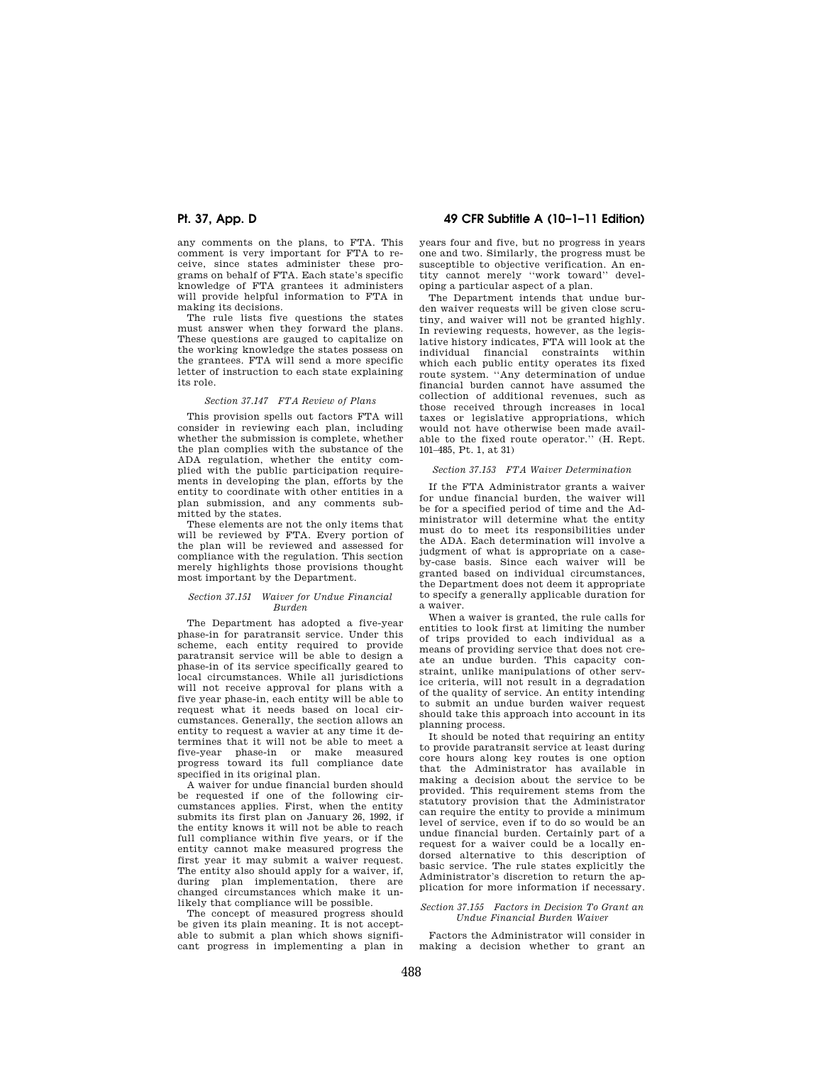any comments on the plans, to FTA. This comment is very important for FTA to receive, since states administer these programs on behalf of FTA. Each state's specific knowledge of FTA grantees it administers will provide helpful information to FTA in making its decisions.

The rule lists five questions the states must answer when they forward the plans. These questions are gauged to capitalize on the working knowledge the states possess on the grantees. FTA will send a more specific letter of instruction to each state explaining its role.

# *Section 37.147 FTA Review of Plans*

This provision spells out factors FTA will consider in reviewing each plan, including whether the submission is complete, whether the plan complies with the substance of the ADA regulation, whether the entity complied with the public participation requirements in developing the plan, efforts by the entity to coordinate with other entities in a plan submission, and any comments submitted by the states.

These elements are not the only items that will be reviewed by FTA. Every portion of the plan will be reviewed and assessed for compliance with the regulation. This section merely highlights those provisions thought most important by the Department.

## *Section 37.151 Waiver for Undue Financial Burden*

The Department has adopted a five-year phase-in for paratransit service. Under this scheme, each entity required to provide paratransit service will be able to design a phase-in of its service specifically geared to local circumstances. While all jurisdictions will not receive approval for plans with a five year phase-in, each entity will be able to request what it needs based on local circumstances. Generally, the section allows an entity to request a wavier at any time it determines that it will not be able to meet a five-year phase-in or make measured progress toward its full compliance date specified in its original plan.

A waiver for undue financial burden should be requested if one of the following circumstances applies. First, when the entity submits its first plan on January 26, 1992, if the entity knows it will not be able to reach full compliance within five years, or if the entity cannot make measured progress the first year it may submit a waiver request. The entity also should apply for a waiver, if, during plan implementation, there are changed circumstances which make it unlikely that compliance will be possible.

The concept of measured progress should be given its plain meaning. It is not acceptable to submit a plan which shows significant progress in implementing a plan in

**Pt. 37, App. D 49 CFR Subtitle A (10–1–11 Edition)** 

years four and five, but no progress in years one and two. Similarly, the progress must be susceptible to objective verification. An entity cannot merely ''work toward'' developing a particular aspect of a plan.

The Department intends that undue burden waiver requests will be given close scrutiny, and waiver will not be granted highly. In reviewing requests, however, as the legislative history indicates, FTA will look at the individual financial constraints within which each public entity operates its fixed route system. ''Any determination of undue financial burden cannot have assumed the collection of additional revenues, such as those received through increases in local taxes or legislative appropriations, which would not have otherwise been made available to the fixed route operator.'' (H. Rept. 101–485, Pt. 1, at 31)

# *Section 37.153 FTA Waiver Determination*

If the FTA Administrator grants a waiver for undue financial burden, the waiver will be for a specified period of time and the Administrator will determine what the entity must do to meet its responsibilities under the ADA. Each determination will involve a judgment of what is appropriate on a caseby-case basis. Since each waiver will be granted based on individual circumstances, the Department does not deem it appropriate to specify a generally applicable duration for a waiver.

When a waiver is granted, the rule calls for entities to look first at limiting the number of trips provided to each individual as a means of providing service that does not create an undue burden. This capacity constraint, unlike manipulations of other service criteria, will not result in a degradation of the quality of service. An entity intending to submit an undue burden waiver request should take this approach into account in its planning process.

It should be noted that requiring an entity to provide paratransit service at least during core hours along key routes is one option that the Administrator has available in making a decision about the service to be provided. This requirement stems from the statutory provision that the Administrator can require the entity to provide a minimum level of service, even if to do so would be an undue financial burden. Certainly part of a request for a waiver could be a locally endorsed alternative to this description of basic service. The rule states explicitly the Administrator's discretion to return the application for more information if necessary.

### *Section 37.155 Factors in Decision To Grant an Undue Financial Burden Waiver*

Factors the Administrator will consider in making a decision whether to grant an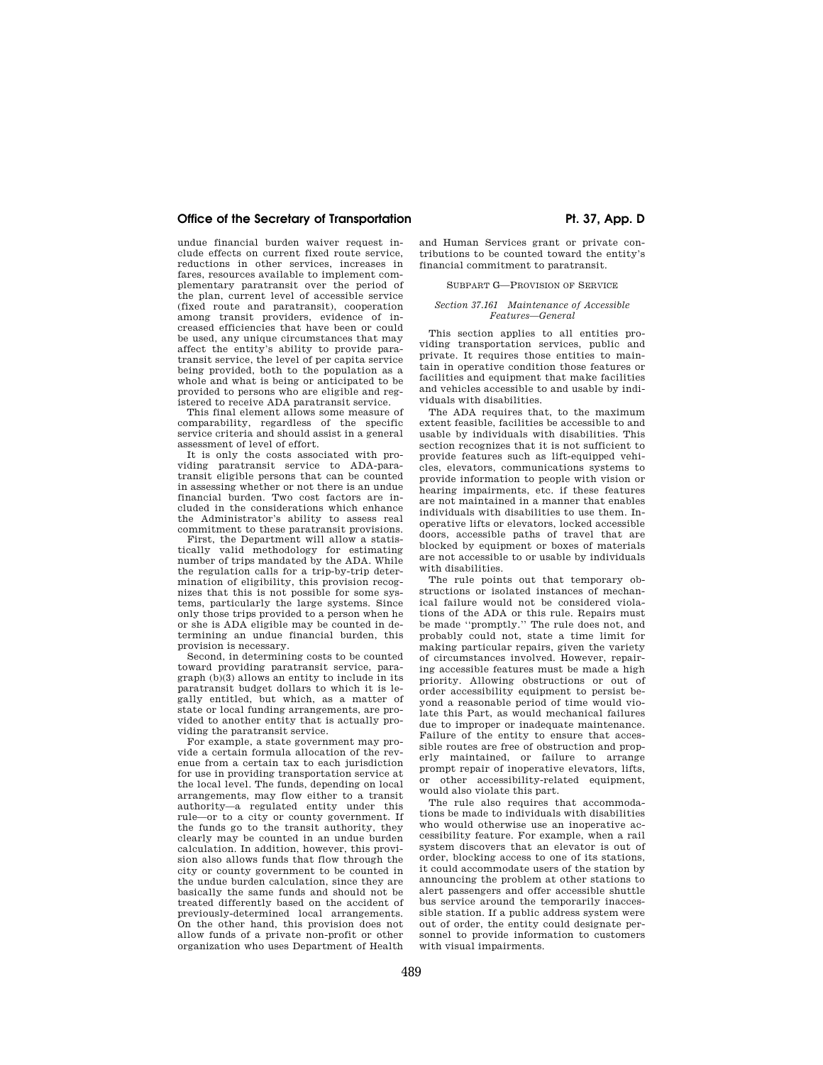undue financial burden waiver request include effects on current fixed route service, reductions in other services, increases in fares, resources available to implement complementary paratransit over the period of the plan, current level of accessible service (fixed route and paratransit), cooperation among transit providers, evidence of increased efficiencies that have been or could be used, any unique circumstances that may affect the entity's ability to provide paratransit service, the level of per capita service being provided, both to the population as a whole and what is being or anticipated to be provided to persons who are eligible and registered to receive ADA paratransit service.

This final element allows some measure of comparability, regardless of the specific service criteria and should assist in a general assessment of level of effort.

It is only the costs associated with providing paratransit service to ADA-paratransit eligible persons that can be counted in assessing whether or not there is an undue financial burden. Two cost factors are included in the considerations which enhance the Administrator's ability to assess real commitment to these paratransit provisions.

First, the Department will allow a statistically valid methodology for estimating number of trips mandated by the ADA. While the regulation calls for a trip-by-trip determination of eligibility, this provision recognizes that this is not possible for some systems, particularly the large systems. Since only those trips provided to a person when he or she is ADA eligible may be counted in determining an undue financial burden, this provision is necessary.

Second, in determining costs to be counted toward providing paratransit service, paragraph (b)(3) allows an entity to include in its paratransit budget dollars to which it is legally entitled, but which, as a matter of state or local funding arrangements, are provided to another entity that is actually providing the paratransit service.

For example, a state government may provide a certain formula allocation of the revenue from a certain tax to each jurisdiction for use in providing transportation service at the local level. The funds, depending on local arrangements, may flow either to a transit authority—a regulated entity under this rule—or to a city or county government. If the funds go to the transit authority, they clearly may be counted in an undue burden calculation. In addition, however, this provision also allows funds that flow through the city or county government to be counted in the undue burden calculation, since they are basically the same funds and should not be treated differently based on the accident of previously-determined local arrangements. On the other hand, this provision does not allow funds of a private non-profit or other organization who uses Department of Health

and Human Services grant or private contributions to be counted toward the entity's financial commitment to paratransit.

### SUBPART G—PROVISION OF SERVICE

## *Section 37.161 Maintenance of Accessible Features—General*

This section applies to all entities providing transportation services, public and private. It requires those entities to maintain in operative condition those features or facilities and equipment that make facilities and vehicles accessible to and usable by individuals with disabilities.

The ADA requires that, to the maximum extent feasible, facilities be accessible to and usable by individuals with disabilities. This section recognizes that it is not sufficient to provide features such as lift-equipped vehicles, elevators, communications systems to provide information to people with vision or hearing impairments, etc. if these features are not maintained in a manner that enables individuals with disabilities to use them. Inoperative lifts or elevators, locked accessible doors, accessible paths of travel that are blocked by equipment or boxes of materials are not accessible to or usable by individuals with disabilities.

The rule points out that temporary obstructions or isolated instances of mechanical failure would not be considered violations of the ADA or this rule. Repairs must be made ''promptly.'' The rule does not, and probably could not, state a time limit for making particular repairs, given the variety of circumstances involved. However, repairing accessible features must be made a high priority. Allowing obstructions or out of order accessibility equipment to persist beyond a reasonable period of time would violate this Part, as would mechanical failures due to improper or inadequate maintenance. Failure of the entity to ensure that accessible routes are free of obstruction and properly maintained, or failure to arrange prompt repair of inoperative elevators, lifts, or other accessibility-related equipment, would also violate this part.

The rule also requires that accommodations be made to individuals with disabilities who would otherwise use an inoperative accessibility feature. For example, when a rail system discovers that an elevator is out of order, blocking access to one of its stations, it could accommodate users of the station by announcing the problem at other stations to alert passengers and offer accessible shuttle bus service around the temporarily inaccessible station. If a public address system were out of order, the entity could designate personnel to provide information to customers with visual impairments.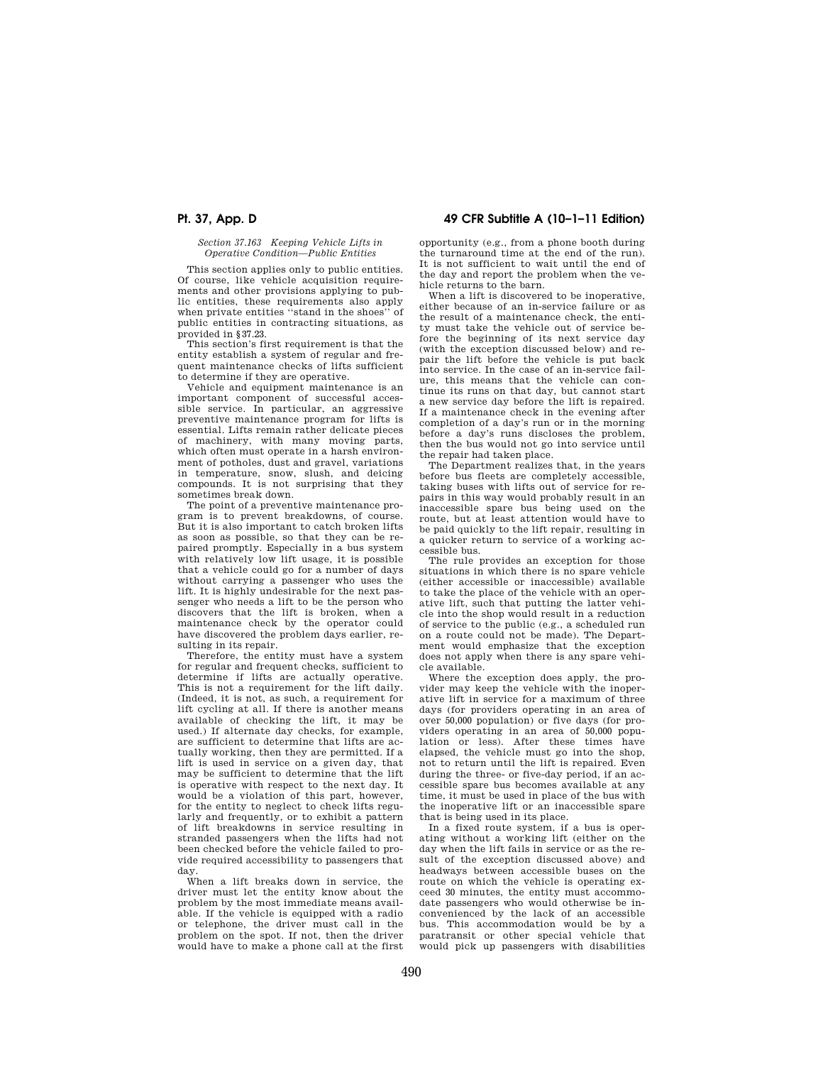## *Section 37.163 Keeping Vehicle Lifts in Operative Condition—Public Entities*

This section applies only to public entities. Of course, like vehicle acquisition requirements and other provisions applying to public entities, these requirements also apply when private entities ''stand in the shoes'' of public entities in contracting situations, as provided in §37.23.

This section's first requirement is that the entity establish a system of regular and frequent maintenance checks of lifts sufficient to determine if they are operative.

Vehicle and equipment maintenance is an important component of successful accessible service. In particular, an aggressive preventive maintenance program for lifts is essential. Lifts remain rather delicate pieces of machinery, with many moving parts, which often must operate in a harsh environment of potholes, dust and gravel, variations in temperature, snow, slush, and deicing compounds. It is not surprising that they sometimes break down.

The point of a preventive maintenance program is to prevent breakdowns, of course. But it is also important to catch broken lifts as soon as possible, so that they can be repaired promptly. Especially in a bus system with relatively low lift usage, it is possible that a vehicle could go for a number of days without carrying a passenger who uses the lift. It is highly undesirable for the next passenger who needs a lift to be the person who discovers that the lift is broken, when a maintenance check by the operator could have discovered the problem days earlier, resulting in its repair.

Therefore, the entity must have a system for regular and frequent checks, sufficient to determine if lifts are actually operative. This is not a requirement for the lift daily. (Indeed, it is not, as such, a requirement for lift cycling at all. If there is another means available of checking the lift, it may be used.) If alternate day checks, for example, are sufficient to determine that lifts are actually working, then they are permitted. If a lift is used in service on a given day, that may be sufficient to determine that the lift is operative with respect to the next day. It would be a violation of this part, however, for the entity to neglect to check lifts regularly and frequently, or to exhibit a pattern of lift breakdowns in service resulting in stranded passengers when the lifts had not been checked before the vehicle failed to provide required accessibility to passengers that day.

When a lift breaks down in service, the driver must let the entity know about the problem by the most immediate means available. If the vehicle is equipped with a radio or telephone, the driver must call in the problem on the spot. If not, then the driver would have to make a phone call at the first

**Pt. 37, App. D 49 CFR Subtitle A (10–1–11 Edition)** 

opportunity (e.g., from a phone booth during the turnaround time at the end of the run). It is not sufficient to wait until the end of the day and report the problem when the vehicle returns to the barn.

When a lift is discovered to be inoperative, either because of an in-service failure or as the result of a maintenance check, the entity must take the vehicle out of service before the beginning of its next service day (with the exception discussed below) and repair the lift before the vehicle is put back into service. In the case of an in-service failure, this means that the vehicle can continue its runs on that day, but cannot start a new service day before the lift is repaired. If a maintenance check in the evening after completion of a day's run or in the morning before a day's runs discloses the problem, then the bus would not go into service until the repair had taken place.

The Department realizes that, in the years before bus fleets are completely accessible, taking buses with lifts out of service for repairs in this way would probably result in an inaccessible spare bus being used on the route, but at least attention would have to be paid quickly to the lift repair, resulting in a quicker return to service of a working accessible bus.

The rule provides an exception for those situations in which there is no spare vehicle (either accessible or inaccessible) available to take the place of the vehicle with an operative lift, such that putting the latter vehicle into the shop would result in a reduction of service to the public (e.g., a scheduled run on a route could not be made). The Department would emphasize that the exception does not apply when there is any spare vehicle available.

Where the exception does apply, the provider may keep the vehicle with the inoperative lift in service for a maximum of three days (for providers operating in an area of over 50,000 population) or five days (for providers operating in an area of 50,000 population or less). After these times have elapsed, the vehicle must go into the shop, not to return until the lift is repaired. Even during the three- or five-day period, if an accessible spare bus becomes available at any time, it must be used in place of the bus with the inoperative lift or an inaccessible spare that is being used in its place.

In a fixed route system, if a bus is operating without a working lift (either on the day when the lift fails in service or as the result of the exception discussed above) and headways between accessible buses on the route on which the vehicle is operating exceed 30 minutes, the entity must accommodate passengers who would otherwise be inconvenienced by the lack of an accessible bus. This accommodation would be by a paratransit or other special vehicle that would pick up passengers with disabilities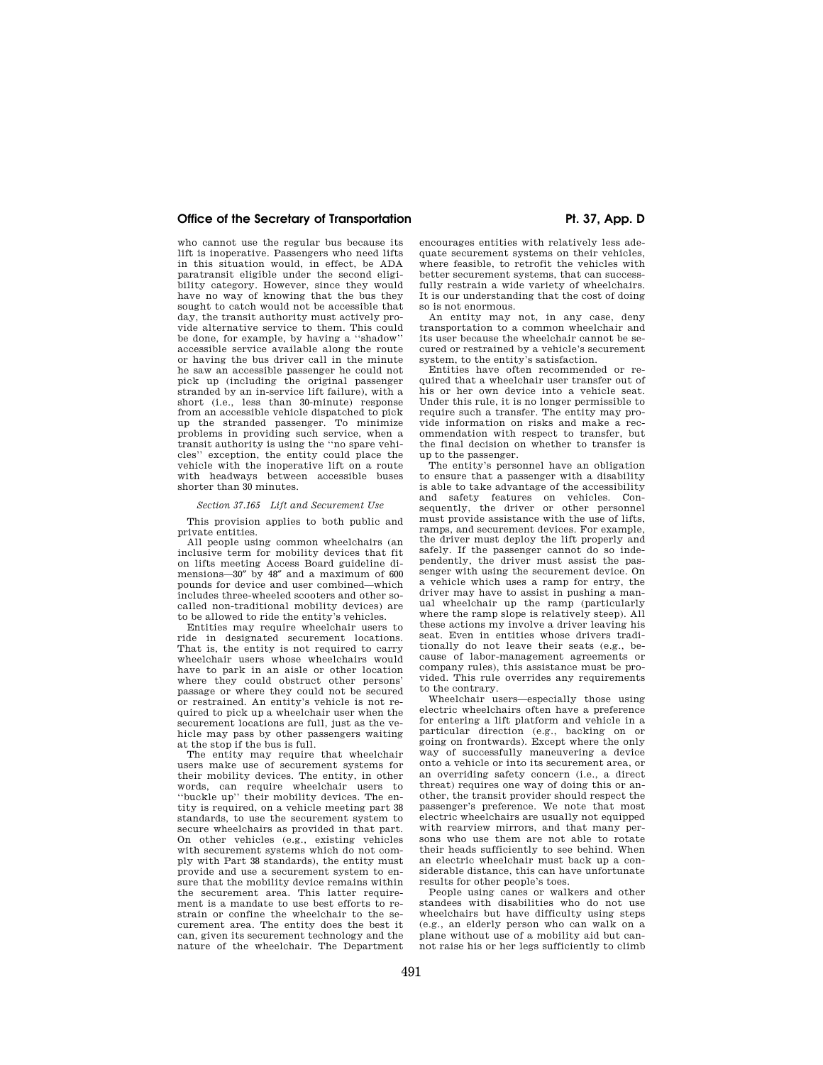# Office of the Secretary of Transportation **Pt. 37, App. D**

who cannot use the regular bus because its lift is inoperative. Passengers who need lifts in this situation would, in effect, be ADA paratransit eligible under the second eligibility category. However, since they would have no way of knowing that the bus they sought to catch would not be accessible that day, the transit authority must actively provide alternative service to them. This could be done, for example, by having a ''shadow'' accessible service available along the route or having the bus driver call in the minute he saw an accessible passenger he could not pick up (including the original passenger stranded by an in-service lift failure), with a short (i.e., less than 30-minute) response from an accessible vehicle dispatched to pick up the stranded passenger. To minimize problems in providing such service, when a transit authority is using the ''no spare vehicles'' exception, the entity could place the vehicle with the inoperative lift on a route with headways between accessible buses shorter than 30 minutes.

## *Section 37.165 Lift and Securement Use*

This provision applies to both public and private entities.

All people using common wheelchairs (an inclusive term for mobility devices that fit on lifts meeting Access Board guideline dimensions—30″ by 48″ and a maximum of 600 pounds for device and user combined—which includes three-wheeled scooters and other socalled non-traditional mobility devices) are to be allowed to ride the entity's vehicles.

Entities may require wheelchair users to ride in designated securement locations. That is, the entity is not required to carry wheelchair users whose wheelchairs would have to park in an aisle or other location where they could obstruct other persons' passage or where they could not be secured or restrained. An entity's vehicle is not required to pick up a wheelchair user when the securement locations are full, just as the vehicle may pass by other passengers waiting at the stop if the bus is full.

The entity may require that wheelchair users make use of securement systems for their mobility devices. The entity, in other words, can require wheelchair users to ''buckle up'' their mobility devices. The entity is required, on a vehicle meeting part 38 standards, to use the securement system to secure wheelchairs as provided in that part. On other vehicles (e.g., existing vehicles with securement systems which do not comply with Part 38 standards), the entity must provide and use a securement system to ensure that the mobility device remains within the securement area. This latter requirement is a mandate to use best efforts to restrain or confine the wheelchair to the securement area. The entity does the best it can, given its securement technology and the nature of the wheelchair. The Department

encourages entities with relatively less adequate securement systems on their vehicles, where feasible, to retrofit the vehicles with better securement systems, that can successfully restrain a wide variety of wheelchairs. It is our understanding that the cost of doing so is not enormous.

An entity may not, in any case, deny transportation to a common wheelchair and its user because the wheelchair cannot be secured or restrained by a vehicle's securement system, to the entity's satisfaction.

Entities have often recommended or required that a wheelchair user transfer out of his or her own device into a vehicle seat. Under this rule, it is no longer permissible to require such a transfer. The entity may provide information on risks and make a recommendation with respect to transfer, but the final decision on whether to transfer is up to the passenger.

The entity's personnel have an obligation to ensure that a passenger with a disability is able to take advantage of the accessibility and safety features on vehicles. Consequently, the driver or other personnel must provide assistance with the use of lifts, ramps, and securement devices. For example, the driver must deploy the lift properly and safely. If the passenger cannot do so independently, the driver must assist the passenger with using the securement device. On a vehicle which uses a ramp for entry, the driver may have to assist in pushing a manual wheelchair up the ramp (particularly where the ramp slope is relatively steep). All these actions my involve a driver leaving his seat. Even in entities whose drivers traditionally do not leave their seats (e.g., because of labor-management agreements or company rules), this assistance must be provided. This rule overrides any requirements to the contrary.

Wheelchair users—especially those using electric wheelchairs often have a preference for entering a lift platform and vehicle in a particular direction (e.g., backing on or going on frontwards). Except where the only way of successfully maneuvering a device onto a vehicle or into its securement area, or an overriding safety concern (i.e., a direct threat) requires one way of doing this or another, the transit provider should respect the passenger's preference. We note that most electric wheelchairs are usually not equipped with rearview mirrors, and that many persons who use them are not able to rotate their heads sufficiently to see behind. When an electric wheelchair must back up a considerable distance, this can have unfortunate results for other people's toes.

People using canes or walkers and other standees with disabilities who do not use wheelchairs but have difficulty using steps (e.g., an elderly person who can walk on a plane without use of a mobility aid but cannot raise his or her legs sufficiently to climb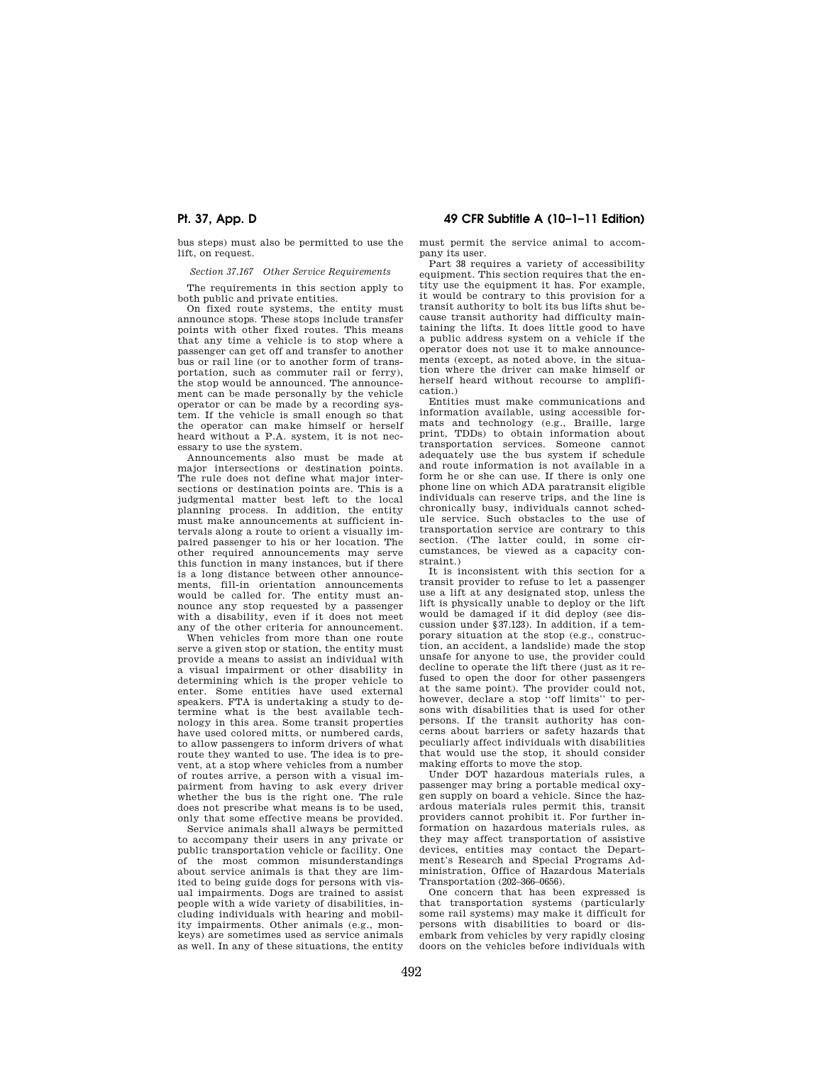bus steps) must also be permitted to use the lift, on request.

*Section 37.167 Other Service Requirements* 

The requirements in this section apply to both public and private entities.

On fixed route systems, the entity must announce stops. These stops include transfer points with other fixed routes. This means that any time a vehicle is to stop where a passenger can get off and transfer to another bus or rail line (or to another form of transportation, such as commuter rail or ferry), the stop would be announced. The announcement can be made personally by the vehicle operator or can be made by a recording system. If the vehicle is small enough so that the operator can make himself or herself heard without a P.A. system, it is not necessary to use the system.

Announcements also must be made at major intersections or destination points. The rule does not define what major intersections or destination points are. This is a judgmental matter best left to the local planning process. In addition, the entity must make announcements at sufficient intervals along a route to orient a visually impaired passenger to his or her location. The other required announcements may serve this function in many instances, but if there is a long distance between other announcements, fill-in orientation announcements would be called for. The entity must announce any stop requested by a passenger with a disability, even if it does not meet any of the other criteria for announcement.

When vehicles from more than one route serve a given stop or station, the entity must provide a means to assist an individual with a visual impairment or other disability in determining which is the proper vehicle to enter. Some entities have used external speakers. FTA is undertaking a study to determine what is the best available technology in this area. Some transit properties have used colored mitts, or numbered cards, to allow passengers to inform drivers of what route they wanted to use. The idea is to prevent, at a stop where vehicles from a number of routes arrive, a person with a visual impairment from having to ask every driver whether the bus is the right one. The rule does not prescribe what means is to be used, only that some effective means be provided.

Service animals shall always be permitted to accompany their users in any private or public transportation vehicle or facility. One of the most common misunderstandings about service animals is that they are limited to being guide dogs for persons with visual impairments. Dogs are trained to assist people with a wide variety of disabilities, including individuals with hearing and mobility impairments. Other animals (e.g., monkeys) are sometimes used as service animals as well. In any of these situations, the entity

**Pt. 37, App. D 49 CFR Subtitle A (10–1–11 Edition)** 

must permit the service animal to accompany its user.

Part 38 requires a variety of accessibility equipment. This section requires that the entity use the equipment it has. For example, it would be contrary to this provision for a transit authority to bolt its bus lifts shut because transit authority had difficulty maintaining the lifts. It does little good to have a public address system on a vehicle if the operator does not use it to make announcements (except, as noted above, in the situation where the driver can make himself or herself heard without recourse to amplification.)

Entities must make communications and information available, using accessible formats and technology (e.g., Braille, large print, TDDs) to obtain information about transportation services. Someone cannot adequately use the bus system if schedule and route information is not available in a form he or she can use. If there is only one phone line on which ADA paratransit eligible individuals can reserve trips, and the line is chronically busy, individuals cannot schedule service. Such obstacles to the use of transportation service are contrary to this section. (The latter could, in some circumstances, be viewed as a capacity constraint.)

It is inconsistent with this section for a transit provider to refuse to let a passenger use a lift at any designated stop, unless the lift is physically unable to deploy or the lift would be damaged if it did deploy (see discussion under §37.123). In addition, if a temporary situation at the stop (e.g., construction, an accident, a landslide) made the stop unsafe for anyone to use, the provider could decline to operate the lift there (just as it refused to open the door for other passengers at the same point). The provider could not, however, declare a stop ''off limits'' to persons with disabilities that is used for other persons. If the transit authority has concerns about barriers or safety hazards that peculiarly affect individuals with disabilities that would use the stop, it should consider making efforts to move the stop.

Under DOT hazardous materials rules, a passenger may bring a portable medical oxygen supply on board a vehicle. Since the hazardous materials rules permit this, transit providers cannot prohibit it. For further information on hazardous materials rules, as they may affect transportation of assistive devices, entities may contact the Department's Research and Special Programs Administration, Office of Hazardous Materials Transportation (202–366–0656).

One concern that has been expressed is that transportation systems (particularly some rail systems) may make it difficult for persons with disabilities to board or disembark from vehicles by very rapidly closing doors on the vehicles before individuals with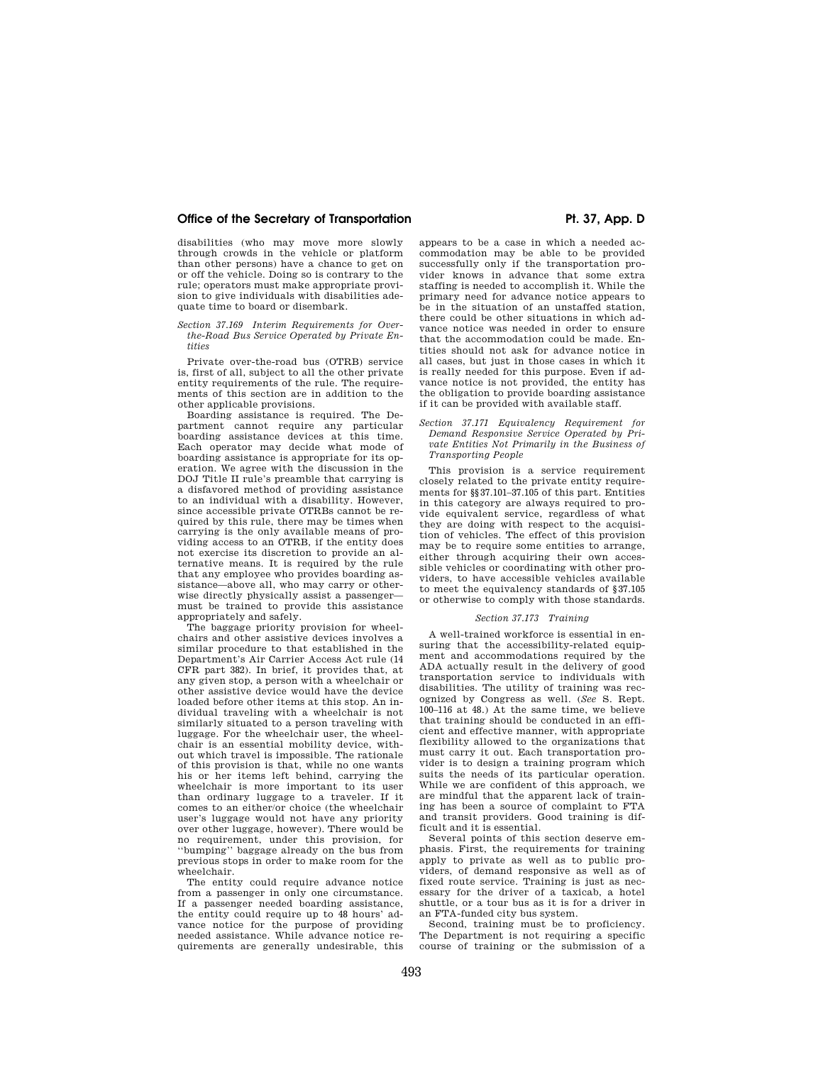disabilities (who may move more slowly through crowds in the vehicle or platform than other persons) have a chance to get on or off the vehicle. Doing so is contrary to the rule; operators must make appropriate provision to give individuals with disabilities adequate time to board or disembark.

*Section 37.169 Interim Requirements for Overthe-Road Bus Service Operated by Private Entities* 

Private over-the-road bus (OTRB) service is, first of all, subject to all the other private entity requirements of the rule. The requirements of this section are in addition to the other applicable provisions.

Boarding assistance is required. The Department cannot require any particular boarding assistance devices at this time. Each operator may decide what mode of boarding assistance is appropriate for its operation. We agree with the discussion in the DOJ Title II rule's preamble that carrying is a disfavored method of providing assistance to an individual with a disability. However, since accessible private OTRBs cannot be required by this rule, there may be times when carrying is the only available means of providing access to an OTRB, if the entity does not exercise its discretion to provide an alternative means. It is required by the rule that any employee who provides boarding assistance—above all, who may carry or otherwise directly physically assist a passenger must be trained to provide this assistance appropriately and safely.

The baggage priority provision for wheelchairs and other assistive devices involves a similar procedure to that established in the Department's Air Carrier Access Act rule (14 CFR part 382). In brief, it provides that, at any given stop, a person with a wheelchair or other assistive device would have the device loaded before other items at this stop. An individual traveling with a wheelchair is not similarly situated to a person traveling with luggage. For the wheelchair user, the wheelchair is an essential mobility device, without which travel is impossible. The rationale of this provision is that, while no one wants his or her items left behind, carrying the wheelchair is more important to its user than ordinary luggage to a traveler. If it comes to an either/or choice (the wheelchair user's luggage would not have any priority over other luggage, however). There would be no requirement, under this provision, for ''bumping'' baggage already on the bus from previous stops in order to make room for the wheelchair.

The entity could require advance notice from a passenger in only one circumstance. If a passenger needed boarding assistance, the entity could require up to 48 hours' advance notice for the purpose of providing needed assistance. While advance notice requirements are generally undesirable, this appears to be a case in which a needed accommodation may be able to be provided successfully only if the transportation provider knows in advance that some extra staffing is needed to accomplish it. While the primary need for advance notice appears to be in the situation of an unstaffed station, there could be other situations in which advance notice was needed in order to ensure that the accommodation could be made. Entities should not ask for advance notice in all cases, but just in those cases in which it is really needed for this purpose. Even if advance notice is not provided, the entity has the obligation to provide boarding assistance if it can be provided with available staff.

*Section 37.171 Equivalency Requirement for Demand Responsive Service Operated by Private Entities Not Primarily in the Business of Transporting People* 

This provision is a service requirement closely related to the private entity requirements for §§37.101–37.105 of this part. Entities in this category are always required to provide equivalent service, regardless of what they are doing with respect to the acquisition of vehicles. The effect of this provision may be to require some entities to arrange, either through acquiring their own accessible vehicles or coordinating with other providers, to have accessible vehicles available to meet the equivalency standards of §37.105 or otherwise to comply with those standards.

# *Section 37.173 Training*

A well-trained workforce is essential in ensuring that the accessibility-related equipment and accommodations required by the ADA actually result in the delivery of good transportation service to individuals with disabilities. The utility of training was recognized by Congress as well. (*See* S. Rept. 100–116 at 48.) At the same time, we believe that training should be conducted in an efficient and effective manner, with appropriate flexibility allowed to the organizations that must carry it out. Each transportation provider is to design a training program which suits the needs of its particular operation. While we are confident of this approach, we are mindful that the apparent lack of training has been a source of complaint to FTA and transit providers. Good training is difficult and it is essential.

Several points of this section deserve emphasis. First, the requirements for training apply to private as well as to public providers, of demand responsive as well as of fixed route service. Training is just as necessary for the driver of a taxicab, a hotel shuttle, or a tour bus as it is for a driver in an FTA-funded city bus system.

Second, training must be to proficiency. The Department is not requiring a specific course of training or the submission of a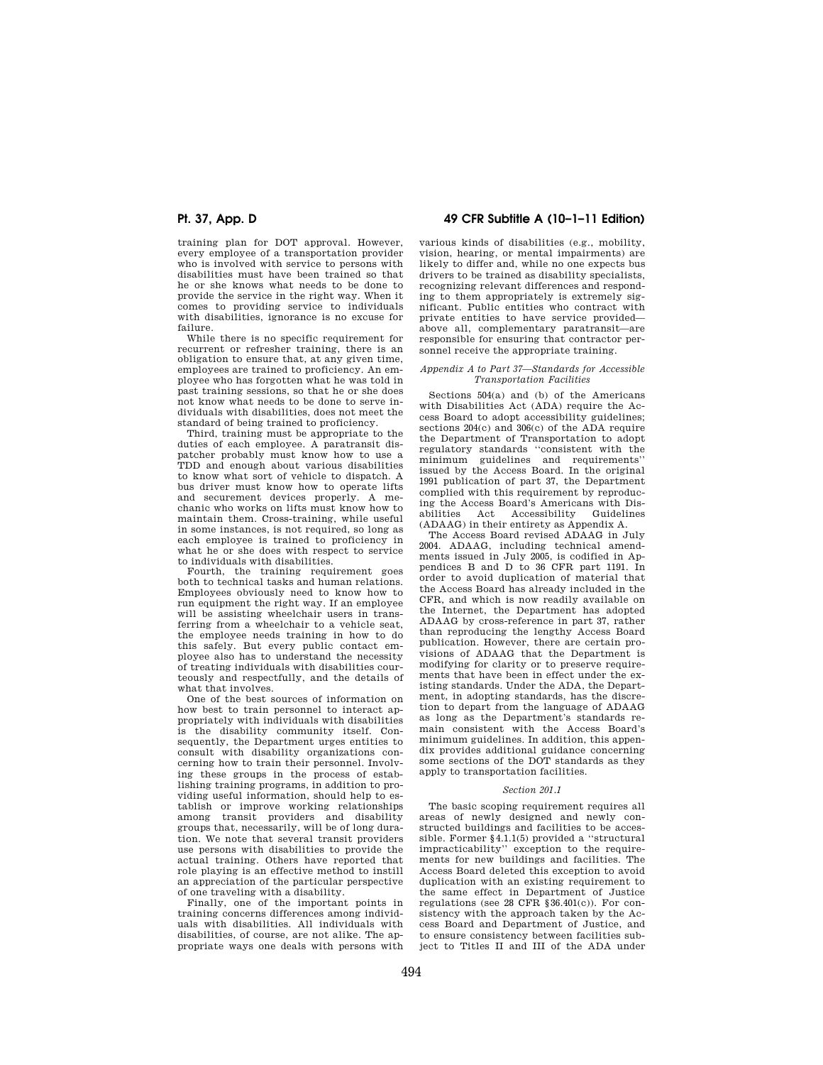training plan for DOT approval. However, every employee of a transportation provider who is involved with service to persons with disabilities must have been trained so that he or she knows what needs to be done to provide the service in the right way. When it comes to providing service to individuals with disabilities, ignorance is no excuse for failure.

While there is no specific requirement for recurrent or refresher training, there is an obligation to ensure that, at any given time, employees are trained to proficiency. An employee who has forgotten what he was told in past training sessions, so that he or she does not know what needs to be done to serve individuals with disabilities, does not meet the standard of being trained to proficiency.

Third, training must be appropriate to the duties of each employee. A paratransit dispatcher probably must know how to use a TDD and enough about various disabilities to know what sort of vehicle to dispatch. A bus driver must know how to operate lifts and securement devices properly. A mechanic who works on lifts must know how to maintain them. Cross-training, while useful in some instances, is not required, so long as each employee is trained to proficiency in what he or she does with respect to service to individuals with disabilities.

Fourth, the training requirement goes both to technical tasks and human relations. Employees obviously need to know how to run equipment the right way. If an employee will be assisting wheelchair users in transferring from a wheelchair to a vehicle seat, the employee needs training in how to do this safely. But every public contact employee also has to understand the necessity of treating individuals with disabilities courteously and respectfully, and the details of what that involves.

One of the best sources of information on how best to train personnel to interact appropriately with individuals with disabilities is the disability community itself. Consequently, the Department urges entities to consult with disability organizations concerning how to train their personnel. Involving these groups in the process of establishing training programs, in addition to providing useful information, should help to establish or improve working relationships among transit providers and disability groups that, necessarily, will be of long duration. We note that several transit providers use persons with disabilities to provide the actual training. Others have reported that role playing is an effective method to instill an appreciation of the particular perspective of one traveling with a disability.

Finally, one of the important points in training concerns differences among individuals with disabilities. All individuals with disabilities, of course, are not alike. The appropriate ways one deals with persons with

# **Pt. 37, App. D 49 CFR Subtitle A (10–1–11 Edition)**

various kinds of disabilities (e.g., mobility, vision, hearing, or mental impairments) are likely to differ and, while no one expects bus drivers to be trained as disability specialists, recognizing relevant differences and responding to them appropriately is extremely significant. Public entities who contract with private entities to have service provided above all, complementary paratransit—are responsible for ensuring that contractor personnel receive the appropriate training.

## *Appendix A to Part 37—Standards for Accessible Transportation Facilities*

Sections 504(a) and (b) of the Americans with Disabilities Act (ADA) require the Access Board to adopt accessibility guidelines; sections  $204(c)$  and  $306(c)$  of the ADA require the Department of Transportation to adopt regulatory standards ''consistent with the minimum guidelines and requirements'' issued by the Access Board. In the original 1991 publication of part 37, the Department complied with this requirement by reproducing the Access Board's Americans with Disabilities Act Accessibility Guidelines (ADAAG) in their entirety as Appendix A.

The Access Board revised ADAAG in July 2004. ADAAG, including technical amendments issued in July 2005, is codified in Appendices B and D to 36 CFR part 1191. In order to avoid duplication of material that the Access Board has already included in the CFR, and which is now readily available on the Internet, the Department has adopted ADAAG by cross-reference in part 37, rather than reproducing the lengthy Access Board publication. However, there are certain provisions of ADAAG that the Department is modifying for clarity or to preserve requirements that have been in effect under the existing standards. Under the ADA, the Department, in adopting standards, has the discretion to depart from the language of ADAAG as long as the Department's standards remain consistent with the Access Board's minimum guidelines. In addition, this appendix provides additional guidance concerning some sections of the DOT standards as they apply to transportation facilities.

## *Section 201.1*

The basic scoping requirement requires all areas of newly designed and newly constructed buildings and facilities to be accessible. Former §4.1.1(5) provided a ''structural impracticability'' exception to the requirements for new buildings and facilities. The Access Board deleted this exception to avoid duplication with an existing requirement to the same effect in Department of Justice regulations (see 28 CFR §36.401(c)). For consistency with the approach taken by the Access Board and Department of Justice, and to ensure consistency between facilities subject to Titles II and III of the ADA under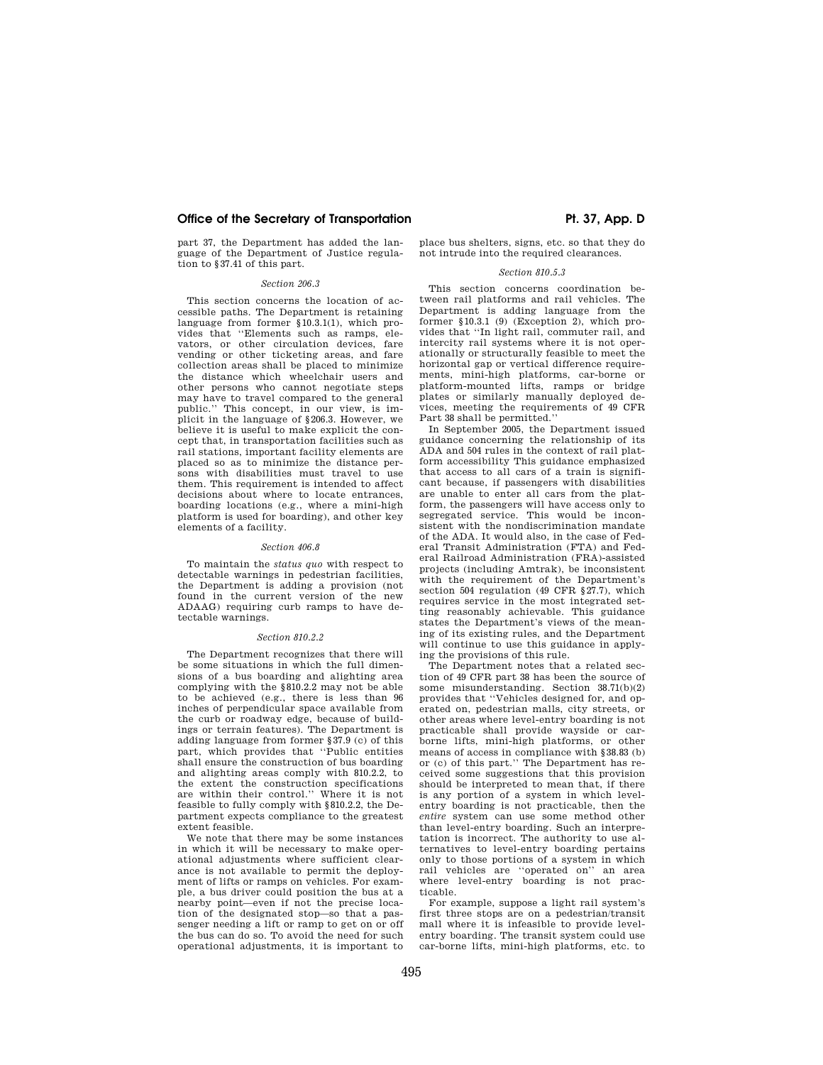part 37, the Department has added the language of the Department of Justice regulation to §37.41 of this part.

### *Section 206.3*

This section concerns the location of accessible paths. The Department is retaining language from former §10.3.1(1), which provides that ''Elements such as ramps, elevators, or other circulation devices, fare vending or other ticketing areas, and fare collection areas shall be placed to minimize the distance which wheelchair users and other persons who cannot negotiate steps may have to travel compared to the general public.'' This concept, in our view, is implicit in the language of §206.3. However, we believe it is useful to make explicit the concept that, in transportation facilities such as rail stations, important facility elements are placed so as to minimize the distance persons with disabilities must travel to use them. This requirement is intended to affect decisions about where to locate entrances. boarding locations (e.g., where a mini-high platform is used for boarding), and other key elements of a facility.

## *Section 406.8*

To maintain the *status quo* with respect to detectable warnings in pedestrian facilities, the Department is adding a provision (not found in the current version of the new ADAAG) requiring curb ramps to have detectable warnings.

### *Section 810.2.2*

The Department recognizes that there will be some situations in which the full dimensions of a bus boarding and alighting area complying with the §810.2.2 may not be able to be achieved (e.g., there is less than 96 inches of perpendicular space available from the curb or roadway edge, because of buildings or terrain features). The Department is adding language from former §37.9 (c) of this part, which provides that ''Public entities shall ensure the construction of bus boarding and alighting areas comply with 810.2.2, to the extent the construction specifications are within their control.'' Where it is not feasible to fully comply with §810.2.2, the Department expects compliance to the greatest extent feasible.

We note that there may be some instances in which it will be necessary to make operational adjustments where sufficient clearance is not available to permit the deployment of lifts or ramps on vehicles. For example, a bus driver could position the bus at a nearby point—even if not the precise location of the designated stop—so that a passenger needing a lift or ramp to get on or off the bus can do so. To avoid the need for such operational adjustments, it is important to

place bus shelters, signs, etc. so that they do not intrude into the required clearances.

## *Section 810.5.3*

This section concerns coordination between rail platforms and rail vehicles. The Department is adding language from the former §10.3.1 (9) (Exception 2), which provides that ''In light rail, commuter rail, and intercity rail systems where it is not operationally or structurally feasible to meet the horizontal gap or vertical difference requirements, mini-high platforms, car-borne or platform-mounted lifts, ramps or bridge plates or similarly manually deployed devices, meeting the requirements of 49 CFR Part 38 shall be permitted.''

In September 2005, the Department issued guidance concerning the relationship of its ADA and 504 rules in the context of rail platform accessibility This guidance emphasized that access to all cars of a train is significant because, if passengers with disabilities are unable to enter all cars from the platform, the passengers will have access only to segregated service. This would be inconsistent with the nondiscrimination mandate of the ADA. It would also, in the case of Federal Transit Administration (FTA) and Federal Railroad Administration (FRA)-assisted projects (including Amtrak), be inconsistent with the requirement of the Department's section 504 regulation (49 CFR §27.7), which requires service in the most integrated setting reasonably achievable. This guidance states the Department's views of the meaning of its existing rules, and the Department will continue to use this guidance in applying the provisions of this rule.

The Department notes that a related section of 49 CFR part 38 has been the source of some misunderstanding. Section 38.71(b)(2) provides that ''Vehicles designed for, and operated on, pedestrian malls, city streets, or other areas where level-entry boarding is not practicable shall provide wayside or carborne lifts, mini-high platforms, or other means of access in compliance with §38.83 (b) or (c) of this part.'' The Department has received some suggestions that this provision should be interpreted to mean that, if there is any portion of a system in which levelentry boarding is not practicable, then the *entire* system can use some method other than level-entry boarding. Such an interpretation is incorrect. The authority to use alternatives to level-entry boarding pertains only to those portions of a system in which rail vehicles are ''operated on'' an area where level-entry boarding is not practicable.

For example, suppose a light rail system's first three stops are on a pedestrian/transit mall where it is infeasible to provide levelentry boarding. The transit system could use car-borne lifts, mini-high platforms, etc. to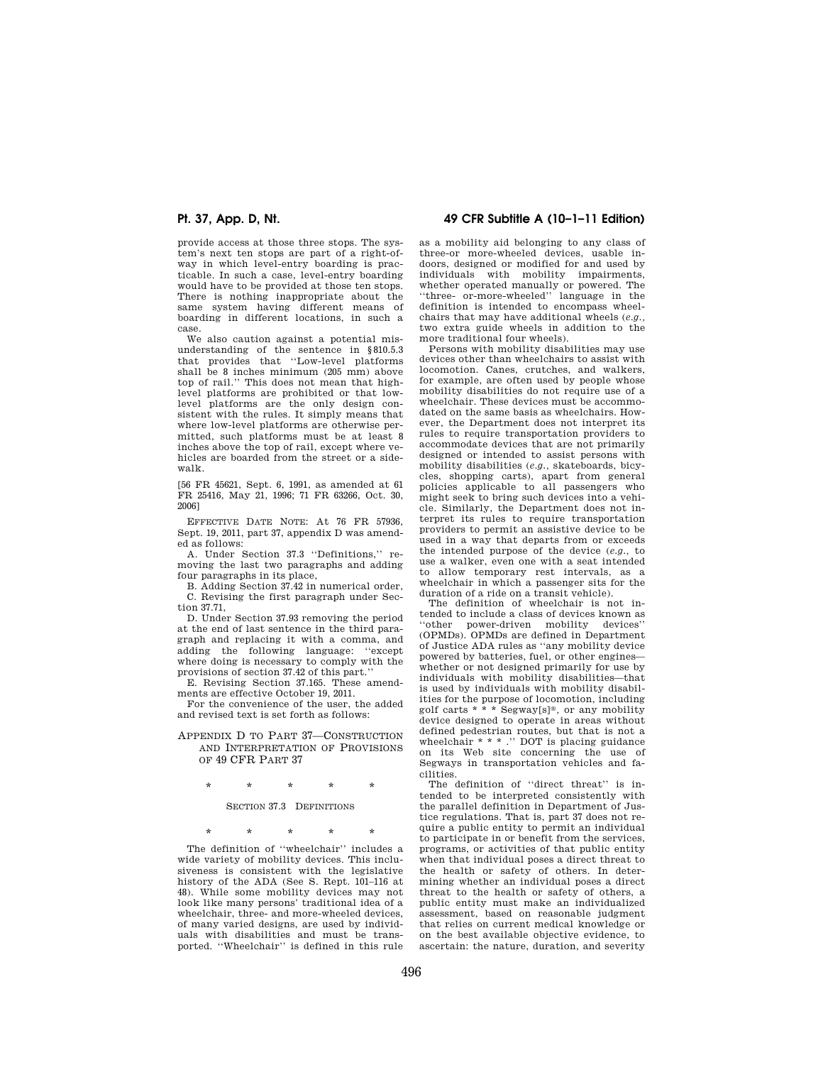provide access at those three stops. The system's next ten stops are part of a right-ofway in which level-entry boarding is practicable. In such a case, level-entry boarding would have to be provided at those ten stops. There is nothing inappropriate about the same system having different means of boarding in different locations, in such a case.

We also caution against a potential misunderstanding of the sentence in §810.5.3 that provides that ''Low-level platforms shall be 8 inches minimum (205 mm) above top of rail.'' This does not mean that highlevel platforms are prohibited or that lowlevel platforms are the only design consistent with the rules. It simply means that where low-level platforms are otherwise permitted, such platforms must be at least 8 inches above the top of rail, except where vehicles are boarded from the street or a sidewalk.

[56 FR 45621, Sept. 6, 1991, as amended at 61 FR 25416, May 21, 1996; 71 FR 63266, Oct. 30, 2006]

EFFECTIVE DATE NOTE: At 76 FR 57936, Sept. 19, 2011, part 37, appendix D was amended as follows:

A. Under Section 37.3 ''Definitions,'' removing the last two paragraphs and adding four paragraphs in its place,

B. Adding Section 37.42 in numerical order, C. Revising the first paragraph under Section 37.71,

D. Under Section 37.93 removing the period at the end of last sentence in the third paragraph and replacing it with a comma, and adding the following language: where doing is necessary to comply with the provisions of section 37.42 of this part.''

E. Revising Section 37.165. These amendments are effective October 19, 2011.

For the convenience of the user, the added and revised text is set forth as follows:

# APPENDIX D TO PART 37—CONSTRUCTION AND INTERPRETATION OF PROVISIONS OF 49 CFR PART 37

\* \* \* \* \*

## SECTION 37.3 DEFINITIONS

\* \* \* \* \*

The definition of ''wheelchair'' includes a wide variety of mobility devices. This inclusiveness is consistent with the legislative history of the ADA (See S. Rept. 101–116 at 48). While some mobility devices may not look like many persons' traditional idea of a wheelchair, three- and more-wheeled devices, of many varied designs, are used by individuals with disabilities and must be transported. ''Wheelchair'' is defined in this rule

# **Pt. 37, App. D, Nt. 49 CFR Subtitle A (10–1–11 Edition)**

as a mobility aid belonging to any class of three-or more-wheeled devices, usable indoors, designed or modified for and used by individuals with mobility impairments, whether operated manually or powered. The ''three- or-more-wheeled'' language in the definition is intended to encompass wheelchairs that may have additional wheels (*e.g.,*  two extra guide wheels in addition to the more traditional four wheels).

Persons with mobility disabilities may use devices other than wheelchairs to assist with locomotion. Canes, crutches, and walkers, for example, are often used by people whose mobility disabilities do not require use of a wheelchair. These devices must be accommodated on the same basis as wheelchairs. However, the Department does not interpret its rules to require transportation providers to accommodate devices that are not primarily designed or intended to assist persons with mobility disabilities (*e.g.,* skateboards, bicycles, shopping carts), apart from general policies applicable to all passengers who might seek to bring such devices into a vehicle. Similarly, the Department does not interpret its rules to require transportation providers to permit an assistive device to be used in a way that departs from or exceeds the intended purpose of the device (*e.g.,* to use a walker, even one with a seat intended to allow temporary rest intervals, as a wheelchair in which a passenger sits for the duration of a ride on a transit vehicle).

The definition of wheelchair is not intended to include a class of devices known as<br>"other power-driven mobility devices" power-driven mobility (OPMDs). OPMDs are defined in Department of Justice ADA rules as ''any mobility device powered by batteries, fuel, or other engines whether or not designed primarily for use by individuals with mobility disabilities—that is used by individuals with mobility disabilities for the purpose of locomotion, including golf carts \* \* \* Segway[s]®*,* or any mobility device designed to operate in areas without defined pedestrian routes, but that is not a wheelchair \* \* \* .'' DOT is placing guidance on its Web site concerning the use of Segways in transportation vehicles and facilities.

The definition of ''direct threat'' is intended to be interpreted consistently with the parallel definition in Department of Justice regulations. That is, part 37 does not require a public entity to permit an individual to participate in or benefit from the services, programs, or activities of that public entity when that individual poses a direct threat to the health or safety of others. In determining whether an individual poses a direct threat to the health or safety of others, a public entity must make an individualized assessment, based on reasonable judgment that relies on current medical knowledge or on the best available objective evidence, to ascertain: the nature, duration, and severity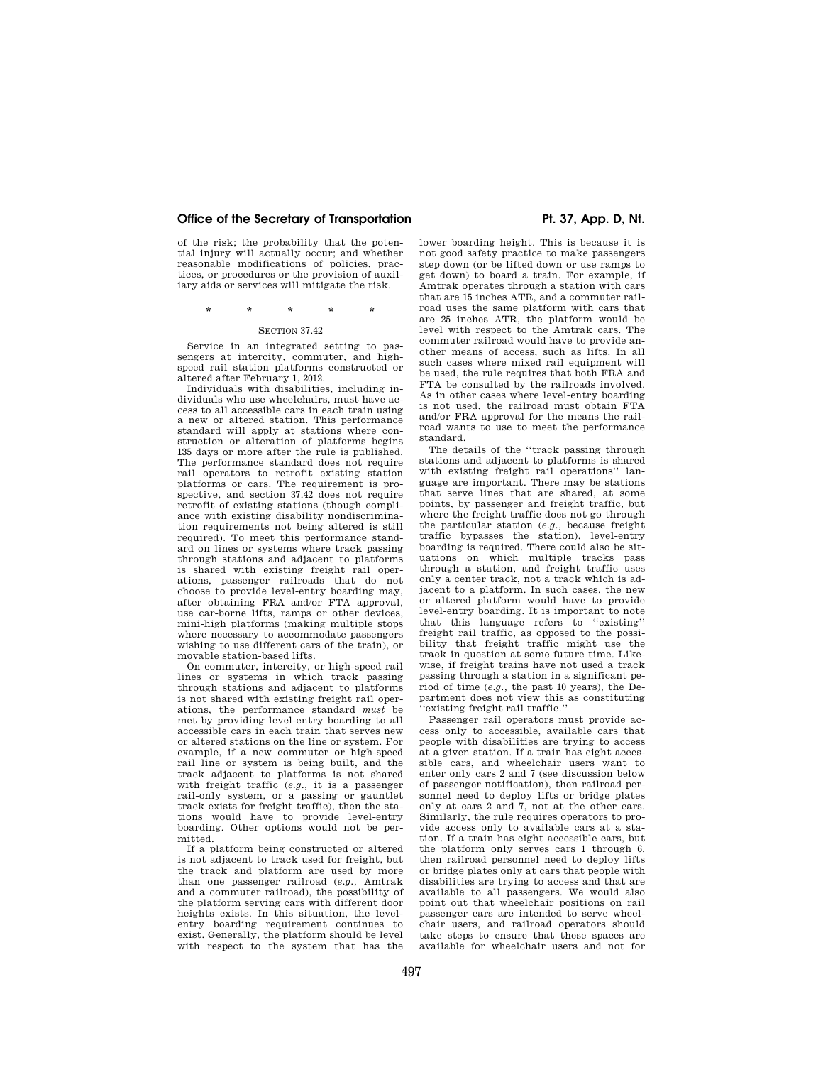# Office of the Secretary of Transportation **Pt. 37, App. D, Nt.**

of the risk; the probability that the potential injury will actually occur; and whether reasonable modifications of policies, practices, or procedures or the provision of auxiliary aids or services will mitigate the risk.

\* \* \* \* \*

# SECTION 37.42

Service in an integrated setting to passengers at intercity, commuter, and highspeed rail station platforms constructed or altered after February 1, 2012.

Individuals with disabilities, including individuals who use wheelchairs, must have access to all accessible cars in each train using a new or altered station. This performance standard will apply at stations where construction or alteration of platforms begins 135 days or more after the rule is published. The performance standard does not require rail operators to retrofit existing station platforms or cars. The requirement is prospective, and section 37.42 does not require retrofit of existing stations (though compliance with existing disability nondiscrimination requirements not being altered is still required). To meet this performance standard on lines or systems where track passing through stations and adjacent to platforms is shared with existing freight rail operations, passenger railroads that do not choose to provide level-entry boarding may, after obtaining FRA and/or FTA approval, use car-borne lifts, ramps or other devices, mini-high platforms (making multiple stops where necessary to accommodate passengers wishing to use different cars of the train), or movable station-based lifts.

On commuter, intercity, or high-speed rail lines or systems in which track passing through stations and adjacent to platforms is not shared with existing freight rail operations, the performance standard *must* be met by providing level-entry boarding to all accessible cars in each train that serves new or altered stations on the line or system. For example, if a new commuter or high-speed rail line or system is being built, and the track adjacent to platforms is not shared with freight traffic (*e.g.,* it is a passenger rail-only system, or a passing or gauntlet track exists for freight traffic), then the stations would have to provide level-entry boarding. Other options would not be permitted.

If a platform being constructed or altered is not adjacent to track used for freight, but the track and platform are used by more than one passenger railroad (*e.g.,* Amtrak and a commuter railroad), the possibility of the platform serving cars with different door heights exists. In this situation, the levelentry boarding requirement continues to exist. Generally, the platform should be level with respect to the system that has the

lower boarding height. This is because it is not good safety practice to make passengers step down (or be lifted down or use ramps to get down) to board a train. For example, if Amtrak operates through a station with cars that are 15 inches ATR, and a commuter railroad uses the same platform with cars that are 25 inches ATR, the platform would be level with respect to the Amtrak cars. The commuter railroad would have to provide another means of access, such as lifts. In all such cases where mixed rail equipment will be used, the rule requires that both FRA and FTA be consulted by the railroads involved. As in other cases where level-entry boarding is not used, the railroad must obtain FTA and/or FRA approval for the means the railroad wants to use to meet the performance standard.

The details of the ''track passing through stations and adjacent to platforms is shared with existing freight rail operations'' language are important. There may be stations that serve lines that are shared, at some points, by passenger and freight traffic, but where the freight traffic does not go through the particular station (*e.g.,* because freight traffic bypasses the station), level-entry boarding is required. There could also be situations on which multiple tracks pass through a station, and freight traffic uses only a center track, not a track which is adjacent to a platform. In such cases, the new or altered platform would have to provide level-entry boarding. It is important to note that this language refers to ''existing'' freight rail traffic, as opposed to the possibility that freight traffic might use the track in question at some future time. Likewise, if freight trains have not used a track passing through a station in a significant period of time (*e.g.,* the past 10 years), the Department does not view this as constituting 'existing freight rail traffic.''

Passenger rail operators must provide access only to accessible, available cars that people with disabilities are trying to access at a given station. If a train has eight accessible cars, and wheelchair users want to enter only cars 2 and 7 (see discussion below of passenger notification), then railroad personnel need to deploy lifts or bridge plates only at cars 2 and 7, not at the other cars. Similarly, the rule requires operators to provide access only to available cars at a station. If a train has eight accessible cars, but the platform only serves cars 1 through 6, then railroad personnel need to deploy lifts or bridge plates only at cars that people with disabilities are trying to access and that are available to all passengers. We would also point out that wheelchair positions on rail passenger cars are intended to serve wheelchair users, and railroad operators should take steps to ensure that these spaces are available for wheelchair users and not for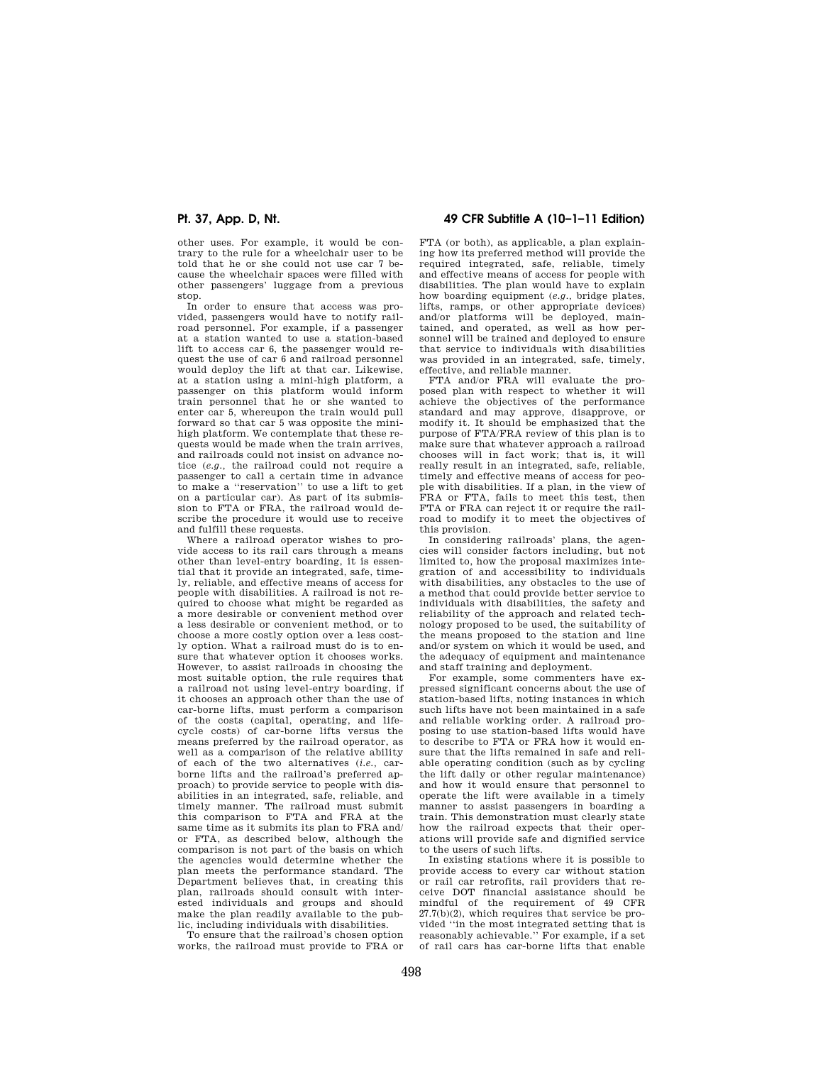other uses. For example, it would be contrary to the rule for a wheelchair user to be told that he or she could not use car 7 because the wheelchair spaces were filled with other passengers' luggage from a previous stop.

In order to ensure that access was provided, passengers would have to notify railroad personnel. For example, if a passenger at a station wanted to use a station-based lift to access car 6, the passenger would request the use of car 6 and railroad personnel would deploy the lift at that car. Likewise, at a station using a mini-high platform, a passenger on this platform would inform train personnel that he or she wanted to enter car 5, whereupon the train would pull forward so that car 5 was opposite the minihigh platform. We contemplate that these requests would be made when the train arrives, and railroads could not insist on advance notice (*e.g.,* the railroad could not require a passenger to call a certain time in advance to make a ''reservation'' to use a lift to get on a particular car). As part of its submission to FTA or FRA, the railroad would describe the procedure it would use to receive and fulfill these requests.

Where a railroad operator wishes to provide access to its rail cars through a means other than level-entry boarding, it is essential that it provide an integrated, safe, timely, reliable, and effective means of access for people with disabilities. A railroad is not required to choose what might be regarded as a more desirable or convenient method over a less desirable or convenient method, or to choose a more costly option over a less costly option. What a railroad must do is to ensure that whatever option it chooses works. However, to assist railroads in choosing the most suitable option, the rule requires that a railroad not using level-entry boarding, if it chooses an approach other than the use of car-borne lifts, must perform a comparison of the costs (capital, operating, and lifecycle costs) of car-borne lifts versus the means preferred by the railroad operator, as well as a comparison of the relative ability of each of the two alternatives (*i.e.,* carborne lifts and the railroad's preferred approach) to provide service to people with disabilities in an integrated, safe, reliable, and timely manner. The railroad must submit this comparison to FTA and FRA at the same time as it submits its plan to FRA and/ or FTA, as described below, although the comparison is not part of the basis on which the agencies would determine whether the plan meets the performance standard. The Department believes that, in creating this plan, railroads should consult with interested individuals and groups and should make the plan readily available to the public, including individuals with disabilities.

To ensure that the railroad's chosen option works, the railroad must provide to FRA or

# **Pt. 37, App. D, Nt. 49 CFR Subtitle A (10–1–11 Edition)**

FTA (or both), as applicable, a plan explaining how its preferred method will provide the required integrated, safe, reliable, timely and effective means of access for people with disabilities. The plan would have to explain how boarding equipment (*e.g.,* bridge plates, lifts, ramps, or other appropriate devices) and/or platforms will be deployed, maintained, and operated, as well as how personnel will be trained and deployed to ensure that service to individuals with disabilities was provided in an integrated, safe, timely, effective, and reliable manner.

FTA and/or FRA will evaluate the proposed plan with respect to whether it will achieve the objectives of the performance standard and may approve, disapprove, or modify it. It should be emphasized that the purpose of FTA/FRA review of this plan is to make sure that whatever approach a railroad chooses will in fact work; that is, it will really result in an integrated, safe, reliable, timely and effective means of access for people with disabilities. If a plan, in the view of FRA or FTA, fails to meet this test, then FTA or FRA can reject it or require the railroad to modify it to meet the objectives of this provision.

In considering railroads' plans, the agencies will consider factors including, but not limited to, how the proposal maximizes integration of and accessibility to individuals with disabilities, any obstacles to the use of a method that could provide better service to individuals with disabilities, the safety and reliability of the approach and related technology proposed to be used, the suitability of the means proposed to the station and line and/or system on which it would be used, and the adequacy of equipment and maintenance and staff training and deployment.

For example, some commenters have expressed significant concerns about the use of station-based lifts, noting instances in which such lifts have not been maintained in a safe and reliable working order. A railroad proposing to use station-based lifts would have to describe to FTA or FRA how it would ensure that the lifts remained in safe and reliable operating condition (such as by cycling the lift daily or other regular maintenance) and how it would ensure that personnel to operate the lift were available in a timely manner to assist passengers in boarding a train. This demonstration must clearly state how the railroad expects that their operations will provide safe and dignified service to the users of such lifts.

In existing stations where it is possible to provide access to every car without station or rail car retrofits, rail providers that receive DOT financial assistance should be mindful of the requirement of 49 CFR 27.7(b)(2), which requires that service be provided ''in the most integrated setting that is reasonably achievable.'' For example, if a set of rail cars has car-borne lifts that enable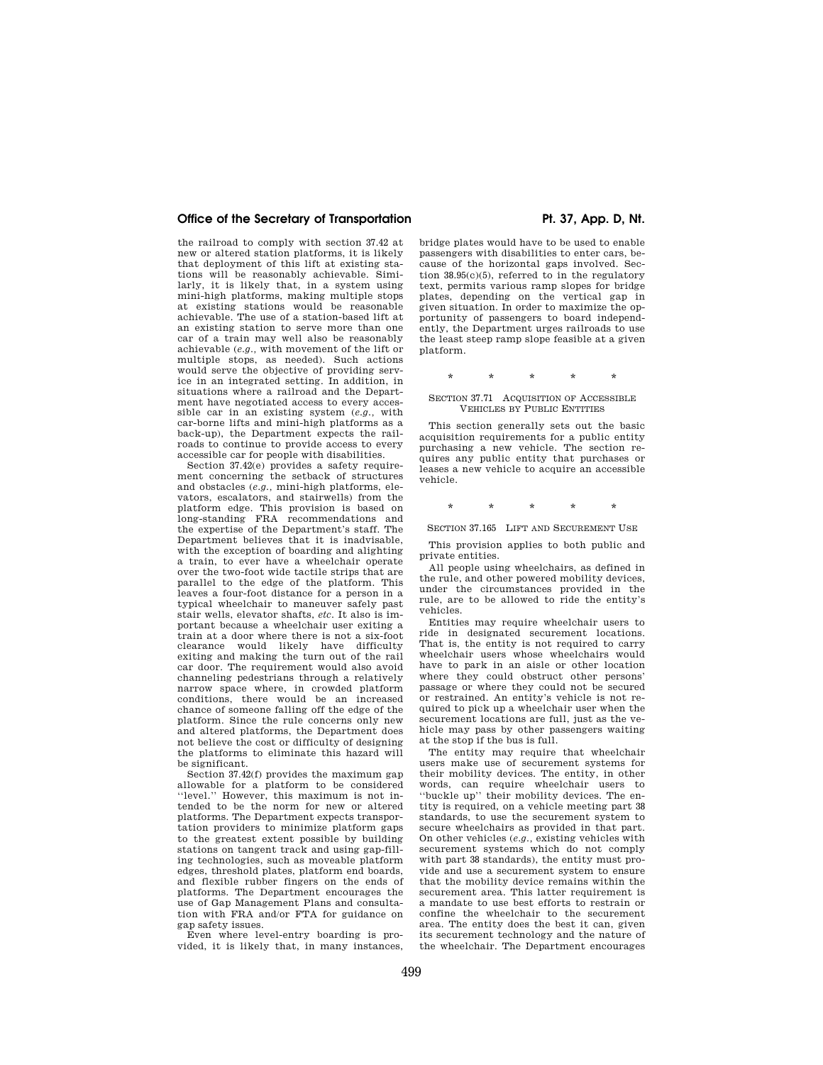## Office of the Secretary of Transportation **Pt. 37, App. D, Nt.**

the railroad to comply with section 37.42 at new or altered station platforms, it is likely that deployment of this lift at existing stations will be reasonably achievable. Similarly, it is likely that, in a system using mini-high platforms, making multiple stops at existing stations would be reasonable achievable. The use of a station-based lift at an existing station to serve more than one car of a train may well also be reasonably achievable (*e.g.,* with movement of the lift or multiple stops, as needed). Such actions would serve the objective of providing service in an integrated setting. In addition, in situations where a railroad and the Department have negotiated access to every accessible car in an existing system (*e.g.,* with car-borne lifts and mini-high platforms as a back-up), the Department expects the railroads to continue to provide access to every accessible car for people with disabilities.

Section 37.42(e) provides a safety requirement concerning the setback of structures and obstacles (*e.g.,* mini-high platforms, elevators, escalators, and stairwells) from the platform edge. This provision is based on long-standing FRA recommendations and the expertise of the Department's staff. The Department believes that it is inadvisable, with the exception of boarding and alighting a train, to ever have a wheelchair operate over the two-foot wide tactile strips that are parallel to the edge of the platform. This leaves a four-foot distance for a person in a typical wheelchair to maneuver safely past stair wells, elevator shafts, *etc.* It also is important because a wheelchair user exiting a train at a door where there is not a six-foot clearance would likely have difficulty exiting and making the turn out of the rail car door. The requirement would also avoid channeling pedestrians through a relatively narrow space where, in crowded platform conditions, there would be an increased chance of someone falling off the edge of the platform. Since the rule concerns only new and altered platforms, the Department does not believe the cost or difficulty of designing the platforms to eliminate this hazard will be significant.

Section 37.42(f) provides the maximum gap allowable for a platform to be considered 'level.'' However, this maximum is not intended to be the norm for new or altered platforms. The Department expects transportation providers to minimize platform gaps to the greatest extent possible by building stations on tangent track and using gap-filling technologies, such as moveable platform edges, threshold plates, platform end boards, and flexible rubber fingers on the ends of platforms. The Department encourages the use of Gap Management Plans and consultation with FRA and/or FTA for guidance on gap safety issues.

Even where level-entry boarding is provided, it is likely that, in many instances,

bridge plates would have to be used to enable passengers with disabilities to enter cars, because of the horizontal gaps involved. Section  $38.95(c)(5)$ , referred to in the regulatory text, permits various ramp slopes for bridge plates, depending on the vertical gap in given situation. In order to maximize the opportunity of passengers to board independently, the Department urges railroads to use the least steep ramp slope feasible at a given platform.

\* \* \* \* \*

## SECTION 37.71 ACQUISITION OF ACCESSIBLE VEHICLES BY PUBLIC ENTITIES

This section generally sets out the basic acquisition requirements for a public entity purchasing a new vehicle. The section requires any public entity that purchases or leases a new vehicle to acquire an accessible vehicle.

\* \* \* \* \*

SECTION 37.165 LIFT AND SECUREMENT USE

This provision applies to both public and private entities.

All people using wheelchairs, as defined in the rule, and other powered mobility devices, under the circumstances provided in the rule, are to be allowed to ride the entity's vehicles.

Entities may require wheelchair users to ride in designated securement locations. That is, the entity is not required to carry wheelchair users whose wheelchairs would have to park in an aisle or other location where they could obstruct other persons' passage or where they could not be secured or restrained. An entity's vehicle is not required to pick up a wheelchair user when the securement locations are full, just as the vehicle may pass by other passengers waiting at the stop if the bus is full.

The entity may require that wheelchair users make use of securement systems for their mobility devices. The entity, in other words, can require wheelchair users to ''buckle up'' their mobility devices. The entity is required, on a vehicle meeting part 38 standards, to use the securement system to secure wheelchairs as provided in that part. On other vehicles (*e.g.,* existing vehicles with securement systems which do not comply with part 38 standards), the entity must provide and use a securement system to ensure that the mobility device remains within the securement area. This latter requirement is a mandate to use best efforts to restrain or confine the wheelchair to the securement area. The entity does the best it can, given its securement technology and the nature of the wheelchair. The Department encourages